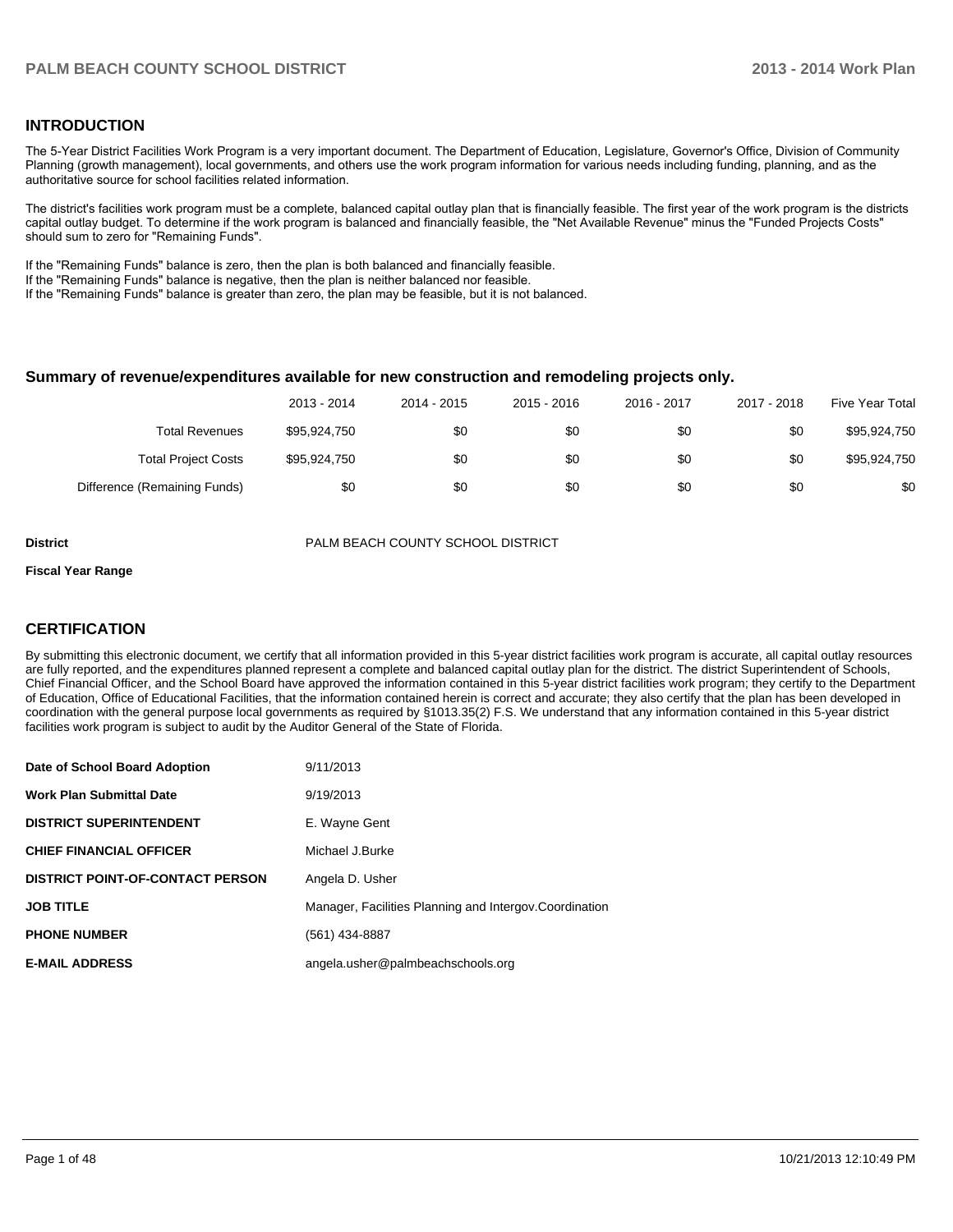#### **INTRODUCTION**

The 5-Year District Facilities Work Program is a very important document. The Department of Education, Legislature, Governor's Office, Division of Community Planning (growth management), local governments, and others use the work program information for various needs including funding, planning, and as the authoritative source for school facilities related information.

The district's facilities work program must be a complete, balanced capital outlay plan that is financially feasible. The first year of the work program is the districts capital outlay budget. To determine if the work program is balanced and financially feasible, the "Net Available Revenue" minus the "Funded Projects Costs" should sum to zero for "Remaining Funds".

If the "Remaining Funds" balance is zero, then the plan is both balanced and financially feasible.

If the "Remaining Funds" balance is negative, then the plan is neither balanced nor feasible.

If the "Remaining Funds" balance is greater than zero, the plan may be feasible, but it is not balanced.

#### **Summary of revenue/expenditures available for new construction and remodeling projects only.**

|                              | 2013 - 2014  | 2014 - 2015 | 2015 - 2016 | 2016 - 2017 | 2017 - 2018 | Five Year Total |
|------------------------------|--------------|-------------|-------------|-------------|-------------|-----------------|
| <b>Total Revenues</b>        | \$95,924,750 | \$0         | \$0         | \$0         | \$0         | \$95,924,750    |
| <b>Total Project Costs</b>   | \$95,924,750 | \$0         | \$0         | \$0         | \$0         | \$95.924.750    |
| Difference (Remaining Funds) | \$0          | \$0         | \$0         | \$0         | \$0         | \$0             |

**District** PALM BEACH COUNTY SCHOOL DISTRICT

#### **Fiscal Year Range**

#### **CERTIFICATION**

By submitting this electronic document, we certify that all information provided in this 5-year district facilities work program is accurate, all capital outlay resources are fully reported, and the expenditures planned represent a complete and balanced capital outlay plan for the district. The district Superintendent of Schools, Chief Financial Officer, and the School Board have approved the information contained in this 5-year district facilities work program; they certify to the Department of Education, Office of Educational Facilities, that the information contained herein is correct and accurate; they also certify that the plan has been developed in coordination with the general purpose local governments as required by §1013.35(2) F.S. We understand that any information contained in this 5-year district facilities work program is subject to audit by the Auditor General of the State of Florida.

| Date of School Board Adoption           | 9/11/2013                                               |
|-----------------------------------------|---------------------------------------------------------|
| <b>Work Plan Submittal Date</b>         | 9/19/2013                                               |
| <b>DISTRICT SUPERINTENDENT</b>          | E. Wayne Gent                                           |
| <b>CHIEF FINANCIAL OFFICER</b>          | Michael J.Burke                                         |
| <b>DISTRICT POINT-OF-CONTACT PERSON</b> | Angela D. Usher                                         |
| <b>JOB TITLE</b>                        | Manager, Facilities Planning and Intergov. Coordination |
| <b>PHONE NUMBER</b>                     | (561) 434-8887                                          |
| <b>E-MAIL ADDRESS</b>                   | angela.usher@palmbeachschools.org                       |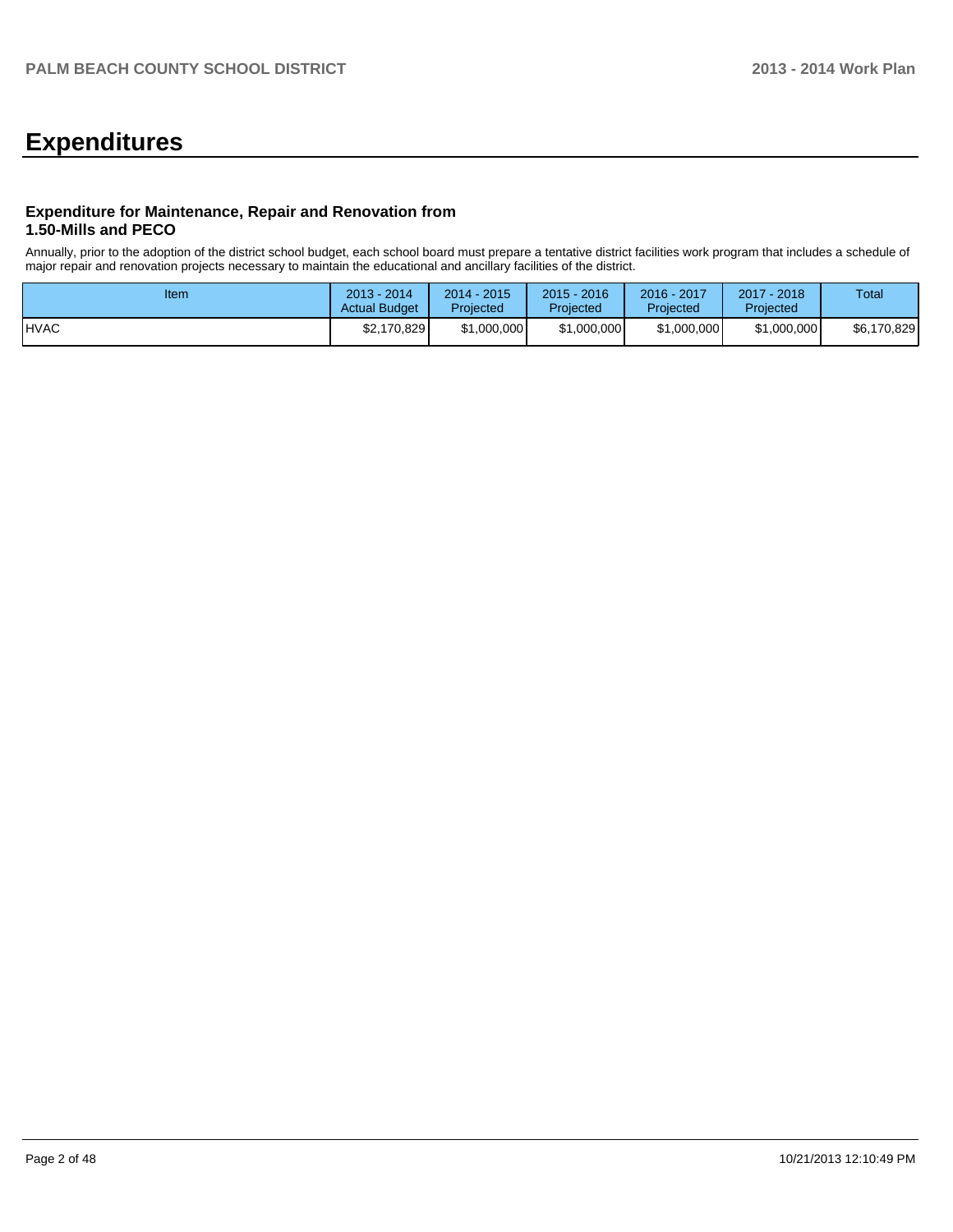# **Expenditures**

#### **Expenditure for Maintenance, Repair and Renovation from 1.50-Mills and PECO**

Annually, prior to the adoption of the district school budget, each school board must prepare a tentative district facilities work program that includes a schedule of major repair and renovation projects necessary to maintain the educational and ancillary facilities of the district.

| Item         | $2013 - 2014$<br><b>Actual Budget</b> | $2014 - 2015$<br>Projected | $2015 - 2016$<br>Projected | 2016 - 2017<br>Projected | 2017 - 2018<br>Projected | Total       |
|--------------|---------------------------------------|----------------------------|----------------------------|--------------------------|--------------------------|-------------|
| <b>IHVAC</b> | \$2,170,829                           | \$1,000,000                | \$1,000,000                | \$1,000,000              | \$1,000,000              | \$6,170,829 |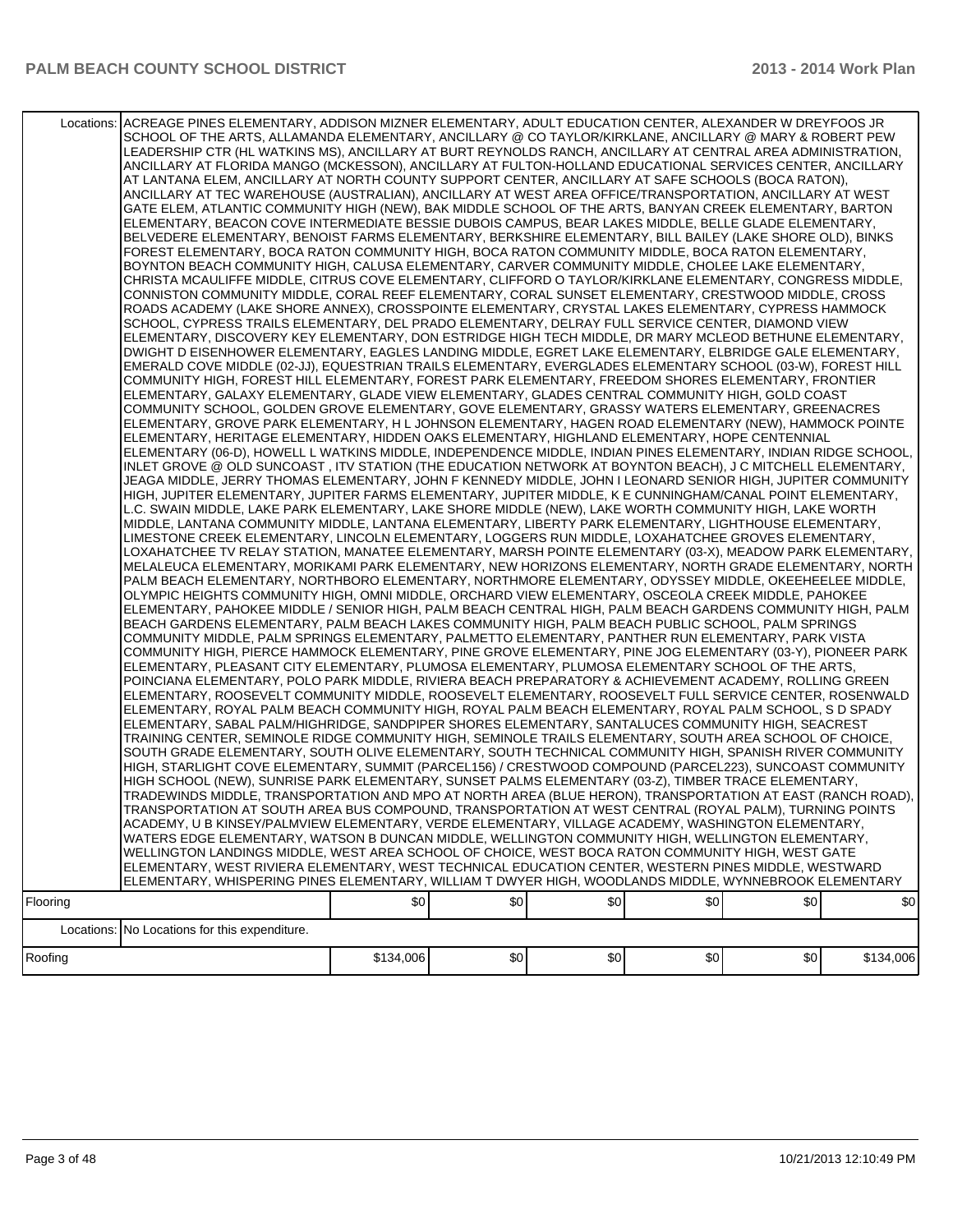### PALM BEACH COUNTY SCHOOL DISTRICT **2014 Work Plan**

|          | Locations: ACREAGE PINES ELEMENTARY, ADDISON MIZNER ELEMENTARY, ADULT EDUCATION CENTER, ALEXANDER W DREYFOOS JR<br>SCHOOL OF THE ARTS, ALLAMANDA ELEMENTARY, ANCILLARY @ CO TAYLOR/KIRKLANE, ANCILLARY @ MARY & ROBERT PEW<br>LEADERSHIP CTR (HL WATKINS MS), ANCILLARY AT BURT REYNOLDS RANCH, ANCILLARY AT CENTRAL AREA ADMINISTRATION,<br>ANCILLARY AT FLORIDA MANGO (MCKESSON), ANCILLARY AT FULTON-HOLLAND EDUCATIONAL SERVICES CENTER, ANCILLARY<br>AT LANTANA ELEM, ANCILLARY AT NORTH COUNTY SUPPORT CENTER, ANCILLARY AT SAFE SCHOOLS (BOCA RATON),<br>ANCILLARY AT TEC WAREHOUSE (AUSTRALIAN), ANCILLARY AT WEST AREA OFFICE/TRANSPORTATION, ANCILLARY AT WEST<br>GATE ELEM, ATLANTIC COMMUNITY HIGH (NEW), BAK MIDDLE SCHOOL OF THE ARTS, BANYAN CREEK ELEMENTARY, BARTON<br>ELEMENTARY, BEACON COVE INTERMEDIATE BESSIE DUBOIS CAMPUS, BEAR LAKES MIDDLE, BELLE GLADE ELEMENTARY,<br>BELVEDERE ELEMENTARY, BENOIST FARMS ELEMENTARY, BERKSHIRE ELEMENTARY, BILL BAILEY (LAKE SHORE OLD), BINKS<br>FOREST ELEMENTARY, BOCA RATON COMMUNITY HIGH, BOCA RATON COMMUNITY MIDDLE, BOCA RATON ELEMENTARY,<br>BOYNTON BEACH COMMUNITY HIGH, CALUSA ELEMENTARY, CARVER COMMUNITY MIDDLE, CHOLEE LAKE ELEMENTARY,<br>CHRISTA MCAULIFFE MIDDLE. CITRUS COVE ELEMENTARY. CLIFFORD O TAYLOR/KIRKLANE ELEMENTARY. CONGRESS MIDDLE.<br>CONNISTON COMMUNITY MIDDLE, CORAL REEF ELEMENTARY, CORAL SUNSET ELEMENTARY, CRESTWOOD MIDDLE, CROSS<br>ROADS ACADEMY (LAKE SHORE ANNEX), CROSSPOINTE ELEMENTARY, CRYSTAL LAKES ELEMENTARY, CYPRESS HAMMOCK<br>SCHOOL, CYPRESS TRAILS ELEMENTARY, DEL PRADO ELEMENTARY, DELRAY FULL SERVICE CENTER, DIAMOND VIEW<br>ELEMENTARY, DISCOVERY KEY ELEMENTARY, DON ESTRIDGE HIGH TECH MIDDLE, DR MARY MCLEOD BETHUNE ELEMENTARY,<br>DWIGHT D EISENHOWER ELEMENTARY, EAGLES LANDING MIDDLE, EGRET LAKE ELEMENTARY, ELBRIDGE GALE ELEMENTARY,<br>EMERALD COVE MIDDLE (02-JJ), EQUESTRIAN TRAILS ELEMENTARY, EVERGLADES ELEMENTARY SCHOOL (03-W), FOREST HILL<br>COMMUNITY HIGH, FOREST HILL ELEMENTARY, FOREST PARK ELEMENTARY, FREEDOM SHORES ELEMENTARY, FRONTIER<br>ELEMENTARY, GALAXY ELEMENTARY, GLADE VIEW ELEMENTARY, GLADES CENTRAL COMMUNITY HIGH, GOLD COAST<br>COMMUNITY SCHOOL, GOLDEN GROVE ELEMENTARY, GOVE ELEMENTARY, GRASSY WATERS ELEMENTARY, GREENACRES<br>ELEMENTARY, GROVE PARK ELEMENTARY, H L JOHNSON ELEMENTARY, HAGEN ROAD ELEMENTARY (NEW), HAMMOCK POINTE<br>ELEMENTARY, HERITAGE ELEMENTARY, HIDDEN OAKS ELEMENTARY, HIGHLAND ELEMENTARY, HOPE CENTENNIAL<br>ELEMENTARY (06-D), HOWELL L WATKINS MIDDLE, INDEPENDENCE MIDDLE, INDIAN PINES ELEMENTARY, INDIAN RIDGE SCHOOL,<br>INLET GROVE @ OLD SUNCOAST, ITV STATION (THE EDUCATION NETWORK AT BOYNTON BEACH), J C MITCHELL ELEMENTARY,<br>JEAGA MIDDLE, JERRY THOMAS ELEMENTARY, JOHN F KENNEDY MIDDLE, JOHN I LEONARD SENIOR HIGH, JUPITER COMMUNITY<br>HIGH, JUPITER ELEMENTARY, JUPITER FARMS ELEMENTARY, JUPITER MIDDLE, K E CUNNINGHAM/CANAL POINT ELEMENTARY,<br>L.C. SWAIN MIDDLE, LAKE PARK ELEMENTARY, LAKE SHORE MIDDLE (NEW), LAKE WORTH COMMUNITY HIGH, LAKE WORTH<br>MIDDLE, LANTANA COMMUNITY MIDDLE, LANTANA ELEMENTARY, LIBERTY PARK ELEMENTARY, LIGHTHOUSE ELEMENTARY,<br>LIMESTONE CREEK ELEMENTARY, LINCOLN ELEMENTARY, LOGGERS RUN MIDDLE, LOXAHATCHEE GROVES ELEMENTARY,<br>LOXAHATCHEE TV RELAY STATION, MANATEE ELEMENTARY, MARSH POINTE ELEMENTARY (03-X), MEADOW PARK ELEMENTARY,<br>MELALEUCA ELEMENTARY, MORIKAMI PARK ELEMENTARY, NEW HORIZONS ELEMENTARY, NORTH GRADE ELEMENTARY, NORTH<br>PALM BEACH ELEMENTARY, NORTHBORO ELEMENTARY, NORTHMORE ELEMENTARY, ODYSSEY MIDDLE, OKEEHEELEE MIDDLE,<br>OLYMPIC HEIGHTS COMMUNITY HIGH, OMNI MIDDLE, ORCHARD VIEW ELEMENTARY, OSCEOLA CREEK MIDDLE, PAHOKEE<br>ELEMENTARY, PAHOKEE MIDDLE / SENIOR HIGH, PALM BEACH CENTRAL HIGH, PALM BEACH GARDENS COMMUNITY HIGH, PALM<br>BEACH GARDENS ELEMENTARY, PALM BEACH LAKES COMMUNITY HIGH, PALM BEACH PUBLIC SCHOOL, PALM SPRINGS<br>COMMUNITY MIDDLE, PALM SPRINGS ELEMENTARY, PALMETTO ELEMENTARY, PANTHER RUN ELEMENTARY, PARK VISTA<br>COMMUNITY HIGH, PIERCE HAMMOCK ELEMENTARY, PINE GROVE ELEMENTARY, PINE JOG ELEMENTARY (03-Y), PIONEER PARK<br>ELEMENTARY, PLEASANT CITY ELEMENTARY, PLUMOSA ELEMENTARY, PLUMOSA ELEMENTARY SCHOOL OF THE ARTS,<br>POINCIANA ELEMENTARY, POLO PARK MIDDLE, RIVIERA BEACH PREPARATORY & ACHIEVEMENT ACADEMY, ROLLING GREEN<br>ELEMENTARY, ROOSEVELT COMMUNITY MIDDLE, ROOSEVELT ELEMENTARY, ROOSEVELT FULL SERVICE CENTER, ROSENWALD<br>ELEMENTARY, ROYAL PALM BEACH COMMUNITY HIGH, ROYAL PALM BEACH ELEMENTARY, ROYAL PALM SCHOOL, S D SPADY<br>ELEMENTARY, SABAL PALM/HIGHRIDGE, SANDPIPER SHORES ELEMENTARY, SANTALUCES COMMUNITY HIGH, SEACREST<br>TRAINING CENTER, SEMINOLE RIDGE COMMUNITY HIGH, SEMINOLE TRAILS ELEMENTARY, SOUTH AREA SCHOOL OF CHOICE,<br>SOUTH GRADE ELEMENTARY, SOUTH OLIVE ELEMENTARY, SOUTH TECHNICAL COMMUNITY HIGH, SPANISH RIVER COMMUNITY<br>HIGH, STARLIGHT COVE ELEMENTARY, SUMMIT (PARCEL156) / CRESTWOOD COMPOUND (PARCEL223), SUNCOAST COMMUNITY<br>HIGH SCHOOL (NEW), SUNRISE PARK ELEMENTARY, SUNSET PALMS ELEMENTARY (03-Z), TIMBER TRACE ELEMENTARY,<br>TRADEWINDS MIDDLE, TRANSPORTATION AND MPO AT NORTH AREA (BLUE HERON), TRANSPORTATION AT EAST (RANCH ROAD),<br>TRANSPORTATION AT SOUTH AREA BUS COMPOUND, TRANSPORTATION AT WEST CENTRAL (ROYAL PALM), TURNING POINTS<br>ACADEMY, U B KINSEY/PALMVIEW ELEMENTARY, VERDE ELEMENTARY, VILLAGE ACADEMY, WASHINGTON ELEMENTARY,<br>WATERS EDGE ELEMENTARY, WATSON B DUNCAN MIDDLE, WELLINGTON COMMUNITY HIGH, WELLINGTON ELEMENTARY,<br>WELLINGTON LANDINGS MIDDLE, WEST AREA SCHOOL OF CHOICE, WEST BOCA RATON COMMUNITY HIGH, WEST GATE<br>ELEMENTARY, WEST RIVIERA ELEMENTARY, WEST TECHNICAL EDUCATION CENTER, WESTERN PINES MIDDLE, WESTWARD |           |     |     |     |     |           |
|----------|----------------------------------------------------------------------------------------------------------------------------------------------------------------------------------------------------------------------------------------------------------------------------------------------------------------------------------------------------------------------------------------------------------------------------------------------------------------------------------------------------------------------------------------------------------------------------------------------------------------------------------------------------------------------------------------------------------------------------------------------------------------------------------------------------------------------------------------------------------------------------------------------------------------------------------------------------------------------------------------------------------------------------------------------------------------------------------------------------------------------------------------------------------------------------------------------------------------------------------------------------------------------------------------------------------------------------------------------------------------------------------------------------------------------------------------------------------------------------------------------------------------------------------------------------------------------------------------------------------------------------------------------------------------------------------------------------------------------------------------------------------------------------------------------------------------------------------------------------------------------------------------------------------------------------------------------------------------------------------------------------------------------------------------------------------------------------------------------------------------------------------------------------------------------------------------------------------------------------------------------------------------------------------------------------------------------------------------------------------------------------------------------------------------------------------------------------------------------------------------------------------------------------------------------------------------------------------------------------------------------------------------------------------------------------------------------------------------------------------------------------------------------------------------------------------------------------------------------------------------------------------------------------------------------------------------------------------------------------------------------------------------------------------------------------------------------------------------------------------------------------------------------------------------------------------------------------------------------------------------------------------------------------------------------------------------------------------------------------------------------------------------------------------------------------------------------------------------------------------------------------------------------------------------------------------------------------------------------------------------------------------------------------------------------------------------------------------------------------------------------------------------------------------------------------------------------------------------------------------------------------------------------------------------------------------------------------------------------------------------------------------------------------------------------------------------------------------------------------------------------------------------------------------------------------------------------------------------------------------------------------------------------------------------------------------------------------------------------------------------------------------------------------------------------------------------------------------------------------------------------------------------------------------------------------------------------------------------------------------------------------------------------------------------------------------------------------------------------------------------------------------------------------------------------------------------------------------------------------------------------------------------------------------------------------------------------------------------------------------------------------------------------------------------------------------------------------------------------------------------------------------------------------------------------------------------------------------------------------------------------------------------------------------------------------------------------------------------------------------------------------------------------------------------------------------------------------------------------------------------------------------------------------------------------------------------------------------------------------------------------------------------------------------------------------------------------------------------------------------------------------------------------------------------------------------------------------|-----------|-----|-----|-----|-----|-----------|
|          | ELEMENTARY, WHISPERING PINES ELEMENTARY, WILLIAM T DWYER HIGH, WOODLANDS MIDDLE, WYNNEBROOK ELEMENTARY                                                                                                                                                                                                                                                                                                                                                                                                                                                                                                                                                                                                                                                                                                                                                                                                                                                                                                                                                                                                                                                                                                                                                                                                                                                                                                                                                                                                                                                                                                                                                                                                                                                                                                                                                                                                                                                                                                                                                                                                                                                                                                                                                                                                                                                                                                                                                                                                                                                                                                                                                                                                                                                                                                                                                                                                                                                                                                                                                                                                                                                                                                                                                                                                                                                                                                                                                                                                                                                                                                                                                                                                                                                                                                                                                                                                                                                                                                                                                                                                                                                                                                                                                                                                                                                                                                                                                                                                                                                                                                                                                                                                                                                                                                                                                                                                                                                                                                                                                                                                                                                                                                                                                                                                                                                                                                                                                                                                                                                                                                                                                                                                                                                                                                                     |           |     |     |     |     |           |
| Flooring |                                                                                                                                                                                                                                                                                                                                                                                                                                                                                                                                                                                                                                                                                                                                                                                                                                                                                                                                                                                                                                                                                                                                                                                                                                                                                                                                                                                                                                                                                                                                                                                                                                                                                                                                                                                                                                                                                                                                                                                                                                                                                                                                                                                                                                                                                                                                                                                                                                                                                                                                                                                                                                                                                                                                                                                                                                                                                                                                                                                                                                                                                                                                                                                                                                                                                                                                                                                                                                                                                                                                                                                                                                                                                                                                                                                                                                                                                                                                                                                                                                                                                                                                                                                                                                                                                                                                                                                                                                                                                                                                                                                                                                                                                                                                                                                                                                                                                                                                                                                                                                                                                                                                                                                                                                                                                                                                                                                                                                                                                                                                                                                                                                                                                                                                                                                                                            | \$0       | \$0 | \$0 | \$0 | \$0 | \$0       |
|          | Locations: No Locations for this expenditure.                                                                                                                                                                                                                                                                                                                                                                                                                                                                                                                                                                                                                                                                                                                                                                                                                                                                                                                                                                                                                                                                                                                                                                                                                                                                                                                                                                                                                                                                                                                                                                                                                                                                                                                                                                                                                                                                                                                                                                                                                                                                                                                                                                                                                                                                                                                                                                                                                                                                                                                                                                                                                                                                                                                                                                                                                                                                                                                                                                                                                                                                                                                                                                                                                                                                                                                                                                                                                                                                                                                                                                                                                                                                                                                                                                                                                                                                                                                                                                                                                                                                                                                                                                                                                                                                                                                                                                                                                                                                                                                                                                                                                                                                                                                                                                                                                                                                                                                                                                                                                                                                                                                                                                                                                                                                                                                                                                                                                                                                                                                                                                                                                                                                                                                                                                              |           |     |     |     |     |           |
| Roofing  |                                                                                                                                                                                                                                                                                                                                                                                                                                                                                                                                                                                                                                                                                                                                                                                                                                                                                                                                                                                                                                                                                                                                                                                                                                                                                                                                                                                                                                                                                                                                                                                                                                                                                                                                                                                                                                                                                                                                                                                                                                                                                                                                                                                                                                                                                                                                                                                                                                                                                                                                                                                                                                                                                                                                                                                                                                                                                                                                                                                                                                                                                                                                                                                                                                                                                                                                                                                                                                                                                                                                                                                                                                                                                                                                                                                                                                                                                                                                                                                                                                                                                                                                                                                                                                                                                                                                                                                                                                                                                                                                                                                                                                                                                                                                                                                                                                                                                                                                                                                                                                                                                                                                                                                                                                                                                                                                                                                                                                                                                                                                                                                                                                                                                                                                                                                                                            | \$134,006 | \$0 | \$0 | \$0 | \$0 | \$134,006 |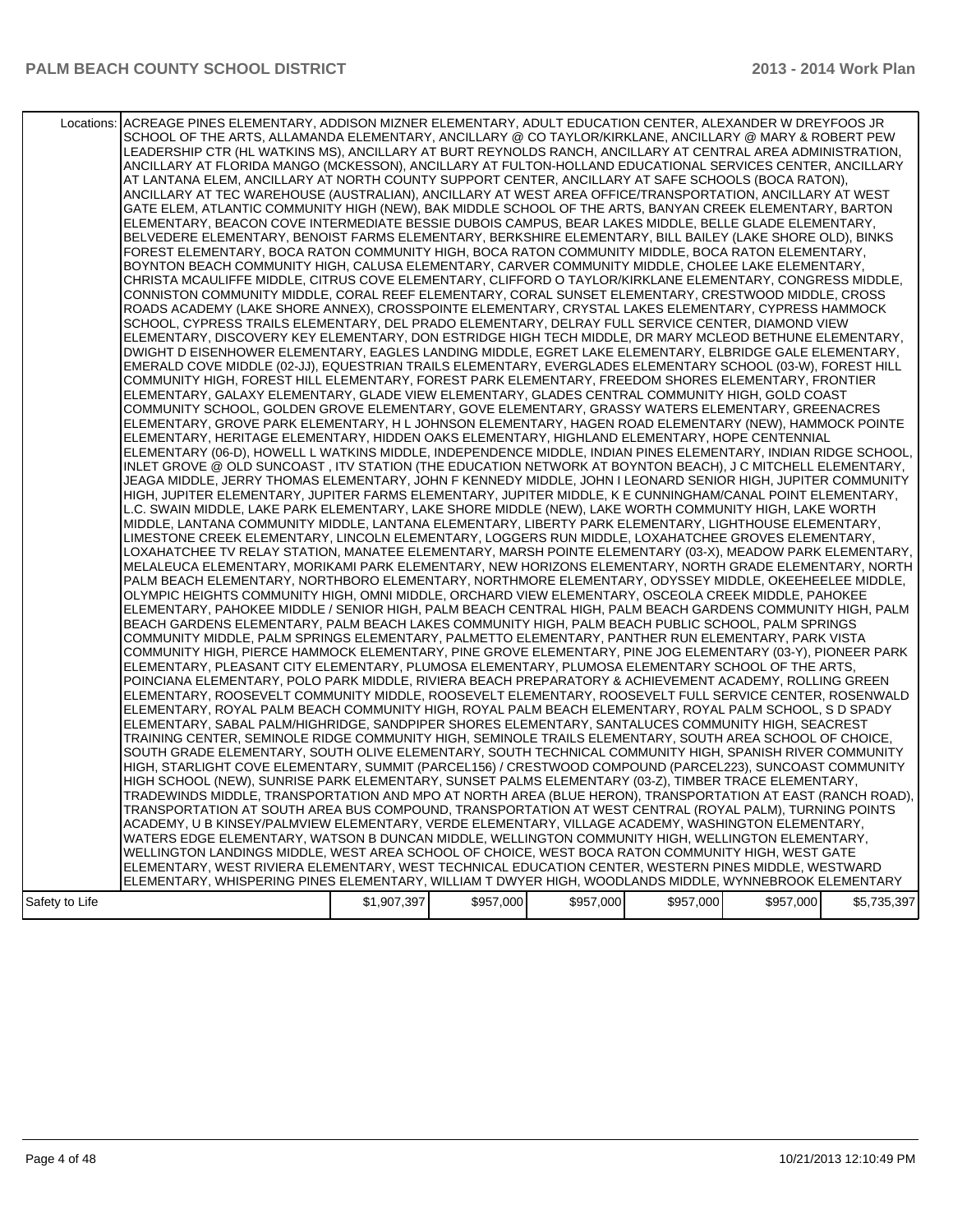#### PALM BEACH COUNTY SCHOOL DISTRICT **2014 Work Plan**

|                | Locations: ACREAGE PINES ELEMENTARY, ADDISON MIZNER ELEMENTARY, ADULT EDUCATION CENTER, ALEXANDER W DREYFOOS JR<br>SCHOOL OF THE ARTS, ALLAMANDA ELEMENTARY, ANCILLARY @ CO TAYLOR/KIRKLANE, ANCILLARY @ MARY & ROBERT PEW<br>LEADERSHIP CTR (HL WATKINS MS), ANCILLARY AT BURT REYNOLDS RANCH, ANCILLARY AT CENTRAL AREA ADMINISTRATION,<br>ANCILLARY AT FLORIDA MANGO (MCKESSON), ANCILLARY AT FULTON-HOLLAND EDUCATIONAL SERVICES CENTER, ANCILLARY<br>AT LANTANA ELEM, ANCILLARY AT NORTH COUNTY SUPPORT CENTER, ANCILLARY AT SAFE SCHOOLS (BOCA RATON),<br>ANCILLARY AT TEC WAREHOUSE (AUSTRALIAN), ANCILLARY AT WEST AREA OFFICE/TRANSPORTATION, ANCILLARY AT WEST<br>GATE ELEM, ATLANTIC COMMUNITY HIGH (NEW), BAK MIDDLE SCHOOL OF THE ARTS, BANYAN CREEK ELEMENTARY, BARTON<br>ELEMENTARY, BEACON COVE INTERMEDIATE BESSIE DUBOIS CAMPUS, BEAR LAKES MIDDLE, BELLE GLADE ELEMENTARY,<br>BELVEDERE ELEMENTARY, BENOIST FARMS ELEMENTARY, BERKSHIRE ELEMENTARY, BILL BAILEY (LAKE SHORE OLD), BINKS<br>FOREST ELEMENTARY, BOCA RATON COMMUNITY HIGH, BOCA RATON COMMUNITY MIDDLE, BOCA RATON ELEMENTARY,<br>BOYNTON BEACH COMMUNITY HIGH, CALUSA ELEMENTARY, CARVER COMMUNITY MIDDLE, CHOLEE LAKE ELEMENTARY,<br>CHRISTA MCAULIFFE MIDDLE, CITRUS COVE ELEMENTARY, CLIFFORD O TAYLOR/KIRKLANE ELEMENTARY, CONGRESS MIDDLE,<br>CONNISTON COMMUNITY MIDDLE, CORAL REEF ELEMENTARY, CORAL SUNSET ELEMENTARY, CRESTWOOD MIDDLE, CROSS<br>ROADS ACADEMY (LAKE SHORE ANNEX), CROSSPOINTE ELEMENTARY, CRYSTAL LAKES ELEMENTARY, CYPRESS HAMMOCK<br>SCHOOL, CYPRESS TRAILS ELEMENTARY, DEL PRADO ELEMENTARY, DELRAY FULL SERVICE CENTER, DIAMOND VIEW<br>ELEMENTARY, DISCOVERY KEY ELEMENTARY, DON ESTRIDGE HIGH TECH MIDDLE, DR MARY MCLEOD BETHUNE ELEMENTARY,<br>DWIGHT D EISENHOWER ELEMENTARY, EAGLES LANDING MIDDLE, EGRET LAKE ELEMENTARY, ELBRIDGE GALE ELEMENTARY,<br>EMERALD COVE MIDDLE (02-JJ), EQUESTRIAN TRAILS ELEMENTARY, EVERGLADES ELEMENTARY SCHOOL (03-W), FOREST HILL<br>COMMUNITY HIGH, FOREST HILL ELEMENTARY, FOREST PARK ELEMENTARY, FREEDOM SHORES ELEMENTARY, FRONTIER<br>ELEMENTARY, GALAXY ELEMENTARY, GLADE VIEW ELEMENTARY, GLADES CENTRAL COMMUNITY HIGH, GOLD COAST<br>COMMUNITY SCHOOL, GOLDEN GROVE ELEMENTARY, GOVE ELEMENTARY, GRASSY WATERS ELEMENTARY, GREENACRES<br>ELEMENTARY, GROVE PARK ELEMENTARY, H L JOHNSON ELEMENTARY, HAGEN ROAD ELEMENTARY (NEW), HAMMOCK POINTE<br>ELEMENTARY, HERITAGE ELEMENTARY, HIDDEN OAKS ELEMENTARY, HIGHLAND ELEMENTARY, HOPE CENTENNIAL<br>ELEMENTARY (06-D), HOWELL L WATKINS MIDDLE, INDEPENDENCE MIDDLE, INDIAN PINES ELEMENTARY, INDIAN RIDGE SCHOOL,<br>INLET GROVE @ OLD SUNCOAST , ITV STATION (THE EDUCATION NETWORK AT BOYNTON BEACH), J C MITCHELL ELEMENTARY,<br>JEAGA MIDDLE, JERRY THOMAS ELEMENTARY, JOHN F KENNEDY MIDDLE, JOHN I LEONARD SENIOR HIGH, JUPITER COMMUNITY<br>HIGH, JUPITER ELEMENTARY, JUPITER FARMS ELEMENTARY, JUPITER MIDDLE, K E CUNNINGHAM/CANAL POINT ELEMENTARY,<br>L.C. SWAIN MIDDLE, LAKE PARK ELEMENTARY, LAKE SHORE MIDDLE (NEW), LAKE WORTH COMMUNITY HIGH, LAKE WORTH<br>MIDDLE, LANTANA COMMUNITY MIDDLE, LANTANA ELEMENTARY, LIBERTY PARK ELEMENTARY, LIGHTHOUSE ELEMENTARY,<br>LIMESTONE CREEK ELEMENTARY, LINCOLN ELEMENTARY, LOGGERS RUN MIDDLE, LOXAHATCHEE GROVES ELEMENTARY,<br>LOXAHATCHEE TV RELAY STATION, MANATEE ELEMENTARY, MARSH POINTE ELEMENTARY (03-X), MEADOW PARK ELEMENTARY,<br>MELALEUCA ELEMENTARY, MORIKAMI PARK ELEMENTARY, NEW HORIZONS ELEMENTARY, NORTH GRADE ELEMENTARY, NORTH<br>PALM BEACH ELEMENTARY, NORTHBORO ELEMENTARY, NORTHMORE ELEMENTARY, ODYSSEY MIDDLE, OKEEHEELEE MIDDLE,<br>OLYMPIC HEIGHTS COMMUNITY HIGH, OMNI MIDDLE, ORCHARD VIEW ELEMENTARY, OSCEOLA CREEK MIDDLE, PAHOKEE<br>ELEMENTARY, PAHOKEE MIDDLE / SENIOR HIGH, PALM BEACH CENTRAL HIGH, PALM BEACH GARDENS COMMUNITY HIGH, PALM<br>BEACH GARDENS ELEMENTARY, PALM BEACH LAKES COMMUNITY HIGH, PALM BEACH PUBLIC SCHOOL, PALM SPRINGS<br>COMMUNITY MIDDLE, PALM SPRINGS ELEMENTARY, PALMETTO ELEMENTARY, PANTHER RUN ELEMENTARY, PARK VISTA<br>COMMUNITY HIGH, PIERCE HAMMOCK ELEMENTARY, PINE GROVE ELEMENTARY, PINE JOG ELEMENTARY (03-Y), PIONEER PARK<br>ELEMENTARY, PLEASANT CITY ELEMENTARY, PLUMOSA ELEMENTARY, PLUMOSA ELEMENTARY SCHOOL OF THE ARTS,<br>POINCIANA ELEMENTARY, POLO PARK MIDDLE, RIVIERA BEACH PREPARATORY & ACHIEVEMENT ACADEMY, ROLLING GREEN<br>ELEMENTARY, ROOSEVELT COMMUNITY MIDDLE, ROOSEVELT ELEMENTARY, ROOSEVELT FULL SERVICE CENTER, ROSENWALD<br>ELEMENTARY, ROYAL PALM BEACH COMMUNITY HIGH, ROYAL PALM BEACH ELEMENTARY, ROYAL PALM SCHOOL, S D SPADY<br>ELEMENTARY, SABAL PALM/HIGHRIDGE, SANDPIPER SHORES ELEMENTARY, SANTALUCES COMMUNITY HIGH, SEACREST<br>TRAINING CENTER, SEMINOLE RIDGE COMMUNITY HIGH, SEMINOLE TRAILS ELEMENTARY, SOUTH AREA SCHOOL OF CHOICE,<br>SOUTH GRADE ELEMENTARY, SOUTH OLIVE ELEMENTARY, SOUTH TECHNICAL COMMUNITY HIGH, SPANISH RIVER COMMUNITY |             |           |           |           |           |             |
|----------------|---------------------------------------------------------------------------------------------------------------------------------------------------------------------------------------------------------------------------------------------------------------------------------------------------------------------------------------------------------------------------------------------------------------------------------------------------------------------------------------------------------------------------------------------------------------------------------------------------------------------------------------------------------------------------------------------------------------------------------------------------------------------------------------------------------------------------------------------------------------------------------------------------------------------------------------------------------------------------------------------------------------------------------------------------------------------------------------------------------------------------------------------------------------------------------------------------------------------------------------------------------------------------------------------------------------------------------------------------------------------------------------------------------------------------------------------------------------------------------------------------------------------------------------------------------------------------------------------------------------------------------------------------------------------------------------------------------------------------------------------------------------------------------------------------------------------------------------------------------------------------------------------------------------------------------------------------------------------------------------------------------------------------------------------------------------------------------------------------------------------------------------------------------------------------------------------------------------------------------------------------------------------------------------------------------------------------------------------------------------------------------------------------------------------------------------------------------------------------------------------------------------------------------------------------------------------------------------------------------------------------------------------------------------------------------------------------------------------------------------------------------------------------------------------------------------------------------------------------------------------------------------------------------------------------------------------------------------------------------------------------------------------------------------------------------------------------------------------------------------------------------------------------------------------------------------------------------------------------------------------------------------------------------------------------------------------------------------------------------------------------------------------------------------------------------------------------------------------------------------------------------------------------------------------------------------------------------------------------------------------------------------------------------------------------------------------------------------------------------------------------------------------------------------------------------------------------------------------------------------------------------------------------------------------------------------------------------------------------------------------------------------------------------------------------------------------------------------------------------------------------------------------------------------------------------------------------------------------------------------------------------------------------------------------------------------------------------------------------------------------------------------------------------------------------------------------------------------------------------------------------------------------------------------------------------------------------------------------------------------------------------------------------------------------------------------------------------------------------------------------------------------------------------------------------------------------------------------------------------------------------------------------------------------------------------------------------------|-------------|-----------|-----------|-----------|-----------|-------------|
|                |                                                                                                                                                                                                                                                                                                                                                                                                                                                                                                                                                                                                                                                                                                                                                                                                                                                                                                                                                                                                                                                                                                                                                                                                                                                                                                                                                                                                                                                                                                                                                                                                                                                                                                                                                                                                                                                                                                                                                                                                                                                                                                                                                                                                                                                                                                                                                                                                                                                                                                                                                                                                                                                                                                                                                                                                                                                                                                                                                                                                                                                                                                                                                                                                                                                                                                                                                                                                                                                                                                                                                                                                                                                                                                                                                                                                                                                                                                                                                                                                                                                                                                                                                                                                                                                                                                                                                                                                                                                                                                                                                                                                                                                                                                                                                                                                                                                                                                                                                         |             |           |           |           |           |             |
|                | HIGH, STARLIGHT COVE ELEMENTARY, SUMMIT (PARCEL156) / CRESTWOOD COMPOUND (PARCEL223), SUNCOAST COMMUNITY<br>HIGH SCHOOL (NEW), SUNRISE PARK ELEMENTARY, SUNSET PALMS ELEMENTARY (03-Z), TIMBER TRACE ELEMENTARY,                                                                                                                                                                                                                                                                                                                                                                                                                                                                                                                                                                                                                                                                                                                                                                                                                                                                                                                                                                                                                                                                                                                                                                                                                                                                                                                                                                                                                                                                                                                                                                                                                                                                                                                                                                                                                                                                                                                                                                                                                                                                                                                                                                                                                                                                                                                                                                                                                                                                                                                                                                                                                                                                                                                                                                                                                                                                                                                                                                                                                                                                                                                                                                                                                                                                                                                                                                                                                                                                                                                                                                                                                                                                                                                                                                                                                                                                                                                                                                                                                                                                                                                                                                                                                                                                                                                                                                                                                                                                                                                                                                                                                                                                                                                                        |             |           |           |           |           |             |
|                | TRADEWINDS MIDDLE, TRANSPORTATION AND MPO AT NORTH AREA (BLUE HERON), TRANSPORTATION AT EAST (RANCH ROAD),<br>TRANSPORTATION AT SOUTH AREA BUS COMPOUND, TRANSPORTATION AT WEST CENTRAL (ROYAL PALM), TURNING POINTS<br>ACADEMY, U B KINSEY/PALMVIEW ELEMENTARY, VERDE ELEMENTARY, VILLAGE ACADEMY, WASHINGTON ELEMENTARY,<br>WATERS EDGE ELEMENTARY, WATSON B DUNCAN MIDDLE, WELLINGTON COMMUNITY HIGH, WELLINGTON ELEMENTARY,<br>WELLINGTON LANDINGS MIDDLE, WEST AREA SCHOOL OF CHOICE, WEST BOCA RATON COMMUNITY HIGH, WEST GATE                                                                                                                                                                                                                                                                                                                                                                                                                                                                                                                                                                                                                                                                                                                                                                                                                                                                                                                                                                                                                                                                                                                                                                                                                                                                                                                                                                                                                                                                                                                                                                                                                                                                                                                                                                                                                                                                                                                                                                                                                                                                                                                                                                                                                                                                                                                                                                                                                                                                                                                                                                                                                                                                                                                                                                                                                                                                                                                                                                                                                                                                                                                                                                                                                                                                                                                                                                                                                                                                                                                                                                                                                                                                                                                                                                                                                                                                                                                                                                                                                                                                                                                                                                                                                                                                                                                                                                                                                    |             |           |           |           |           |             |
|                | ELEMENTARY, WEST RIVIERA ELEMENTARY, WEST TECHNICAL EDUCATION CENTER, WESTERN PINES MIDDLE, WESTWARD<br>ELEMENTARY, WHISPERING PINES ELEMENTARY, WILLIAM T DWYER HIGH, WOODLANDS MIDDLE, WYNNEBROOK ELEMENTARY                                                                                                                                                                                                                                                                                                                                                                                                                                                                                                                                                                                                                                                                                                                                                                                                                                                                                                                                                                                                                                                                                                                                                                                                                                                                                                                                                                                                                                                                                                                                                                                                                                                                                                                                                                                                                                                                                                                                                                                                                                                                                                                                                                                                                                                                                                                                                                                                                                                                                                                                                                                                                                                                                                                                                                                                                                                                                                                                                                                                                                                                                                                                                                                                                                                                                                                                                                                                                                                                                                                                                                                                                                                                                                                                                                                                                                                                                                                                                                                                                                                                                                                                                                                                                                                                                                                                                                                                                                                                                                                                                                                                                                                                                                                                          |             |           |           |           |           |             |
| Safety to Life |                                                                                                                                                                                                                                                                                                                                                                                                                                                                                                                                                                                                                                                                                                                                                                                                                                                                                                                                                                                                                                                                                                                                                                                                                                                                                                                                                                                                                                                                                                                                                                                                                                                                                                                                                                                                                                                                                                                                                                                                                                                                                                                                                                                                                                                                                                                                                                                                                                                                                                                                                                                                                                                                                                                                                                                                                                                                                                                                                                                                                                                                                                                                                                                                                                                                                                                                                                                                                                                                                                                                                                                                                                                                                                                                                                                                                                                                                                                                                                                                                                                                                                                                                                                                                                                                                                                                                                                                                                                                                                                                                                                                                                                                                                                                                                                                                                                                                                                                                         | \$1,907,397 | \$957,000 | \$957,000 | \$957,000 | \$957,000 | \$5,735,397 |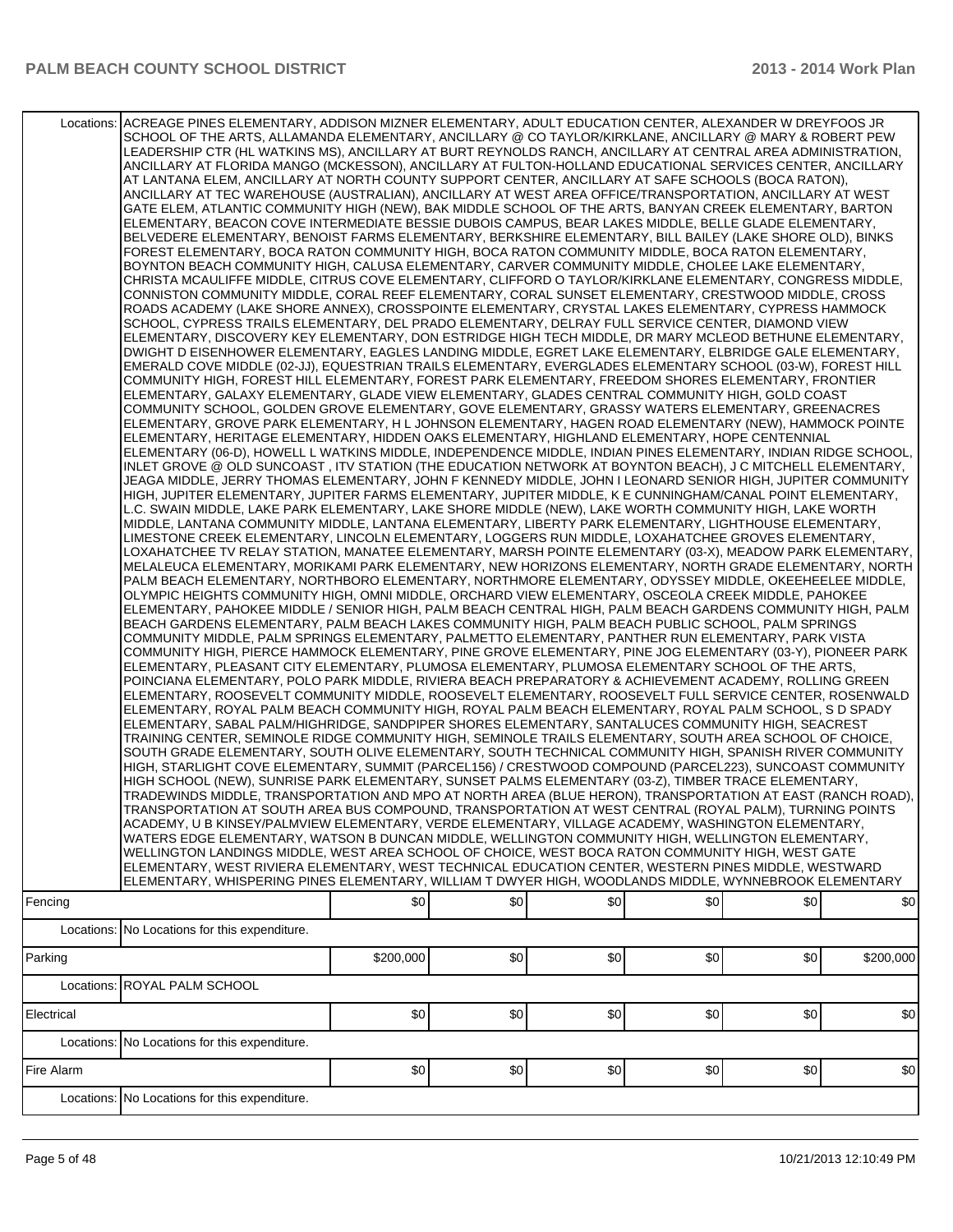| Fencing    | Locations: ACREAGE PINES ELEMENTARY, ADDISON MIZNER ELEMENTARY, ADULT EDUCATION CENTER, ALEXANDER W DREYFOOS JR<br>SCHOOL OF THE ARTS, ALLAMANDA ELEMENTARY, ANCILLARY @ CO TAYLOR/KIRKLANE, ANCILLARY @ MARY & ROBERT PEW<br>LEADERSHIP CTR (HL WATKINS MS), ANCILLARY AT BURT REYNOLDS RANCH, ANCILLARY AT CENTRAL AREA ADMINISTRATION,<br>ANCILLARY AT FLORIDA MANGO (MCKESSON), ANCILLARY AT FULTON-HOLLAND EDUCATIONAL SERVICES CENTER, ANCILLARY<br>AT LANTANA ELEM, ANCILLARY AT NORTH COUNTY SUPPORT CENTER, ANCILLARY AT SAFE SCHOOLS (BOCA RATON),<br>ANCILLARY AT TEC WAREHOUSE (AUSTRALIAN), ANCILLARY AT WEST AREA OFFICE/TRANSPORTATION, ANCILLARY AT WEST<br>GATE ELEM, ATLANTIC COMMUNITY HIGH (NEW), BAK MIDDLE SCHOOL OF THE ARTS, BANYAN CREEK ELEMENTARY, BARTON<br>ELEMENTARY, BEACON COVE INTERMEDIATE BESSIE DUBOIS CAMPUS, BEAR LAKES MIDDLE, BELLE GLADE ELEMENTARY,<br>BELVEDERE ELEMENTARY, BENOIST FARMS ELEMENTARY, BERKSHIRE ELEMENTARY, BILL BAILEY (LAKE SHORE OLD), BINKS<br>FOREST ELEMENTARY, BOCA RATON COMMUNITY HIGH, BOCA RATON COMMUNITY MIDDLE, BOCA RATON ELEMENTARY,<br>BOYNTON BEACH COMMUNITY HIGH, CALUSA ELEMENTARY, CARVER COMMUNITY MIDDLE, CHOLEE LAKE ELEMENTARY,<br>CHRISTA MCAULIFFE MIDDLE, CITRUS COVE ELEMENTARY, CLIFFORD O TAYLOR/KIRKLANE ELEMENTARY, CONGRESS MIDDLE,<br>CONNISTON COMMUNITY MIDDLE, CORAL REEF ELEMENTARY, CORAL SUNSET ELEMENTARY, CRESTWOOD MIDDLE, CROSS<br>ROADS ACADEMY (LAKE SHORE ANNEX), CROSSPOINTE ELEMENTARY, CRYSTAL LAKES ELEMENTARY, CYPRESS HAMMOCK<br>SCHOOL, CYPRESS TRAILS ELEMENTARY, DEL PRADO ELEMENTARY, DELRAY FULL SERVICE CENTER, DIAMOND VIEW<br>ELEMENTARY, DISCOVERY KEY ELEMENTARY, DON ESTRIDGE HIGH TECH MIDDLE, DR MARY MCLEOD BETHUNE ELEMENTARY,<br>DWIGHT D EISENHOWER ELEMENTARY, EAGLES LANDING MIDDLE, EGRET LAKE ELEMENTARY, ELBRIDGE GALE ELEMENTARY,<br>EMERALD COVE MIDDLE (02-JJ), EQUESTRIAN TRAILS ELEMENTARY, EVERGLADES ELEMENTARY SCHOOL (03-W), FOREST HILL<br>COMMUNITY HIGH, FOREST HILL ELEMENTARY, FOREST PARK ELEMENTARY, FREEDOM SHORES ELEMENTARY, FRONTIER<br>ELEMENTARY, GALAXY ELEMENTARY, GLADE VIEW ELEMENTARY, GLADES CENTRAL COMMUNITY HIGH, GOLD COAST<br>COMMUNITY SCHOOL, GOLDEN GROVE ELEMENTARY, GOVE ELEMENTARY, GRASSY WATERS ELEMENTARY, GREENACRES<br>ELEMENTARY, GROVE PARK ELEMENTARY, H L JOHNSON ELEMENTARY, HAGEN ROAD ELEMENTARY (NEW), HAMMOCK POINTE<br>ELEMENTARY, HERITAGE ELEMENTARY, HIDDEN OAKS ELEMENTARY, HIGHLAND ELEMENTARY, HOPE CENTENNIAL<br>ELEMENTARY (06-D), HOWELL L WATKINS MIDDLE, INDEPENDENCE MIDDLE, INDIAN PINES ELEMENTARY, INDIAN RIDGE SCHOOL,<br>INLET GROVE @ OLD SUNCOAST, ITV STATION (THE EDUCATION NETWORK AT BOYNTON BEACH), J C MITCHELL ELEMENTARY,<br>JEAGA MIDDLE. JERRY THOMAS ELEMENTARY. JOHN F KENNEDY MIDDLE. JOHN I LEONARD SENIOR HIGH. JUPITER COMMUNITY<br>HIGH, JUPITER ELEMENTARY, JUPITER FARMS ELEMENTARY, JUPITER MIDDLE, K E CUNNINGHAM/CANAL POINT ELEMENTARY,<br>L.C. SWAIN MIDDLE, LAKE PARK ELEMENTARY, LAKE SHORE MIDDLE (NEW), LAKE WORTH COMMUNITY HIGH, LAKE WORTH<br>MIDDLE, LANTANA COMMUNITY MIDDLE, LANTANA ELEMENTARY, LIBERTY PARK ELEMENTARY, LIGHTHOUSE ELEMENTARY,<br>LIMESTONE CREEK ELEMENTARY, LINCOLN ELEMENTARY, LOGGERS RUN MIDDLE, LOXAHATCHEE GROVES ELEMENTARY,<br>LOXAHATCHEE TV RELAY STATION, MANATEE ELEMENTARY, MARSH POINTE ELEMENTARY (03-X), MEADOW PARK ELEMENTARY,<br>MELALEUCA ELEMENTARY, MORIKAMI PARK ELEMENTARY, NEW HORIZONS ELEMENTARY, NORTH GRADE ELEMENTARY, NORTH<br>PALM BEACH ELEMENTARY, NORTHBORO ELEMENTARY, NORTHMORE ELEMENTARY, ODYSSEY MIDDLE, OKEEHEELEE MIDDLE,<br>OLYMPIC HEIGHTS COMMUNITY HIGH, OMNI MIDDLE, ORCHARD VIEW ELEMENTARY, OSCEOLA CREEK MIDDLE, PAHOKEE<br>ELEMENTARY, PAHOKEE MIDDLE / SENIOR HIGH, PALM BEACH CENTRAL HIGH, PALM BEACH GARDENS COMMUNITY HIGH, PALM<br>BEACH GARDENS ELEMENTARY, PALM BEACH LAKES COMMUNITY HIGH, PALM BEACH PUBLIC SCHOOL, PALM SPRINGS<br>COMMUNITY MIDDLE, PALM SPRINGS ELEMENTARY, PALMETTO ELEMENTARY, PANTHER RUN ELEMENTARY, PARK VISTA<br>COMMUNITY HIGH, PIERCE HAMMOCK ELEMENTARY, PINE GROVE ELEMENTARY, PINE JOG ELEMENTARY (03-Y), PIONEER PARK<br>ELEMENTARY, PLEASANT CITY ELEMENTARY, PLUMOSA ELEMENTARY, PLUMOSA ELEMENTARY SCHOOL OF THE ARTS,<br>POINCIANA ELEMENTARY, POLO PARK MIDDLE, RIVIERA BEACH PREPARATORY & ACHIEVEMENT ACADEMY, ROLLING GREEN<br>ELEMENTARY, ROOSEVELT COMMUNITY MIDDLE, ROOSEVELT ELEMENTARY, ROOSEVELT FULL SERVICE CENTER, ROSENWALD<br>ELEMENTARY, ROYAL PALM BEACH COMMUNITY HIGH, ROYAL PALM BEACH ELEMENTARY, ROYAL PALM SCHOOL, S D SPADY<br>ELEMENTARY, SABAL PALM/HIGHRIDGE, SANDPIPER SHORES ELEMENTARY, SANTALUCES COMMUNITY HIGH, SEACREST<br>TRAINING CENTER, SEMINOLE RIDGE COMMUNITY HIGH, SEMINOLE TRAILS ELEMENTARY, SOUTH AREA SCHOOL OF CHOICE,<br>SOUTH GRADE ELEMENTARY, SOUTH OLIVE ELEMENTARY, SOUTH TECHNICAL COMMUNITY HIGH, SPANISH RIVER COMMUNITY<br>HIGH, STARLIGHT COVE ELEMENTARY, SUMMIT (PARCEL156) / CRESTWOOD COMPOUND (PARCEL223), SUNCOAST COMMUNITY<br>HIGH SCHOOL (NEW), SUNRISE PARK ELEMENTARY, SUNSET PALMS ELEMENTARY (03-Z), TIMBER TRACE ELEMENTARY,<br>TRADEWINDS MIDDLE, TRANSPORTATION AND MPO AT NORTH AREA (BLUE HERON), TRANSPORTATION AT EAST (RANCH ROAD),<br>TRANSPORTATION AT SOUTH AREA BUS COMPOUND, TRANSPORTATION AT WEST CENTRAL (ROYAL PALM), TURNING POINTS<br>ACADEMY, U B KINSEY/PALMVIEW ELEMENTARY, VERDE ELEMENTARY, VILLAGE ACADEMY, WASHINGTON ELEMENTARY,<br>WATERS EDGE ELEMENTARY, WATSON B DUNCAN MIDDLE, WELLINGTON COMMUNITY HIGH, WELLINGTON ELEMENTARY,<br>WELLINGTON LANDINGS MIDDLE, WEST AREA SCHOOL OF CHOICE, WEST BOCA RATON COMMUNITY HIGH, WEST GATE<br>ELEMENTARY, WEST RIVIERA ELEMENTARY, WEST TECHNICAL EDUCATION CENTER, WESTERN PINES MIDDLE, WESTWARD<br>ELEMENTARY, WHISPERING PINES ELEMENTARY, WILLIAM T DWYER HIGH, WOODLANDS MIDDLE, WYNNEBROOK ELEMENTARY | \$0       | \$0 | \$0 | \$0 | \$0 | \$0       |
|------------|--------------------------------------------------------------------------------------------------------------------------------------------------------------------------------------------------------------------------------------------------------------------------------------------------------------------------------------------------------------------------------------------------------------------------------------------------------------------------------------------------------------------------------------------------------------------------------------------------------------------------------------------------------------------------------------------------------------------------------------------------------------------------------------------------------------------------------------------------------------------------------------------------------------------------------------------------------------------------------------------------------------------------------------------------------------------------------------------------------------------------------------------------------------------------------------------------------------------------------------------------------------------------------------------------------------------------------------------------------------------------------------------------------------------------------------------------------------------------------------------------------------------------------------------------------------------------------------------------------------------------------------------------------------------------------------------------------------------------------------------------------------------------------------------------------------------------------------------------------------------------------------------------------------------------------------------------------------------------------------------------------------------------------------------------------------------------------------------------------------------------------------------------------------------------------------------------------------------------------------------------------------------------------------------------------------------------------------------------------------------------------------------------------------------------------------------------------------------------------------------------------------------------------------------------------------------------------------------------------------------------------------------------------------------------------------------------------------------------------------------------------------------------------------------------------------------------------------------------------------------------------------------------------------------------------------------------------------------------------------------------------------------------------------------------------------------------------------------------------------------------------------------------------------------------------------------------------------------------------------------------------------------------------------------------------------------------------------------------------------------------------------------------------------------------------------------------------------------------------------------------------------------------------------------------------------------------------------------------------------------------------------------------------------------------------------------------------------------------------------------------------------------------------------------------------------------------------------------------------------------------------------------------------------------------------------------------------------------------------------------------------------------------------------------------------------------------------------------------------------------------------------------------------------------------------------------------------------------------------------------------------------------------------------------------------------------------------------------------------------------------------------------------------------------------------------------------------------------------------------------------------------------------------------------------------------------------------------------------------------------------------------------------------------------------------------------------------------------------------------------------------------------------------------------------------------------------------------------------------------------------------------------------------------------------------------------------------------------------------------------------------------------------------------------------------------------------------------------------------------------------------------------------------------------------------------------------------------------------------------------------------------------------------------------------------------------------------------------------------------------------------------------------------------------------------------------------------------------------------------------------------------------------------------------------------------------------------------------------------------------------------------------------------------------------------------------------------------------------------------------------------------------------------------------------------------------------------------------------------------------------------------------------------------------------------------|-----------|-----|-----|-----|-----|-----------|
|            | Locations: No Locations for this expenditure.                                                                                                                                                                                                                                                                                                                                                                                                                                                                                                                                                                                                                                                                                                                                                                                                                                                                                                                                                                                                                                                                                                                                                                                                                                                                                                                                                                                                                                                                                                                                                                                                                                                                                                                                                                                                                                                                                                                                                                                                                                                                                                                                                                                                                                                                                                                                                                                                                                                                                                                                                                                                                                                                                                                                                                                                                                                                                                                                                                                                                                                                                                                                                                                                                                                                                                                                                                                                                                                                                                                                                                                                                                                                                                                                                                                                                                                                                                                                                                                                                                                                                                                                                                                                                                                                                                                                                                                                                                                                                                                                                                                                                                                                                                                                                                                                                                                                                                                                                                                                                                                                                                                                                                                                                                                                                                                                                                                                                                                                                                                                                                                                                                                                                                                                                                                                                                                                                        |           |     |     |     |     |           |
| Parking    |                                                                                                                                                                                                                                                                                                                                                                                                                                                                                                                                                                                                                                                                                                                                                                                                                                                                                                                                                                                                                                                                                                                                                                                                                                                                                                                                                                                                                                                                                                                                                                                                                                                                                                                                                                                                                                                                                                                                                                                                                                                                                                                                                                                                                                                                                                                                                                                                                                                                                                                                                                                                                                                                                                                                                                                                                                                                                                                                                                                                                                                                                                                                                                                                                                                                                                                                                                                                                                                                                                                                                                                                                                                                                                                                                                                                                                                                                                                                                                                                                                                                                                                                                                                                                                                                                                                                                                                                                                                                                                                                                                                                                                                                                                                                                                                                                                                                                                                                                                                                                                                                                                                                                                                                                                                                                                                                                                                                                                                                                                                                                                                                                                                                                                                                                                                                                                                                                                                                      | \$200,000 | \$0 | \$0 | \$0 | \$0 | \$200,000 |
|            | Locations: ROYAL PALM SCHOOL                                                                                                                                                                                                                                                                                                                                                                                                                                                                                                                                                                                                                                                                                                                                                                                                                                                                                                                                                                                                                                                                                                                                                                                                                                                                                                                                                                                                                                                                                                                                                                                                                                                                                                                                                                                                                                                                                                                                                                                                                                                                                                                                                                                                                                                                                                                                                                                                                                                                                                                                                                                                                                                                                                                                                                                                                                                                                                                                                                                                                                                                                                                                                                                                                                                                                                                                                                                                                                                                                                                                                                                                                                                                                                                                                                                                                                                                                                                                                                                                                                                                                                                                                                                                                                                                                                                                                                                                                                                                                                                                                                                                                                                                                                                                                                                                                                                                                                                                                                                                                                                                                                                                                                                                                                                                                                                                                                                                                                                                                                                                                                                                                                                                                                                                                                                                                                                                                                         |           |     |     |     |     |           |
| Electrical |                                                                                                                                                                                                                                                                                                                                                                                                                                                                                                                                                                                                                                                                                                                                                                                                                                                                                                                                                                                                                                                                                                                                                                                                                                                                                                                                                                                                                                                                                                                                                                                                                                                                                                                                                                                                                                                                                                                                                                                                                                                                                                                                                                                                                                                                                                                                                                                                                                                                                                                                                                                                                                                                                                                                                                                                                                                                                                                                                                                                                                                                                                                                                                                                                                                                                                                                                                                                                                                                                                                                                                                                                                                                                                                                                                                                                                                                                                                                                                                                                                                                                                                                                                                                                                                                                                                                                                                                                                                                                                                                                                                                                                                                                                                                                                                                                                                                                                                                                                                                                                                                                                                                                                                                                                                                                                                                                                                                                                                                                                                                                                                                                                                                                                                                                                                                                                                                                                                                      | \$0       | \$0 | \$0 | \$0 | \$0 | \$0       |
|            | Locations: No Locations for this expenditure.                                                                                                                                                                                                                                                                                                                                                                                                                                                                                                                                                                                                                                                                                                                                                                                                                                                                                                                                                                                                                                                                                                                                                                                                                                                                                                                                                                                                                                                                                                                                                                                                                                                                                                                                                                                                                                                                                                                                                                                                                                                                                                                                                                                                                                                                                                                                                                                                                                                                                                                                                                                                                                                                                                                                                                                                                                                                                                                                                                                                                                                                                                                                                                                                                                                                                                                                                                                                                                                                                                                                                                                                                                                                                                                                                                                                                                                                                                                                                                                                                                                                                                                                                                                                                                                                                                                                                                                                                                                                                                                                                                                                                                                                                                                                                                                                                                                                                                                                                                                                                                                                                                                                                                                                                                                                                                                                                                                                                                                                                                                                                                                                                                                                                                                                                                                                                                                                                        |           |     |     |     |     |           |
| Fire Alarm |                                                                                                                                                                                                                                                                                                                                                                                                                                                                                                                                                                                                                                                                                                                                                                                                                                                                                                                                                                                                                                                                                                                                                                                                                                                                                                                                                                                                                                                                                                                                                                                                                                                                                                                                                                                                                                                                                                                                                                                                                                                                                                                                                                                                                                                                                                                                                                                                                                                                                                                                                                                                                                                                                                                                                                                                                                                                                                                                                                                                                                                                                                                                                                                                                                                                                                                                                                                                                                                                                                                                                                                                                                                                                                                                                                                                                                                                                                                                                                                                                                                                                                                                                                                                                                                                                                                                                                                                                                                                                                                                                                                                                                                                                                                                                                                                                                                                                                                                                                                                                                                                                                                                                                                                                                                                                                                                                                                                                                                                                                                                                                                                                                                                                                                                                                                                                                                                                                                                      | \$0       | \$0 | \$0 | \$0 | \$0 | \$0       |
|            | Locations: No Locations for this expenditure.                                                                                                                                                                                                                                                                                                                                                                                                                                                                                                                                                                                                                                                                                                                                                                                                                                                                                                                                                                                                                                                                                                                                                                                                                                                                                                                                                                                                                                                                                                                                                                                                                                                                                                                                                                                                                                                                                                                                                                                                                                                                                                                                                                                                                                                                                                                                                                                                                                                                                                                                                                                                                                                                                                                                                                                                                                                                                                                                                                                                                                                                                                                                                                                                                                                                                                                                                                                                                                                                                                                                                                                                                                                                                                                                                                                                                                                                                                                                                                                                                                                                                                                                                                                                                                                                                                                                                                                                                                                                                                                                                                                                                                                                                                                                                                                                                                                                                                                                                                                                                                                                                                                                                                                                                                                                                                                                                                                                                                                                                                                                                                                                                                                                                                                                                                                                                                                                                        |           |     |     |     |     |           |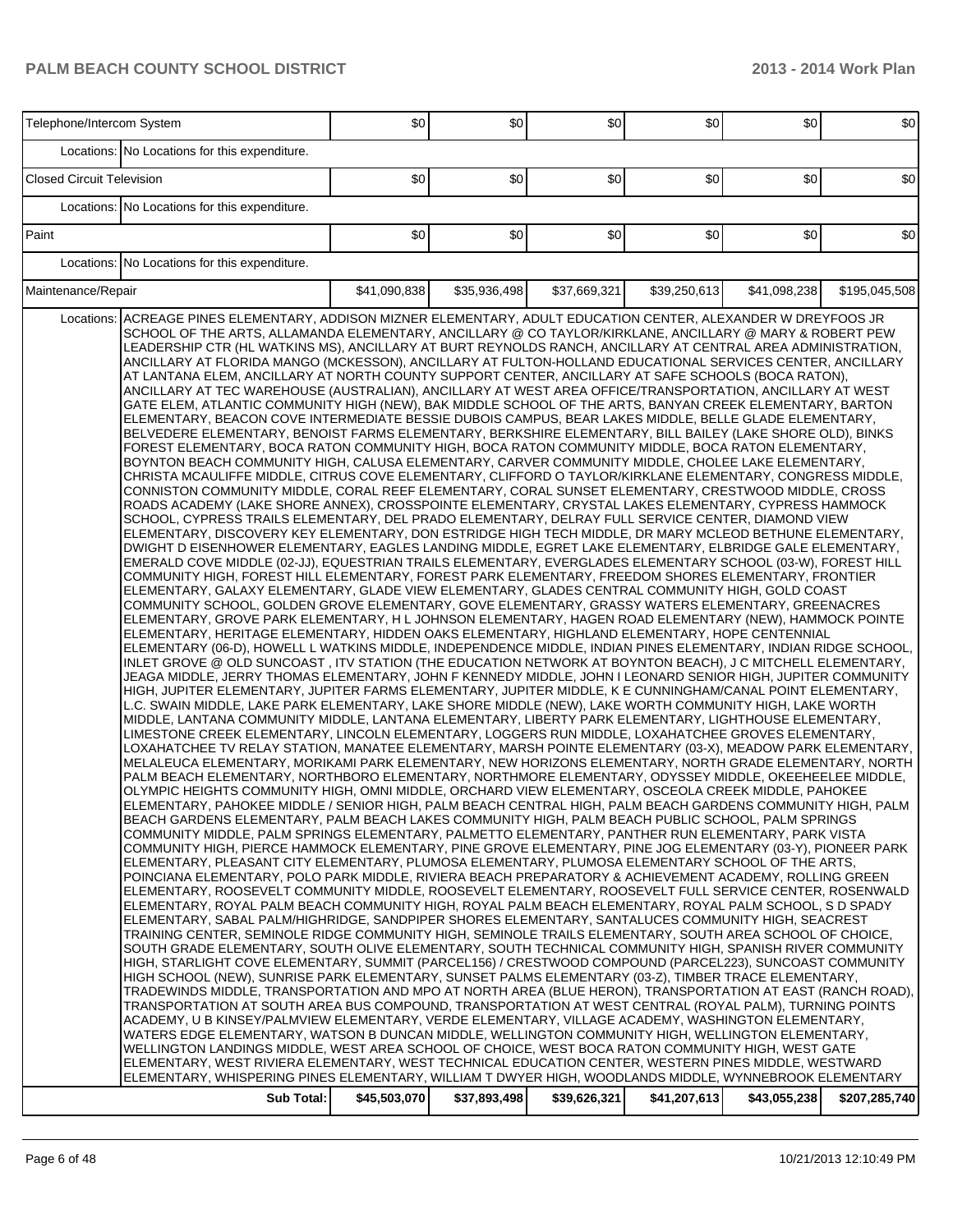| Telephone/Intercom System                                                                                                                                                                                                                                                                                                                                                                                                                                                                                                                                                                                                                                                                                                                                                                                                                                                                                                                                                                                                                                                                                                                                                                                                                                                                                                                                                                                                                                                                                                                                                                                                                                                                                                                                                                                                                                                                                                                                                                                                                                                                                                                                                                                                                                                                                                                                                                                                                                                                                                                                                                                                                                                                                                                                                                                                                                                                                                                                                                                                                                                                                                                                                                                                                                                                                                                                                                                                                                                                                                                                                                                                                                                                                                                                                                                                                                                                                                                                                                                                                                                                                                                                                                                                                                                                                                                                                                                                                                                                                                                                                                                                                                                                                                                                                                                                                                                                                                                                                                                                                                                                                                                                                                                                                                                                                                                                                                                                                                                                                                                                                                                                                                                                                                                                                                                                                                                                                                                             | \$0          | \$0          | \$0          | \$0          | \$0          | \$0           |
|-------------------------------------------------------------------------------------------------------------------------------------------------------------------------------------------------------------------------------------------------------------------------------------------------------------------------------------------------------------------------------------------------------------------------------------------------------------------------------------------------------------------------------------------------------------------------------------------------------------------------------------------------------------------------------------------------------------------------------------------------------------------------------------------------------------------------------------------------------------------------------------------------------------------------------------------------------------------------------------------------------------------------------------------------------------------------------------------------------------------------------------------------------------------------------------------------------------------------------------------------------------------------------------------------------------------------------------------------------------------------------------------------------------------------------------------------------------------------------------------------------------------------------------------------------------------------------------------------------------------------------------------------------------------------------------------------------------------------------------------------------------------------------------------------------------------------------------------------------------------------------------------------------------------------------------------------------------------------------------------------------------------------------------------------------------------------------------------------------------------------------------------------------------------------------------------------------------------------------------------------------------------------------------------------------------------------------------------------------------------------------------------------------------------------------------------------------------------------------------------------------------------------------------------------------------------------------------------------------------------------------------------------------------------------------------------------------------------------------------------------------------------------------------------------------------------------------------------------------------------------------------------------------------------------------------------------------------------------------------------------------------------------------------------------------------------------------------------------------------------------------------------------------------------------------------------------------------------------------------------------------------------------------------------------------------------------------------------------------------------------------------------------------------------------------------------------------------------------------------------------------------------------------------------------------------------------------------------------------------------------------------------------------------------------------------------------------------------------------------------------------------------------------------------------------------------------------------------------------------------------------------------------------------------------------------------------------------------------------------------------------------------------------------------------------------------------------------------------------------------------------------------------------------------------------------------------------------------------------------------------------------------------------------------------------------------------------------------------------------------------------------------------------------------------------------------------------------------------------------------------------------------------------------------------------------------------------------------------------------------------------------------------------------------------------------------------------------------------------------------------------------------------------------------------------------------------------------------------------------------------------------------------------------------------------------------------------------------------------------------------------------------------------------------------------------------------------------------------------------------------------------------------------------------------------------------------------------------------------------------------------------------------------------------------------------------------------------------------------------------------------------------------------------------------------------------------------------------------------------------------------------------------------------------------------------------------------------------------------------------------------------------------------------------------------------------------------------------------------------------------------------------------------------------------------------------------------------------------------------------------------------------------------------------------------------------------------|--------------|--------------|--------------|--------------|--------------|---------------|
| Locations: No Locations for this expenditure.                                                                                                                                                                                                                                                                                                                                                                                                                                                                                                                                                                                                                                                                                                                                                                                                                                                                                                                                                                                                                                                                                                                                                                                                                                                                                                                                                                                                                                                                                                                                                                                                                                                                                                                                                                                                                                                                                                                                                                                                                                                                                                                                                                                                                                                                                                                                                                                                                                                                                                                                                                                                                                                                                                                                                                                                                                                                                                                                                                                                                                                                                                                                                                                                                                                                                                                                                                                                                                                                                                                                                                                                                                                                                                                                                                                                                                                                                                                                                                                                                                                                                                                                                                                                                                                                                                                                                                                                                                                                                                                                                                                                                                                                                                                                                                                                                                                                                                                                                                                                                                                                                                                                                                                                                                                                                                                                                                                                                                                                                                                                                                                                                                                                                                                                                                                                                                                                                                         |              |              |              |              |              |               |
| <b>Closed Circuit Television</b>                                                                                                                                                                                                                                                                                                                                                                                                                                                                                                                                                                                                                                                                                                                                                                                                                                                                                                                                                                                                                                                                                                                                                                                                                                                                                                                                                                                                                                                                                                                                                                                                                                                                                                                                                                                                                                                                                                                                                                                                                                                                                                                                                                                                                                                                                                                                                                                                                                                                                                                                                                                                                                                                                                                                                                                                                                                                                                                                                                                                                                                                                                                                                                                                                                                                                                                                                                                                                                                                                                                                                                                                                                                                                                                                                                                                                                                                                                                                                                                                                                                                                                                                                                                                                                                                                                                                                                                                                                                                                                                                                                                                                                                                                                                                                                                                                                                                                                                                                                                                                                                                                                                                                                                                                                                                                                                                                                                                                                                                                                                                                                                                                                                                                                                                                                                                                                                                                                                      | \$0          | \$0          | \$0          | \$0          | \$0          | \$0           |
| Locations: No Locations for this expenditure.                                                                                                                                                                                                                                                                                                                                                                                                                                                                                                                                                                                                                                                                                                                                                                                                                                                                                                                                                                                                                                                                                                                                                                                                                                                                                                                                                                                                                                                                                                                                                                                                                                                                                                                                                                                                                                                                                                                                                                                                                                                                                                                                                                                                                                                                                                                                                                                                                                                                                                                                                                                                                                                                                                                                                                                                                                                                                                                                                                                                                                                                                                                                                                                                                                                                                                                                                                                                                                                                                                                                                                                                                                                                                                                                                                                                                                                                                                                                                                                                                                                                                                                                                                                                                                                                                                                                                                                                                                                                                                                                                                                                                                                                                                                                                                                                                                                                                                                                                                                                                                                                                                                                                                                                                                                                                                                                                                                                                                                                                                                                                                                                                                                                                                                                                                                                                                                                                                         |              |              |              |              |              |               |
| Paint                                                                                                                                                                                                                                                                                                                                                                                                                                                                                                                                                                                                                                                                                                                                                                                                                                                                                                                                                                                                                                                                                                                                                                                                                                                                                                                                                                                                                                                                                                                                                                                                                                                                                                                                                                                                                                                                                                                                                                                                                                                                                                                                                                                                                                                                                                                                                                                                                                                                                                                                                                                                                                                                                                                                                                                                                                                                                                                                                                                                                                                                                                                                                                                                                                                                                                                                                                                                                                                                                                                                                                                                                                                                                                                                                                                                                                                                                                                                                                                                                                                                                                                                                                                                                                                                                                                                                                                                                                                                                                                                                                                                                                                                                                                                                                                                                                                                                                                                                                                                                                                                                                                                                                                                                                                                                                                                                                                                                                                                                                                                                                                                                                                                                                                                                                                                                                                                                                                                                 | \$0          | \$0          | \$0          | \$0          | \$0          | \$0           |
| Locations: No Locations for this expenditure.                                                                                                                                                                                                                                                                                                                                                                                                                                                                                                                                                                                                                                                                                                                                                                                                                                                                                                                                                                                                                                                                                                                                                                                                                                                                                                                                                                                                                                                                                                                                                                                                                                                                                                                                                                                                                                                                                                                                                                                                                                                                                                                                                                                                                                                                                                                                                                                                                                                                                                                                                                                                                                                                                                                                                                                                                                                                                                                                                                                                                                                                                                                                                                                                                                                                                                                                                                                                                                                                                                                                                                                                                                                                                                                                                                                                                                                                                                                                                                                                                                                                                                                                                                                                                                                                                                                                                                                                                                                                                                                                                                                                                                                                                                                                                                                                                                                                                                                                                                                                                                                                                                                                                                                                                                                                                                                                                                                                                                                                                                                                                                                                                                                                                                                                                                                                                                                                                                         |              |              |              |              |              |               |
| Maintenance/Repair                                                                                                                                                                                                                                                                                                                                                                                                                                                                                                                                                                                                                                                                                                                                                                                                                                                                                                                                                                                                                                                                                                                                                                                                                                                                                                                                                                                                                                                                                                                                                                                                                                                                                                                                                                                                                                                                                                                                                                                                                                                                                                                                                                                                                                                                                                                                                                                                                                                                                                                                                                                                                                                                                                                                                                                                                                                                                                                                                                                                                                                                                                                                                                                                                                                                                                                                                                                                                                                                                                                                                                                                                                                                                                                                                                                                                                                                                                                                                                                                                                                                                                                                                                                                                                                                                                                                                                                                                                                                                                                                                                                                                                                                                                                                                                                                                                                                                                                                                                                                                                                                                                                                                                                                                                                                                                                                                                                                                                                                                                                                                                                                                                                                                                                                                                                                                                                                                                                                    | \$41,090,838 | \$35,936,498 | \$37,669,321 | \$39,250,613 | \$41,098,238 | \$195,045,508 |
| ACREAGE PINES ELEMENTARY, ADDISON MIZNER ELEMENTARY, ADULT EDUCATION CENTER, ALEXANDER W DREYFOOS JR<br>Locations:<br>SCHOOL OF THE ARTS, ALLAMANDA ELEMENTARY, ANCILLARY @ CO TAYLOR/KIRKLANE, ANCILLARY @ MARY & ROBERT PEW<br>LEADERSHIP CTR (HL WATKINS MS), ANCILLARY AT BURT REYNOLDS RANCH, ANCILLARY AT CENTRAL AREA ADMINISTRATION,<br>ANCILLARY AT FLORIDA MANGO (MCKESSON), ANCILLARY AT FULTON-HOLLAND EDUCATIONAL SERVICES CENTER, ANCILLARY<br>AT LANTANA ELEM, ANCILLARY AT NORTH COUNTY SUPPORT CENTER, ANCILLARY AT SAFE SCHOOLS (BOCA RATON),<br>ANCILLARY AT TEC WAREHOUSE (AUSTRALIAN), ANCILLARY AT WEST AREA OFFICE/TRANSPORTATION, ANCILLARY AT WEST<br>GATE ELEM, ATLANTIC COMMUNITY HIGH (NEW), BAK MIDDLE SCHOOL OF THE ARTS, BANYAN CREEK ELEMENTARY, BARTON<br>ELEMENTARY, BEACON COVE INTERMEDIATE BESSIE DUBOIS CAMPUS, BEAR LAKES MIDDLE, BELLE GLADE ELEMENTARY,<br>BELVEDERE ELEMENTARY, BENOIST FARMS ELEMENTARY, BERKSHIRE ELEMENTARY, BILL BAILEY (LAKE SHORE OLD), BINKS<br>FOREST ELEMENTARY, BOCA RATON COMMUNITY HIGH, BOCA RATON COMMUNITY MIDDLE, BOCA RATON ELEMENTARY,<br>BOYNTON BEACH COMMUNITY HIGH, CALUSA ELEMENTARY, CARVER COMMUNITY MIDDLE, CHOLEE LAKE ELEMENTARY,<br>CHRISTA MCAULIFFE MIDDLE, CITRUS COVE ELEMENTARY, CLIFFORD O TAYLOR/KIRKLANE ELEMENTARY, CONGRESS MIDDLE,<br>CONNISTON COMMUNITY MIDDLE, CORAL REEF ELEMENTARY, CORAL SUNSET ELEMENTARY, CRESTWOOD MIDDLE, CROSS<br>ROADS ACADEMY (LAKE SHORE ANNEX), CROSSPOINTE ELEMENTARY, CRYSTAL LAKES ELEMENTARY, CYPRESS HAMMOCK<br>SCHOOL, CYPRESS TRAILS ELEMENTARY, DEL PRADO ELEMENTARY, DELRAY FULL SERVICE CENTER, DIAMOND VIEW<br>ELEMENTARY, DISCOVERY KEY ELEMENTARY, DON ESTRIDGE HIGH TECH MIDDLE, DR MARY MCLEOD BETHUNE ELEMENTARY,<br>DWIGHT D EISENHOWER ELEMENTARY, EAGLES LANDING MIDDLE, EGRET LAKE ELEMENTARY, ELBRIDGE GALE ELEMENTARY,<br>EMERALD COVE MIDDLE (02-JJ), EQUESTRIAN TRAILS ELEMENTARY, EVERGLADES ELEMENTARY SCHOOL (03-W), FOREST HILL<br>COMMUNITY HIGH, FOREST HILL ELEMENTARY, FOREST PARK ELEMENTARY, FREEDOM SHORES ELEMENTARY, FRONTIER<br>ELEMENTARY, GALAXY ELEMENTARY, GLADE VIEW ELEMENTARY, GLADES CENTRAL COMMUNITY HIGH, GOLD COAST<br>COMMUNITY SCHOOL, GOLDEN GROVE ELEMENTARY, GOVE ELEMENTARY, GRASSY WATERS ELEMENTARY, GREENACRES<br>ELEMENTARY, GROVE PARK ELEMENTARY, H L JOHNSON ELEMENTARY, HAGEN ROAD ELEMENTARY (NEW), HAMMOCK POINTE<br>ELEMENTARY, HERITAGE ELEMENTARY, HIDDEN OAKS ELEMENTARY, HIGHLAND ELEMENTARY, HOPE CENTENNIAL<br>ELEMENTARY (06-D), HOWELL L WATKINS MIDDLE, INDEPENDENCE MIDDLE, INDIAN PINES ELEMENTARY, INDIAN RIDGE SCHOOL,<br>INLET GROVE @ OLD SUNCOAST, ITV STATION (THE EDUCATION NETWORK AT BOYNTON BEACH), J C MITCHELL ELEMENTARY,<br>JEAGA MIDDLE, JERRY THOMAS ELEMENTARY, JOHN F KENNEDY MIDDLE, JOHN I LEONARD SENIOR HIGH, JUPITER COMMUNITY<br>HIGH, JUPITER ELEMENTARY, JUPITER FARMS ELEMENTARY, JUPITER MIDDLE, K E CUNNINGHAM/CANAL POINT ELEMENTARY,<br>L.C. SWAIN MIDDLE, LAKE PARK ELEMENTARY, LAKE SHORE MIDDLE (NEW), LAKE WORTH COMMUNITY HIGH, LAKE WORTH<br>MIDDLE, LANTANA COMMUNITY MIDDLE, LANTANA ELEMENTARY, LIBERTY PARK ELEMENTARY, LIGHTHOUSE ELEMENTARY,<br>LIMESTONE CREEK ELEMENTARY, LINCOLN ELEMENTARY, LOGGERS RUN MIDDLE, LOXAHATCHEE GROVES ELEMENTARY,<br>LOXAHATCHEE TV RELAY STATION, MANATEE ELEMENTARY, MARSH POINTE ELEMENTARY (03-X), MEADOW PARK ELEMENTARY,<br>MELALEUCA ELEMENTARY, MORIKAMI PARK ELEMENTARY, NEW HORIZONS ELEMENTARY, NORTH GRADE ELEMENTARY, NORTH<br>PALM BEACH ELEMENTARY, NORTHBORO ELEMENTARY, NORTHMORE ELEMENTARY, ODYSSEY MIDDLE, OKEEHEELEE MIDDLE,<br>OLYMPIC HEIGHTS COMMUNITY HIGH, OMNI MIDDLE, ORCHARD VIEW ELEMENTARY, OSCEOLA CREEK MIDDLE, PAHOKEE<br>ELEMENTARY, PAHOKEE MIDDLE / SENIOR HIGH, PALM BEACH CENTRAL HIGH, PALM BEACH GARDENS COMMUNITY HIGH, PALM<br>BEACH GARDENS ELEMENTARY, PALM BEACH LAKES COMMUNITY HIGH, PALM BEACH PUBLIC SCHOOL, PALM SPRINGS<br>COMMUNITY MIDDLE, PALM SPRINGS ELEMENTARY, PALMETTO ELEMENTARY, PANTHER RUN ELEMENTARY, PARK VISTA<br>COMMUNITY HIGH, PIERCE HAMMOCK ELEMENTARY, PINE GROVE ELEMENTARY, PINE JOG ELEMENTARY (03-Y), PIONEER PARK<br>ELEMENTARY, PLEASANT CITY ELEMENTARY, PLUMOSA ELEMENTARY, PLUMOSA ELEMENTARY SCHOOL OF THE ARTS.<br>POINCIANA ELEMENTARY, POLO PARK MIDDLE, RIVIERA BEACH PREPARATORY & ACHIEVEMENT ACADEMY, ROLLING GREEN<br>ELEMENTARY, ROOSEVELT COMMUNITY MIDDLE, ROOSEVELT ELEMENTARY, ROOSEVELT FULL SERVICE CENTER, ROSENWALD<br>ELEMENTARY, ROYAL PALM BEACH COMMUNITY HIGH, ROYAL PALM BEACH ELEMENTARY, ROYAL PALM SCHOOL, S D SPADY<br>ELEMENTARY, SABAL PALM/HIGHRIDGE, SANDPIPER SHORES ELEMENTARY, SANTALUCES COMMUNITY HIGH, SEACREST<br>TRAINING CENTER, SEMINOLE RIDGE COMMUNITY HIGH, SEMINOLE TRAILS ELEMENTARY, SOUTH AREA SCHOOL OF CHOICE,<br>SOUTH GRADE ELEMENTARY, SOUTH OLIVE ELEMENTARY, SOUTH TECHNICAL COMMUNITY HIGH, SPANISH RIVER COMMUNITY<br>HIGH. STARLIGHT COVE ELEMENTARY. SUMMIT (PARCEL156) / CRESTWOOD COMPOUND (PARCEL223). SUNCOAST COMMUNITY<br>HIGH SCHOOL (NEW), SUNRISE PARK ELEMENTARY, SUNSET PALMS ELEMENTARY (03-Z), TIMBER TRACE ELEMENTARY,<br>TRADEWINDS MIDDLE, TRANSPORTATION AND MPO AT NORTH AREA (BLUE HERON), TRANSPORTATION AT EAST (RANCH ROAD),<br>TRANSPORTATION AT SOUTH AREA BUS COMPOUND, TRANSPORTATION AT WEST CENTRAL (ROYAL PALM), TURNING POINTS<br>ACADEMY, U B KINSEY/PALMVIEW ELEMENTARY, VERDE ELEMENTARY, VILLAGE ACADEMY, WASHINGTON ELEMENTARY,<br>WATERS EDGE ELEMENTARY, WATSON B DUNCAN MIDDLE, WELLINGTON COMMUNITY HIGH, WELLINGTON ELEMENTARY,<br>WELLINGTON LANDINGS MIDDLE, WEST AREA SCHOOL OF CHOICE, WEST BOCA RATON COMMUNITY HIGH, WEST GATE<br>ELEMENTARY, WEST RIVIERA ELEMENTARY, WEST TECHNICAL EDUCATION CENTER, WESTERN PINES MIDDLE, WESTWARD<br>ELEMENTARY, WHISPERING PINES ELEMENTARY, WILLIAM T DWYER HIGH, WOODLANDS MIDDLE, WYNNEBROOK ELEMENTARY<br>Sub Total: | \$45,503,070 | \$37,893,498 | \$39,626,321 | \$41,207,613 | \$43,055,238 | \$207,285,740 |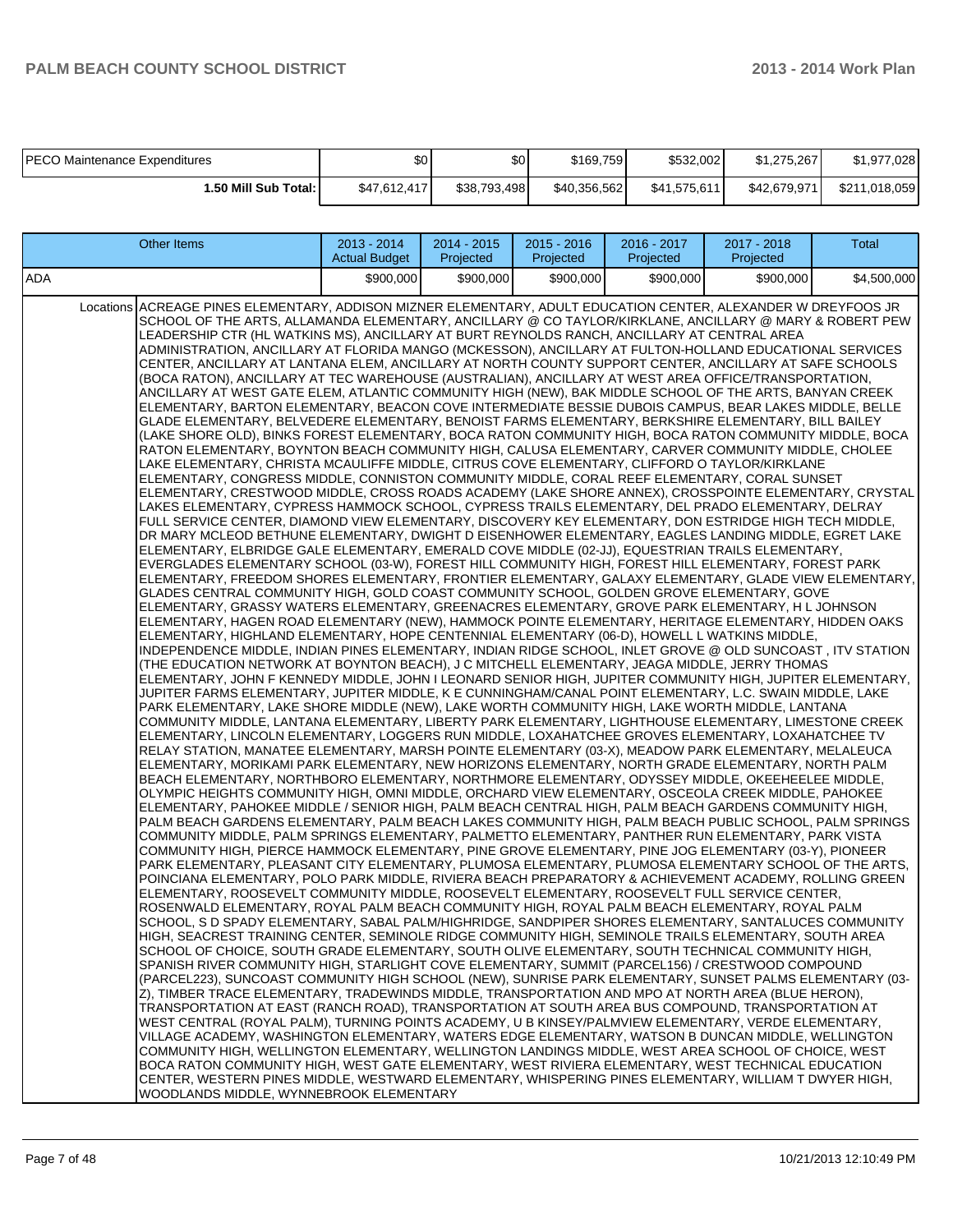| IPECO Maintenance Expenditures | \$0          | \$0l         | \$169,759    | \$532,002    | \$1.275.267  | \$1.977.028   |
|--------------------------------|--------------|--------------|--------------|--------------|--------------|---------------|
| 1.50 Mill Sub Total: I         | \$47.612.417 | \$38.793.498 | \$40.356.562 | \$41,575,611 | \$42,679,971 | \$211,018,059 |

|     | <b>Other Items</b>                                                                                                                                                                                                                                                                                                                                                                                                                                                                                                                                                                                                                                                                                                                                                                                                                                                                                                                                                                                                                                                                                                                                                                                                                                                                                                                                                                                                                                                                                                                                                                                                                                                                                                                                                                                                                                                                                                                                                                                                                                                                                                                                                                                                                                                                                                                                                                                                                                                                                                                                                                                                                                                                                                                                                                                                                                                                                                                                                                                                                                                                                                                                                                                                                                                                                                                                                                                                                                                                                                                                                                                                                                                                                                                                                                                                                                                                                                                                                                                                                                                                                                                                                                                                                                                                                                                                                                                                                                                                                                                                                                                                                                                                                                                                                                                                                                                                                                                                                                                                                                                                                                                                                                                                                                                                                                                                                                                                                                                                                                                                                                                                                                                                                                                                                                                                                                                                                 | 2013 - 2014<br><b>Actual Budget</b> | 2014 - 2015<br>Projected | 2015 - 2016<br>Projected | 2016 - 2017<br>Projected | 2017 - 2018<br>Projected | Total       |
|-----|----------------------------------------------------------------------------------------------------------------------------------------------------------------------------------------------------------------------------------------------------------------------------------------------------------------------------------------------------------------------------------------------------------------------------------------------------------------------------------------------------------------------------------------------------------------------------------------------------------------------------------------------------------------------------------------------------------------------------------------------------------------------------------------------------------------------------------------------------------------------------------------------------------------------------------------------------------------------------------------------------------------------------------------------------------------------------------------------------------------------------------------------------------------------------------------------------------------------------------------------------------------------------------------------------------------------------------------------------------------------------------------------------------------------------------------------------------------------------------------------------------------------------------------------------------------------------------------------------------------------------------------------------------------------------------------------------------------------------------------------------------------------------------------------------------------------------------------------------------------------------------------------------------------------------------------------------------------------------------------------------------------------------------------------------------------------------------------------------------------------------------------------------------------------------------------------------------------------------------------------------------------------------------------------------------------------------------------------------------------------------------------------------------------------------------------------------------------------------------------------------------------------------------------------------------------------------------------------------------------------------------------------------------------------------------------------------------------------------------------------------------------------------------------------------------------------------------------------------------------------------------------------------------------------------------------------------------------------------------------------------------------------------------------------------------------------------------------------------------------------------------------------------------------------------------------------------------------------------------------------------------------------------------------------------------------------------------------------------------------------------------------------------------------------------------------------------------------------------------------------------------------------------------------------------------------------------------------------------------------------------------------------------------------------------------------------------------------------------------------------------------------------------------------------------------------------------------------------------------------------------------------------------------------------------------------------------------------------------------------------------------------------------------------------------------------------------------------------------------------------------------------------------------------------------------------------------------------------------------------------------------------------------------------------------------------------------------------------------------------------------------------------------------------------------------------------------------------------------------------------------------------------------------------------------------------------------------------------------------------------------------------------------------------------------------------------------------------------------------------------------------------------------------------------------------------------------------------------------------------------------------------------------------------------------------------------------------------------------------------------------------------------------------------------------------------------------------------------------------------------------------------------------------------------------------------------------------------------------------------------------------------------------------------------------------------------------------------------------------------------------------------------------------------------------------------------------------------------------------------------------------------------------------------------------------------------------------------------------------------------------------------------------------------------------------------------------------------------------------------------------------------------------------------------------------------------------------------------------------------------------------------------------|-------------------------------------|--------------------------|--------------------------|--------------------------|--------------------------|-------------|
| ADA |                                                                                                                                                                                                                                                                                                                                                                                                                                                                                                                                                                                                                                                                                                                                                                                                                                                                                                                                                                                                                                                                                                                                                                                                                                                                                                                                                                                                                                                                                                                                                                                                                                                                                                                                                                                                                                                                                                                                                                                                                                                                                                                                                                                                                                                                                                                                                                                                                                                                                                                                                                                                                                                                                                                                                                                                                                                                                                                                                                                                                                                                                                                                                                                                                                                                                                                                                                                                                                                                                                                                                                                                                                                                                                                                                                                                                                                                                                                                                                                                                                                                                                                                                                                                                                                                                                                                                                                                                                                                                                                                                                                                                                                                                                                                                                                                                                                                                                                                                                                                                                                                                                                                                                                                                                                                                                                                                                                                                                                                                                                                                                                                                                                                                                                                                                                                                                                                                                    | \$900,000                           | \$900,000                | \$900,000                | \$900,000                | \$900,000                | \$4,500,000 |
|     | Locations ACREAGE PINES ELEMENTARY, ADDISON MIZNER ELEMENTARY, ADULT EDUCATION CENTER, ALEXANDER W DREYFOOS JR<br>SCHOOL OF THE ARTS, ALLAMANDA ELEMENTARY, ANCILLARY @ CO TAYLOR/KIRKLANE, ANCILLARY @ MARY & ROBERT PEW<br>LEADERSHIP CTR (HL WATKINS MS), ANCILLARY AT BURT REYNOLDS RANCH, ANCILLARY AT CENTRAL AREA<br>ADMINISTRATION, ANCILLARY AT FLORIDA MANGO (MCKESSON), ANCILLARY AT FULTON-HOLLAND EDUCATIONAL SERVICES<br>CENTER, ANCILLARY AT LANTANA ELEM, ANCILLARY AT NORTH COUNTY SUPPORT CENTER, ANCILLARY AT SAFE SCHOOLS<br>(BOCA RATON), ANCILLARY AT TEC WAREHOUSE (AUSTRALIAN), ANCILLARY AT WEST AREA OFFICE/TRANSPORTATION,<br>ANCILLARY AT WEST GATE ELEM, ATLANTIC COMMUNITY HIGH (NEW), BAK MIDDLE SCHOOL OF THE ARTS, BANYAN CREEK<br>ELEMENTARY, BARTON ELEMENTARY, BEACON COVE INTERMEDIATE BESSIE DUBOIS CAMPUS, BEAR LAKES MIDDLE, BELLE<br>GLADE ELEMENTARY, BELVEDERE ELEMENTARY, BENOIST FARMS ELEMENTARY, BERKSHIRE ELEMENTARY, BILL BAILEY<br>(LAKE SHORE OLD). BINKS FOREST ELEMENTARY. BOCA RATON COMMUNITY HIGH. BOCA RATON COMMUNITY MIDDLE. BOCA<br>RATON ELEMENTARY, BOYNTON BEACH COMMUNITY HIGH, CALUSA ELEMENTARY, CARVER COMMUNITY MIDDLE, CHOLEE<br>LAKE ELEMENTARY, CHRISTA MCAULIFFE MIDDLE, CITRUS COVE ELEMENTARY, CLIFFORD O TAYLOR/KIRKLANE<br>ELEMENTARY, CONGRESS MIDDLE, CONNISTON COMMUNITY MIDDLE, CORAL REEF ELEMENTARY, CORAL SUNSET<br>ELEMENTARY, CRESTWOOD MIDDLE, CROSS ROADS ACADEMY (LAKE SHORE ANNEX), CROSSPOINTE ELEMENTARY, CRYSTAL<br>LAKES ELEMENTARY, CYPRESS HAMMOCK SCHOOL, CYPRESS TRAILS ELEMENTARY, DEL PRADO ELEMENTARY, DELRAY<br>FULL SERVICE CENTER, DIAMOND VIEW ELEMENTARY, DISCOVERY KEY ELEMENTARY, DON ESTRIDGE HIGH TECH MIDDLE,<br>DR MARY MCLEOD BETHUNE ELEMENTARY, DWIGHT D EISENHOWER ELEMENTARY, EAGLES LANDING MIDDLE, EGRET LAKE<br>ELEMENTARY, ELBRIDGE GALE ELEMENTARY, EMERALD COVE MIDDLE (02-JJ), EQUESTRIAN TRAILS ELEMENTARY,<br>EVERGLADES ELEMENTARY SCHOOL (03-W), FOREST HILL COMMUNITY HIGH, FOREST HILL ELEMENTARY, FOREST PARK<br>ELEMENTARY, FREEDOM SHORES ELEMENTARY, FRONTIER ELEMENTARY, GALAXY ELEMENTARY, GLADE VIEW ELEMENTARY,<br>GLADES CENTRAL COMMUNITY HIGH, GOLD COAST COMMUNITY SCHOOL, GOLDEN GROVE ELEMENTARY, GOVE<br>ELEMENTARY, GRASSY WATERS ELEMENTARY, GREENACRES ELEMENTARY, GROVE PARK ELEMENTARY, H L JOHNSON<br>ELEMENTARY, HAGEN ROAD ELEMENTARY (NEW), HAMMOCK POINTE ELEMENTARY, HERITAGE ELEMENTARY, HIDDEN OAKS<br>ELEMENTARY, HIGHLAND ELEMENTARY, HOPE CENTENNIAL ELEMENTARY (06-D), HOWELL L WATKINS MIDDLE,<br>INDEPENDENCE MIDDLE, INDIAN PINES ELEMENTARY, INDIAN RIDGE SCHOOL, INLET GROVE @ OLD SUNCOAST , ITV STATION<br>(THE EDUCATION NETWORK AT BOYNTON BEACH), J C MITCHELL ELEMENTARY, JEAGA MIDDLE, JERRY THOMAS<br>ELEMENTARY, JOHN F KENNEDY MIDDLE, JOHN I LEONARD SENIOR HIGH, JUPITER COMMUNITY HIGH, JUPITER ELEMENTARY,<br>JUPITER FARMS ELEMENTARY, JUPITER MIDDLE, K E CUNNINGHAM/CANAL POINT ELEMENTARY, L.C. SWAIN MIDDLE, LAKE<br>PARK ELEMENTARY, LAKE SHORE MIDDLE (NEW), LAKE WORTH COMMUNITY HIGH, LAKE WORTH MIDDLE, LANTANA<br>COMMUNITY MIDDLE, LANTANA ELEMENTARY, LIBERTY PARK ELEMENTARY, LIGHTHOUSE ELEMENTARY, LIMESTONE CREEK<br>ELEMENTARY, LINCOLN ELEMENTARY, LOGGERS RUN MIDDLE, LOXAHATCHEE GROVES ELEMENTARY, LOXAHATCHEE TV <br>RELAY STATION, MANATEE ELEMENTARY, MARSH POINTE ELEMENTARY (03-X), MEADOW PARK ELEMENTARY, MELALEUCA<br>ELEMENTARY, MORIKAMI PARK ELEMENTARY, NEW HORIZONS ELEMENTARY, NORTH GRADE ELEMENTARY, NORTH PALM <br>BEACH ELEMENTARY, NORTHBORO ELEMENTARY, NORTHMORE ELEMENTARY, ODYSSEY MIDDLE, OKEEHEELEE MIDDLE,<br>OLYMPIC HEIGHTS COMMUNITY HIGH, OMNI MIDDLE, ORCHARD VIEW ELEMENTARY, OSCEOLA CREEK MIDDLE, PAHOKEE<br>ELEMENTARY, PAHOKEE MIDDLE / SENIOR HIGH, PALM BEACH CENTRAL HIGH, PALM BEACH GARDENS COMMUNITY HIGH,<br>PALM BEACH GARDENS ELEMENTARY, PALM BEACH LAKES COMMUNITY HIGH, PALM BEACH PUBLIC SCHOOL, PALM SPRINGS<br>COMMUNITY MIDDLE, PALM SPRINGS ELEMENTARY, PALMETTO ELEMENTARY, PANTHER RUN ELEMENTARY, PARK VISTA<br>COMMUNITY HIGH, PIERCE HAMMOCK ELEMENTARY, PINE GROVE ELEMENTARY, PINE JOG ELEMENTARY (03-Y), PIONEER<br>PARK ELEMENTARY, PLEASANT CITY ELEMENTARY, PLUMOSA ELEMENTARY, PLUMOSA ELEMENTARY SCHOOL OF THE ARTS,<br>POINCIANA ELEMENTARY, POLO PARK MIDDLE, RIVIERA BEACH PREPARATORY & ACHIEVEMENT ACADEMY, ROLLING GREEN<br>ELEMENTARY, ROOSEVELT COMMUNITY MIDDLE, ROOSEVELT ELEMENTARY, ROOSEVELT FULL SERVICE CENTER,<br>ROSENWALD ELEMENTARY, ROYAL PALM BEACH COMMUNITY HIGH, ROYAL PALM BEACH ELEMENTARY, ROYAL PALM<br>SCHOOL, S D SPADY ELEMENTARY, SABAL PALM/HIGHRIDGE, SANDPIPER SHORES ELEMENTARY, SANTALUCES COMMUNITY<br>HIGH, SEACREST TRAINING CENTER, SEMINOLE RIDGE COMMUNITY HIGH, SEMINOLE TRAILS ELEMENTARY, SOUTH AREA<br>SCHOOL OF CHOICE, SOUTH GRADE ELEMENTARY, SOUTH OLIVE ELEMENTARY, SOUTH TECHNICAL COMMUNITY HIGH,<br>SPANISH RIVER COMMUNITY HIGH, STARLIGHT COVE ELEMENTARY, SUMMIT (PARCEL156) / CRESTWOOD COMPOUND<br>(PARCEL223), SUNCOAST COMMUNITY HIGH SCHOOL (NEW), SUNRISE PARK ELEMENTARY, SUNSET PALMS ELEMENTARY (03-<br>Z), TIMBER TRACE ELEMENTARY, TRADEWINDS MIDDLE, TRANSPORTATION AND MPO AT NORTH AREA (BLUE HERON),<br>TRANSPORTATION AT EAST (RANCH ROAD), TRANSPORTATION AT SOUTH AREA BUS COMPOUND, TRANSPORTATION AT<br>WEST CENTRAL (ROYAL PALM), TURNING POINTS ACADEMY, U B KINSEY/PALMVIEW ELEMENTARY, VERDE ELEMENTARY,<br>VILLAGE ACADEMY, WASHINGTON ELEMENTARY, WATERS EDGE ELEMENTARY, WATSON B DUNCAN MIDDLE, WELLINGTON<br>COMMUNITY HIGH, WELLINGTON ELEMENTARY, WELLINGTON LANDINGS MIDDLE, WEST AREA SCHOOL OF CHOICE, WEST<br>BOCA RATON COMMUNITY HIGH, WEST GATE ELEMENTARY, WEST RIVIERA ELEMENTARY, WEST TECHNICAL EDUCATION<br>CENTER, WESTERN PINES MIDDLE, WESTWARD ELEMENTARY, WHISPERING PINES ELEMENTARY, WILLIAM T DWYER HIGH, |                                     |                          |                          |                          |                          |             |
|     | WOODLANDS MIDDLE, WYNNEBROOK ELEMENTARY                                                                                                                                                                                                                                                                                                                                                                                                                                                                                                                                                                                                                                                                                                                                                                                                                                                                                                                                                                                                                                                                                                                                                                                                                                                                                                                                                                                                                                                                                                                                                                                                                                                                                                                                                                                                                                                                                                                                                                                                                                                                                                                                                                                                                                                                                                                                                                                                                                                                                                                                                                                                                                                                                                                                                                                                                                                                                                                                                                                                                                                                                                                                                                                                                                                                                                                                                                                                                                                                                                                                                                                                                                                                                                                                                                                                                                                                                                                                                                                                                                                                                                                                                                                                                                                                                                                                                                                                                                                                                                                                                                                                                                                                                                                                                                                                                                                                                                                                                                                                                                                                                                                                                                                                                                                                                                                                                                                                                                                                                                                                                                                                                                                                                                                                                                                                                                                            |                                     |                          |                          |                          |                          |             |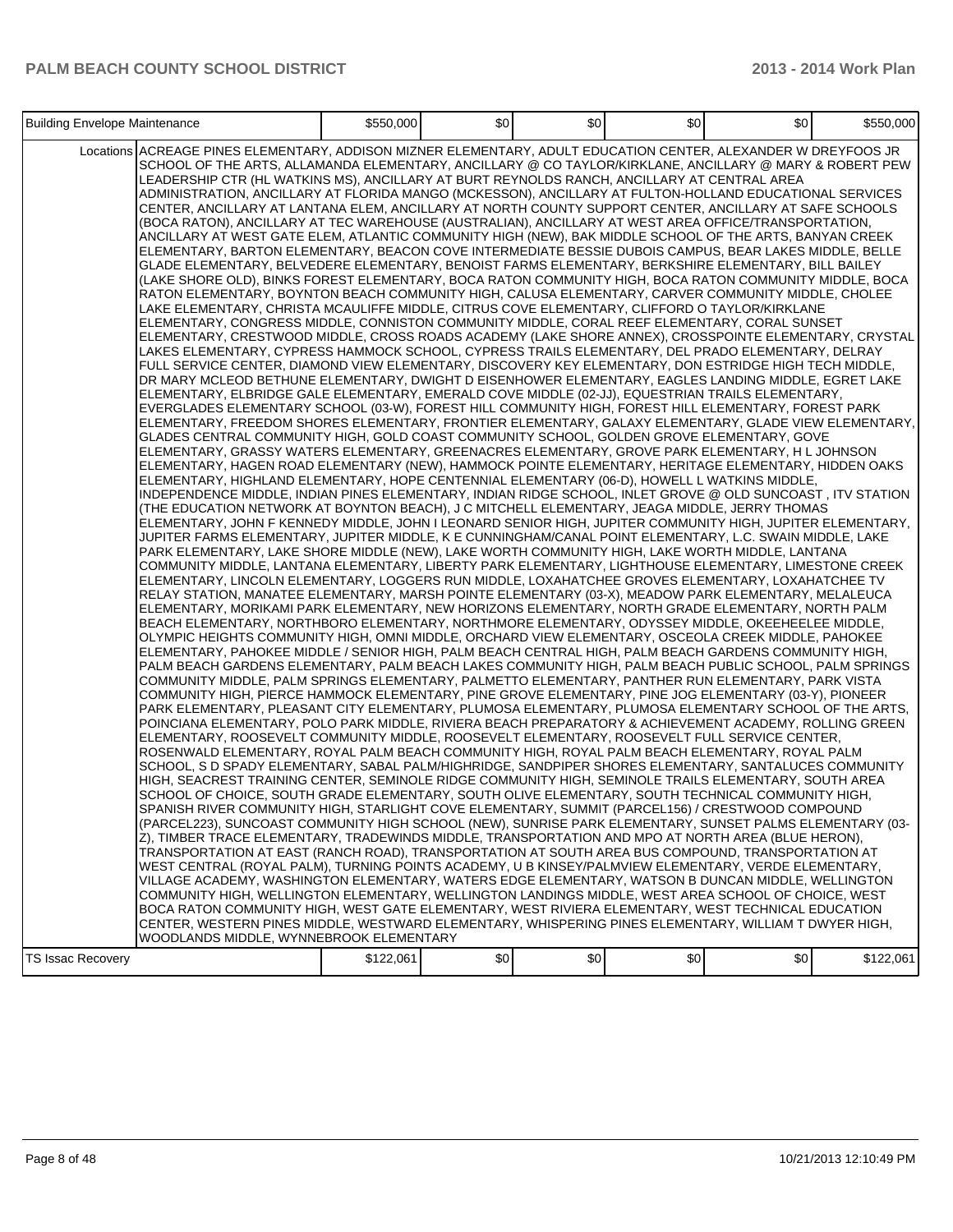|                          | Building Envelope Maintenance                                                                                                                                                                                                                                                                                                                                                                                                                                                                                                                                                                                                                                                                                                                                                                                                                                                                                                                                                                                                                                                                                                                                                                                                                                                                                                                                                                                                                                                                                                                                                                                                                                                                                                                                                                                                                                                                                                                                                                                                                                                                                                                                                                                                                                                                                                                                                                                                                                                                                                                                                                                                                                                                                                                                                                                                                                                                                                                                                                                                                                                                                                                                                                                                                                                                                                                                                                                                                                                                                                                                                                                                                                                                                                                       |           | \$0 | $\frac{1}{2}$ | \$0 | \$0 | \$550,000 |
|--------------------------|-----------------------------------------------------------------------------------------------------------------------------------------------------------------------------------------------------------------------------------------------------------------------------------------------------------------------------------------------------------------------------------------------------------------------------------------------------------------------------------------------------------------------------------------------------------------------------------------------------------------------------------------------------------------------------------------------------------------------------------------------------------------------------------------------------------------------------------------------------------------------------------------------------------------------------------------------------------------------------------------------------------------------------------------------------------------------------------------------------------------------------------------------------------------------------------------------------------------------------------------------------------------------------------------------------------------------------------------------------------------------------------------------------------------------------------------------------------------------------------------------------------------------------------------------------------------------------------------------------------------------------------------------------------------------------------------------------------------------------------------------------------------------------------------------------------------------------------------------------------------------------------------------------------------------------------------------------------------------------------------------------------------------------------------------------------------------------------------------------------------------------------------------------------------------------------------------------------------------------------------------------------------------------------------------------------------------------------------------------------------------------------------------------------------------------------------------------------------------------------------------------------------------------------------------------------------------------------------------------------------------------------------------------------------------------------------------------------------------------------------------------------------------------------------------------------------------------------------------------------------------------------------------------------------------------------------------------------------------------------------------------------------------------------------------------------------------------------------------------------------------------------------------------------------------------------------------------------------------------------------------------------------------------------------------------------------------------------------------------------------------------------------------------------------------------------------------------------------------------------------------------------------------------------------------------------------------------------------------------------------------------------------------------------------------------------------------------------------------------------------------------|-----------|-----|---------------|-----|-----|-----------|
|                          | Locations ACREAGE PINES ELEMENTARY, ADDISON MIZNER ELEMENTARY, ADULT EDUCATION CENTER, ALEXANDER W DREYFOOS JR<br>SCHOOL OF THE ARTS, ALLAMANDA ELEMENTARY, ANCILLARY @ CO TAYLOR/KIRKLANE, ANCILLARY @ MARY & ROBERT PEW<br>LEADERSHIP CTR (HL WATKINS MS), ANCILLARY AT BURT REYNOLDS RANCH, ANCILLARY AT CENTRAL AREA<br>ADMINISTRATION, ANCILLARY AT FLORIDA MANGO (MCKESSON), ANCILLARY AT FULTON-HOLLAND EDUCATIONAL SERVICES<br>CENTER, ANCILLARY AT LANTANA ELEM, ANCILLARY AT NORTH COUNTY SUPPORT CENTER, ANCILLARY AT SAFE SCHOOLS<br>(BOCA RATON), ANCILLARY AT TEC WAREHOUSE (AUSTRALIAN), ANCILLARY AT WEST AREA OFFICE/TRANSPORTATION,<br>ANCILLARY AT WEST GATE ELEM, ATLANTIC COMMUNITY HIGH (NEW), BAK MIDDLE SCHOOL OF THE ARTS, BANYAN CREEK<br>ELEMENTARY, BARTON ELEMENTARY, BEACON COVE INTERMEDIATE BESSIE DUBOIS CAMPUS, BEAR LAKES MIDDLE, BELLE<br>GLADE ELEMENTARY, BELVEDERE ELEMENTARY, BENOIST FARMS ELEMENTARY, BERKSHIRE ELEMENTARY, BILL BAILEY<br>(LAKE SHORE OLD), BINKS FOREST ELEMENTARY, BOCA RATON COMMUNITY HIGH, BOCA RATON COMMUNITY MIDDLE, BOCA<br>RATON ELEMENTARY, BOYNTON BEACH COMMUNITY HIGH, CALUSA ELEMENTARY, CARVER COMMUNITY MIDDLE, CHOLEE<br>LAKE ELEMENTARY, CHRISTA MCAULIFFE MIDDLE, CITRUS COVE ELEMENTARY, CLIFFORD O TAYLOR/KIRKLANE<br>ELEMENTARY, CONGRESS MIDDLE, CONNISTON COMMUNITY MIDDLE, CORAL REEF ELEMENTARY, CORAL SUNSET<br>ELEMENTARY. CRESTWOOD MIDDLE. CROSS ROADS ACADEMY (LAKE SHORE ANNEX). CROSSPOINTE ELEMENTARY. CRYSTAL<br>LAKES ELEMENTARY, CYPRESS HAMMOCK SCHOOL, CYPRESS TRAILS ELEMENTARY, DEL PRADO ELEMENTARY, DELRAY<br>FULL SERVICE CENTER, DIAMOND VIEW ELEMENTARY, DISCOVERY KEY ELEMENTARY, DON ESTRIDGE HIGH TECH MIDDLE,<br>DR MARY MCLEOD BETHUNE ELEMENTARY, DWIGHT D EISENHOWER ELEMENTARY, EAGLES LANDING MIDDLE, EGRET LAKE<br>ELEMENTARY, ELBRIDGE GALE ELEMENTARY, EMERALD COVE MIDDLE (02-JJ), EQUESTRIAN TRAILS ELEMENTARY,<br>EVERGLADES ELEMENTARY SCHOOL (03-W), FOREST HILL COMMUNITY HIGH, FOREST HILL ELEMENTARY, FOREST PARK<br>ELEMENTARY, FREEDOM SHORES ELEMENTARY, FRONTIER ELEMENTARY, GALAXY ELEMENTARY, GLADE VIEW ELEMENTARY,<br>GLADES CENTRAL COMMUNITY HIGH, GOLD COAST COMMUNITY SCHOOL, GOLDEN GROVE ELEMENTARY, GOVE<br>ELEMENTARY, GRASSY WATERS ELEMENTARY, GREENACRES ELEMENTARY, GROVE PARK ELEMENTARY, H L JOHNSON<br>ELEMENTARY, HAGEN ROAD ELEMENTARY (NEW), HAMMOCK POINTE ELEMENTARY, HERITAGE ELEMENTARY, HIDDEN OAKS<br>ELEMENTARY, HIGHLAND ELEMENTARY, HOPE CENTENNIAL ELEMENTARY (06-D), HOWELL L WATKINS MIDDLE.<br>INDEPENDENCE MIDDLE, INDIAN PINES ELEMENTARY, INDIAN RIDGE SCHOOL, INLET GROVE @ OLD SUNCOAST , ITV STATION<br>(THE EDUCATION NETWORK AT BOYNTON BEACH), J C MITCHELL ELEMENTARY, JEAGA MIDDLE, JERRY THOMAS<br>ELEMENTARY, JOHN F KENNEDY MIDDLE, JOHN I LEONARD SENIOR HIGH, JUPITER COMMUNITY HIGH, JUPITER ELEMENTARY,<br>JUPITER FARMS ELEMENTARY, JUPITER MIDDLE, K E CUNNINGHAM/CANAL POINT ELEMENTARY, L.C. SWAIN MIDDLE, LAKE<br>PARK ELEMENTARY, LAKE SHORE MIDDLE (NEW), LAKE WORTH COMMUNITY HIGH, LAKE WORTH MIDDLE, LANTANA<br>COMMUNITY MIDDLE, LANTANA ELEMENTARY, LIBERTY PARK ELEMENTARY, LIGHTHOUSE ELEMENTARY, LIMESTONE CREEK<br>ELEMENTARY, LINCOLN ELEMENTARY, LOGGERS RUN MIDDLE, LOXAHATCHEE GROVES ELEMENTARY, LOXAHATCHEE TV<br>RELAY STATION, MANATEE ELEMENTARY, MARSH POINTE ELEMENTARY (03-X), MEADOW PARK ELEMENTARY, MELALEUCA<br>ELEMENTARY, MORIKAMI PARK ELEMENTARY, NEW HORIZONS ELEMENTARY, NORTH GRADE ELEMENTARY, NORTH PALM<br>BEACH ELEMENTARY, NORTHBORO ELEMENTARY, NORTHMORE ELEMENTARY, ODYSSEY MIDDLE, OKEEHEELEE MIDDLE,<br>OLYMPIC HEIGHTS COMMUNITY HIGH, OMNI MIDDLE, ORCHARD VIEW ELEMENTARY, OSCEOLA CREEK MIDDLE, PAHOKEE | \$550,000 |     |               |     |     |           |
|                          |                                                                                                                                                                                                                                                                                                                                                                                                                                                                                                                                                                                                                                                                                                                                                                                                                                                                                                                                                                                                                                                                                                                                                                                                                                                                                                                                                                                                                                                                                                                                                                                                                                                                                                                                                                                                                                                                                                                                                                                                                                                                                                                                                                                                                                                                                                                                                                                                                                                                                                                                                                                                                                                                                                                                                                                                                                                                                                                                                                                                                                                                                                                                                                                                                                                                                                                                                                                                                                                                                                                                                                                                                                                                                                                                                     |           |     |               |     |     |           |
|                          | ELEMENTARY, PAHOKEE MIDDLE / SENIOR HIGH, PALM BEACH CENTRAL HIGH, PALM BEACH GARDENS COMMUNITY HIGH,<br>PALM BEACH GARDENS ELEMENTARY, PALM BEACH LAKES COMMUNITY HIGH, PALM BEACH PUBLIC SCHOOL, PALM SPRINGS<br>COMMUNITY MIDDLE, PALM SPRINGS ELEMENTARY, PALMETTO ELEMENTARY, PANTHER RUN ELEMENTARY, PARK VISTA<br>COMMUNITY HIGH, PIERCE HAMMOCK ELEMENTARY, PINE GROVE ELEMENTARY, PINE JOG ELEMENTARY (03-Y), PIONEER<br>PARK ELEMENTARY, PLEASANT CITY ELEMENTARY, PLUMOSA ELEMENTARY, PLUMOSA ELEMENTARY SCHOOL OF THE ARTS,<br>POINCIANA ELEMENTARY, POLO PARK MIDDLE, RIVIERA BEACH PREPARATORY & ACHIEVEMENT ACADEMY, ROLLING GREEN<br>ELEMENTARY, ROOSEVELT COMMUNITY MIDDLE, ROOSEVELT ELEMENTARY, ROOSEVELT FULL SERVICE CENTER,<br>ROSENWALD ELEMENTARY, ROYAL PALM BEACH COMMUNITY HIGH, ROYAL PALM BEACH ELEMENTARY, ROYAL PALM                                                                                                                                                                                                                                                                                                                                                                                                                                                                                                                                                                                                                                                                                                                                                                                                                                                                                                                                                                                                                                                                                                                                                                                                                                                                                                                                                                                                                                                                                                                                                                                                                                                                                                                                                                                                                                                                                                                                                                                                                                                                                                                                                                                                                                                                                                                                                                                                                                                                                                                                                                                                                                                                                                                                                                                                                                                                                                 |           |     |               |     |     |           |
|                          | SCHOOL, S D SPADY ELEMENTARY, SABAL PALM/HIGHRIDGE, SANDPIPER SHORES ELEMENTARY, SANTALUCES COMMUNITY<br>HIGH, SEACREST TRAINING CENTER, SEMINOLE RIDGE COMMUNITY HIGH, SEMINOLE TRAILS ELEMENTARY, SOUTH AREA<br>SCHOOL OF CHOICE, SOUTH GRADE ELEMENTARY, SOUTH OLIVE ELEMENTARY, SOUTH TECHNICAL COMMUNITY HIGH,<br>SPANISH RIVER COMMUNITY HIGH, STARLIGHT COVE ELEMENTARY, SUMMIT (PARCEL156) / CRESTWOOD COMPOUND<br>(PARCEL223), SUNCOAST COMMUNITY HIGH SCHOOL (NEW), SUNRISE PARK ELEMENTARY, SUNSET PALMS ELEMENTARY (03-<br>Z), TIMBER TRACE ELEMENTARY, TRADEWINDS MIDDLE, TRANSPORTATION AND MPO AT NORTH AREA (BLUE HERON),<br>TRANSPORTATION AT EAST (RANCH ROAD), TRANSPORTATION AT SOUTH AREA BUS COMPOUND, TRANSPORTATION AT<br>WEST CENTRAL (ROYAL PALM), TURNING POINTS ACADEMY, U B KINSEY/PALMVIEW ELEMENTARY, VERDE ELEMENTARY,<br>VILLAGE ACADEMY, WASHINGTON ELEMENTARY, WATERS EDGE ELEMENTARY, WATSON B DUNCAN MIDDLE, WELLINGTON<br>COMMUNITY HIGH, WELLINGTON ELEMENTARY, WELLINGTON LANDINGS MIDDLE, WEST AREA SCHOOL OF CHOICE, WEST<br>BOCA RATON COMMUNITY HIGH, WEST GATE ELEMENTARY, WEST RIVIERA ELEMENTARY, WEST TECHNICAL EDUCATION<br>CENTER, WESTERN PINES MIDDLE, WESTWARD ELEMENTARY, WHISPERING PINES ELEMENTARY, WILLIAM T DWYER HIGH,<br>WOODLANDS MIDDLE, WYNNEBROOK ELEMENTARY                                                                                                                                                                                                                                                                                                                                                                                                                                                                                                                                                                                                                                                                                                                                                                                                                                                                                                                                                                                                                                                                                                                                                                                                                                                                                                                                                                                                                                                                                                                                                                                                                                                                                                                                                                                                                                                                                                                                                                                                                                                                                                                                                                                                                                                                                                                                                                                                                       |           |     |               |     |     |           |
| <b>TS Issac Recovery</b> |                                                                                                                                                                                                                                                                                                                                                                                                                                                                                                                                                                                                                                                                                                                                                                                                                                                                                                                                                                                                                                                                                                                                                                                                                                                                                                                                                                                                                                                                                                                                                                                                                                                                                                                                                                                                                                                                                                                                                                                                                                                                                                                                                                                                                                                                                                                                                                                                                                                                                                                                                                                                                                                                                                                                                                                                                                                                                                                                                                                                                                                                                                                                                                                                                                                                                                                                                                                                                                                                                                                                                                                                                                                                                                                                                     | \$122,061 | \$0 | \$0]          | \$0 | \$0 | \$122,061 |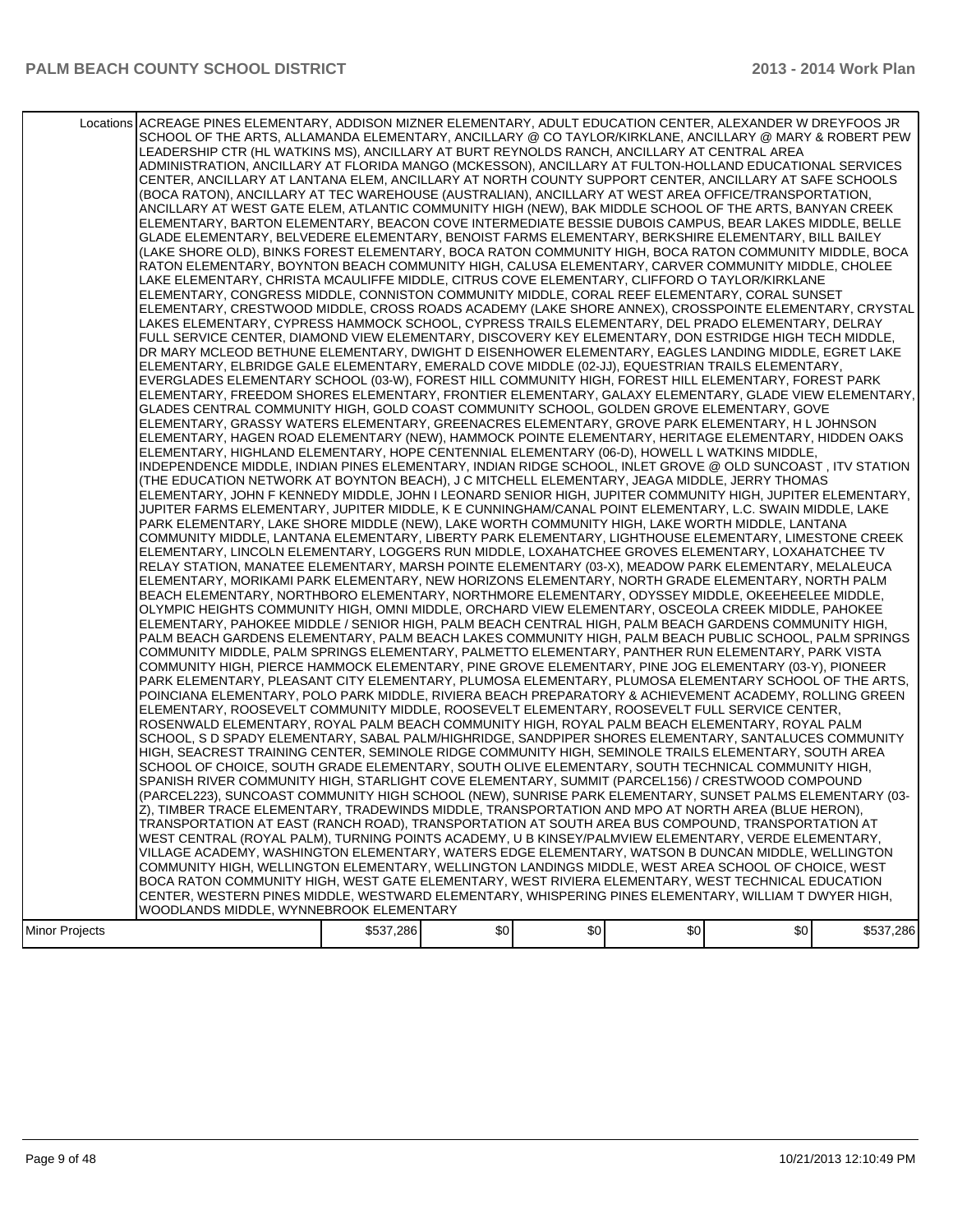### PALM BEACH COUNTY SCHOOL DISTRICT **2014 Work Plan**

|                | Locations ACREAGE PINES ELEMENTARY, ADDISON MIZNER ELEMENTARY, ADULT EDUCATION CENTER, ALEXANDER W DREYFOOS JR<br>SCHOOL OF THE ARTS, ALLAMANDA ELEMENTARY, ANCILLARY @ CO TAYLOR/KIRKLANE, ANCILLARY @ MARY & ROBERT PEW<br>LEADERSHIP CTR (HL WATKINS MS), ANCILLARY AT BURT REYNOLDS RANCH, ANCILLARY AT CENTRAL AREA<br>ADMINISTRATION, ANCILLARY AT FLORIDA MANGO (MCKESSON), ANCILLARY AT FULTON-HOLLAND EDUCATIONAL SERVICES<br>CENTER, ANCILLARY AT LANTANA ELEM, ANCILLARY AT NORTH COUNTY SUPPORT CENTER, ANCILLARY AT SAFE SCHOOLS<br>(BOCA RATON), ANCILLARY AT TEC WAREHOUSE (AUSTRALIAN), ANCILLARY AT WEST AREA OFFICE/TRANSPORTATION,<br>ANCILLARY AT WEST GATE ELEM, ATLANTIC COMMUNITY HIGH (NEW), BAK MIDDLE SCHOOL OF THE ARTS, BANYAN CREEK<br>ELEMENTARY, BARTON ELEMENTARY, BEACON COVE INTERMEDIATE BESSIE DUBOIS CAMPUS, BEAR LAKES MIDDLE, BELLE<br>GLADE ELEMENTARY, BELVEDERE ELEMENTARY, BENOIST FARMS ELEMENTARY, BERKSHIRE ELEMENTARY, BILL BAILEY<br>(LAKE SHORE OLD), BINKS FOREST ELEMENTARY, BOCA RATON COMMUNITY HIGH, BOCA RATON COMMUNITY MIDDLE, BOCA<br>RATON ELEMENTARY, BOYNTON BEACH COMMUNITY HIGH, CALUSA ELEMENTARY, CARVER COMMUNITY MIDDLE, CHOLEE<br>LAKE ELEMENTARY, CHRISTA MCAULIFFE MIDDLE, CITRUS COVE ELEMENTARY, CLIFFORD O TAYLOR/KIRKLANE<br>ELEMENTARY, CONGRESS MIDDLE, CONNISTON COMMUNITY MIDDLE, CORAL REEF ELEMENTARY, CORAL SUNSET<br>ELEMENTARY, CRESTWOOD MIDDLE, CROSS ROADS ACADEMY (LAKE SHORE ANNEX), CROSSPOINTE ELEMENTARY, CRYSTAL<br>LAKES ELEMENTARY, CYPRESS HAMMOCK SCHOOL, CYPRESS TRAILS ELEMENTARY, DEL PRADO ELEMENTARY, DELRAY<br>FULL SERVICE CENTER, DIAMOND VIEW ELEMENTARY, DISCOVERY KEY ELEMENTARY, DON ESTRIDGE HIGH TECH MIDDLE,<br>DR MARY MCLEOD BETHUNE ELEMENTARY, DWIGHT D EISENHOWER ELEMENTARY, EAGLES LANDING MIDDLE, EGRET LAKE<br>ELEMENTARY, ELBRIDGE GALE ELEMENTARY, EMERALD COVE MIDDLE (02-JJ), EQUESTRIAN TRAILS ELEMENTARY,<br>EVERGLADES ELEMENTARY SCHOOL (03-W), FOREST HILL COMMUNITY HIGH, FOREST HILL ELEMENTARY, FOREST PARK<br>ELEMENTARY, FREEDOM SHORES ELEMENTARY, FRONTIER ELEMENTARY, GALAXY ELEMENTARY, GLADE VIEW ELEMENTARY,<br>GLADES CENTRAL COMMUNITY HIGH, GOLD COAST COMMUNITY SCHOOL, GOLDEN GROVE ELEMENTARY, GOVE<br>IELEMENTARY. GRASSY WATERS ELEMENTARY. GREENACRES ELEMENTARY. GROVE PARK ELEMENTARY. H L JOHNSON<br>ELEMENTARY, HAGEN ROAD ELEMENTARY (NEW), HAMMOCK POINTE ELEMENTARY, HERITAGE ELEMENTARY, HIDDEN OAKS<br>ELEMENTARY, HIGHLAND ELEMENTARY, HOPE CENTENNIAL ELEMENTARY (06-D), HOWELL L WATKINS MIDDLE,<br>INDEPENDENCE MIDDLE, INDIAN PINES ELEMENTARY, INDIAN RIDGE SCHOOL, INLET GROVE @ OLD SUNCOAST , ITV STATION<br>(THE EDUCATION NETWORK AT BOYNTON BEACH), J C MITCHELL ELEMENTARY, JEAGA MIDDLE, JERRY THOMAS<br>ELEMENTARY, JOHN F KENNEDY MIDDLE, JOHN I LEONARD SENIOR HIGH, JUPITER COMMUNITY HIGH, JUPITER ELEMENTARY,<br>JUPITER FARMS ELEMENTARY, JUPITER MIDDLE, K E CUNNINGHAM/CANAL POINT ELEMENTARY, L.C. SWAIN MIDDLE, LAKE<br>PARK ELEMENTARY, LAKE SHORE MIDDLE (NEW), LAKE WORTH COMMUNITY HIGH, LAKE WORTH MIDDLE, LANTANA<br>COMMUNITY MIDDLE, LANTANA ELEMENTARY, LIBERTY PARK ELEMENTARY, LIGHTHOUSE ELEMENTARY, LIMESTONE CREEK<br>ELEMENTARY, LINCOLN ELEMENTARY, LOGGERS RUN MIDDLE, LOXAHATCHEE GROVES ELEMENTARY, LOXAHATCHEE TV<br>RELAY STATION, MANATEE ELEMENTARY, MARSH POINTE ELEMENTARY (03-X), MEADOW PARK ELEMENTARY, MELALEUCA<br>ELEMENTARY, MORIKAMI PARK ELEMENTARY, NEW HORIZONS ELEMENTARY, NORTH GRADE ELEMENTARY, NORTH PALM<br>BEACH ELEMENTARY, NORTHBORO ELEMENTARY, NORTHMORE ELEMENTARY, ODYSSEY MIDDLE, OKEEHEELEE MIDDLE,<br>OLYMPIC HEIGHTS COMMUNITY HIGH, OMNI MIDDLE, ORCHARD VIEW ELEMENTARY, OSCEOLA CREEK MIDDLE, PAHOKEE<br>ELEMENTARY, PAHOKEE MIDDLE / SENIOR HIGH, PALM BEACH CENTRAL HIGH, PALM BEACH GARDENS COMMUNITY HIGH,<br>PALM BEACH GARDENS ELEMENTARY, PALM BEACH LAKES COMMUNITY HIGH, PALM BEACH PUBLIC SCHOOL, PALM SPRINGS<br>COMMUNITY MIDDLE, PALM SPRINGS ELEMENTARY, PALMETTO ELEMENTARY, PANTHER RUN ELEMENTARY, PARK VISTA<br>COMMUNITY HIGH, PIERCE HAMMOCK ELEMENTARY, PINE GROVE ELEMENTARY, PINE JOG ELEMENTARY (03-Y), PIONEER<br>PARK ELEMENTARY, PLEASANT CITY ELEMENTARY, PLUMOSA ELEMENTARY, PLUMOSA ELEMENTARY SCHOOL OF THE ARTS,<br>POINCIANA ELEMENTARY, POLO PARK MIDDLE, RIVIERA BEACH PREPARATORY & ACHIEVEMENT ACADEMY, ROLLING GREEN<br>ELEMENTARY, ROOSEVELT COMMUNITY MIDDLE, ROOSEVELT ELEMENTARY, ROOSEVELT FULL SERVICE CENTER,<br>ROSENWALD ELEMENTARY, ROYAL PALM BEACH COMMUNITY HIGH, ROYAL PALM BEACH ELEMENTARY, ROYAL PALM<br>SCHOOL, S D SPADY ELEMENTARY, SABAL PALM/HIGHRIDGE, SANDPIPER SHORES ELEMENTARY, SANTALUCES COMMUNITY<br>HIGH, SEACREST TRAINING CENTER, SEMINOLE RIDGE COMMUNITY HIGH, SEMINOLE TRAILS ELEMENTARY, SOUTH AREA<br>SCHOOL OF CHOICE, SOUTH GRADE ELEMENTARY, SOUTH OLIVE ELEMENTARY, SOUTH TECHNICAL COMMUNITY HIGH,<br>SPANISH RIVER COMMUNITY HIGH, STARLIGHT COVE ELEMENTARY, SUMMIT (PARCEL156) / CRESTWOOD COMPOUND<br>(PARCEL223), SUNCOAST COMMUNITY HIGH SCHOOL (NEW), SUNRISE PARK ELEMENTARY, SUNSET PALMS ELEMENTARY (03-<br>Z), TIMBER TRACE ELEMENTARY, TRADEWINDS MIDDLE, TRANSPORTATION AND MPO AT NORTH AREA (BLUE HERON),<br>TRANSPORTATION AT EAST (RANCH ROAD), TRANSPORTATION AT SOUTH AREA BUS COMPOUND, TRANSPORTATION AT<br>WEST CENTRAL (ROYAL PALM), TURNING POINTS ACADEMY, U B KINSEY/PALMVIEW ELEMENTARY, VERDE ELEMENTARY,<br>VILLAGE ACADEMY, WASHINGTON ELEMENTARY, WATERS EDGE ELEMENTARY, WATSON B DUNCAN MIDDLE, WELLINGTON |           |     |     |     |     |           |
|----------------|-----------------------------------------------------------------------------------------------------------------------------------------------------------------------------------------------------------------------------------------------------------------------------------------------------------------------------------------------------------------------------------------------------------------------------------------------------------------------------------------------------------------------------------------------------------------------------------------------------------------------------------------------------------------------------------------------------------------------------------------------------------------------------------------------------------------------------------------------------------------------------------------------------------------------------------------------------------------------------------------------------------------------------------------------------------------------------------------------------------------------------------------------------------------------------------------------------------------------------------------------------------------------------------------------------------------------------------------------------------------------------------------------------------------------------------------------------------------------------------------------------------------------------------------------------------------------------------------------------------------------------------------------------------------------------------------------------------------------------------------------------------------------------------------------------------------------------------------------------------------------------------------------------------------------------------------------------------------------------------------------------------------------------------------------------------------------------------------------------------------------------------------------------------------------------------------------------------------------------------------------------------------------------------------------------------------------------------------------------------------------------------------------------------------------------------------------------------------------------------------------------------------------------------------------------------------------------------------------------------------------------------------------------------------------------------------------------------------------------------------------------------------------------------------------------------------------------------------------------------------------------------------------------------------------------------------------------------------------------------------------------------------------------------------------------------------------------------------------------------------------------------------------------------------------------------------------------------------------------------------------------------------------------------------------------------------------------------------------------------------------------------------------------------------------------------------------------------------------------------------------------------------------------------------------------------------------------------------------------------------------------------------------------------------------------------------------------------------------------------------------------------------------------------------------------------------------------------------------------------------------------------------------------------------------------------------------------------------------------------------------------------------------------------------------------------------------------------------------------------------------------------------------------------------------------------------------------------------------------------------------------------------------------------------------------------------------------------------------------------------------------------------------------------------------------------------------------------------------------------------------------------------------------------------------------------------------------------------------------------------------------------------------------------------------------------------------------------------------------------------------------------------------------------------------------------------------------------------------------------------------------------------------------------------------------------------------------------------------------------------------------------------------------------------------------------------------------------------------------------------------------------------------------------------------------------------------------------------------------------------------------------------------------------------------------------------------------------------------------------------------------------------------------------------------------------------------------------------------------------------------------------------------------------------------------------------------------|-----------|-----|-----|-----|-----|-----------|
|                |                                                                                                                                                                                                                                                                                                                                                                                                                                                                                                                                                                                                                                                                                                                                                                                                                                                                                                                                                                                                                                                                                                                                                                                                                                                                                                                                                                                                                                                                                                                                                                                                                                                                                                                                                                                                                                                                                                                                                                                                                                                                                                                                                                                                                                                                                                                                                                                                                                                                                                                                                                                                                                                                                                                                                                                                                                                                                                                                                                                                                                                                                                                                                                                                                                                                                                                                                                                                                                                                                                                                                                                                                                                                                                                                                                                                                                                                                                                                                                                                                                                                                                                                                                                                                                                                                                                                                                                                                                                                                                                                                                                                                                                                                                                                                                                                                                                                                                                                                                                                                                                                                                                                                                                                                                                                                                                                                                                                                                                                                                                                                                             |           |     |     |     |     |           |
|                |                                                                                                                                                                                                                                                                                                                                                                                                                                                                                                                                                                                                                                                                                                                                                                                                                                                                                                                                                                                                                                                                                                                                                                                                                                                                                                                                                                                                                                                                                                                                                                                                                                                                                                                                                                                                                                                                                                                                                                                                                                                                                                                                                                                                                                                                                                                                                                                                                                                                                                                                                                                                                                                                                                                                                                                                                                                                                                                                                                                                                                                                                                                                                                                                                                                                                                                                                                                                                                                                                                                                                                                                                                                                                                                                                                                                                                                                                                                                                                                                                                                                                                                                                                                                                                                                                                                                                                                                                                                                                                                                                                                                                                                                                                                                                                                                                                                                                                                                                                                                                                                                                                                                                                                                                                                                                                                                                                                                                                                                                                                                                                             |           |     |     |     |     |           |
|                |                                                                                                                                                                                                                                                                                                                                                                                                                                                                                                                                                                                                                                                                                                                                                                                                                                                                                                                                                                                                                                                                                                                                                                                                                                                                                                                                                                                                                                                                                                                                                                                                                                                                                                                                                                                                                                                                                                                                                                                                                                                                                                                                                                                                                                                                                                                                                                                                                                                                                                                                                                                                                                                                                                                                                                                                                                                                                                                                                                                                                                                                                                                                                                                                                                                                                                                                                                                                                                                                                                                                                                                                                                                                                                                                                                                                                                                                                                                                                                                                                                                                                                                                                                                                                                                                                                                                                                                                                                                                                                                                                                                                                                                                                                                                                                                                                                                                                                                                                                                                                                                                                                                                                                                                                                                                                                                                                                                                                                                                                                                                                                             |           |     |     |     |     |           |
|                |                                                                                                                                                                                                                                                                                                                                                                                                                                                                                                                                                                                                                                                                                                                                                                                                                                                                                                                                                                                                                                                                                                                                                                                                                                                                                                                                                                                                                                                                                                                                                                                                                                                                                                                                                                                                                                                                                                                                                                                                                                                                                                                                                                                                                                                                                                                                                                                                                                                                                                                                                                                                                                                                                                                                                                                                                                                                                                                                                                                                                                                                                                                                                                                                                                                                                                                                                                                                                                                                                                                                                                                                                                                                                                                                                                                                                                                                                                                                                                                                                                                                                                                                                                                                                                                                                                                                                                                                                                                                                                                                                                                                                                                                                                                                                                                                                                                                                                                                                                                                                                                                                                                                                                                                                                                                                                                                                                                                                                                                                                                                                                             |           |     |     |     |     |           |
|                |                                                                                                                                                                                                                                                                                                                                                                                                                                                                                                                                                                                                                                                                                                                                                                                                                                                                                                                                                                                                                                                                                                                                                                                                                                                                                                                                                                                                                                                                                                                                                                                                                                                                                                                                                                                                                                                                                                                                                                                                                                                                                                                                                                                                                                                                                                                                                                                                                                                                                                                                                                                                                                                                                                                                                                                                                                                                                                                                                                                                                                                                                                                                                                                                                                                                                                                                                                                                                                                                                                                                                                                                                                                                                                                                                                                                                                                                                                                                                                                                                                                                                                                                                                                                                                                                                                                                                                                                                                                                                                                                                                                                                                                                                                                                                                                                                                                                                                                                                                                                                                                                                                                                                                                                                                                                                                                                                                                                                                                                                                                                                                             |           |     |     |     |     |           |
|                | COMMUNITY HIGH, WELLINGTON ELEMENTARY, WELLINGTON LANDINGS MIDDLE, WEST AREA SCHOOL OF CHOICE, WEST                                                                                                                                                                                                                                                                                                                                                                                                                                                                                                                                                                                                                                                                                                                                                                                                                                                                                                                                                                                                                                                                                                                                                                                                                                                                                                                                                                                                                                                                                                                                                                                                                                                                                                                                                                                                                                                                                                                                                                                                                                                                                                                                                                                                                                                                                                                                                                                                                                                                                                                                                                                                                                                                                                                                                                                                                                                                                                                                                                                                                                                                                                                                                                                                                                                                                                                                                                                                                                                                                                                                                                                                                                                                                                                                                                                                                                                                                                                                                                                                                                                                                                                                                                                                                                                                                                                                                                                                                                                                                                                                                                                                                                                                                                                                                                                                                                                                                                                                                                                                                                                                                                                                                                                                                                                                                                                                                                                                                                                                         |           |     |     |     |     |           |
|                | BOCA RATON COMMUNITY HIGH, WEST GATE ELEMENTARY, WEST RIVIERA ELEMENTARY, WEST TECHNICAL EDUCATION                                                                                                                                                                                                                                                                                                                                                                                                                                                                                                                                                                                                                                                                                                                                                                                                                                                                                                                                                                                                                                                                                                                                                                                                                                                                                                                                                                                                                                                                                                                                                                                                                                                                                                                                                                                                                                                                                                                                                                                                                                                                                                                                                                                                                                                                                                                                                                                                                                                                                                                                                                                                                                                                                                                                                                                                                                                                                                                                                                                                                                                                                                                                                                                                                                                                                                                                                                                                                                                                                                                                                                                                                                                                                                                                                                                                                                                                                                                                                                                                                                                                                                                                                                                                                                                                                                                                                                                                                                                                                                                                                                                                                                                                                                                                                                                                                                                                                                                                                                                                                                                                                                                                                                                                                                                                                                                                                                                                                                                                          |           |     |     |     |     |           |
|                | CENTER, WESTERN PINES MIDDLE, WESTWARD ELEMENTARY, WHISPERING PINES ELEMENTARY, WILLIAM T DWYER HIGH,                                                                                                                                                                                                                                                                                                                                                                                                                                                                                                                                                                                                                                                                                                                                                                                                                                                                                                                                                                                                                                                                                                                                                                                                                                                                                                                                                                                                                                                                                                                                                                                                                                                                                                                                                                                                                                                                                                                                                                                                                                                                                                                                                                                                                                                                                                                                                                                                                                                                                                                                                                                                                                                                                                                                                                                                                                                                                                                                                                                                                                                                                                                                                                                                                                                                                                                                                                                                                                                                                                                                                                                                                                                                                                                                                                                                                                                                                                                                                                                                                                                                                                                                                                                                                                                                                                                                                                                                                                                                                                                                                                                                                                                                                                                                                                                                                                                                                                                                                                                                                                                                                                                                                                                                                                                                                                                                                                                                                                                                       |           |     |     |     |     |           |
|                | WOODLANDS MIDDLE, WYNNEBROOK ELEMENTARY                                                                                                                                                                                                                                                                                                                                                                                                                                                                                                                                                                                                                                                                                                                                                                                                                                                                                                                                                                                                                                                                                                                                                                                                                                                                                                                                                                                                                                                                                                                                                                                                                                                                                                                                                                                                                                                                                                                                                                                                                                                                                                                                                                                                                                                                                                                                                                                                                                                                                                                                                                                                                                                                                                                                                                                                                                                                                                                                                                                                                                                                                                                                                                                                                                                                                                                                                                                                                                                                                                                                                                                                                                                                                                                                                                                                                                                                                                                                                                                                                                                                                                                                                                                                                                                                                                                                                                                                                                                                                                                                                                                                                                                                                                                                                                                                                                                                                                                                                                                                                                                                                                                                                                                                                                                                                                                                                                                                                                                                                                                                     |           |     |     |     |     |           |
| Minor Projects |                                                                                                                                                                                                                                                                                                                                                                                                                                                                                                                                                                                                                                                                                                                                                                                                                                                                                                                                                                                                                                                                                                                                                                                                                                                                                                                                                                                                                                                                                                                                                                                                                                                                                                                                                                                                                                                                                                                                                                                                                                                                                                                                                                                                                                                                                                                                                                                                                                                                                                                                                                                                                                                                                                                                                                                                                                                                                                                                                                                                                                                                                                                                                                                                                                                                                                                                                                                                                                                                                                                                                                                                                                                                                                                                                                                                                                                                                                                                                                                                                                                                                                                                                                                                                                                                                                                                                                                                                                                                                                                                                                                                                                                                                                                                                                                                                                                                                                                                                                                                                                                                                                                                                                                                                                                                                                                                                                                                                                                                                                                                                                             | \$537,286 | \$0 | \$0 | \$0 | \$0 | \$537,286 |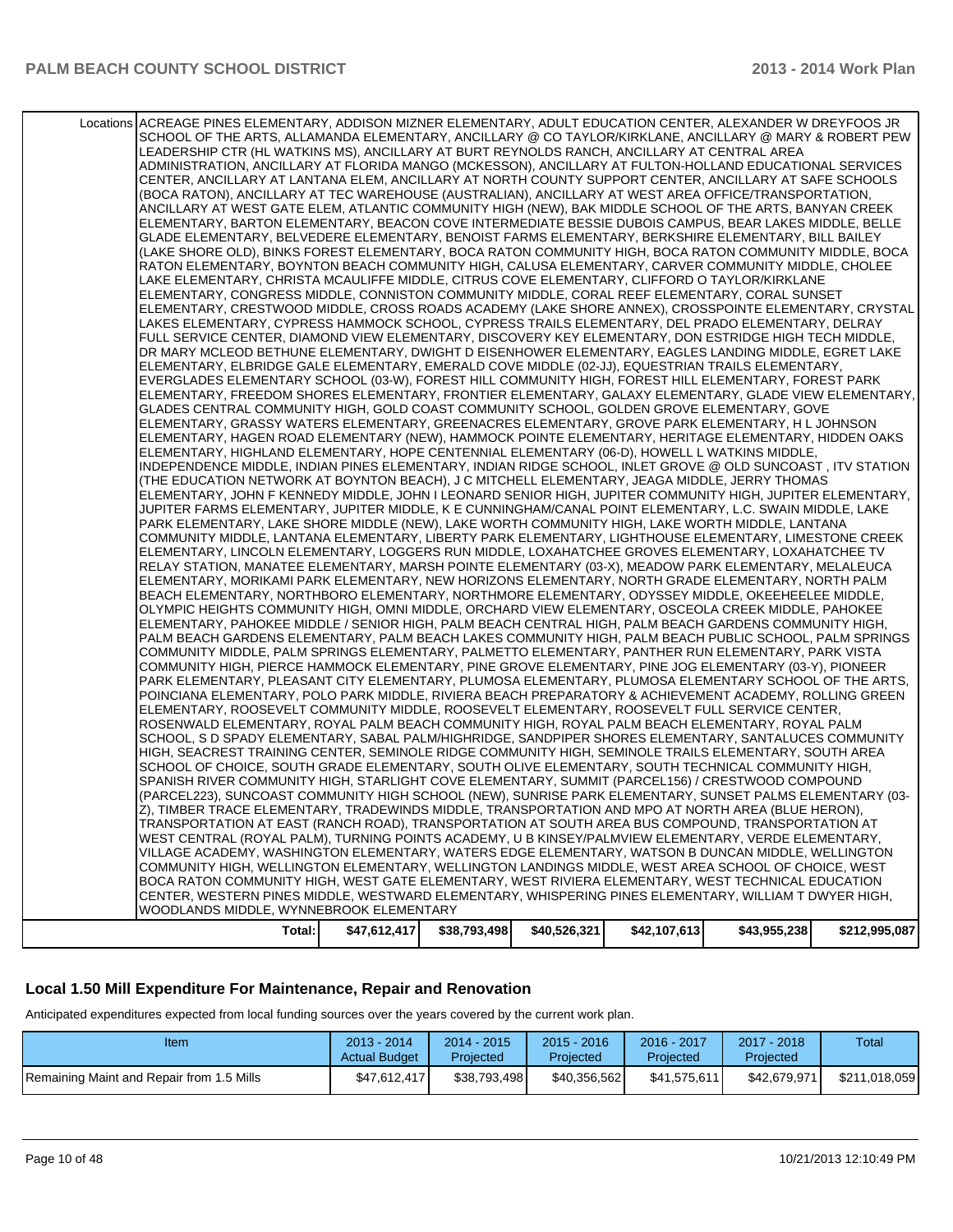| CENTER, WESTERN PINES MIDDLE, WESTWARD ELEMENTARY, WHISPERING PINES ELEMENTARY, WILLIAM T DWYER HIGH,<br>WOODLANDS MIDDLE, WYNNEBROOK ELEMENTARY                                                                          |  |  |  |
|---------------------------------------------------------------------------------------------------------------------------------------------------------------------------------------------------------------------------|--|--|--|
| BOCA RATON COMMUNITY HIGH, WEST GATE ELEMENTARY, WEST RIVIERA ELEMENTARY, WEST TECHNICAL EDUCATION                                                                                                                        |  |  |  |
| VILLAGE ACADEMY, WASHINGTON ELEMENTARY, WATERS EDGE ELEMENTARY, WATSON B DUNCAN MIDDLE, WELLINGTON<br>COMMUNITY HIGH, WELLINGTON ELEMENTARY, WELLINGTON LANDINGS MIDDLE, WEST AREA SCHOOL OF CHOICE, WEST                 |  |  |  |
| WEST CENTRAL (ROYAL PALM), TURNING POINTS ACADEMY, U B KINSEY/PALMVIEW ELEMENTARY, VERDE ELEMENTARY,                                                                                                                      |  |  |  |
| TRANSPORTATION AT EAST (RANCH ROAD), TRANSPORTATION AT SOUTH AREA BUS COMPOUND, TRANSPORTATION AT                                                                                                                         |  |  |  |
| Z), TIMBER TRACE ELEMENTARY, TRADEWINDS MIDDLE, TRANSPORTATION AND MPO AT NORTH AREA (BLUE HERON),                                                                                                                        |  |  |  |
| (PARCEL223), SUNCOAST COMMUNITY HIGH SCHOOL (NEW), SUNRISE PARK ELEMENTARY, SUNSET PALMS ELEMENTARY (03-                                                                                                                  |  |  |  |
| SPANISH RIVER COMMUNITY HIGH, STARLIGHT COVE ELEMENTARY, SUMMIT (PARCEL156) / CRESTWOOD COMPOUND                                                                                                                          |  |  |  |
| HIGH, SEACREST TRAINING CENTER, SEMINOLE RIDGE COMMUNITY HIGH, SEMINOLE TRAILS ELEMENTARY, SOUTH AREA<br>SCHOOL OF CHOICE, SOUTH GRADE ELEMENTARY, SOUTH OLIVE ELEMENTARY, SOUTH TECHNICAL COMMUNITY HIGH,                |  |  |  |
| SCHOOL, S D SPADY ELEMENTARY, SABAL PALM/HIGHRIDGE, SANDPIPER SHORES ELEMENTARY, SANTALUCES COMMUNITY                                                                                                                     |  |  |  |
| ROSENWALD ELEMENTARY. ROYAL PALM BEACH COMMUNITY HIGH. ROYAL PALM BEACH ELEMENTARY. ROYAL PALM                                                                                                                            |  |  |  |
| ELEMENTARY, ROOSEVELT COMMUNITY MIDDLE, ROOSEVELT ELEMENTARY, ROOSEVELT FULL SERVICE CENTER,                                                                                                                              |  |  |  |
| POINCIANA ELEMENTARY, POLO PARK MIDDLE, RIVIERA BEACH PREPARATORY & ACHIEVEMENT ACADEMY, ROLLING GREEN                                                                                                                    |  |  |  |
| PARK ELEMENTARY, PLEASANT CITY ELEMENTARY, PLUMOSA ELEMENTARY, PLUMOSA ELEMENTARY SCHOOL OF THE ARTS,                                                                                                                     |  |  |  |
| COMMUNITY HIGH, PIERCE HAMMOCK ELEMENTARY, PINE GROVE ELEMENTARY, PINE JOG ELEMENTARY (03-Y), PIONEER                                                                                                                     |  |  |  |
| COMMUNITY MIDDLE, PALM SPRINGS ELEMENTARY, PALMETTO ELEMENTARY, PANTHER RUN ELEMENTARY, PARK VISTA                                                                                                                        |  |  |  |
| ELEMENTARY, PAHOKEE MIDDLE / SENIOR HIGH, PALM BEACH CENTRAL HIGH, PALM BEACH GARDENS COMMUNITY HIGH,<br>PALM BEACH GARDENS ELEMENTARY, PALM BEACH LAKES COMMUNITY HIGH, PALM BEACH PUBLIC SCHOOL, PALM SPRINGS           |  |  |  |
| OLYMPIC HEIGHTS COMMUNITY HIGH, OMNI MIDDLE, ORCHARD VIEW ELEMENTARY, OSCEOLA CREEK MIDDLE, PAHOKEE                                                                                                                       |  |  |  |
| BEACH ELEMENTARY, NORTHBORO ELEMENTARY, NORTHMORE ELEMENTARY, ODYSSEY MIDDLE, OKEEHEELEE MIDDLE,                                                                                                                          |  |  |  |
| ELEMENTARY, MORIKAMI PARK ELEMENTARY, NEW HORIZONS ELEMENTARY, NORTH GRADE ELEMENTARY, NORTH PALM                                                                                                                         |  |  |  |
| RELAY STATION, MANATEE ELEMENTARY, MARSH POINTE ELEMENTARY (03-X), MEADOW PARK ELEMENTARY, MELALEUCA                                                                                                                      |  |  |  |
| ELEMENTARY, LINCOLN ELEMENTARY, LOGGERS RUN MIDDLE, LOXAHATCHEE GROVES ELEMENTARY, LOXAHATCHEE TV                                                                                                                         |  |  |  |
| COMMUNITY MIDDLE, LANTANA ELEMENTARY, LIBERTY PARK ELEMENTARY, LIGHTHOUSE ELEMENTARY, LIMESTONE CREEK                                                                                                                     |  |  |  |
| PARK ELEMENTARY, LAKE SHORE MIDDLE (NEW), LAKE WORTH COMMUNITY HIGH, LAKE WORTH MIDDLE, LANTANA                                                                                                                           |  |  |  |
| JUPITER FARMS ELEMENTARY, JUPITER MIDDLE, K E CUNNINGHAM/CANAL POINT ELEMENTARY, L.C. SWAIN MIDDLE, LAKE                                                                                                                  |  |  |  |
| ELEMENTARY, JOHN F KENNEDY MIDDLE, JOHN I LEONARD SENIOR HIGH, JUPITER COMMUNITY HIGH, JUPITER ELEMENTARY,                                                                                                                |  |  |  |
| (THE EDUCATION NETWORK AT BOYNTON BEACH), J C MITCHELL ELEMENTARY, JEAGA MIDDLE, JERRY THOMAS                                                                                                                             |  |  |  |
| ELEMENTARY, HIGHLAND ELEMENTARY, HOPE CENTENNIAL ELEMENTARY (06-D), HOWELL L WATKINS MIDDLE,<br>INDEPENDENCE MIDDLE, INDIAN PINES ELEMENTARY, INDIAN RIDGE SCHOOL, INLET GROVE @ OLD SUNCOAST, ITV STATION                |  |  |  |
| ELEMENTARY, HAGEN ROAD ELEMENTARY (NEW), HAMMOCK POINTE ELEMENTARY, HERITAGE ELEMENTARY, HIDDEN OAKS                                                                                                                      |  |  |  |
| ELEMENTARY, GRASSY WATERS ELEMENTARY, GREENACRES ELEMENTARY, GROVE PARK ELEMENTARY, H L JOHNSON                                                                                                                           |  |  |  |
| GLADES CENTRAL COMMUNITY HIGH, GOLD COAST COMMUNITY SCHOOL, GOLDEN GROVE ELEMENTARY, GOVE                                                                                                                                 |  |  |  |
| ELEMENTARY, FREEDOM SHORES ELEMENTARY, FRONTIER ELEMENTARY, GALAXY ELEMENTARY, GLADE VIEW ELEMENTARY,                                                                                                                     |  |  |  |
| EVERGLADES ELEMENTARY SCHOOL (03-W), FOREST HILL COMMUNITY HIGH, FOREST HILL ELEMENTARY, FOREST PARK                                                                                                                      |  |  |  |
| ELEMENTARY, ELBRIDGE GALE ELEMENTARY, EMERALD COVE MIDDLE (02-JJ), EQUESTRIAN TRAILS ELEMENTARY,                                                                                                                          |  |  |  |
| DR MARY MCLEOD BETHUNE ELEMENTARY, DWIGHT D EISENHOWER ELEMENTARY, EAGLES LANDING MIDDLE, EGRET LAKE                                                                                                                      |  |  |  |
| FULL SERVICE CENTER, DIAMOND VIEW ELEMENTARY, DISCOVERY KEY ELEMENTARY, DON ESTRIDGE HIGH TECH MIDDLE,                                                                                                                    |  |  |  |
| ELEMENTARY, CRESTWOOD MIDDLE, CROSS ROADS ACADEMY (LAKE SHORE ANNEX), CROSSPOINTE ELEMENTARY, CRYSTAL<br>LAKES ELEMENTARY, CYPRESS HAMMOCK SCHOOL, CYPRESS TRAILS ELEMENTARY, DEL PRADO ELEMENTARY, DELRAY                |  |  |  |
| ELEMENTARY, CONGRESS MIDDLE, CONNISTON COMMUNITY MIDDLE, CORAL REEF ELEMENTARY, CORAL SUNSET                                                                                                                              |  |  |  |
| LAKE ELEMENTARY, CHRISTA MCAULIFFE MIDDLE, CITRUS COVE ELEMENTARY, CLIFFORD O TAYLOR/KIRKLANE                                                                                                                             |  |  |  |
| RATON ELEMENTARY, BOYNTON BEACH COMMUNITY HIGH, CALUSA ELEMENTARY, CARVER COMMUNITY MIDDLE, CHOLEE                                                                                                                        |  |  |  |
| (LAKE SHORE OLD), BINKS FOREST ELEMENTARY, BOCA RATON COMMUNITY HIGH, BOCA RATON COMMUNITY MIDDLE, BOCA                                                                                                                   |  |  |  |
| GLADE ELEMENTARY, BELVEDERE ELEMENTARY, BENOIST FARMS ELEMENTARY, BERKSHIRE ELEMENTARY, BILL BAILEY                                                                                                                       |  |  |  |
| ELEMENTARY, BARTON ELEMENTARY, BEACON COVE INTERMEDIATE BESSIE DUBOIS CAMPUS, BEAR LAKES MIDDLE, BELLE                                                                                                                    |  |  |  |
| ANCILLARY AT WEST GATE ELEM, ATLANTIC COMMUNITY HIGH (NEW), BAK MIDDLE SCHOOL OF THE ARTS, BANYAN CREEK                                                                                                                   |  |  |  |
| (BOCA RATON), ANCILLARY AT TEC WAREHOUSE (AUSTRALIAN), ANCILLARY AT WEST AREA OFFICE/TRANSPORTATION,                                                                                                                      |  |  |  |
| CENTER, ANCILLARY AT LANTANA ELEM, ANCILLARY AT NORTH COUNTY SUPPORT CENTER, ANCILLARY AT SAFE SCHOOLS                                                                                                                    |  |  |  |
| ADMINISTRATION, ANCILLARY AT FLORIDA MANGO (MCKESSON), ANCILLARY AT FULTON-HOLLAND EDUCATIONAL SERVICES                                                                                                                   |  |  |  |
| LEADERSHIP CTR (HL WATKINS MS), ANCILLARY AT BURT REYNOLDS RANCH, ANCILLARY AT CENTRAL AREA                                                                                                                               |  |  |  |
| Locations ACREAGE PINES ELEMENTARY, ADDISON MIZNER ELEMENTARY, ADULT EDUCATION CENTER, ALEXANDER W DREYFOOS JR<br>SCHOOL OF THE ARTS, ALLAMANDA ELEMENTARY, ANCILLARY @ CO TAYLOR/KIRKLANE, ANCILLARY @ MARY & ROBERT PEW |  |  |  |
|                                                                                                                                                                                                                           |  |  |  |

# **Local 1.50 Mill Expenditure For Maintenance, Repair and Renovation**

Anticipated expenditures expected from local funding sources over the years covered by the current work plan.

| Item                                      | $2013 - 2014$<br><b>Actual Budget</b> | $2014 - 2015$<br>Projected | $2015 - 2016$<br>Projected | 2016 - 2017<br>Projected | 2017 - 2018<br>Projected | Total         |
|-------------------------------------------|---------------------------------------|----------------------------|----------------------------|--------------------------|--------------------------|---------------|
| Remaining Maint and Repair from 1.5 Mills | \$47.612.417                          | \$38.793.498               | \$40.356.562               | \$41.575.611             | \$42.679.971             | \$211.018.059 |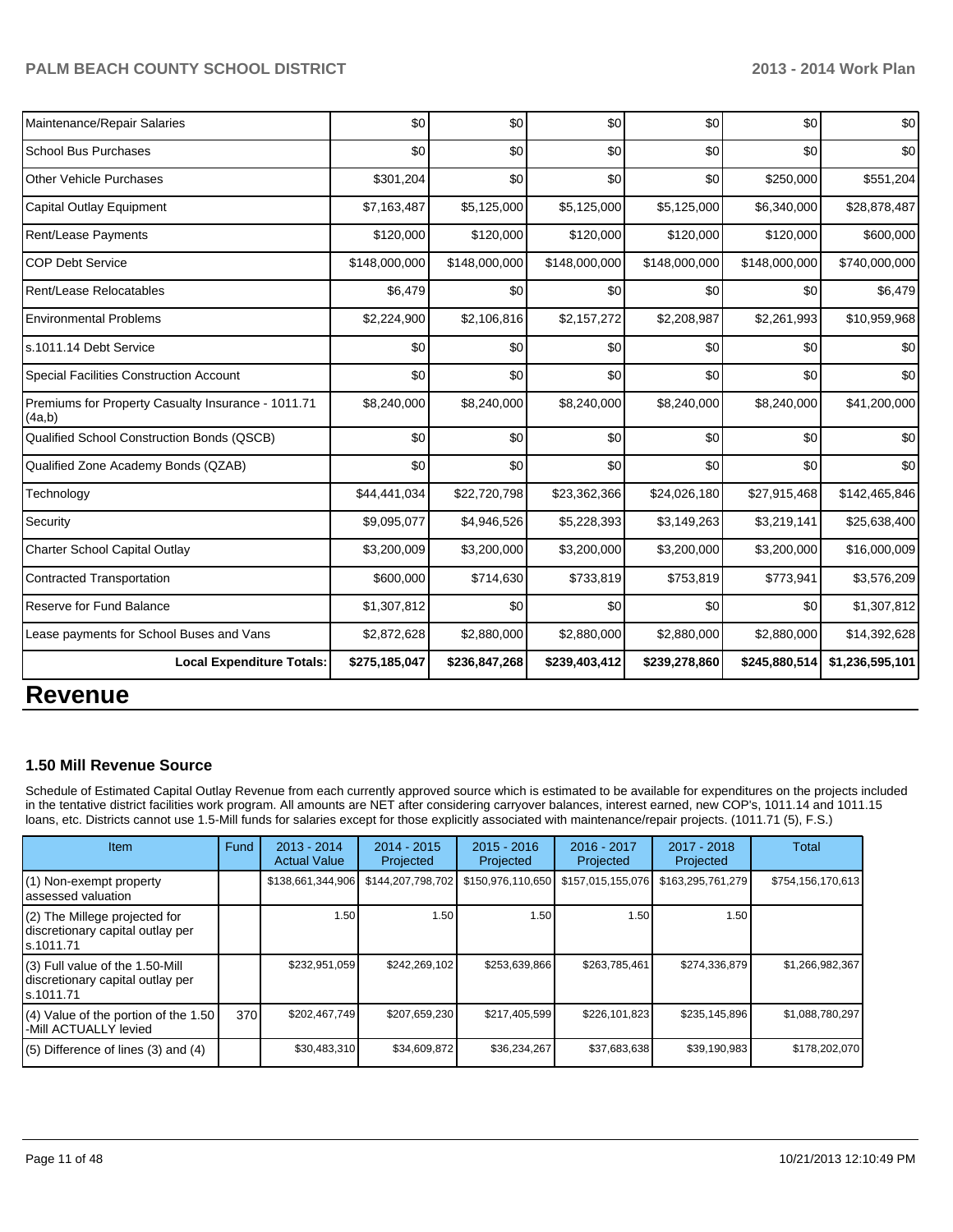| <b>Local Expenditure Totals:</b>                             | \$275,185,047 | \$236,847,268 | \$239,403,412 | \$239,278,860 | \$245,880,514 | \$1,236,595,101 |
|--------------------------------------------------------------|---------------|---------------|---------------|---------------|---------------|-----------------|
| Lease payments for School Buses and Vans                     | \$2,872,628   | \$2,880,000   | \$2,880,000   | \$2,880,000   | \$2,880,000   | \$14,392,628    |
| Reserve for Fund Balance                                     | \$1,307,812   | \$0           | \$0           | \$0           | \$0           | \$1,307,812     |
| Contracted Transportation                                    | \$600,000     | \$714,630     | \$733,819     | \$753,819     | \$773,941     | \$3,576,209     |
| Charter School Capital Outlay                                | \$3,200,009   | \$3,200,000   | \$3,200,000   | \$3,200,000   | \$3,200,000   | \$16,000,009    |
| Security                                                     | \$9,095,077   | \$4,946,526   | \$5,228,393   | \$3,149,263   | \$3,219,141   | \$25,638,400    |
| Technology                                                   | \$44,441,034  | \$22,720,798  | \$23,362,366  | \$24,026,180  | \$27,915,468  | \$142,465,846   |
| Qualified Zone Academy Bonds (QZAB)                          | \$0           | \$0           | \$0           | \$0           | \$0           | \$0             |
| Qualified School Construction Bonds (QSCB)                   | \$0           | \$0           | \$0           | \$0           | \$0           | \$0             |
| Premiums for Property Casualty Insurance - 1011.71<br>(4a,b) | \$8,240,000   | \$8,240,000   | \$8,240,000   | \$8,240,000   | \$8,240,000   | \$41,200,000    |
| <b>Special Facilities Construction Account</b>               | \$0           | \$0           | \$0           | \$0           | \$0           | \$0             |
| s.1011.14 Debt Service                                       | \$0           | \$0           | \$0           | \$0           | \$0           | \$0             |
| <b>Environmental Problems</b>                                | \$2,224,900   | \$2,106,816   | \$2,157,272   | \$2,208,987   | \$2,261,993   | \$10,959,968    |
| Rent/Lease Relocatables                                      | \$6,479       | \$0           | \$0           | \$0           | \$0           | \$6,479         |
| <b>COP Debt Service</b>                                      | \$148,000,000 | \$148,000,000 | \$148,000,000 | \$148,000,000 | \$148,000,000 | \$740,000,000   |
| Rent/Lease Payments                                          | \$120,000     | \$120,000     | \$120,000     | \$120,000     | \$120,000     | \$600,000       |
| Capital Outlay Equipment                                     | \$7,163,487   | \$5,125,000   | \$5,125,000   | \$5,125,000   | \$6,340,000   | \$28,878,487    |
| <b>Other Vehicle Purchases</b>                               | \$301,204     | \$0           | \$0           | \$0           | \$250,000     | \$551,204       |
| <b>School Bus Purchases</b>                                  | \$0           | \$0           | \$0           | \$0           | \$0           | \$0             |
| Maintenance/Repair Salaries                                  | \$0           | \$0           | \$0           | \$0           | \$0           | \$0             |

# **Revenue**

#### **1.50 Mill Revenue Source**

Schedule of Estimated Capital Outlay Revenue from each currently approved source which is estimated to be available for expenditures on the projects included in the tentative district facilities work program. All amounts are NET after considering carryover balances, interest earned, new COP's, 1011.14 and 1011.15 loans, etc. Districts cannot use 1.5-Mill funds for salaries except for those explicitly associated with maintenance/repair projects. (1011.71 (5), F.S.)

| <b>Item</b>                                                                         | Fund | $2013 - 2014$<br><b>Actual Value</b> | $2014 - 2015$<br>Projected | $2015 - 2016$<br>Projected | $2016 - 2017$<br>Projected | 2017 - 2018<br>Projected | Total             |
|-------------------------------------------------------------------------------------|------|--------------------------------------|----------------------------|----------------------------|----------------------------|--------------------------|-------------------|
| $(1)$ Non-exempt property<br>lassessed valuation                                    |      | \$138,661,344,906                    | \$144,207,798,702          | \$150,976,110,650          | \$157,015,155,076          | \$163,295,761,279        | \$754,156,170,613 |
| $(2)$ The Millege projected for<br>discretionary capital outlay per<br>ls.1011.71   |      | 1.50                                 | 1.50                       | 1.50                       | 1.50                       | 1.50                     |                   |
| $(3)$ Full value of the 1.50-Mill<br>discretionary capital outlay per<br>ls.1011.71 |      | \$232,951,059                        | \$242,269,102              | \$253,639,866              | \$263,785,461              | \$274,336,879            | \$1,266,982,367   |
| $(4)$ Value of the portion of the 1.50<br>-Mill ACTUALLY levied                     | 370  | \$202,467,749                        | \$207,659,230              | \$217,405,599              | \$226,101,823              | \$235,145,896            | \$1,088,780,297   |
| $(5)$ Difference of lines (3) and (4)                                               |      | \$30,483,310                         | \$34,609,872               | \$36,234,267               | \$37,683,638               | \$39,190,983             | \$178,202,070     |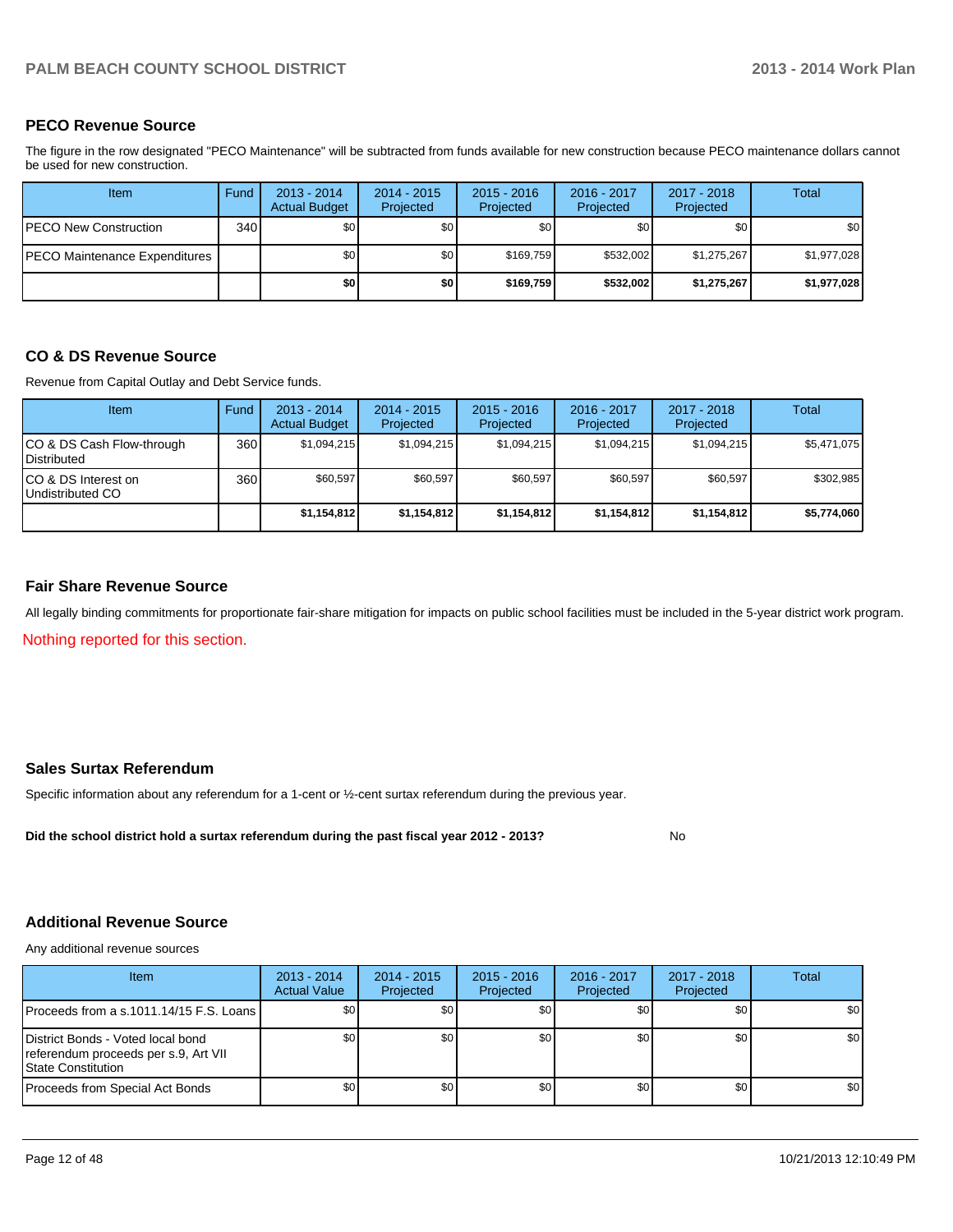#### **PECO Revenue Source**

The figure in the row designated "PECO Maintenance" will be subtracted from funds available for new construction because PECO maintenance dollars cannot be used for new construction.

| Item                          | Fund | $2013 - 2014$<br><b>Actual Budget</b> | $2014 - 2015$<br>Projected | $2015 - 2016$<br>Projected | 2016 - 2017<br>Projected | 2017 - 2018<br>Projected | Total       |
|-------------------------------|------|---------------------------------------|----------------------------|----------------------------|--------------------------|--------------------------|-------------|
| IPECO New Construction        | 340  | \$0 <sub>1</sub>                      | \$0                        | \$0                        | \$0 <sub>1</sub>         | \$0                      | \$0         |
| PECO Maintenance Expenditures |      | \$0                                   | \$0                        | \$169.759                  | \$532,002                | \$1,275,267              | \$1,977,028 |
|                               |      | \$0                                   | \$0                        | \$169.759                  | \$532,002                | \$1,275,267              | \$1,977,028 |

#### **CO & DS Revenue Source**

Revenue from Capital Outlay and Debt Service funds.

| Item                                            | Fund  | $2013 - 2014$<br><b>Actual Budget</b> | $2014 - 2015$<br>Projected | $2015 - 2016$<br>Projected | $2016 - 2017$<br>Projected | $2017 - 2018$<br>Projected | Total       |
|-------------------------------------------------|-------|---------------------------------------|----------------------------|----------------------------|----------------------------|----------------------------|-------------|
| CO & DS Cash Flow-through<br><b>Distributed</b> | 360 l | \$1.094.215                           | \$1,094,215                | \$1,094,215                | \$1.094.215                | \$1.094.215                | \$5,471,075 |
| CO & DS Interest on<br>Undistributed CO         | 360 l | \$60,597                              | \$60,597                   | \$60,597                   | \$60,597                   | \$60,597                   | \$302,985   |
|                                                 |       | \$1,154,812                           | \$1,154,812                | \$1,154,812                | \$1,154,812                | \$1,154,812                | \$5,774,060 |

#### **Fair Share Revenue Source**

Nothing reported for this section. All legally binding commitments for proportionate fair-share mitigation for impacts on public school facilities must be included in the 5-year district work program.

#### **Sales Surtax Referendum**

Specific information about any referendum for a 1-cent or ½-cent surtax referendum during the previous year.

**Did the school district hold a surtax referendum during the past fiscal year 2012 - 2013?**

#### **Additional Revenue Source**

Any additional revenue sources

| <b>Item</b>                                                                                             | $2013 - 2014$<br><b>Actual Value</b> | $2014 - 2015$<br>Projected | $2015 - 2016$<br>Projected | $2016 - 2017$<br>Projected | 2017 - 2018<br>Projected | Total |
|---------------------------------------------------------------------------------------------------------|--------------------------------------|----------------------------|----------------------------|----------------------------|--------------------------|-------|
| Proceeds from a s.1011.14/15 F.S. Loans                                                                 | \$0                                  | \$0                        | \$0                        | \$0 <sub>1</sub>           | \$0                      | \$0   |
| District Bonds - Voted local bond<br>referendum proceeds per s.9, Art VII<br><b>IState Constitution</b> | \$0                                  | \$0                        | \$0                        | \$0 <sub>1</sub>           | \$0                      | \$0   |
| Proceeds from Special Act Bonds                                                                         | \$0                                  | \$0 <sub>1</sub>           | \$0                        | \$0 <sub>1</sub>           | \$0                      | \$0   |

No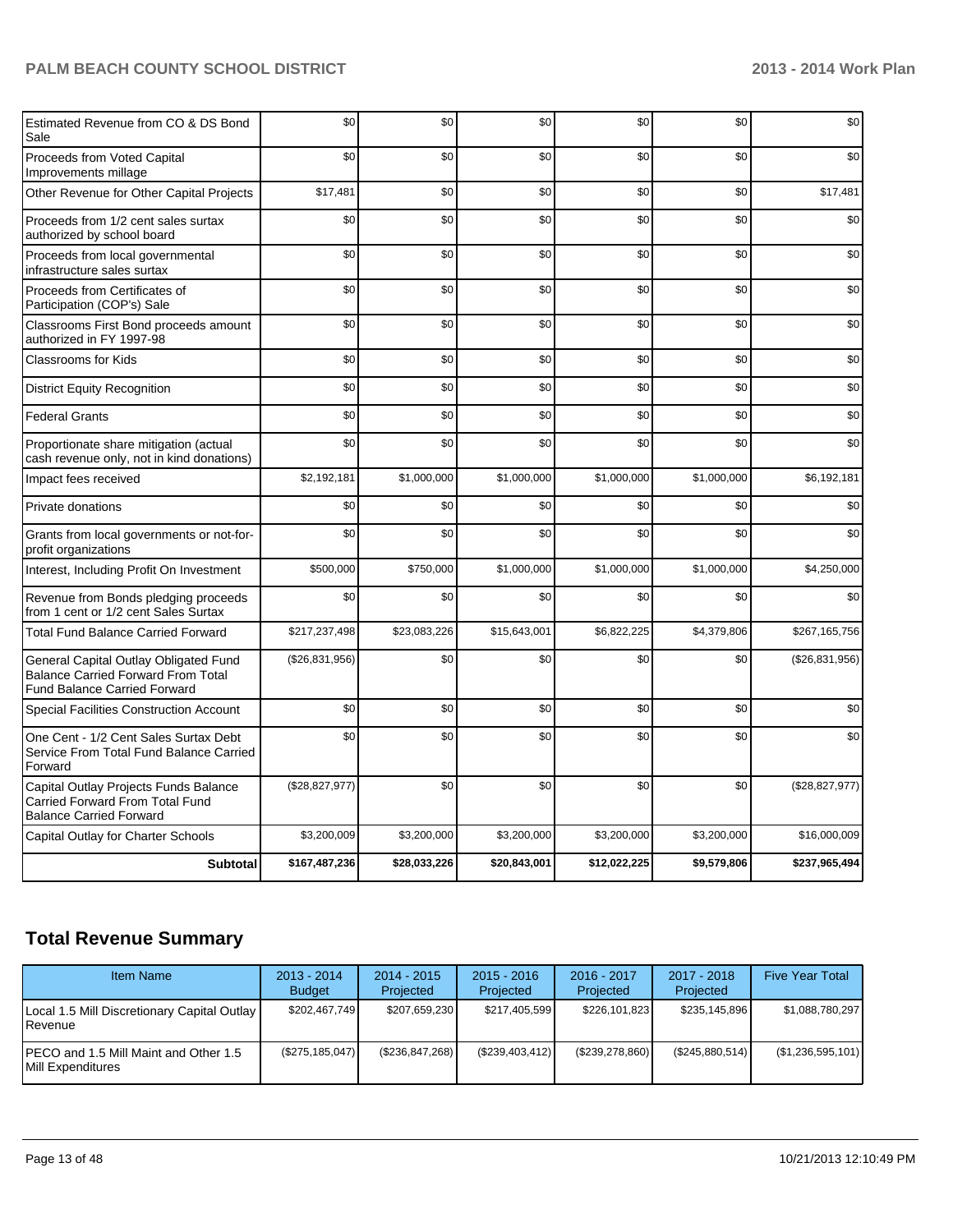| Estimated Revenue from CO & DS Bond<br>Sale                                                                               | \$0            | \$0          | \$0          | \$0          | \$0         | \$0            |
|---------------------------------------------------------------------------------------------------------------------------|----------------|--------------|--------------|--------------|-------------|----------------|
| Proceeds from Voted Capital<br>Improvements millage                                                                       | \$0            | \$0          | \$0          | \$0          | \$0         | \$0            |
| Other Revenue for Other Capital Projects                                                                                  | \$17,481       | \$0          | \$0          | \$0          | \$0         | \$17,481       |
| Proceeds from 1/2 cent sales surtax<br>authorized by school board                                                         | \$0            | \$0          | \$0          | \$0          | \$0         | \$0            |
| Proceeds from local governmental<br>infrastructure sales surtax                                                           | \$0            | \$0          | \$0          | \$0          | \$0         | \$0            |
| Proceeds from Certificates of<br>Participation (COP's) Sale                                                               | \$0            | \$0          | \$0          | \$0          | \$0         | \$0            |
| Classrooms First Bond proceeds amount<br>authorized in FY 1997-98                                                         | \$0            | \$0          | \$0          | \$0          | \$0         | \$0            |
| Classrooms for Kids                                                                                                       | \$0            | \$0          | \$0          | \$0          | \$0         | \$0            |
| <b>District Equity Recognition</b>                                                                                        | \$0            | \$0          | \$0          | \$0          | \$0         | \$0            |
| <b>Federal Grants</b>                                                                                                     | \$0            | \$0          | \$0          | \$0          | \$0         | \$0            |
| Proportionate share mitigation (actual<br>cash revenue only, not in kind donations)                                       | \$0            | \$0          | \$0          | \$0          | \$0         | \$0            |
| Impact fees received                                                                                                      | \$2,192,181    | \$1,000,000  | \$1,000,000  | \$1,000,000  | \$1,000,000 | \$6,192,181    |
| Private donations                                                                                                         | \$0            | \$0          | \$0          | \$0          | \$0         | \$0            |
| Grants from local governments or not-for-<br>profit organizations                                                         | \$0            | \$0          | \$0          | \$0          | \$0         | \$0            |
| Interest, Including Profit On Investment                                                                                  | \$500,000      | \$750,000    | \$1,000,000  | \$1,000,000  | \$1,000,000 | \$4,250,000    |
| Revenue from Bonds pledging proceeds<br>from 1 cent or 1/2 cent Sales Surtax                                              | \$0            | \$0          | \$0          | \$0          | \$0         | \$0            |
| <b>Total Fund Balance Carried Forward</b>                                                                                 | \$217,237,498  | \$23,083,226 | \$15,643,001 | \$6,822,225  | \$4,379,806 | \$267,165,756  |
| General Capital Outlay Obligated Fund<br><b>Balance Carried Forward From Total</b><br><b>Fund Balance Carried Forward</b> | (\$26,831,956) | \$0          | \$0          | \$0          | \$0         | (\$26,831,956) |
| Special Facilities Construction Account                                                                                   | \$0            | \$0          | \$0          | \$0          | \$0         | \$0            |
| One Cent - 1/2 Cent Sales Surtax Debt<br>Service From Total Fund Balance Carried<br>Forward                               | \$0            | \$0          | \$0          | \$0          | \$0         | \$0            |
| Capital Outlay Projects Funds Balance<br>Carried Forward From Total Fund<br><b>Balance Carried Forward</b>                | (\$28,827,977) | \$0          | \$0          | \$0          | \$0         | (\$28,827,977) |
| Capital Outlay for Charter Schools                                                                                        | \$3,200,009    | \$3,200,000  | \$3,200,000  | \$3,200,000  | \$3,200,000 | \$16,000,009   |
| <b>Subtotal</b>                                                                                                           | \$167,487,236  | \$28,033,226 | \$20,843,001 | \$12,022,225 | \$9,579,806 | \$237,965,494  |

# **Total Revenue Summary**

| <b>Item Name</b>                                                    | $2013 - 2014$<br><b>Budget</b> | $2014 - 2015$<br>Projected | $2015 - 2016$<br>Projected | $2016 - 2017$<br>Projected | $2017 - 2018$<br>Projected | <b>Five Year Total</b> |
|---------------------------------------------------------------------|--------------------------------|----------------------------|----------------------------|----------------------------|----------------------------|------------------------|
| Local 1.5 Mill Discretionary Capital Outlay<br><b>I</b> Revenue     | \$202,467,749                  | \$207,659,230              | \$217,405,599              | \$226,101,823              | \$235.145.896              | \$1,088,780,297        |
| IPECO and 1.5 Mill Maint and Other 1.5<br><b>IMill Expenditures</b> | (\$275,185,047)                | (\$236, 847, 268)          | (\$239,403,412)            | (\$239,278,860)            | (\$245,880,514)            | (\$1,236,595,101)      |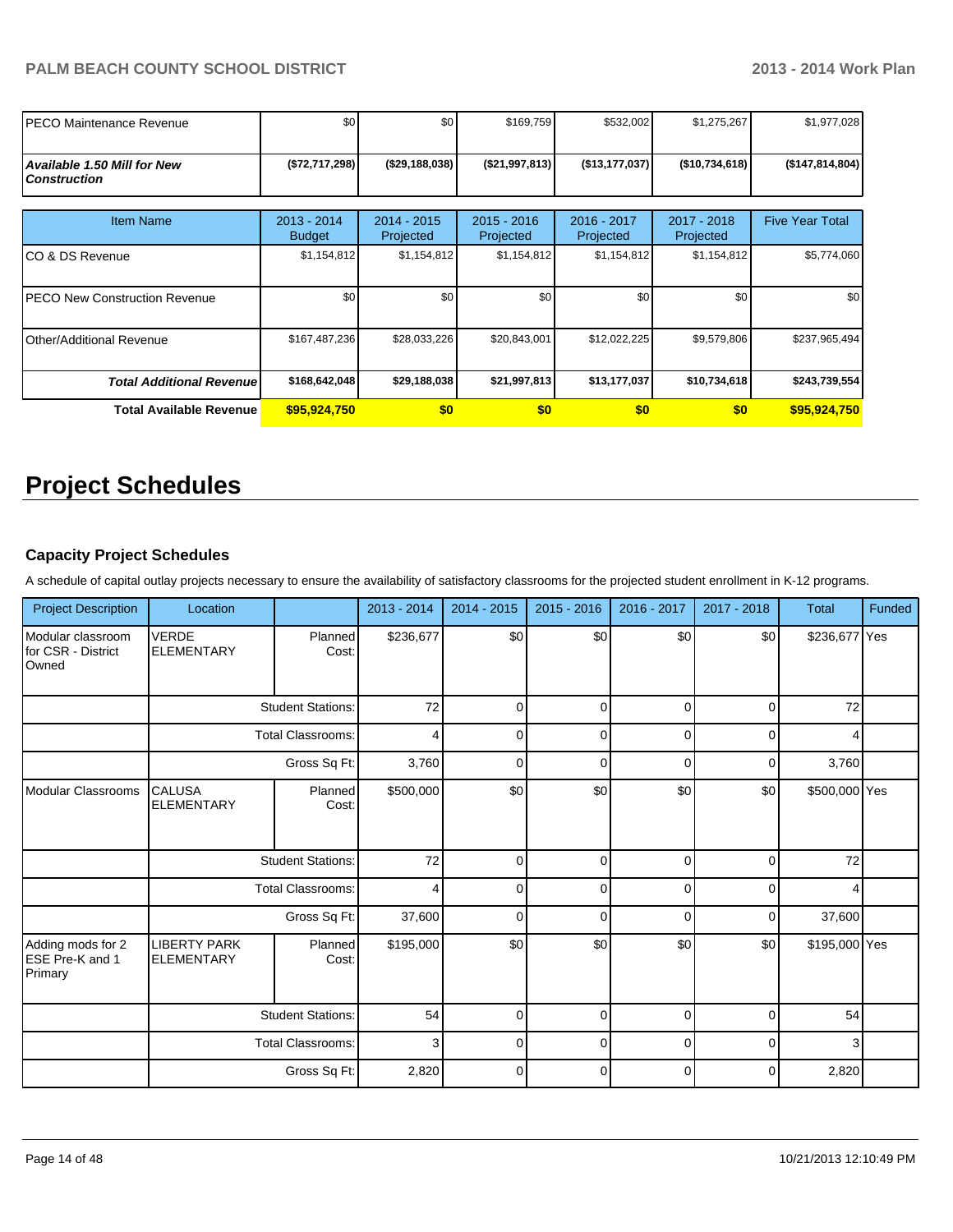| PECO Maintenance Revenue                                  | \$0                          | \$0 <sub>1</sub>         | \$169,759                  | \$532,002                | \$1,275,267              | \$1,977,028            |
|-----------------------------------------------------------|------------------------------|--------------------------|----------------------------|--------------------------|--------------------------|------------------------|
| <b>Available 1.50 Mill for New</b><br><b>Construction</b> | (\$72,717,298)               | (\$29,188,038)           | (\$21,997,813)             | (\$13, 177, 037)         | (\$10,734,618)           | ( \$147, 814, 804)     |
| <b>Item Name</b>                                          | 2013 - 2014<br><b>Budget</b> | 2014 - 2015<br>Projected | $2015 - 2016$<br>Projected | 2016 - 2017<br>Projected | 2017 - 2018<br>Projected | <b>Five Year Total</b> |
| ICO & DS Revenue                                          | \$1,154,812                  | \$1,154,812              | \$1,154,812                | \$1,154,812              | \$1,154,812              | \$5,774,060            |
| IPECO New Construction Revenue                            | \$0                          | \$0 <sub>1</sub>         | \$0                        | \$0                      | \$0                      | \$0                    |
| <b>Other/Additional Revenue</b>                           | \$167,487,236                | \$28,033,226             | \$20,843,001               | \$12,022,225             | \$9,579,806              | \$237,965,494          |
| <b>Total Additional Revenuel</b>                          | \$168,642,048                | \$29,188,038             | \$21,997,813               | \$13,177,037             | \$10,734,618             | \$243,739,554          |
| Total Available Revenue                                   | \$95,924,750                 | \$0                      | \$0                        | \$0                      | \$0                      | \$95,924,750           |

# **Project Schedules**

# **Capacity Project Schedules**

A schedule of capital outlay projects necessary to ensure the availability of satisfactory classrooms for the projected student enrollment in K-12 programs.

| <b>Project Description</b>                       | Location                                 |                          | 2013 - 2014    | 2014 - 2015 | $2015 - 2016$ | 2016 - 2017 | 2017 - 2018 | <b>Total</b>  | Funded |
|--------------------------------------------------|------------------------------------------|--------------------------|----------------|-------------|---------------|-------------|-------------|---------------|--------|
| Modular classroom<br>for CSR - District<br>Owned | <b>VERDE</b><br><b>ELEMENTARY</b>        | Planned<br>Cost:         | \$236,677      | \$0         | \$0           | \$0         | \$0         | \$236,677 Yes |        |
|                                                  |                                          | <b>Student Stations:</b> | 72             | $\Omega$    | $\Omega$      | $\Omega$    | $\Omega$    | 72            |        |
|                                                  | <b>Total Classrooms:</b>                 |                          | $\overline{4}$ | U           | $\Omega$      | U           | $\Omega$    |               |        |
|                                                  |                                          | Gross Sq Ft:             | 3,760          |             | $\Omega$      |             | $\Omega$    | 3,760         |        |
| Modular Classrooms                               | <b>CALUSA</b><br><b>ELEMENTARY</b>       | Planned<br>Cost:         | \$500,000      | \$0         | \$0           | \$0         | \$0         | \$500,000 Yes |        |
|                                                  | <b>Student Stations:</b>                 |                          | 72             | $\Omega$    | 0             | $\Omega$    | $\mathbf 0$ | 72            |        |
|                                                  |                                          | Total Classrooms:        | $\overline{4}$ | $\Omega$    | $\Omega$      | $\Omega$    | $\Omega$    |               |        |
|                                                  |                                          | Gross Sq Ft:             | 37,600         | $\Omega$    | $\Omega$      | $\Omega$    | $\Omega$    | 37,600        |        |
| Adding mods for 2<br>ESE Pre-K and 1<br>Primary  | <b>LIBERTY PARK</b><br><b>ELEMENTARY</b> | Planned<br>Cost:         | \$195,000      | \$0         | \$0           | \$0         | \$0         | \$195,000 Yes |        |
|                                                  |                                          | <b>Student Stations:</b> | 54             | $\Omega$    | $\Omega$      | $\Omega$    | $\Omega$    | 54            |        |
|                                                  |                                          | <b>Total Classrooms:</b> | 3              | 0           | 0             | 0           | 0           | 3             |        |
|                                                  |                                          | Gross Sq Ft:             | 2,820          | $\Omega$    | $\Omega$      | $\Omega$    | $\Omega$    | 2,820         |        |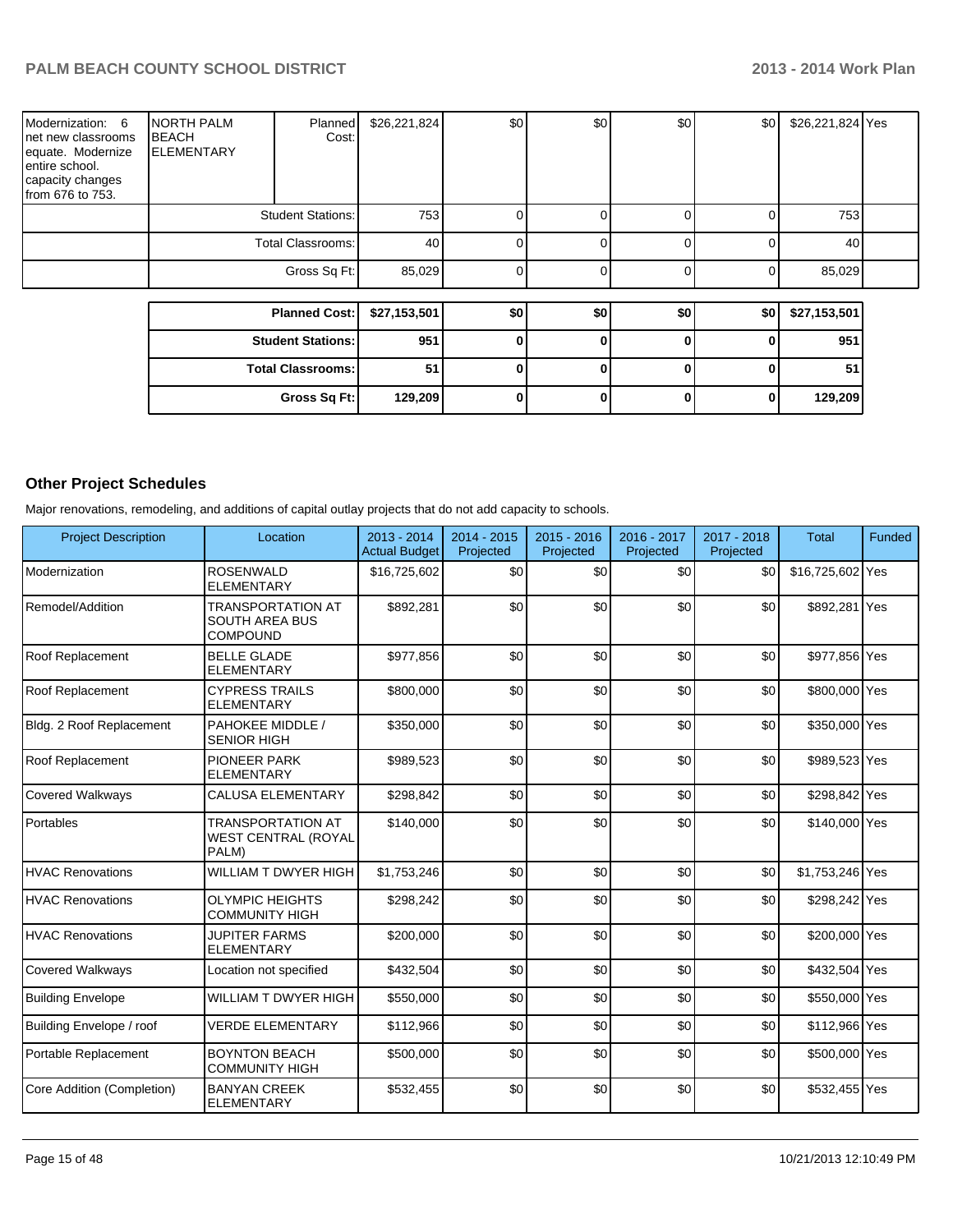| Modernization: 6<br>net new classrooms<br>equate. Modernize<br>entire school.<br>capacity changes<br>from 676 to 753. | <b>NORTH PALM</b><br><b>BEACH</b><br><b>ELEMENTARY</b> | Planned<br>Cost:         | \$26,221,824 | \$0 | \$0      | \$0          | \$0 | \$26,221,824 Yes |  |
|-----------------------------------------------------------------------------------------------------------------------|--------------------------------------------------------|--------------------------|--------------|-----|----------|--------------|-----|------------------|--|
|                                                                                                                       |                                                        | <b>Student Stations:</b> | 753          |     |          | ΩI           | 0   | 753              |  |
|                                                                                                                       | <b>Total Classrooms:</b>                               |                          | 40           |     |          | 0            | 0   | 40               |  |
|                                                                                                                       |                                                        | Gross Sq Ft:             | 85,029       |     |          | ΩI           | 0   | 85,029           |  |
|                                                                                                                       |                                                        |                          |              |     |          |              |     |                  |  |
|                                                                                                                       |                                                        | <b>Planned Cost:</b>     | \$27,153,501 | \$0 | \$0      | \$0          | \$0 | \$27,153,501     |  |
|                                                                                                                       |                                                        | <b>Student Stations:</b> | 951          |     | O        | $\Omega$     | 0   | 951              |  |
|                                                                                                                       |                                                        | <b>Total Classrooms:</b> | 51           |     | $\bf{0}$ | $\mathbf{0}$ | 0   | 51               |  |
|                                                                                                                       |                                                        | Gross Sq Ft:             | 129,209      |     | 0        | 0l           | 0   | 129,209          |  |

# **Other Project Schedules**

Major renovations, remodeling, and additions of capital outlay projects that do not add capacity to schools.

| <b>Project Description</b> | Location                                                             | $2013 - 2014$<br><b>Actual Budget</b> | $2014 - 2015$<br>Projected | $2015 - 2016$<br>Projected | 2016 - 2017<br>Projected | 2017 - 2018<br>Projected | <b>Total</b>     | Funded |
|----------------------------|----------------------------------------------------------------------|---------------------------------------|----------------------------|----------------------------|--------------------------|--------------------------|------------------|--------|
| Modernization              | <b>ROSENWALD</b><br><b>ELEMENTARY</b>                                | \$16,725,602                          | \$0                        | \$0                        | \$0                      | \$0                      | \$16,725,602 Yes |        |
| Remodel/Addition           | <b>TRANSPORTATION AT</b><br><b>SOUTH AREA BUS</b><br><b>COMPOUND</b> | \$892,281                             | \$0                        | \$0                        | \$0                      | \$0                      | \$892,281 Yes    |        |
| Roof Replacement           | <b>BELLE GLADE</b><br><b>ELEMENTARY</b>                              | \$977,856                             | \$0                        | \$0                        | \$0                      | \$0                      | \$977,856 Yes    |        |
| Roof Replacement           | <b>CYPRESS TRAILS</b><br><b>ELEMENTARY</b>                           | \$800,000                             | \$0                        | \$0                        | \$0                      | \$0                      | \$800,000 Yes    |        |
| Bldg. 2 Roof Replacement   | PAHOKEE MIDDLE /<br><b>SENIOR HIGH</b>                               | \$350,000                             | \$0                        | \$0                        | \$0                      | \$0                      | \$350,000 Yes    |        |
| Roof Replacement           | <b>PIONEER PARK</b><br><b>ELEMENTARY</b>                             | \$989,523                             | \$0                        | \$0                        | \$0                      | \$0                      | \$989,523 Yes    |        |
| <b>Covered Walkways</b>    | <b>CALUSA ELEMENTARY</b>                                             | \$298,842                             | \$0                        | \$0                        | \$0                      | \$0                      | \$298,842 Yes    |        |
| Portables                  | <b>TRANSPORTATION AT</b><br><b>WEST CENTRAL (ROYAL</b><br>PALM)      | \$140,000                             | \$0                        | \$0                        | \$0                      | \$0                      | \$140,000 Yes    |        |
| <b>HVAC Renovations</b>    | WILLIAM T DWYER HIGH                                                 | \$1,753,246                           | \$0                        | \$0                        | \$0                      | \$0                      | \$1,753,246 Yes  |        |
| <b>HVAC Renovations</b>    | <b>OLYMPIC HEIGHTS</b><br><b>COMMUNITY HIGH</b>                      | \$298,242                             | \$0                        | \$0                        | \$0                      | \$0                      | \$298,242 Yes    |        |
| <b>HVAC Renovations</b>    | <b>JUPITER FARMS</b><br><b>ELEMENTARY</b>                            | \$200,000                             | \$0                        | \$0                        | \$0                      | \$0                      | \$200,000 Yes    |        |
| <b>Covered Walkways</b>    | Location not specified                                               | \$432,504                             | \$0                        | \$0                        | \$0                      | \$0                      | \$432,504 Yes    |        |
| <b>Building Envelope</b>   | WILLIAM T DWYER HIGH                                                 | \$550,000                             | \$0                        | \$0                        | \$0                      | \$0                      | \$550,000 Yes    |        |
| Building Envelope / roof   | <b>VERDE ELEMENTARY</b>                                              | \$112,966                             | \$0                        | \$0                        | \$0                      | \$0                      | \$112,966 Yes    |        |
| Portable Replacement       | <b>BOYNTON BEACH</b><br><b>COMMUNITY HIGH</b>                        | \$500,000                             | \$0                        | \$0                        | \$0                      | \$0                      | \$500,000 Yes    |        |
| Core Addition (Completion) | <b>BANYAN CREEK</b><br><b>ELEMENTARY</b>                             | \$532,455                             | \$0                        | \$0                        | \$0                      | \$0                      | \$532,455 Yes    |        |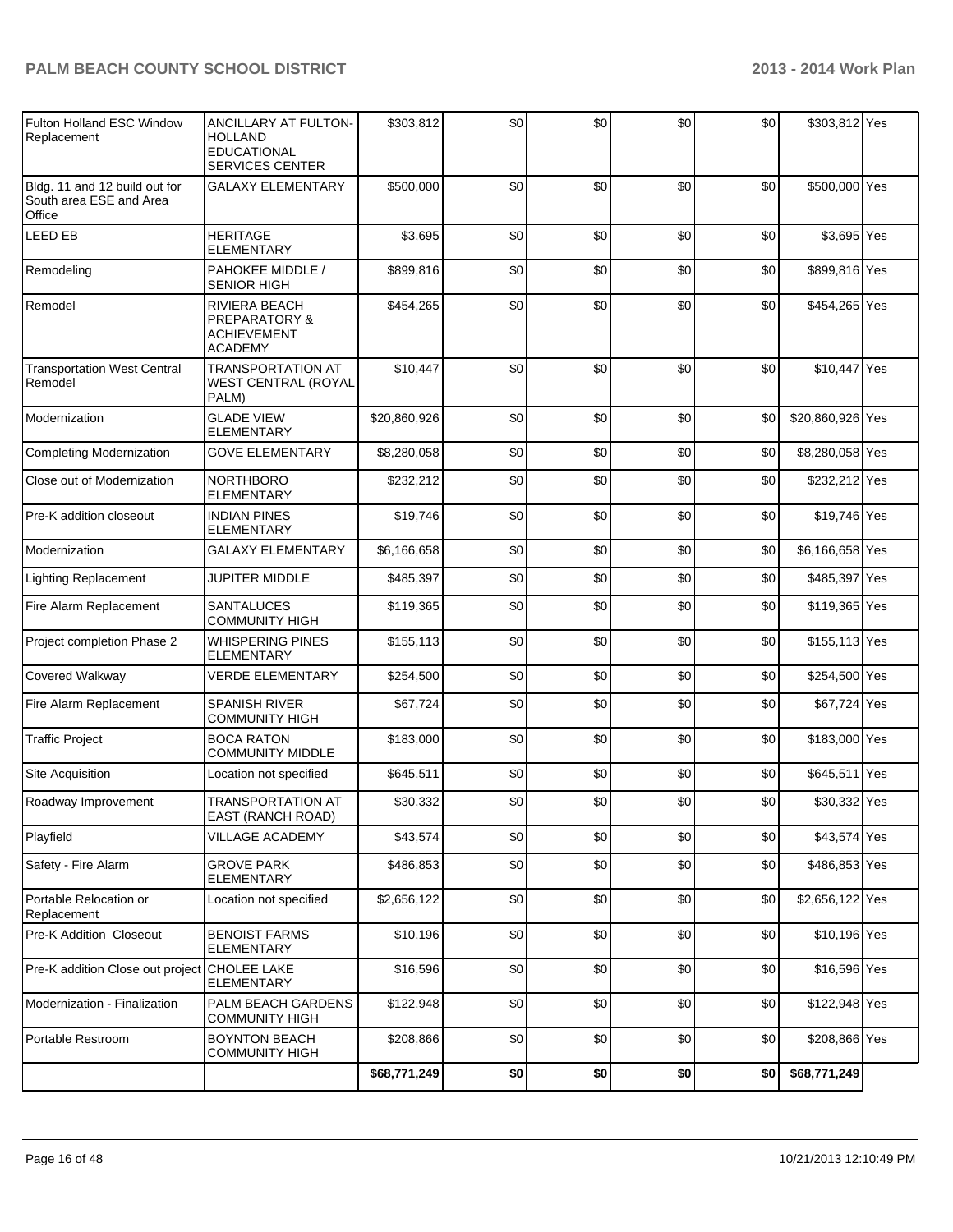| Fulton Holland ESC Window<br>Replacement                           | ANCILLARY AT FULTON-<br><b>HOLLAND</b><br><b>EDUCATIONAL</b><br><b>SERVICES CENTER</b> | \$303,812    | \$0 | \$0 | \$0 | \$0 | \$303,812 Yes    |     |
|--------------------------------------------------------------------|----------------------------------------------------------------------------------------|--------------|-----|-----|-----|-----|------------------|-----|
| Bldg. 11 and 12 build out for<br>South area ESE and Area<br>Office | <b>GALAXY ELEMENTARY</b>                                                               | \$500,000    | \$0 | \$0 | \$0 | \$0 | \$500,000 Yes    |     |
| <b>LEED EB</b>                                                     | <b>HERITAGE</b><br><b>ELEMENTARY</b>                                                   | \$3,695      | \$0 | \$0 | \$0 | \$0 | \$3,695          | Yes |
| Remodeling                                                         | PAHOKEE MIDDLE /<br><b>SENIOR HIGH</b>                                                 | \$899,816    | \$0 | \$0 | \$0 | \$0 | \$899,816 Yes    |     |
| Remodel                                                            | RIVIERA BEACH<br>PREPARATORY &<br><b>ACHIEVEMENT</b><br><b>ACADEMY</b>                 | \$454,265    | \$0 | \$0 | \$0 | \$0 | \$454,265 Yes    |     |
| <b>Transportation West Central</b><br>Remodel                      | <b>TRANSPORTATION AT</b><br><b>WEST CENTRAL (ROYAL</b><br>PALM)                        | \$10,447     | \$0 | \$0 | \$0 | \$0 | \$10,447 Yes     |     |
| Modernization                                                      | <b>GLADE VIEW</b><br><b>ELEMENTARY</b>                                                 | \$20,860,926 | \$0 | \$0 | \$0 | \$0 | \$20,860,926 Yes |     |
| Completing Modernization                                           | <b>GOVE ELEMENTARY</b>                                                                 | \$8,280,058  | \$0 | \$0 | \$0 | \$0 | \$8,280,058 Yes  |     |
| Close out of Modernization                                         | <b>NORTHBORO</b><br>ELEMENTARY                                                         | \$232,212    | \$0 | \$0 | \$0 | \$0 | \$232,212 Yes    |     |
| Pre-K addition closeout                                            | <b>INDIAN PINES</b><br>ELEMENTARY                                                      | \$19,746     | \$0 | \$0 | \$0 | \$0 | \$19,746 Yes     |     |
| Modernization                                                      | <b>GALAXY ELEMENTARY</b>                                                               | \$6,166,658  | \$0 | \$0 | \$0 | \$0 | \$6,166,658 Yes  |     |
| <b>Lighting Replacement</b>                                        | <b>JUPITER MIDDLE</b>                                                                  | \$485,397    | \$0 | \$0 | \$0 | \$0 | \$485,397 Yes    |     |
| Fire Alarm Replacement                                             | <b>SANTALUCES</b><br><b>COMMUNITY HIGH</b>                                             | \$119,365    | \$0 | \$0 | \$0 | \$0 | \$119,365 Yes    |     |
| Project completion Phase 2                                         | <b>WHISPERING PINES</b><br><b>ELEMENTARY</b>                                           | \$155,113    | \$0 | \$0 | \$0 | \$0 | \$155,113 Yes    |     |
| <b>Covered Walkway</b>                                             | <b>VERDE ELEMENTARY</b>                                                                | \$254,500    | \$0 | \$0 | \$0 | \$0 | \$254,500 Yes    |     |
| Fire Alarm Replacement                                             | <b>SPANISH RIVER</b><br><b>COMMUNITY HIGH</b>                                          | \$67,724     | \$0 | \$0 | \$0 | \$0 | \$67,724 Yes     |     |
| <b>Traffic Project</b>                                             | <b>BOCA RATON</b><br><b>COMMUNITY MIDDLE</b>                                           | \$183,000    | \$0 | \$0 | \$0 | \$0 | \$183,000 Yes    |     |
| Site Acquisition                                                   | Location not specified                                                                 | \$645,511    | \$0 | \$0 | \$0 | \$0 | \$645,511 Yes    |     |
| Roadway Improvement                                                | <b>TRANSPORTATION AT</b><br>EAST (RANCH ROAD)                                          | \$30,332     | \$0 | \$0 | \$0 | \$0 | \$30,332 Yes     |     |
| Playfield                                                          | <b>VILLAGE ACADEMY</b>                                                                 | \$43,574     | \$0 | \$0 | \$0 | \$0 | \$43,574 Yes     |     |
| Safety - Fire Alarm                                                | <b>GROVE PARK</b><br><b>ELEMENTARY</b>                                                 | \$486,853    | \$0 | \$0 | \$0 | \$0 | \$486,853 Yes    |     |
| Portable Relocation or<br>Replacement                              | Location not specified                                                                 | \$2,656,122  | \$0 | \$0 | \$0 | \$0 | \$2,656,122 Yes  |     |
| <b>Pre-K Addition Closeout</b>                                     | <b>BENOIST FARMS</b><br>ELEMENTARY                                                     | \$10,196     | \$0 | \$0 | \$0 | \$0 | \$10,196 Yes     |     |
| Pre-K addition Close out project CHOLEE LAKE                       | <b>ELEMENTARY</b>                                                                      | \$16,596     | \$0 | \$0 | \$0 | \$0 | \$16,596 Yes     |     |
| Modernization - Finalization                                       | PALM BEACH GARDENS<br><b>COMMUNITY HIGH</b>                                            | \$122,948    | \$0 | \$0 | \$0 | \$0 | \$122,948 Yes    |     |
| Portable Restroom                                                  | <b>BOYNTON BEACH</b><br><b>COMMUNITY HIGH</b>                                          | \$208,866    | \$0 | \$0 | \$0 | \$0 | \$208,866 Yes    |     |
|                                                                    |                                                                                        | \$68,771,249 | \$0 | \$0 | \$0 | \$0 | \$68,771,249     |     |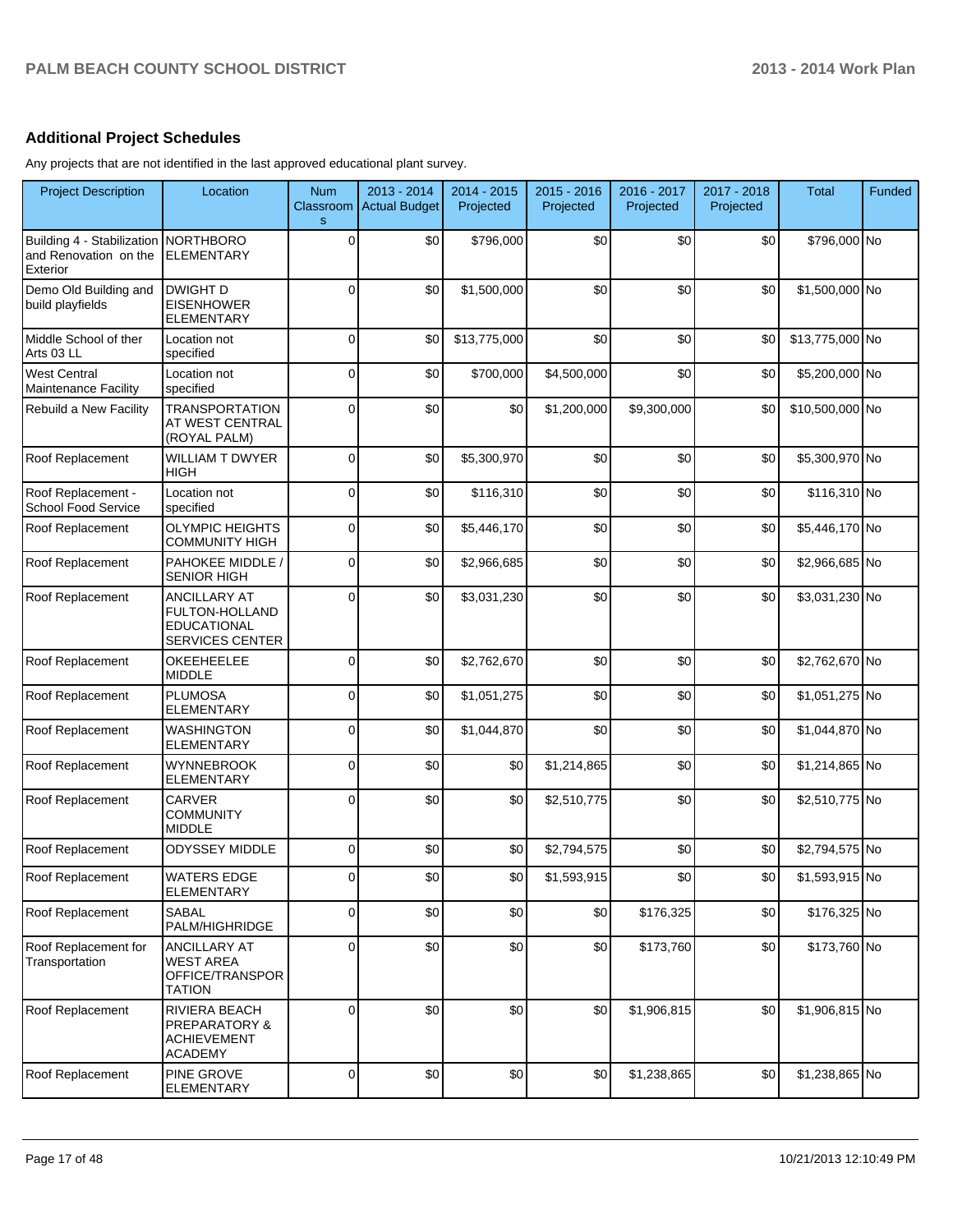## **Additional Project Schedules**

Any projects that are not identified in the last approved educational plant survey.

| <b>Project Description</b>                                      | Location                                                                              | <b>Num</b><br>Classroom<br>$\mathbf{s}$ | 2013 - 2014<br><b>Actual Budget</b> | 2014 - 2015<br>Projected | $2015 - 2016$<br>Projected | 2016 - 2017<br>Projected | 2017 - 2018<br>Projected | <b>Total</b>    | Funded |
|-----------------------------------------------------------------|---------------------------------------------------------------------------------------|-----------------------------------------|-------------------------------------|--------------------------|----------------------------|--------------------------|--------------------------|-----------------|--------|
| Building 4 - Stabilization<br>and Renovation on the<br>Exterior | NORTHBORO<br><b>ELEMENTARY</b>                                                        | 0                                       | \$0                                 | \$796,000                | \$0                        | \$0                      | \$0                      | \$796,000 No    |        |
| Demo Old Building and<br>build playfields                       | <b>DWIGHT D</b><br><b>EISENHOWER</b><br><b>ELEMENTARY</b>                             | $\Omega$                                | \$0                                 | \$1,500,000              | \$0                        | \$0                      | \$0                      | \$1,500,000 No  |        |
| Middle School of ther<br>Arts 03 LL                             | Location not<br>specified                                                             | $\Omega$                                | \$0                                 | \$13,775,000             | \$0                        | \$0                      | \$0                      | \$13,775,000 No |        |
| <b>West Central</b><br>Maintenance Facility                     | Location not<br>specified                                                             | 0                                       | \$0                                 | \$700,000                | \$4,500,000                | \$0                      | \$0                      | \$5,200,000 No  |        |
| Rebuild a New Facility                                          | <b>TRANSPORTATION</b><br>AT WEST CENTRAL<br>(ROYAL PALM)                              | $\Omega$                                | \$0                                 | \$0                      | \$1,200,000                | \$9,300,000              | \$0                      | \$10,500,000 No |        |
| Roof Replacement                                                | <b>WILLIAM T DWYER</b><br><b>HIGH</b>                                                 | 0                                       | \$0                                 | \$5,300,970              | \$0                        | \$0                      | \$0                      | \$5,300,970 No  |        |
| Roof Replacement -<br>School Food Service                       | Location not<br>specified                                                             | $\Omega$                                | \$0                                 | \$116,310                | \$0                        | \$0                      | \$0                      | \$116,310 No    |        |
| Roof Replacement                                                | <b>OLYMPIC HEIGHTS</b><br>COMMUNITY HIGH                                              | $\Omega$                                | \$0                                 | \$5,446,170              | \$0                        | \$0                      | \$0                      | \$5,446,170 No  |        |
| Roof Replacement                                                | PAHOKEE MIDDLE /<br><b>SENIOR HIGH</b>                                                | $\Omega$                                | \$0                                 | \$2,966,685              | \$0                        | \$0                      | \$0                      | \$2,966,685 No  |        |
| Roof Replacement                                                | <b>ANCILLARY AT</b><br>FULTON-HOLLAND<br><b>EDUCATIONAL</b><br><b>SERVICES CENTER</b> | $\Omega$                                | \$0                                 | \$3,031,230              | \$0                        | \$0                      | \$0                      | \$3,031,230 No  |        |
| Roof Replacement                                                | <b>OKEEHEELEE</b><br><b>MIDDLE</b>                                                    | 0                                       | \$0                                 | \$2,762,670              | \$0                        | \$0                      | \$0                      | \$2,762,670 No  |        |
| Roof Replacement                                                | <b>PLUMOSA</b><br><b>ELEMENTARY</b>                                                   | $\Omega$                                | \$0                                 | \$1,051,275              | \$0                        | \$0                      | \$0                      | \$1,051,275 No  |        |
| Roof Replacement                                                | <b>WASHINGTON</b><br><b>ELEMENTARY</b>                                                | $\Omega$                                | \$0                                 | \$1,044,870              | \$0                        | \$0                      | \$0                      | \$1,044,870 No  |        |
| <b>Roof Replacement</b>                                         | <b>WYNNEBROOK</b><br><b>ELEMENTARY</b>                                                | 0                                       | \$0                                 | \$0                      | \$1,214,865                | \$0                      | \$0                      | \$1,214,865 No  |        |
| Roof Replacement                                                | CARVER<br><b>COMMUNITY</b><br><b>MIDDLE</b>                                           | 0                                       | \$0                                 | \$0                      | \$2,510,775                | \$0                      | \$0                      | \$2,510,775 No  |        |
| Roof Replacement                                                | <b>ODYSSEY MIDDLE</b>                                                                 | 0                                       | \$0                                 | \$0                      | \$2,794,575                | \$0                      | \$0                      | \$2,794,575 No  |        |
| Roof Replacement                                                | <b>WATERS EDGE</b><br><b>ELEMENTARY</b>                                               |                                         | \$0                                 | \$0                      | \$1,593,915                | \$0                      | \$0                      | \$1,593,915 No  |        |
| Roof Replacement                                                | <b>SABAL</b><br>PALM/HIGHRIDGE                                                        | 0                                       | \$0                                 | \$0                      | \$0                        | \$176,325                | \$0                      | \$176,325 No    |        |
| Roof Replacement for<br>Transportation                          | ANCILLARY AT<br><b>WEST AREA</b><br>OFFICE/TRANSPOR<br><b>TATION</b>                  | $\Omega$                                | \$0                                 | \$0                      | \$0                        | \$173,760                | \$0                      | \$173,760 No    |        |
| Roof Replacement                                                | RIVIERA BEACH<br><b>PREPARATORY &amp;</b><br><b>ACHIEVEMENT</b><br><b>ACADEMY</b>     | 0                                       | \$0                                 | \$0                      | \$0                        | \$1,906,815              | \$0                      | \$1,906,815 No  |        |
| Roof Replacement                                                | PINE GROVE<br><b>ELEMENTARY</b>                                                       | 0                                       | \$0                                 | \$0                      | \$0                        | \$1,238,865              | \$0                      | \$1,238,865 No  |        |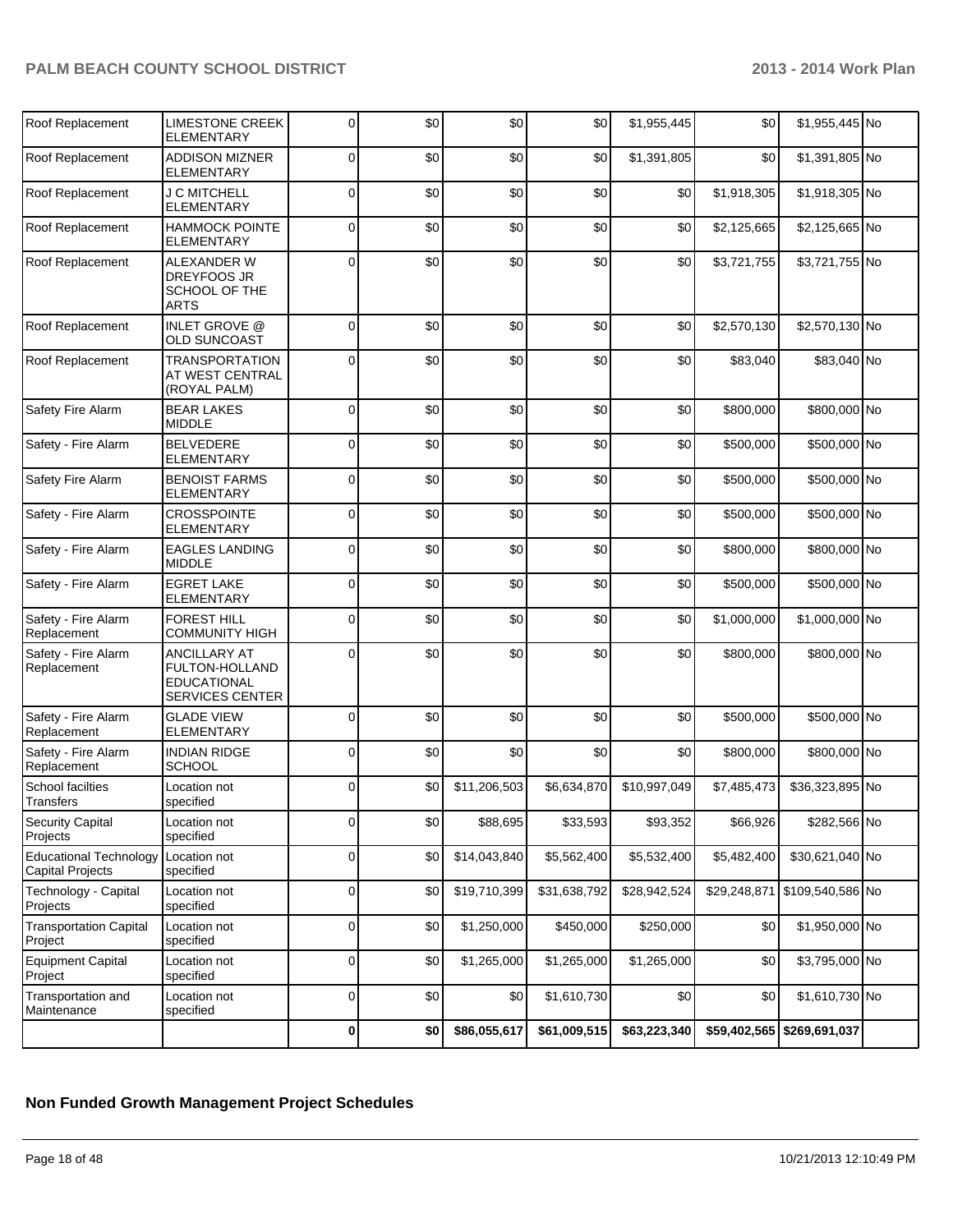| Roof Replacement                                         | <b>LIMESTONE CREEK</b><br>ELEMENTARY                                           | 0        | \$0 | \$0          | \$0          | \$1,955,445  | \$0         | \$1,955,445 No                |  |
|----------------------------------------------------------|--------------------------------------------------------------------------------|----------|-----|--------------|--------------|--------------|-------------|-------------------------------|--|
| Roof Replacement                                         | <b>ADDISON MIZNER</b><br><b>ELEMENTARY</b>                                     | 0        | \$0 | \$0          | \$0          | \$1,391,805  | \$0         | \$1,391,805 No                |  |
| Roof Replacement                                         | <b>J C MITCHELL</b><br><b>ELEMENTARY</b>                                       | 0        | \$0 | \$0          | \$0          | \$0          | \$1,918,305 | \$1,918,305 No                |  |
| Roof Replacement                                         | <b>HAMMOCK POINTE</b><br><b>ELEMENTARY</b>                                     | 0        | \$0 | \$0          | \$0          | \$0          | \$2,125,665 | \$2,125,665 No                |  |
| Roof Replacement                                         | ALEXANDER W<br>DREYFOOS JR<br>SCHOOL OF THE<br>ARTS                            | $\Omega$ | \$0 | \$0          | \$0          | \$0          | \$3,721,755 | \$3,721,755 No                |  |
| Roof Replacement                                         | <b>INLET GROVE @</b><br><b>OLD SUNCOAST</b>                                    | 0        | \$0 | \$0          | \$0          | \$0          | \$2,570,130 | \$2,570,130 No                |  |
| Roof Replacement                                         | <b>TRANSPORTATION</b><br>AT WEST CENTRAL<br>(ROYAL PALM)                       | 0        | \$0 | \$0          | \$0          | \$0          | \$83,040    | \$83,040 No                   |  |
| Safety Fire Alarm                                        | <b>BEAR LAKES</b><br><b>MIDDLE</b>                                             | 0        | \$0 | \$0          | \$0          | \$0          | \$800,000   | \$800,000 No                  |  |
| Safety - Fire Alarm                                      | <b>BELVEDERE</b><br><b>ELEMENTARY</b>                                          | 0        | \$0 | \$0          | \$0          | \$0          | \$500,000   | \$500,000 No                  |  |
| Safety Fire Alarm                                        | <b>BENOIST FARMS</b><br>ELEMENTARY                                             | 0        | \$0 | \$0          | \$0          | \$0          | \$500,000   | \$500,000 No                  |  |
| Safety - Fire Alarm                                      | <b>CROSSPOINTE</b><br>ELEMENTARY                                               | 0        | \$0 | \$0          | \$0          | \$0          | \$500,000   | \$500,000 No                  |  |
| Safety - Fire Alarm                                      | <b>EAGLES LANDING</b><br><b>MIDDLE</b>                                         | 0        | \$0 | \$0          | \$0          | \$0          | \$800,000   | \$800,000 No                  |  |
| Safety - Fire Alarm                                      | <b>EGRET LAKE</b><br><b>ELEMENTARY</b>                                         | 0        | \$0 | \$0          | \$0          | \$0          | \$500,000   | \$500,000 No                  |  |
| Safety - Fire Alarm<br>Replacement                       | <b>FOREST HILL</b><br><b>COMMUNITY HIGH</b>                                    | 0        | \$0 | \$0          | \$0          | \$0          | \$1,000,000 | \$1,000,000 No                |  |
| Safety - Fire Alarm<br>Replacement                       | <b>ANCILLARY AT</b><br>FULTON-HOLLAND<br>EDUCATIONAL<br><b>SERVICES CENTER</b> | 0        | \$0 | \$0          | \$0          | \$0          | \$800,000   | \$800,000 No                  |  |
| Safety - Fire Alarm<br>Replacement                       | <b>GLADE VIEW</b><br><b>ELEMENTARY</b>                                         | 0        | \$0 | \$0          | \$0          | \$0          | \$500,000   | \$500,000 No                  |  |
| Safety - Fire Alarm<br>Replacement                       | <b>INDIAN RIDGE</b><br><b>SCHOOL</b>                                           | 0        | \$0 | \$0          | \$0          | \$0          | \$800,000   | \$800,000 No                  |  |
| School facilties<br>Transfers                            | Location not<br>specified                                                      | 0        | \$0 | \$11,206,503 | \$6,634,870  | \$10,997,049 | \$7,485,473 | \$36,323,895 No               |  |
| <b>Security Capital</b><br>Projects                      | Location not<br>specified                                                      | 0        | \$0 | \$88,695     | \$33,593     | \$93,352     | \$66,926    | \$282,566 No                  |  |
| <b>Educational Technology</b><br><b>Capital Projects</b> | Location not<br>specified                                                      | 0        | \$0 | \$14,043,840 | \$5,562,400  | \$5,532,400  | \$5,482,400 | \$30,621,040 No               |  |
| Technology - Capital<br>Projects                         | Location not<br>specified                                                      | 0        | \$0 | \$19,710,399 | \$31,638,792 | \$28,942,524 |             | \$29,248,871 \$109,540,586 No |  |
| <b>Transportation Capital</b><br>Project                 | Location not<br>specified                                                      | 0        | \$0 | \$1,250,000  | \$450,000    | \$250,000    | \$0         | \$1,950,000 No                |  |
| <b>Equipment Capital</b><br>Project                      | Location not<br>specified                                                      | 0        | \$0 | \$1,265,000  | \$1,265,000  | \$1,265,000  | \$0         | \$3,795,000 No                |  |
| Transportation and<br>Maintenance                        | Location not<br>specified                                                      | 0        | \$0 | \$0          | \$1,610,730  | \$0          | \$0         | \$1,610,730 No                |  |
|                                                          |                                                                                | 0        | \$0 | \$86,055,617 | \$61,009,515 | \$63,223,340 |             | \$59,402,565 \$269,691,037    |  |

## **Non Funded Growth Management Project Schedules**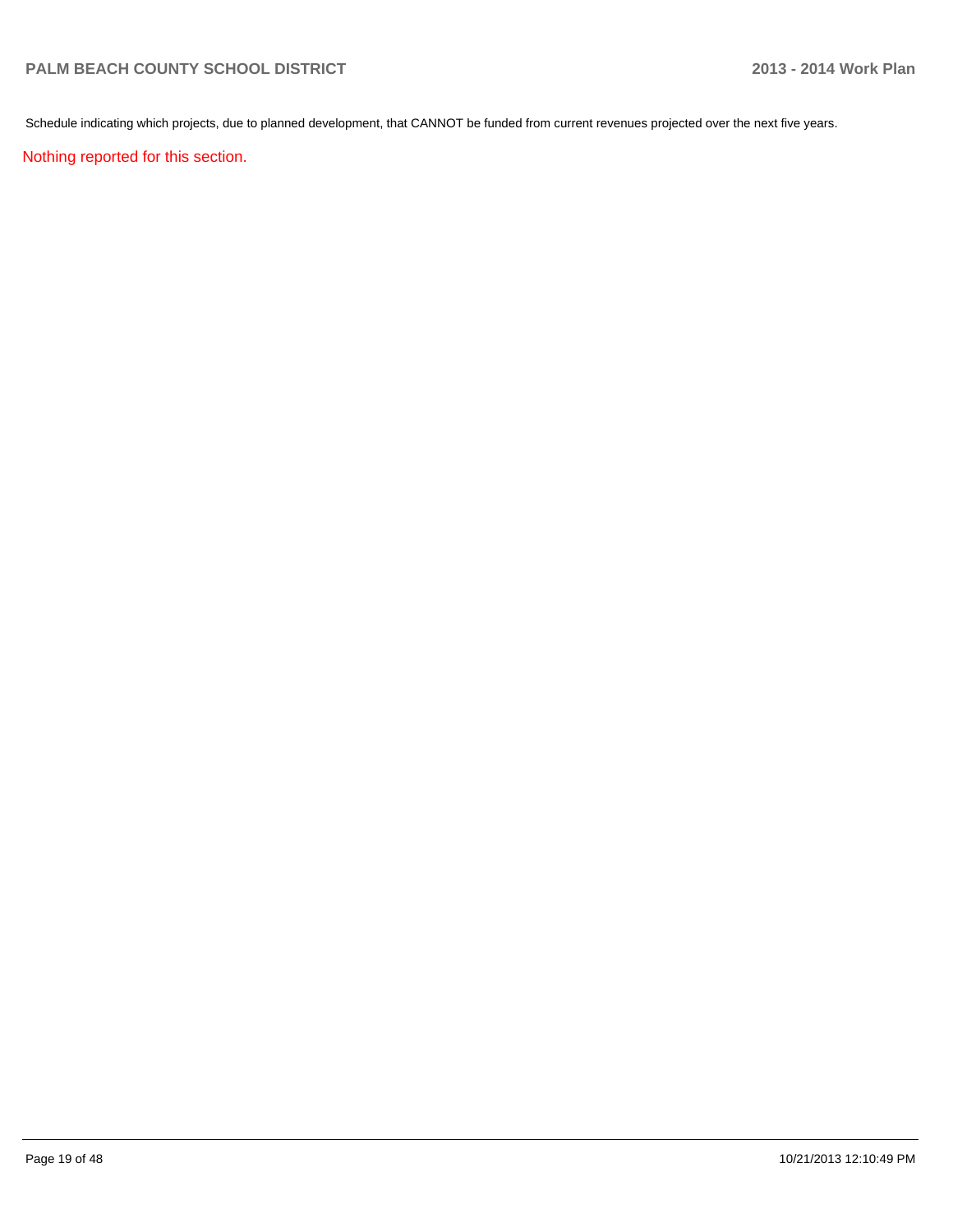Schedule indicating which projects, due to planned development, that CANNOT be funded from current revenues projected over the next five years.

Nothing reported for this section.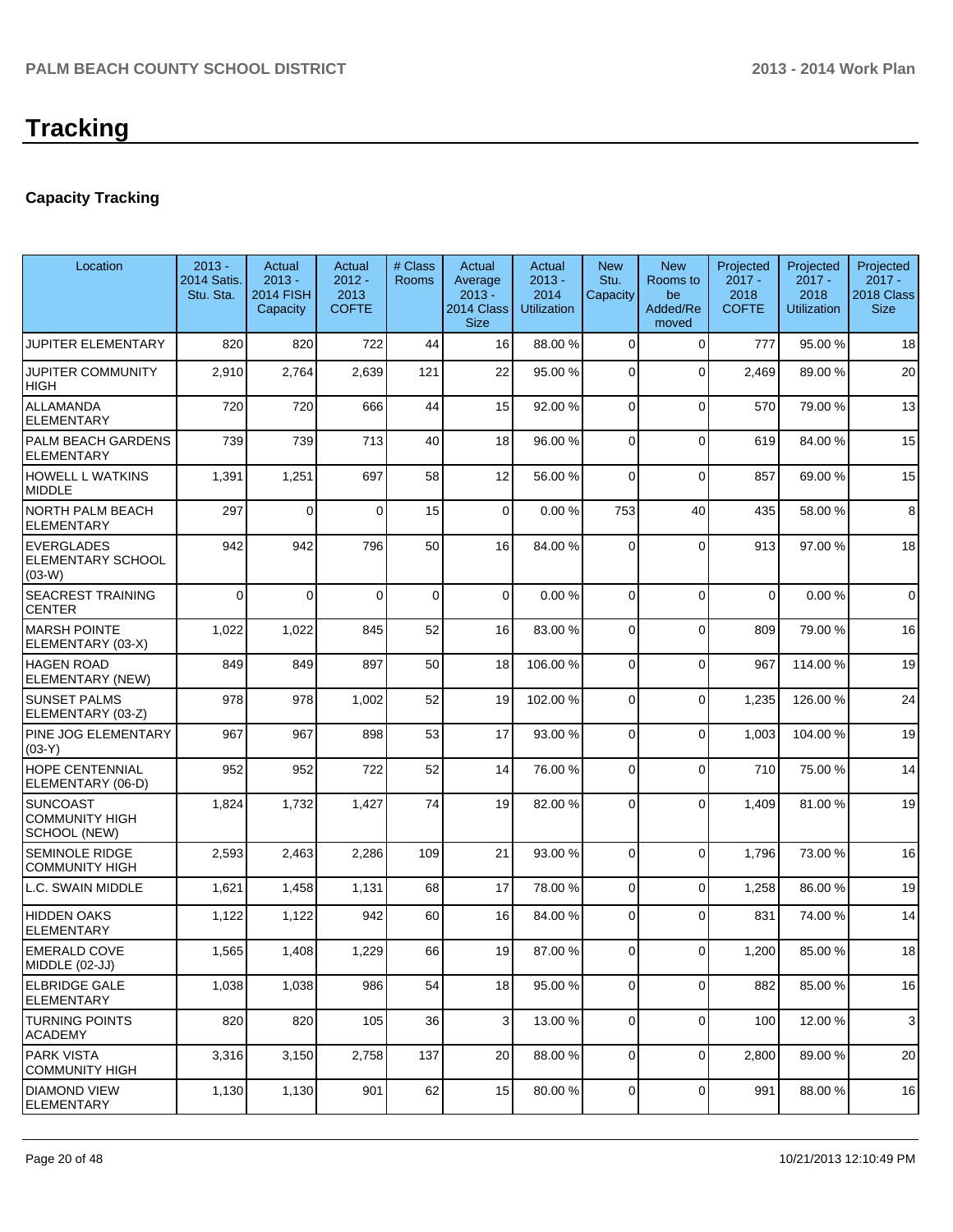# **Tracking**

# **Capacity Tracking**

| Location                                                 | $2013 -$<br>2014 Satis.<br>Stu. Sta. | Actual<br>$2013 -$<br><b>2014 FISH</b><br>Capacity | Actual<br>$2012 -$<br>2013<br><b>COFTE</b> | # Class<br><b>Rooms</b> | Actual<br>Average<br>$2013 -$<br>2014 Class<br><b>Size</b> | Actual<br>$2013 -$<br>2014<br><b>Utilization</b> | <b>New</b><br>Stu.<br>Capacity | <b>New</b><br>Rooms to<br>be<br>Added/Re<br>moved | Projected<br>$2017 -$<br>2018<br><b>COFTE</b> | Projected<br>$2017 -$<br>2018<br><b>Utilization</b> | Projected<br>$2017 -$<br>2018 Class<br><b>Size</b> |
|----------------------------------------------------------|--------------------------------------|----------------------------------------------------|--------------------------------------------|-------------------------|------------------------------------------------------------|--------------------------------------------------|--------------------------------|---------------------------------------------------|-----------------------------------------------|-----------------------------------------------------|----------------------------------------------------|
| <b>JUPITER ELEMENTARY</b>                                | 820                                  | 820                                                | 722                                        | 44                      | 16                                                         | 88.00 %                                          | $\mathbf 0$                    | $\Omega$                                          | 777                                           | 95.00 %                                             | 18                                                 |
| <b>JUPITER COMMUNITY</b><br><b>HIGH</b>                  | 2,910                                | 2,764                                              | 2,639                                      | 121                     | 22                                                         | 95.00 %                                          | 0                              | $\Omega$                                          | 2,469                                         | 89.00 %                                             | 20                                                 |
| <b>ALLAMANDA</b><br><b>ELEMENTARY</b>                    | 720                                  | 720                                                | 666                                        | 44                      | 15                                                         | 92.00 %                                          | 0                              | $\Omega$                                          | 570                                           | 79.00 %                                             | 13                                                 |
| PALM BEACH GARDENS<br><b>ELEMENTARY</b>                  | 739                                  | 739                                                | 713                                        | 40                      | 18                                                         | 96.00 %                                          | 0                              | $\Omega$                                          | 619                                           | 84.00 %                                             | 15                                                 |
| HOWELL L WATKINS<br><b>MIDDLE</b>                        | 1,391                                | 1,251                                              | 697                                        | 58                      | 12                                                         | 56.00 %                                          | $\mathbf 0$                    | $\Omega$                                          | 857                                           | 69.00 %                                             | 15                                                 |
| INORTH PALM BEACH<br><b>ELEMENTARY</b>                   | 297                                  | $\Omega$                                           | $\Omega$                                   | 15                      | 0                                                          | 0.00%                                            | 753                            | 40                                                | 435                                           | 58.00 %                                             | 8                                                  |
| <b>EVERGLADES</b><br>ELEMENTARY SCHOOL<br>$(03-W)$       | 942                                  | 942                                                | 796                                        | 50                      | 16                                                         | 84.00 %                                          | 0                              | 0                                                 | 913                                           | 97.00 %                                             | 18                                                 |
| <b>SEACREST TRAINING</b><br><b>CENTER</b>                | 0                                    | $\mathbf 0$                                        | $\Omega$                                   | $\mathbf 0$             | 0                                                          | 0.00%                                            | $\mathbf 0$                    | $\Omega$                                          | $\mathbf 0$                                   | 0.00%                                               | $\mathbf 0$                                        |
| <b>MARSH POINTE</b><br>ELEMENTARY (03-X)                 | 1,022                                | 1,022                                              | 845                                        | 52                      | 16                                                         | 83.00 %                                          | 0                              | $\Omega$                                          | 809                                           | 79.00 %                                             | 16                                                 |
| <b>HAGEN ROAD</b><br>ELEMENTARY (NEW)                    | 849                                  | 849                                                | 897                                        | 50                      | 18                                                         | 106.00%                                          | 0                              | $\Omega$                                          | 967                                           | 114.00 %                                            | 19                                                 |
| <b>SUNSET PALMS</b><br>ELEMENTARY (03-Z)                 | 978                                  | 978                                                | 1,002                                      | 52                      | 19                                                         | 102.00 %                                         | 0                              | $\Omega$                                          | 1,235                                         | 126.00 %                                            | 24                                                 |
| PINE JOG ELEMENTARY<br>$(03-Y)$                          | 967                                  | 967                                                | 898                                        | 53                      | 17                                                         | 93.00 %                                          | 0                              | $\Omega$                                          | 1,003                                         | 104.00%                                             | 19                                                 |
| <b>HOPE CENTENNIAL</b><br>ELEMENTARY (06-D)              | 952                                  | 952                                                | 722                                        | 52                      | 14                                                         | 76.00 %                                          | 0                              | $\Omega$                                          | 710                                           | 75.00 %                                             | 14                                                 |
| <b>SUNCOAST</b><br><b>COMMUNITY HIGH</b><br>SCHOOL (NEW) | 1,824                                | 1,732                                              | 1,427                                      | 74                      | 19                                                         | 82.00 %                                          | 0                              | $\Omega$                                          | 1,409                                         | 81.00 %                                             | 19                                                 |
| <b>SEMINOLE RIDGE</b><br><b>COMMUNITY HIGH</b>           | 2,593                                | 2,463                                              | 2,286                                      | 109                     | 21                                                         | 93.00 %                                          | 0                              | $\Omega$                                          | 1,796                                         | 73.00 %                                             | 16                                                 |
| L.C. SWAIN MIDDLE                                        | 1,621                                | 1,458                                              | 1,131                                      | 68                      | 17                                                         | 78.00 %                                          | $\mathbf 0$                    | $\mathbf 0$                                       | 1,258                                         | 86.00 %                                             | 19                                                 |
| <b>HIDDEN OAKS</b><br>ELEMENTARY                         | 1,122                                | 1,122                                              | 942                                        | 60                      | 16                                                         | 84.00 %                                          | 0                              | $\Omega$                                          | 831                                           | 74.00 %                                             | 14                                                 |
| <b>EMERALD COVE</b><br>MIDDLE (02-JJ)                    | 1,565                                | 1,408                                              | 1,229                                      | 66                      | 19                                                         | 87.00 %                                          | $\overline{0}$                 | 0                                                 | 1,200                                         | 85.00 %                                             | 18                                                 |
| ELBRIDGE GALE<br><b>ELEMENTARY</b>                       | 1,038                                | 1,038                                              | 986                                        | 54                      | 18                                                         | 95.00 %                                          | 0                              | $\mathbf 0$                                       | 882                                           | 85.00 %                                             | 16                                                 |
| <b>TURNING POINTS</b><br>ACADEMY                         | 820                                  | 820                                                | 105                                        | 36                      | 3                                                          | 13.00 %                                          | $\mathbf 0$                    | $\mathbf 0$                                       | 100                                           | 12.00 %                                             | 3                                                  |
| <b>PARK VISTA</b><br>COMMUNITY HIGH                      | 3,316                                | 3,150                                              | 2,758                                      | 137                     | 20                                                         | 88.00 %                                          | 0                              | $\mathbf 0$                                       | 2,800                                         | 89.00 %                                             | 20                                                 |
| <b>DIAMOND VIEW</b><br><b>ELEMENTARY</b>                 | 1,130                                | 1,130                                              | 901                                        | 62                      | 15                                                         | 80.00 %                                          | $\mathbf 0$                    | $\mathbf 0$                                       | 991                                           | 88.00 %                                             | 16                                                 |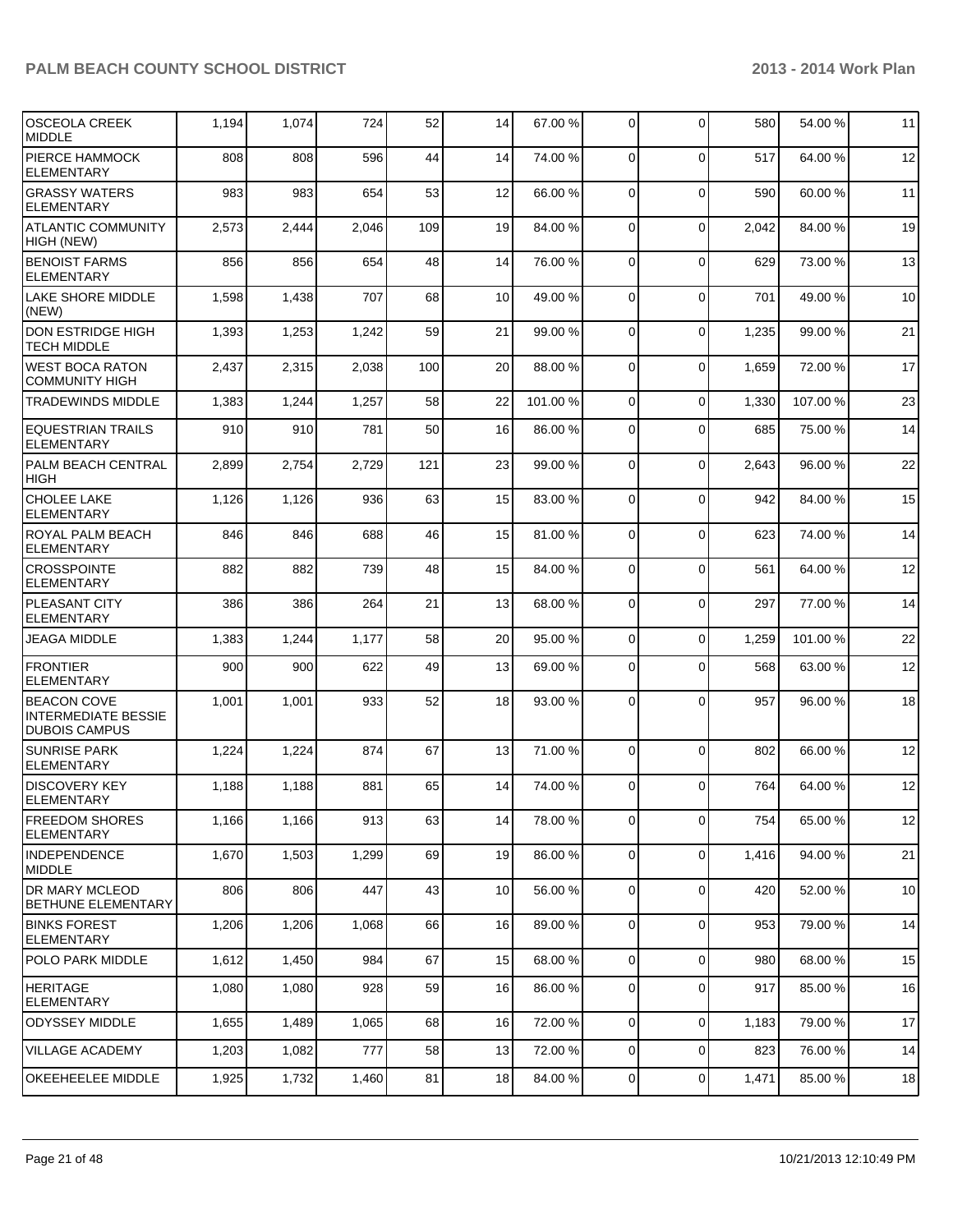| <b>OSCEOLA CREEK</b><br><b>MIDDLE</b>                                    | 1,194 | 1,074 | 724   | 52  | 14 | 67.00 %  | $\mathbf 0$    | $\Omega$    | 580   | 54.00 %  | 11 |
|--------------------------------------------------------------------------|-------|-------|-------|-----|----|----------|----------------|-------------|-------|----------|----|
| PIERCE HAMMOCK<br><b>ELEMENTARY</b>                                      | 808   | 808   | 596   | 44  | 14 | 74.00 %  | 0              | $\Omega$    | 517   | 64.00 %  | 12 |
| <b>GRASSY WATERS</b><br>ELEMENTARY                                       | 983   | 983   | 654   | 53  | 12 | 66.00 %  | 0              | $\Omega$    | 590   | 60.00 %  | 11 |
| <b>ATLANTIC COMMUNITY</b><br>HIGH (NEW)                                  | 2,573 | 2,444 | 2,046 | 109 | 19 | 84.00 %  | 0              | $\mathbf 0$ | 2,042 | 84.00 %  | 19 |
| <b>BENOIST FARMS</b><br><b>ELEMENTARY</b>                                | 856   | 856   | 654   | 48  | 14 | 76.00 %  | 0              | $\mathbf 0$ | 629   | 73.00 %  | 13 |
| LAKE SHORE MIDDLE<br>(NEW)                                               | 1,598 | 1,438 | 707   | 68  | 10 | 49.00 %  | $\Omega$       | $\Omega$    | 701   | 49.00 %  | 10 |
| <b>DON ESTRIDGE HIGH</b><br><b>TECH MIDDLE</b>                           | 1,393 | 1,253 | 1,242 | 59  | 21 | 99.00 %  | $\mathbf 0$    | $\Omega$    | 1,235 | 99.00 %  | 21 |
| <b>WEST BOCA RATON</b><br><b>COMMUNITY HIGH</b>                          | 2,437 | 2,315 | 2,038 | 100 | 20 | 88.00 %  | $\Omega$       | $\Omega$    | 1,659 | 72.00 %  | 17 |
| <b>TRADEWINDS MIDDLE</b>                                                 | 1,383 | 1,244 | 1,257 | 58  | 22 | 101.00 % | $\mathbf 0$    | $\Omega$    | 1,330 | 107.00 % | 23 |
| <b>EQUESTRIAN TRAILS</b><br><b>ELEMENTARY</b>                            | 910   | 910   | 781   | 50  | 16 | 86.00 %  | 0              | $\Omega$    | 685   | 75.00 %  | 14 |
| PALM BEACH CENTRAL<br><b>HIGH</b>                                        | 2,899 | 2,754 | 2,729 | 121 | 23 | 99.00 %  | $\Omega$       | $\mathbf 0$ | 2,643 | 96.00 %  | 22 |
| CHOLEE LAKE<br><b>ELEMENTARY</b>                                         | 1,126 | 1,126 | 936   | 63  | 15 | 83.00 %  | $\Omega$       | $\Omega$    | 942   | 84.00 %  | 15 |
| ROYAL PALM BEACH<br><b>ELEMENTARY</b>                                    | 846   | 846   | 688   | 46  | 15 | 81.00 %  | $\Omega$       | $\Omega$    | 623   | 74.00 %  | 14 |
| <b>CROSSPOINTE</b><br><b>ELEMENTARY</b>                                  | 882   | 882   | 739   | 48  | 15 | 84.00 %  | 0              | $\Omega$    | 561   | 64.00 %  | 12 |
| PLEASANT CITY<br>ELEMENTARY                                              | 386   | 386   | 264   | 21  | 13 | 68.00 %  | $\Omega$       | $\Omega$    | 297   | 77.00 %  | 14 |
| <b>JEAGA MIDDLE</b>                                                      | 1,383 | 1,244 | 1,177 | 58  | 20 | 95.00 %  | 0              | $\Omega$    | 1,259 | 101.00 % | 22 |
| <b>FRONTIER</b><br><b>ELEMENTARY</b>                                     | 900   | 900   | 622   | 49  | 13 | 69.00 %  | 0              | $\Omega$    | 568   | 63.00 %  | 12 |
| <b>BEACON COVE</b><br><b>INTERMEDIATE BESSIE</b><br><b>DUBOIS CAMPUS</b> | 1,001 | 1,001 | 933   | 52  | 18 | 93.00 %  | 0              | $\Omega$    | 957   | 96.00 %  | 18 |
| <b>SUNRISE PARK</b><br>ELEMENTARY                                        | 1,224 | 1,224 | 874   | 67  | 13 | 71.00 %  | $\mathbf 0$    | $\Omega$    | 802   | 66.00 %  | 12 |
| IDISCOVERY KEY<br> ELEMENTARY                                            | 1,188 | 1,188 | 881   | 65  | 14 | 74.00 %  | 0              | $\Omega$    | 764   | 64.00 %  | 12 |
| <b>FREEDOM SHORES</b><br><b>ELEMENTARY</b>                               | 1,166 | 1,166 | 913   | 63  | 14 | 78.00 %  | 0              | $\mathbf 0$ | 754   | 65.00 %  | 12 |
| <b>INDEPENDENCE</b><br>MIDDLE                                            | 1,670 | 1,503 | 1,299 | 69  | 19 | 86.00 %  | $\mathbf 0$    | $\mathbf 0$ | 1,416 | 94.00 %  | 21 |
| <b>DR MARY MCLEOD</b><br><b>BETHUNE ELEMENTARY</b>                       | 806   | 806   | 447   | 43  | 10 | 56.00 %  | $\overline{0}$ | $\mathbf 0$ | 420   | 52.00 %  | 10 |
| <b>BINKS FOREST</b><br><b>ELEMENTARY</b>                                 | 1,206 | 1,206 | 1,068 | 66  | 16 | 89.00 %  | $\mathbf 0$    | $\mathbf 0$ | 953   | 79.00 %  | 14 |
| POLO PARK MIDDLE                                                         | 1,612 | 1,450 | 984   | 67  | 15 | 68.00 %  | $\mathbf 0$    | $\Omega$    | 980   | 68.00 %  | 15 |
| <b>HERITAGE</b><br><b>ELEMENTARY</b>                                     | 1,080 | 1,080 | 928   | 59  | 16 | 86.00 %  | 0              | $\mathbf 0$ | 917   | 85.00 %  | 16 |
| <b>ODYSSEY MIDDLE</b>                                                    | 1,655 | 1,489 | 1,065 | 68  | 16 | 72.00 %  | $\overline{0}$ | $\mathbf 0$ | 1,183 | 79.00 %  | 17 |
| <b>VILLAGE ACADEMY</b>                                                   | 1,203 | 1,082 | 777   | 58  | 13 | 72.00 %  | $\mathbf 0$    | $\mathbf 0$ | 823   | 76.00 %  | 14 |
| OKEEHEELEE MIDDLE                                                        | 1,925 | 1,732 | 1,460 | 81  | 18 | 84.00 %  | 0              | $\pmb{0}$   | 1,471 | 85.00 %  | 18 |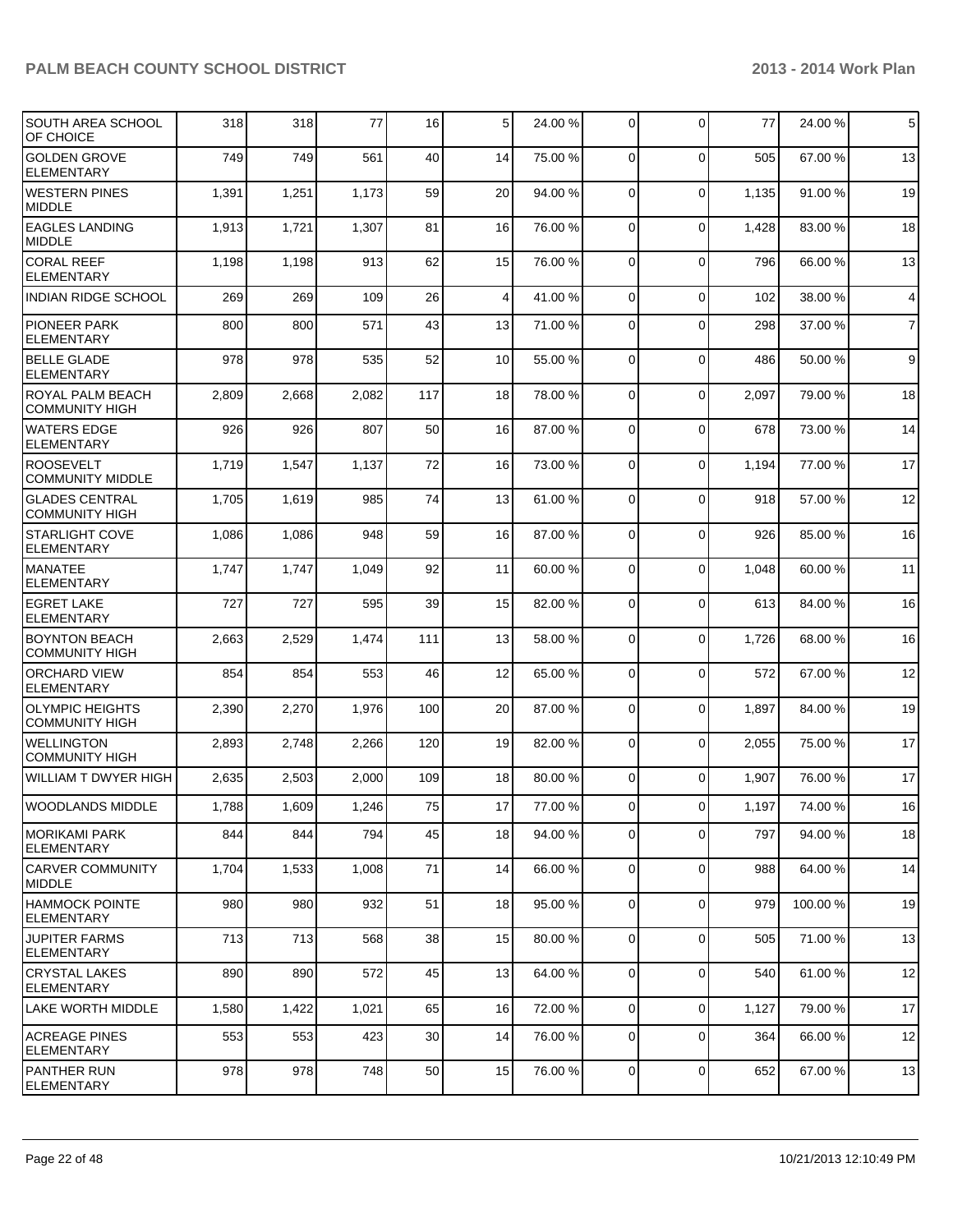| <b>SOUTH AREA SCHOOL</b><br>OF CHOICE            | 318   | 318   | 77    | 16  | 5  | 24.00 % | $\mathbf 0$    | $\mathbf 0$ | 77    | 24.00 % | $\,$ 5 $\,$             |
|--------------------------------------------------|-------|-------|-------|-----|----|---------|----------------|-------------|-------|---------|-------------------------|
| <b>GOLDEN GROVE</b><br><b>ELEMENTARY</b>         | 749   | 749   | 561   | 40  | 14 | 75.00 % | $\Omega$       | $\Omega$    | 505   | 67.00 % | 13                      |
| <b>WESTERN PINES</b><br>MIDDLE                   | 1,391 | 1,251 | 1,173 | 59  | 20 | 94.00 % | $\mathbf 0$    | $\mathbf 0$ | 1,135 | 91.00 % | 19                      |
| <b>EAGLES LANDING</b><br><b>MIDDLE</b>           | 1,913 | 1,721 | 1,307 | 81  | 16 | 76.00 % | $\mathbf 0$    | $\Omega$    | 1,428 | 83.00 % | 18                      |
| <b>CORAL REEF</b><br><b>ELEMENTARY</b>           | 1,198 | 1,198 | 913   | 62  | 15 | 76.00 % | 0              | $\mathbf 0$ | 796   | 66.00 % | 13                      |
| <b>INDIAN RIDGE SCHOOL</b>                       | 269   | 269   | 109   | 26  | 4  | 41.00 % | $\overline{0}$ | $\mathbf 0$ | 102   | 38.00 % | $\overline{\mathbf{4}}$ |
| <b>PIONEER PARK</b><br><b>ELEMENTARY</b>         | 800   | 800   | 571   | 43  | 13 | 71.00 % | 0              | $\Omega$    | 298   | 37.00 % | $\overline{7}$          |
| <b>BELLE GLADE</b><br><b>ELEMENTARY</b>          | 978   | 978   | 535   | 52  | 10 | 55.00 % | $\mathbf 0$    | $\Omega$    | 486   | 50.00 % | 9                       |
| <b>ROYAL PALM BEACH</b><br><b>COMMUNITY HIGH</b> | 2,809 | 2,668 | 2,082 | 117 | 18 | 78.00 % | $\mathbf 0$    | $\Omega$    | 2,097 | 79.00 % | 18                      |
| <b>WATERS EDGE</b><br><b>ELEMENTARY</b>          | 926   | 926   | 807   | 50  | 16 | 87.00 % | 0              | $\Omega$    | 678   | 73.00 % | 14                      |
| <b>ROOSEVELT</b><br><b>COMMUNITY MIDDLE</b>      | 1,719 | 1,547 | 1,137 | 72  | 16 | 73.00 % | 0              | $\Omega$    | 1,194 | 77.00 % | 17                      |
| <b>GLADES CENTRAL</b><br><b>COMMUNITY HIGH</b>   | 1,705 | 1,619 | 985   | 74  | 13 | 61.00 % | $\mathbf 0$    | $\Omega$    | 918   | 57.00 % | 12                      |
| <b>STARLIGHT COVE</b><br><b>ELEMENTARY</b>       | 1,086 | 1,086 | 948   | 59  | 16 | 87.00 % | 0              | $\mathbf 0$ | 926   | 85.00 % | 16                      |
| <b>MANATEE</b><br><b>ELEMENTARY</b>              | 1,747 | 1,747 | 1,049 | 92  | 11 | 60.00 % | 0              | $\Omega$    | 1,048 | 60.00 % | 11                      |
| <b>EGRET LAKE</b><br><b>ELEMENTARY</b>           | 727   | 727   | 595   | 39  | 15 | 82.00 % | 0              | $\mathbf 0$ | 613   | 84.00 % | 16                      |
| <b>BOYNTON BEACH</b><br><b>COMMUNITY HIGH</b>    | 2,663 | 2,529 | 1,474 | 111 | 13 | 58.00 % | 0              | $\mathbf 0$ | 1,726 | 68.00 % | 16                      |
| <b>ORCHARD VIEW</b><br><b>ELEMENTARY</b>         | 854   | 854   | 553   | 46  | 12 | 65.00 % | 0              | $\mathbf 0$ | 572   | 67.00 % | 12                      |
| <b>OLYMPIC HEIGHTS</b><br><b>COMMUNITY HIGH</b>  | 2,390 | 2,270 | 1,976 | 100 | 20 | 87.00 % | 0              | $\Omega$    | 1,897 | 84.00 % | 19                      |
| <b>WELLINGTON</b><br><b>COMMUNITY HIGH</b>       | 2,893 | 2,748 | 2,266 | 120 | 19 | 82.00 % | $\mathbf 0$    | $\mathbf 0$ | 2,055 | 75.00 % | 17                      |
| <b>WILLIAM T DWYER HIGH</b>                      | 2,635 | 2,503 | 2,000 | 109 | 18 | 80.00 % | 0              | $\Omega$    | 1,907 | 76.00 % | 17                      |
| <b>WOODLANDS MIDDLE</b>                          | 1,788 | 1,609 | 1,246 | 75  | 17 | 77.00 % | $\Omega$       | $\mathbf 0$ | 1,197 | 74.00 % | 16                      |
| MORIKAMI PARK<br>ELEMENTARY                      | 844   | 844   | 794   | 45  | 18 | 94.00 % | 0              | $\Omega$    | 797   | 94.00 % | 18                      |
| <b>CARVER COMMUNITY</b><br>MIDDLE                | 1,704 | 1,533 | 1,008 | 71  | 14 | 66.00 % | 0              | $\mathbf 0$ | 988   | 64.00 % | 14                      |
| <b>HAMMOCK POINTE</b><br>ELEMENTARY              | 980   | 980   | 932   | 51  | 18 | 95.00 % | 0              | $\Omega$    | 979   | 100.00% | 19                      |
| <b>JUPITER FARMS</b><br>ELEMENTARY               | 713   | 713   | 568   | 38  | 15 | 80.00 % | 0              | $\mathbf 0$ | 505   | 71.00 % | 13                      |
| <b>CRYSTAL LAKES</b><br><b>ELEMENTARY</b>        | 890   | 890   | 572   | 45  | 13 | 64.00 % | $\mathbf 0$    | $\Omega$    | 540   | 61.00%  | 12                      |
| <b>LAKE WORTH MIDDLE</b>                         | 1,580 | 1,422 | 1,021 | 65  | 16 | 72.00 % | 0              | 0           | 1,127 | 79.00 % | 17                      |
| ACREAGE PINES<br>ELEMENTARY                      | 553   | 553   | 423   | 30  | 14 | 76.00 % | 0              | 0           | 364   | 66.00 % | 12                      |
| PANTHER RUN<br>ELEMENTARY                        | 978   | 978   | 748   | 50  | 15 | 76.00 % | $\overline{0}$ | $\mathbf 0$ | 652   | 67.00 % | 13                      |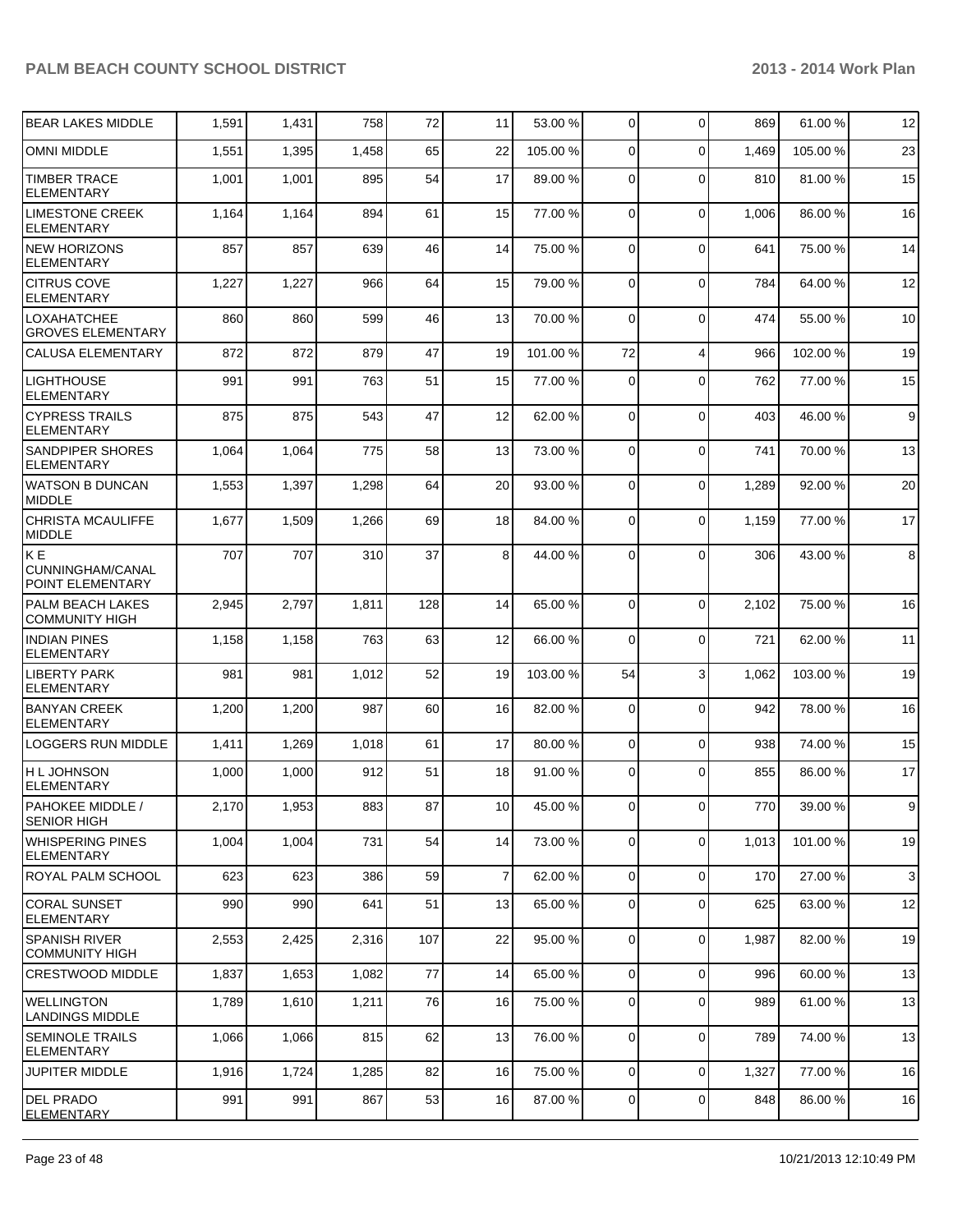| <b>BEAR LAKES MIDDLE</b>                          | 1,591 | 1,431 | 758   | 72  | 11 | 53.00 %  | 0              | $\Omega$       | 869   | 61.00 %  | 12           |
|---------------------------------------------------|-------|-------|-------|-----|----|----------|----------------|----------------|-------|----------|--------------|
| <b>OMNI MIDDLE</b>                                | 1,551 | 1,395 | 1,458 | 65  | 22 | 105.00 % | 0              | $\Omega$       | 1,469 | 105.00 % | 23           |
| <b>TIMBER TRACE</b><br><b>ELEMENTARY</b>          | 1,001 | 1,001 | 895   | 54  | 17 | 89.00 %  | 0              | $\Omega$       | 810   | 81.00 %  | 15           |
| <b>LIMESTONE CREEK</b><br><b>ELEMENTARY</b>       | 1,164 | 1,164 | 894   | 61  | 15 | 77.00 %  | 0              | $\mathbf 0$    | 1,006 | 86.00 %  | 16           |
| <b>NEW HORIZONS</b><br><b>ELEMENTARY</b>          | 857   | 857   | 639   | 46  | 14 | 75.00 %  | 0              | $\mathbf 0$    | 641   | 75.00 %  | 14           |
| <b>CITRUS COVE</b><br><b>ELEMENTARY</b>           | 1,227 | 1,227 | 966   | 64  | 15 | 79.00 %  | 0              | $\mathbf 0$    | 784   | 64.00 %  | 12           |
| <b>LOXAHATCHEE</b><br><b>GROVES ELEMENTARY</b>    | 860   | 860   | 599   | 46  | 13 | 70.00 %  | 0              | $\Omega$       | 474   | 55.00 %  | 10           |
| <b>CALUSA ELEMENTARY</b>                          | 872   | 872   | 879   | 47  | 19 | 101.00 % | 72             | $\overline{4}$ | 966   | 102.00%  | 19           |
| <b>LIGHTHOUSE</b><br><b>ELEMENTARY</b>            | 991   | 991   | 763   | 51  | 15 | 77.00 %  | 0              | $\mathbf 0$    | 762   | 77.00 %  | 15           |
| <b>CYPRESS TRAILS</b><br><b>ELEMENTARY</b>        | 875   | 875   | 543   | 47  | 12 | 62.00 %  | $\mathbf 0$    | $\Omega$       | 403   | 46.00 %  | 9            |
| SANDPIPER SHORES<br><b>ELEMENTARY</b>             | 1,064 | 1,064 | 775   | 58  | 13 | 73.00 %  | 0              | $\Omega$       | 741   | 70.00 %  | 13           |
| <b>WATSON B DUNCAN</b><br><b>MIDDLE</b>           | 1,553 | 1,397 | 1,298 | 64  | 20 | 93.00 %  | $\Omega$       | $\Omega$       | 1,289 | 92.00 %  | 20           |
| <b>CHRISTA MCAULIFFE</b><br>MIDDLE                | 1,677 | 1,509 | 1,266 | 69  | 18 | 84.00 %  | 0              | $\Omega$       | 1,159 | 77.00 %  | 17           |
| <b>KE</b><br>CUNNINGHAM/CANAL<br>POINT ELEMENTARY | 707   | 707   | 310   | 37  | 8  | 44.00 %  | 0              | $\Omega$       | 306   | 43.00 %  | 8            |
| <b>PALM BEACH LAKES</b><br><b>COMMUNITY HIGH</b>  | 2,945 | 2,797 | 1,811 | 128 | 14 | 65.00 %  | $\mathbf 0$    | $\Omega$       | 2,102 | 75.00 %  | 16           |
| <b>INDIAN PINES</b><br><b>ELEMENTARY</b>          | 1,158 | 1,158 | 763   | 63  | 12 | 66.00 %  | $\mathbf 0$    | $\Omega$       | 721   | 62.00 %  | 11           |
| <b>LIBERTY PARK</b><br><b>ELEMENTARY</b>          | 981   | 981   | 1,012 | 52  | 19 | 103.00 % | 54             | 3              | 1,062 | 103.00 % | 19           |
| <b>BANYAN CREEK</b><br><b>ELEMENTARY</b>          | 1,200 | 1,200 | 987   | 60  | 16 | 82.00 %  | 0              | $\Omega$       | 942   | 78.00 %  | 16           |
| LOGGERS RUN MIDDLE                                | 1,411 | 1,269 | 1,018 | 61  | 17 | 80.00 %  | $\mathbf 0$    | $\mathbf 0$    | 938   | 74.00 %  | 15           |
| <b>HLJOHNSON</b><br>ELEMENTARY                    | 1,000 | 1,000 | 912   | 51  | 18 | 91.00 %  | 0              | $\Omega$       | 855   | 86.00 %  | 17           |
| <b>PAHOKEE MIDDLE /</b><br><b>SENIOR HIGH</b>     | 2,170 | 1,953 | 883   | 87  | 10 | 45.00 %  | $\Omega$       | $\Omega$       | 770   | 39.00 %  | $\mathsf{Q}$ |
| <b>WHISPERING PINES</b><br><b>ELEMENTARY</b>      | 1,004 | 1,004 | 731   | 54  | 14 | 73.00 %  | 0              | 0              | 1,013 | 101.00 % | 19           |
| ROYAL PALM SCHOOL                                 | 623   | 623   | 386   | 59  | 7  | 62.00 %  | $\overline{0}$ | $\mathbf 0$    | 170   | 27.00 %  | $\mathbf{3}$ |
| <b>CORAL SUNSET</b><br><b>ELEMENTARY</b>          | 990   | 990   | 641   | 51  | 13 | 65.00 %  | $\overline{0}$ | $\mathbf 0$    | 625   | 63.00 %  | 12           |
| <b>SPANISH RIVER</b><br><b>COMMUNITY HIGH</b>     | 2,553 | 2,425 | 2,316 | 107 | 22 | 95.00 %  | 0              | $\mathbf 0$    | 1,987 | 82.00 %  | 19           |
| <b>CRESTWOOD MIDDLE</b>                           | 1,837 | 1,653 | 1,082 | 77  | 14 | 65.00 %  | 0              | $\mathbf 0$    | 996   | 60.00 %  | 13           |
| <b>WELLINGTON</b><br><b>LANDINGS MIDDLE</b>       | 1,789 | 1,610 | 1,211 | 76  | 16 | 75.00 %  | 0              | $\mathbf 0$    | 989   | 61.00 %  | 13           |
| <b>SEMINOLE TRAILS</b><br><b>ELEMENTARY</b>       | 1,066 | 1,066 | 815   | 62  | 13 | 76.00 %  | 0              | $\mathbf 0$    | 789   | 74.00 %  | 13           |
| <b>JUPITER MIDDLE</b>                             | 1,916 | 1,724 | 1,285 | 82  | 16 | 75.00 %  | $\overline{0}$ | $\mathbf 0$    | 1,327 | 77.00 %  | 16           |
| <b>DEL PRADO</b><br><b>ELEMENTARY</b>             | 991   | 991   | 867   | 53  | 16 | 87.00 %  | 0              | 0              | 848   | 86.00 %  | 16           |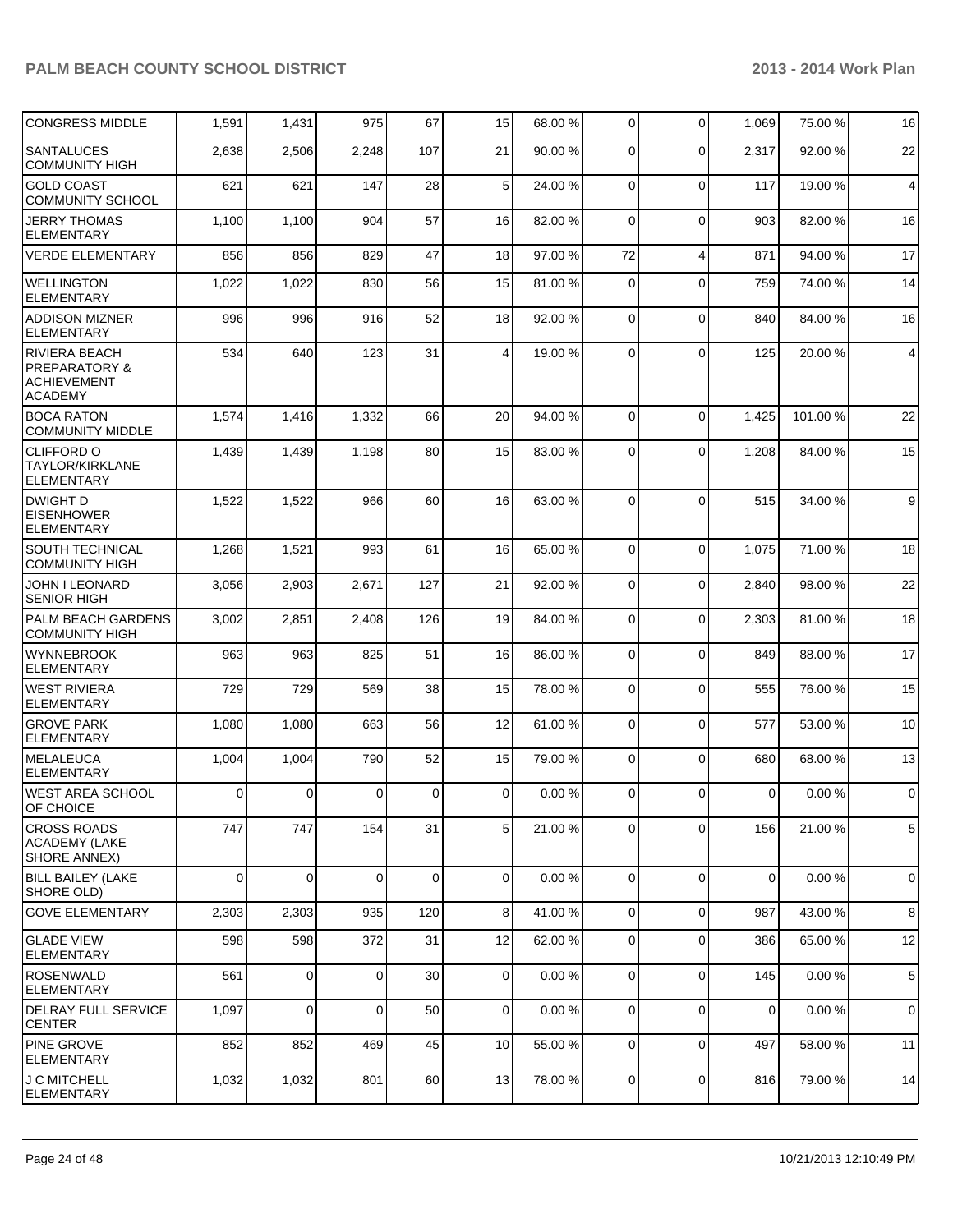| <b>CONGRESS MIDDLE</b>                                                                   | 1,591    | 1,431       | 975            | 67          | 15             | 68.00 % | 0              | $\Omega$       | 1,069       | 75.00 %  | 16             |
|------------------------------------------------------------------------------------------|----------|-------------|----------------|-------------|----------------|---------|----------------|----------------|-------------|----------|----------------|
| <b>SANTALUCES</b><br><b>COMMUNITY HIGH</b>                                               | 2,638    | 2,506       | 2,248          | 107         | 21             | 90.00 % | 0              | $\Omega$       | 2,317       | 92.00 %  | 22             |
| <b>GOLD COAST</b><br><b>COMMUNITY SCHOOL</b>                                             | 621      | 621         | 147            | 28          | 5              | 24.00 % | 0              | $\Omega$       | 117         | 19.00 %  | $\overline{4}$ |
| <b>JERRY THOMAS</b><br><b>ELEMENTARY</b>                                                 | 1,100    | 1,100       | 904            | 57          | 16             | 82.00 % | $\overline{0}$ | $\Omega$       | 903         | 82.00 %  | 16             |
| <b>VERDE ELEMENTARY</b>                                                                  | 856      | 856         | 829            | 47          | 18             | 97.00 % | 72             | $\overline{4}$ | 871         | 94.00 %  | 17             |
| <b>WELLINGTON</b><br><b>ELEMENTARY</b>                                                   | 1,022    | 1,022       | 830            | 56          | 15             | 81.00 % | 0              | $\Omega$       | 759         | 74.00 %  | 14             |
| <b>ADDISON MIZNER</b><br><b>ELEMENTARY</b>                                               | 996      | 996         | 916            | 52          | 18             | 92.00 % | 0              | $\Omega$       | 840         | 84.00 %  | 16             |
| <b>RIVIERA BEACH</b><br><b>PREPARATORY &amp;</b><br><b>ACHIEVEMENT</b><br><b>ACADEMY</b> | 534      | 640         | 123            | 31          | $\overline{4}$ | 19.00 % | 0              | $\Omega$       | 125         | 20.00 %  | $\overline{4}$ |
| <b>BOCA RATON</b><br><b>COMMUNITY MIDDLE</b>                                             | 1,574    | 1,416       | 1,332          | 66          | 20             | 94.00 % | $\overline{0}$ | $\Omega$       | 1,425       | 101.00 % | 22             |
| <b>CLIFFORD O</b><br><b>TAYLOR/KIRKLANE</b><br><b>ELEMENTARY</b>                         | 1,439    | 1,439       | 1,198          | 80          | 15             | 83.00 % | 0              | $\Omega$       | 1,208       | 84.00 %  | 15             |
| <b>DWIGHT D</b><br><b>EISENHOWER</b><br><b>ELEMENTARY</b>                                | 1,522    | 1,522       | 966            | 60          | 16             | 63.00 % | 0              | $\mathbf 0$    | 515         | 34.00 %  | 9              |
| <b>SOUTH TECHNICAL</b><br><b>COMMUNITY HIGH</b>                                          | 1,268    | 1,521       | 993            | 61          | 16             | 65.00 % | $\Omega$       | $\Omega$       | 1,075       | 71.00 %  | 18             |
| <b>JOHN I LEONARD</b><br><b>SENIOR HIGH</b>                                              | 3,056    | 2,903       | 2,671          | 127         | 21             | 92.00 % | $\overline{0}$ | 0              | 2,840       | 98.00 %  | 22             |
| <b>PALM BEACH GARDENS</b><br><b>COMMUNITY HIGH</b>                                       | 3,002    | 2,851       | 2,408          | 126         | 19             | 84.00 % | 0              | $\Omega$       | 2,303       | 81.00 %  | 18             |
| <b>WYNNEBROOK</b><br><b>ELEMENTARY</b>                                                   | 963      | 963         | 825            | 51          | 16             | 86.00 % | 0              | $\Omega$       | 849         | 88.00 %  | 17             |
| <b>WEST RIVIERA</b><br><b>ELEMENTARY</b>                                                 | 729      | 729         | 569            | 38          | 15             | 78.00 % | 0              | $\Omega$       | 555         | 76.00 %  | 15             |
| <b>GROVE PARK</b><br><b>ELEMENTARY</b>                                                   | 1,080    | 1,080       | 663            | 56          | 12             | 61.00 % | 0              | $\Omega$       | 577         | 53.00 %  | 10             |
| <b>MELALEUCA</b><br><b>ELEMENTARY</b>                                                    | 1,004    | 1,004       | 790            | 52          | 15             | 79.00 % | 0              | $\Omega$       | 680         | 68.00 %  | 13             |
| <b>WEST AREA SCHOOL</b><br>OF CHOICE                                                     | $\Omega$ | 0           | $\Omega$       | 0           | $\overline{0}$ | 0.00%   | $\Omega$       | $\Omega$       | $\mathbf 0$ | 0.00%    | $\mathbf 0$    |
| <b>CROSS ROADS</b><br><b>ACADEMY (LAKE</b><br><b>SHORE ANNEX)</b>                        | 747      | 747         | 154            | 31          | 5              | 21.00 % | 0              | $\Omega$       | 156         | 21.00 %  | 5              |
| <b>BILL BAILEY (LAKE</b><br>SHORE OLD)                                                   | $\Omega$ | $\Omega$    | $\Omega$       | $\mathbf 0$ | $\overline{0}$ | 0.00%   | $\Omega$       | $\Omega$       | $\mathbf 0$ | 0.00%    | $\mathbf 0$    |
| <b>GOVE ELEMENTARY</b>                                                                   | 2,303    | 2,303       | 935            | 120         | 8              | 41.00%  | $\mathbf 0$    | $\Omega$       | 987         | 43.00 %  | 8              |
| <b>GLADE VIEW</b><br><b>ELEMENTARY</b>                                                   | 598      | 598         | 372            | 31          | 12             | 62.00 % | $\overline{0}$ | $\Omega$       | 386         | 65.00 %  | 12             |
| <b>ROSENWALD</b><br><b>ELEMENTARY</b>                                                    | 561      | $\mathbf 0$ | $\overline{0}$ | 30          | $\mathbf 0$    | 0.00%   | $\overline{0}$ | $\Omega$       | 145         | 0.00%    | $\,$ 5 $\,$    |
| <b>DELRAY FULL SERVICE</b><br><b>CENTER</b>                                              | 1,097    | 0           | 0              | 50          | $\overline{0}$ | 0.00%   | 0              | $\Omega$       | $\mathbf 0$ | 0.00%    | $\mathbf 0$    |
| <b>PINE GROVE</b><br><b>ELEMENTARY</b>                                                   | 852      | 852         | 469            | 45          | 10             | 55.00 % | $\Omega$       | $\Omega$       | 497         | 58.00 %  | 11             |
| J C MITCHELL<br><b>ELEMENTARY</b>                                                        | 1,032    | 1,032       | 801            | 60          | 13             | 78.00 % | $\mathbf 0$    | $\mathbf 0$    | 816         | 79.00 %  | 14             |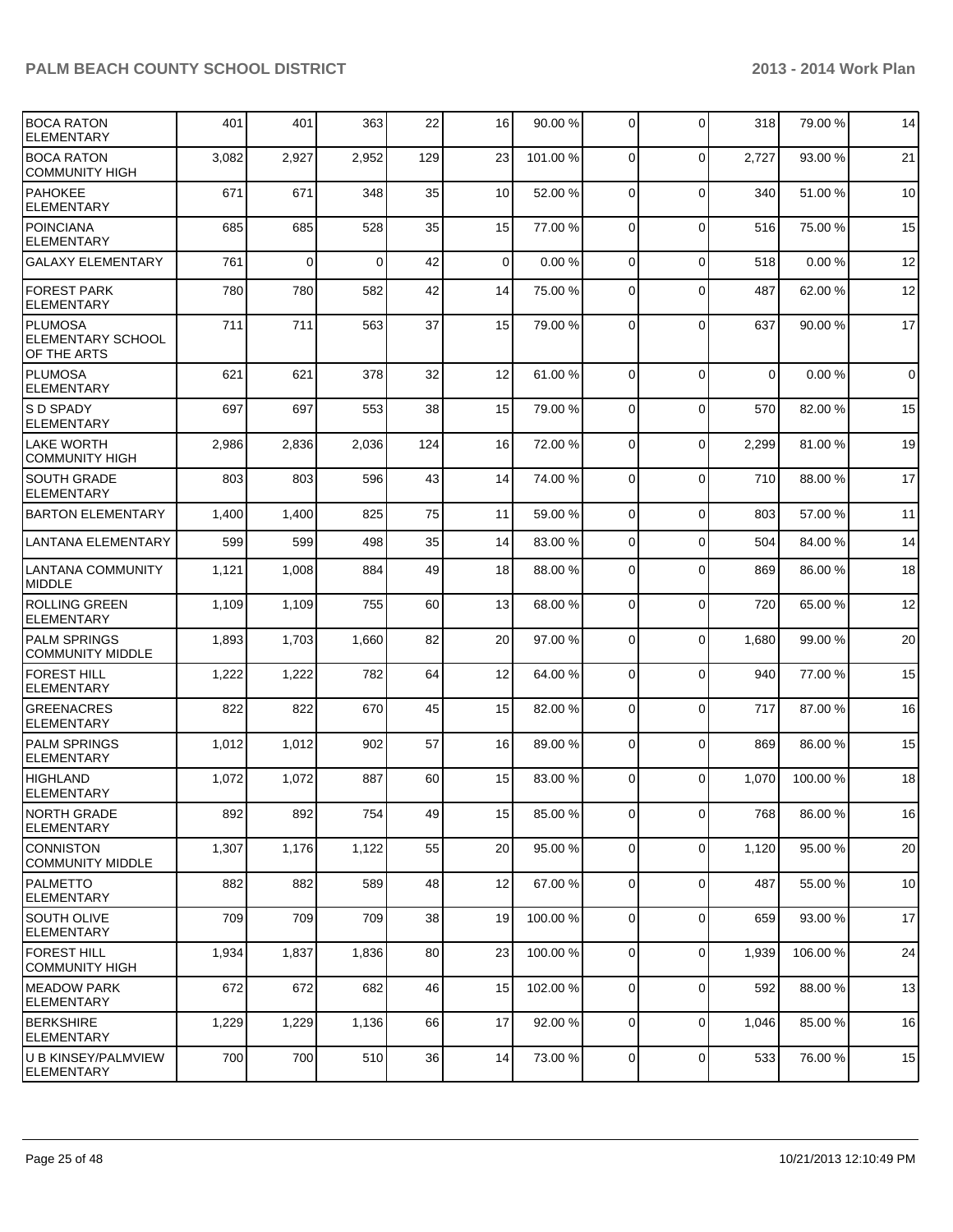| <b>BOCA RATON</b><br><b>ELEMENTARY</b>                    | 401   | 401      | 363      | 22  | 16              | 90.00 %  | $\Omega$       | $\Omega$       | 318      | 79.00 %  | 14          |
|-----------------------------------------------------------|-------|----------|----------|-----|-----------------|----------|----------------|----------------|----------|----------|-------------|
| <b>BOCA RATON</b><br><b>COMMUNITY HIGH</b>                | 3,082 | 2,927    | 2,952    | 129 | 23              | 101.00 % | $\Omega$       | $\mathbf 0$    | 2,727    | 93.00 %  | 21          |
| <b>PAHOKEE</b><br><b>ELEMENTARY</b>                       | 671   | 671      | 348      | 35  | 10              | 52.00 %  | $\Omega$       | $\Omega$       | 340      | 51.00 %  | 10          |
| <b>POINCIANA</b><br><b>ELEMENTARY</b>                     | 685   | 685      | 528      | 35  | 15              | 77.00 %  | $\Omega$       | $\mathbf 0$    | 516      | 75.00 %  | 15          |
| <b>GALAXY ELEMENTARY</b>                                  | 761   | $\Omega$ | $\Omega$ | 42  | $\Omega$        | 0.00%    | $\Omega$       | $\Omega$       | 518      | 0.00%    | 12          |
| <b>FOREST PARK</b><br><b>ELEMENTARY</b>                   | 780   | 780      | 582      | 42  | 14              | 75.00 %  | $\Omega$       | $\Omega$       | 487      | 62.00 %  | 12          |
| <b>PLUMOSA</b><br><b>ELEMENTARY SCHOOL</b><br>OF THE ARTS | 711   | 711      | 563      | 37  | 15              | 79.00 %  | $\Omega$       | $\Omega$       | 637      | 90.00 %  | 17          |
| IPLUMOSA<br><b>ELEMENTARY</b>                             | 621   | 621      | 378      | 32  | 12              | 61.00%   | $\Omega$       | $\Omega$       | $\Omega$ | 0.00%    | $\mathbf 0$ |
| <b>SD SPADY</b><br><b>ELEMENTARY</b>                      | 697   | 697      | 553      | 38  | 15              | 79.00 %  | $\Omega$       | $\Omega$       | 570      | 82.00 %  | 15          |
| <b>LAKE WORTH</b><br><b>COMMUNITY HIGH</b>                | 2,986 | 2,836    | 2,036    | 124 | 16              | 72.00 %  | $\Omega$       | $\mathbf 0$    | 2,299    | 81.00 %  | 19          |
| <b>SOUTH GRADE</b><br><b>ELEMENTARY</b>                   | 803   | 803      | 596      | 43  | 14              | 74.00 %  | $\mathbf 0$    | $\Omega$       | 710      | 88.00 %  | 17          |
| <b>BARTON ELEMENTARY</b>                                  | 1,400 | 1,400    | 825      | 75  | 11              | 59.00 %  | $\mathbf 0$    | $\Omega$       | 803      | 57.00 %  | 11          |
| <b>LANTANA ELEMENTARY</b>                                 | 599   | 599      | 498      | 35  | 14              | 83.00 %  | $\mathbf 0$    | $\Omega$       | 504      | 84.00 %  | 14          |
| LANTANA COMMUNITY<br><b>MIDDLE</b>                        | 1,121 | 1,008    | 884      | 49  | 18              | 88.00 %  | $\mathbf 0$    | $\Omega$       | 869      | 86.00 %  | 18          |
| <b>ROLLING GREEN</b><br><b>ELEMENTARY</b>                 | 1,109 | 1,109    | 755      | 60  | 13              | 68.00 %  | 0              | $\Omega$       | 720      | 65.00 %  | 12          |
| <b>PALM SPRINGS</b><br><b>COMMUNITY MIDDLE</b>            | 1,893 | 1,703    | 1,660    | 82  | 20              | 97.00 %  | $\mathbf 0$    | $\mathbf 0$    | 1,680    | 99.00 %  | 20          |
| <b>FOREST HILL</b><br><b>ELEMENTARY</b>                   | 1,222 | 1,222    | 782      | 64  | 12              | 64.00 %  | $\mathbf 0$    | $\Omega$       | 940      | 77.00 %  | 15          |
| <b>GREENACRES</b><br><b>ELEMENTARY</b>                    | 822   | 822      | 670      | 45  | 15              | 82.00 %  | $\Omega$       | $\mathbf 0$    | 717      | 87.00 %  | 16          |
| <b>PALM SPRINGS</b><br><b>ELEMENTARY</b>                  | 1,012 | 1,012    | 902      | 57  | 16              | 89.00 %  | $\Omega$       | $\mathbf 0$    | 869      | 86.00 %  | 15          |
| HIGHLAND<br>ELEMENTARY                                    | 1,072 | 1,072    | 887      | 60  | 15              | 83.00 %  | $\Omega$       | $\Omega$       | 1,070    | 100.00 % | 18          |
| NORTH GRADE<br><b>ELEMENTARY</b>                          | 892   | 892      | 754      | 49  | 15 <sub>l</sub> | 85.00 %  | $\overline{0}$ | $\overline{0}$ | 768      | 86.00 %  | 16          |
| <b>CONNISTON</b><br><b>COMMUNITY MIDDLE</b>               | 1,307 | 1,176    | 1,122    | 55  | 20              | 95.00 %  | 0              | $\mathbf 0$    | 1,120    | 95.00 %  | 20          |
| <b>PALMETTO</b><br><b>ELEMENTARY</b>                      | 882   | 882      | 589      | 48  | 12              | 67.00 %  | $\Omega$       | $\mathbf 0$    | 487      | 55.00 %  | 10          |
| <b>SOUTH OLIVE</b><br>ELEMENTARY                          | 709   | 709      | 709      | 38  | 19              | 100.00 % | $\mathbf 0$    | 0              | 659      | 93.00 %  | 17          |
| FOREST HILL<br><b>COMMUNITY HIGH</b>                      | 1,934 | 1,837    | 1,836    | 80  | 23              | 100.00 % | $\mathbf 0$    | $\mathbf 0$    | 1,939    | 106.00 % | 24          |
| IMEADOW PARK<br><b>ELEMENTARY</b>                         | 672   | 672      | 682      | 46  | 15              | 102.00 % | 0              | $\mathbf 0$    | 592      | 88.00 %  | 13          |
| <b>BERKSHIRE</b><br>ELEMENTARY                            | 1,229 | 1,229    | 1,136    | 66  | 17              | 92.00 %  | $\mathbf 0$    | 0              | 1,046    | 85.00 %  | 16          |
| U B KINSEY/PALMVIEW<br><b>ELEMENTARY</b>                  | 700   | 700      | 510      | 36  | 14              | 73.00 %  | $\overline{0}$ | 0              | 533      | 76.00 %  | 15          |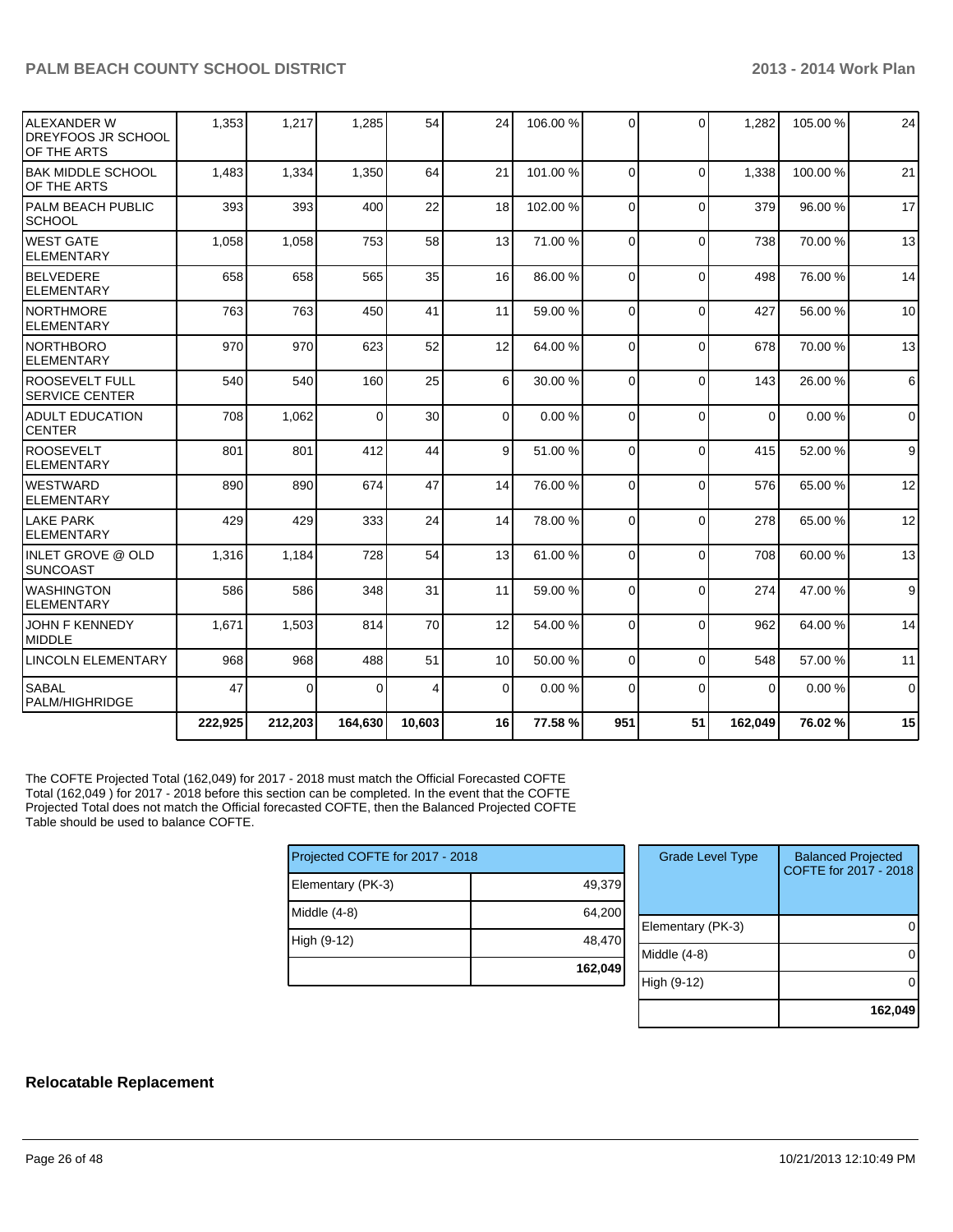| IALEXANDER W<br>IDREYFOOS JR SCHOOL<br>OF THE ARTS | 1,353   | 1,217    | 1,285    | 54     | 24             | 106.00 % | $\Omega$ | $\Omega$     | 1,282    | 105.00 % | 24                  |
|----------------------------------------------------|---------|----------|----------|--------|----------------|----------|----------|--------------|----------|----------|---------------------|
| <b>IBAK MIDDLE SCHOOL</b><br>OF THE ARTS           | 1,483   | 1,334    | 1,350    | 64     | 21             | 101.00 % | $\Omega$ | $\Omega$     | 1,338    | 100.00 % | 21                  |
| PALM BEACH PUBLIC<br><b>SCHOOL</b>                 | 393     | 393      | 400      | 22     | 18             | 102.00 % | $\Omega$ | $\Omega$     | 379      | 96.00 %  | 17                  |
| <b>I</b> WEST GATE<br><b>ELEMENTARY</b>            | 1,058   | 1,058    | 753      | 58     | 13             | 71.00 %  | $\Omega$ | $\Omega$     | 738      | 70.00 %  | 13                  |
| BELVEDERE<br>ELEMENTARY                            | 658     | 658      | 565      | 35     | 16             | 86.00 %  | $\Omega$ | $\Omega$     | 498      | 76.00 %  | 14                  |
| INORTHMORE<br>IELEMENTARY                          | 763     | 763      | 450      | 41     | 11             | 59.00 %  | $\Omega$ | $\Omega$     | 427      | 56.00 %  | 10                  |
| Inorthboro<br><b>IELEMENTARY</b>                   | 970     | 970      | 623      | 52     | 12             | 64.00 %  | $\Omega$ | $\mathbf{0}$ | 678      | 70.00 %  | 13                  |
| <b>ROOSEVELT FULL</b><br><b>SERVICE CENTER</b>     | 540     | 540      | 160      | 25     | 6              | 30.00 %  | $\Omega$ | $\Omega$     | 143      | 26.00 %  | $6\phantom{1}$      |
| ADULT EDUCATION<br><b>CENTER</b>                   | 708     | 1,062    | $\Omega$ | 30     | $\overline{0}$ | 0.00%    | $\Omega$ | $\Omega$     | $\Omega$ | 0.00%    | $\mathsf{O}\xspace$ |
| <b>ROOSEVELT</b><br><b>ELEMENTARY</b>              | 801     | 801      | 412      | 44     | 9              | 51.00 %  | $\Omega$ | $\Omega$     | 415      | 52.00 %  | $\overline{9}$      |
| IWESTWARD<br><b>IELEMENTARY</b>                    | 890     | 890      | 674      | 47     | 14             | 76.00 %  | $\Omega$ | $\Omega$     | 576      | 65.00 %  | 12                  |
| <b>LAKE PARK</b><br>IELEMENTARY                    | 429     | 429      | 333      | 24     | 14             | 78.00 %  | $\Omega$ | $\Omega$     | 278      | 65.00 %  | 12                  |
| IINLET GROVE @ OLD<br>Isuncoast                    | 1,316   | 1,184    | 728      | 54     | 13             | 61.00 %  | $\Omega$ | $\mathbf{0}$ | 708      | 60.00 %  | 13                  |
| IWASHINGTON<br><b>ELEMENTARY</b>                   | 586     | 586      | 348      | 31     | 11             | 59.00 %  | $\Omega$ | $\Omega$     | 274      | 47.00 %  | 9                   |
| <b>JOHN F KENNEDY</b><br><b>IMIDDLE</b>            | 1,671   | 1,503    | 814      | 70     | 12             | 54.00 %  | $\Omega$ | $\Omega$     | 962      | 64.00 %  | 14                  |
| <b>LINCOLN ELEMENTARY</b>                          | 968     | 968      | 488      | 51     | 10             | 50.00 %  | $\Omega$ | $\Omega$     | 548      | 57.00 %  | 11                  |
| <b>SABAL</b><br>PALM/HIGHRIDGE                     | 47      | $\Omega$ | $\Omega$ | 4      | $\overline{0}$ | 0.00%    | $\Omega$ | $\Omega$     | $\Omega$ | 0.00%    | $\overline{0}$      |
|                                                    | 222,925 | 212,203  | 164,630  | 10,603 | 16             | 77.58 %  | 951      | 51           | 162,049  | 76.02%   | 15                  |

The COFTE Projected Total (162,049) for 2017 - 2018 must match the Official Forecasted COFTE Total (162,049 ) for 2017 - 2018 before this section can be completed. In the event that the COFTE Projected Total does not match the Official forecasted COFTE, then the Balanced Projected COFTE Table should be used to balance COFTE.

| Projected COFTE for 2017 - 2018 |         |  |  |  |  |  |
|---------------------------------|---------|--|--|--|--|--|
| Elementary (PK-3)               | 49,379  |  |  |  |  |  |
| Middle (4-8)                    | 64,200  |  |  |  |  |  |
| High (9-12)                     | 48,470  |  |  |  |  |  |
|                                 | 162,049 |  |  |  |  |  |

| <b>Grade Level Type</b> | <b>Balanced Projected</b><br>COFTE for 2017 - 2018 |
|-------------------------|----------------------------------------------------|
| Elementary (PK-3)       |                                                    |
| Middle (4-8)            |                                                    |
| High (9-12)             |                                                    |
|                         | 162,049                                            |

#### **Relocatable Replacement**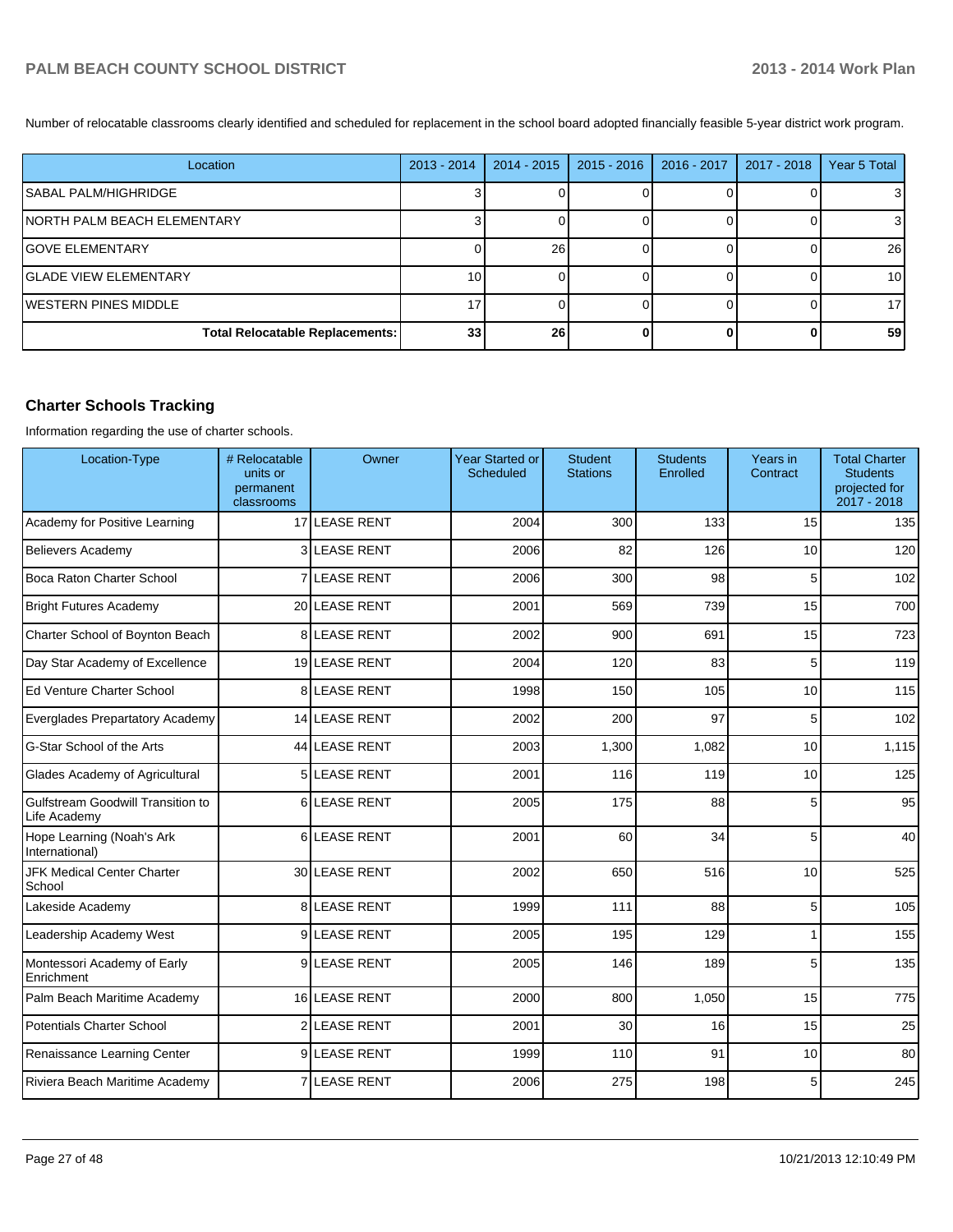Number of relocatable classrooms clearly identified and scheduled for replacement in the school board adopted financially feasible 5-year district work program.

| Location                               | 2013 - 2014     | 2014 - 2015     | $2015 - 2016$ | 2016 - 2017 | 2017 - 2018 | Year 5 Total |
|----------------------------------------|-----------------|-----------------|---------------|-------------|-------------|--------------|
| ISABAL PALM/HIGHRIDGE                  |                 |                 |               |             |             |              |
| <b>NORTH PALM BEACH ELEMENTARY</b>     |                 |                 |               |             |             |              |
| IGOVE ELEMENTARY                       |                 | 26              |               |             |             | 26           |
| IGLADE VIEW ELEMENTARY                 | 10 <sub>1</sub> |                 |               |             |             | 10           |
| <b>IWESTERN PINES MIDDLE</b>           |                 |                 |               |             |             | 17           |
| <b>Total Relocatable Replacements:</b> | 33              | 26 <sub>l</sub> |               |             |             | 59           |

## **Charter Schools Tracking**

Information regarding the use of charter schools.

| Location-Type                                            | # Relocatable<br>units or<br>permanent<br>classrooms | Owner               | <b>Year Started or</b><br>Scheduled | <b>Student</b><br><b>Stations</b> | <b>Students</b><br>Enrolled | Years in<br>Contract | <b>Total Charter</b><br><b>Students</b><br>projected for<br>2017 - 2018 |
|----------------------------------------------------------|------------------------------------------------------|---------------------|-------------------------------------|-----------------------------------|-----------------------------|----------------------|-------------------------------------------------------------------------|
| Academy for Positive Learning                            |                                                      | 17 LEASE RENT       | 2004                                | 300                               | 133                         | 15                   | 135                                                                     |
| <b>Believers Academy</b>                                 |                                                      | <b>3 LEASE RENT</b> | 2006                                | 82                                | 126                         | 10                   | 120                                                                     |
| Boca Raton Charter School                                | 7                                                    | <b>LEASE RENT</b>   | 2006                                | 300                               | 98                          | 5                    | 102                                                                     |
| <b>Bright Futures Academy</b>                            |                                                      | 20 LEASE RENT       | 2001                                | 569                               | 739                         | 15                   | 700                                                                     |
| Charter School of Boynton Beach                          |                                                      | <b>8LEASE RENT</b>  | 2002                                | 900                               | 691                         | 15                   | 723                                                                     |
| Day Star Academy of Excellence                           |                                                      | 19 LEASE RENT       | 2004                                | 120                               | 83                          | 5                    | 119                                                                     |
| Ed Venture Charter School                                |                                                      | <b>8 LEASE RENT</b> | 1998                                | 150                               | 105                         | 10                   | 115                                                                     |
| Everglades Prepartatory Academy                          |                                                      | 14 LEASE RENT       | 2002                                | 200                               | 97                          | 5                    | 102                                                                     |
| G-Star School of the Arts                                |                                                      | 44 LEASE RENT       | 2003                                | 1,300                             | 1,082                       | 10                   | 1,115                                                                   |
| Glades Academy of Agricultural                           |                                                      | 5 LEASE RENT        | 2001                                | 116                               | 119                         | 10                   | 125                                                                     |
| <b>Gulfstream Goodwill Transition to</b><br>Life Academy |                                                      | 6LEASE RENT         | 2005                                | 175                               | 88                          | 5                    | 95                                                                      |
| Hope Learning (Noah's Ark<br>International)              |                                                      | 6LEASE RENT         | 2001                                | 60                                | 34                          | 5                    | 40                                                                      |
| <b>JFK Medical Center Charter</b><br>School              |                                                      | 30 LEASE RENT       | 2002                                | 650                               | 516                         | 10                   | 525                                                                     |
| Lakeside Academy                                         |                                                      | 8 LEASE RENT        | 1999                                | 111                               | 88                          | 5                    | 105                                                                     |
| Leadership Academy West                                  |                                                      | 9LEASE RENT         | 2005                                | 195                               | 129                         | 1                    | 155                                                                     |
| Montessori Academy of Early<br>Enrichment                | 9                                                    | <b>LEASE RENT</b>   | 2005                                | 146                               | 189                         | 5                    | 135                                                                     |
| Palm Beach Maritime Academy                              |                                                      | 16 LEASE RENT       | 2000                                | 800                               | 1,050                       | 15                   | 775                                                                     |
| <b>Potentials Charter School</b>                         | 2                                                    | LEASE RENT          | 2001                                | 30                                | 16                          | 15                   | 25                                                                      |
| Renaissance Learning Center                              |                                                      | 9LEASE RENT         | 1999                                | 110                               | 91                          | 10                   | 80                                                                      |
| Riviera Beach Maritime Academy                           |                                                      | <b>7 LEASE RENT</b> | 2006                                | 275                               | 198                         | 5                    | 245                                                                     |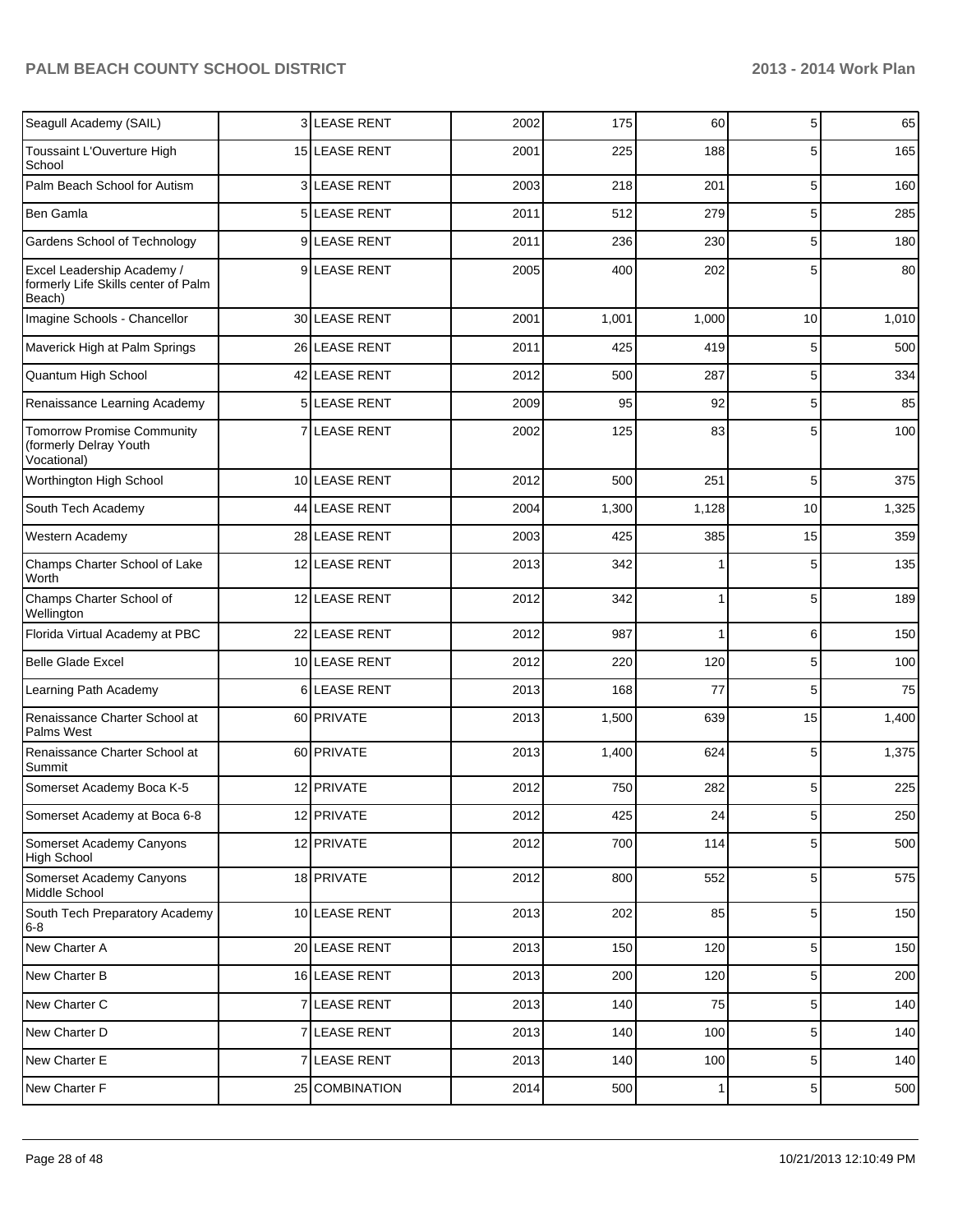| Seagull Academy (SAIL)                                                      |    | 3 LEASE RENT      | 2002 | 175   | 60    | 5              | 65    |
|-----------------------------------------------------------------------------|----|-------------------|------|-------|-------|----------------|-------|
| Toussaint L'Ouverture High<br>School                                        |    | 15 LEASE RENT     | 2001 | 225   | 188   | 5              | 165   |
| Palm Beach School for Autism                                                |    | 3 LEASE RENT      | 2003 | 218   | 201   | 5              | 160   |
| Ben Gamla                                                                   |    | 5 LEASE RENT      | 2011 | 512   | 279   | 5              | 285   |
| Gardens School of Technology                                                |    | 9 LEASE RENT      | 2011 | 236   | 230   | 5              | 180   |
| Excel Leadership Academy /<br>formerly Life Skills center of Palm<br>Beach) |    | 9 LEASE RENT      | 2005 | 400   | 202   | 5              | 80    |
| Imagine Schools - Chancellor                                                |    | 30 LEASE RENT     | 2001 | 1,001 | 1,000 | 10             | 1,010 |
| Maverick High at Palm Springs                                               |    | 26 LEASE RENT     | 2011 | 425   | 419   | 5              | 500   |
| Quantum High School                                                         |    | 42 LEASE RENT     | 2012 | 500   | 287   | 5              | 334   |
| Renaissance Learning Academy                                                |    | 5 LEASE RENT      | 2009 | 95    | 92    | 5              | 85    |
| <b>Tomorrow Promise Community</b><br>(formerly Delray Youth<br>Vocational)  | 7  | <b>LEASE RENT</b> | 2002 | 125   | 83    | 5              | 100   |
| Worthington High School                                                     |    | 10 LEASE RENT     | 2012 | 500   | 251   | 5              | 375   |
| South Tech Academy                                                          |    | 44 LEASE RENT     | 2004 | 1,300 | 1,128 | 10             | 1,325 |
| Western Academy                                                             |    | 28 LEASE RENT     | 2003 | 425   | 385   | 15             | 359   |
| Champs Charter School of Lake<br>Worth                                      |    | 12 LEASE RENT     | 2013 | 342   |       | 5              | 135   |
| Champs Charter School of<br>Wellington                                      |    | 12 LEASE RENT     | 2012 | 342   | 1     | 5              | 189   |
| Florida Virtual Academy at PBC                                              |    | 22 LEASE RENT     | 2012 | 987   | 1     | 6              | 150   |
| <b>Belle Glade Excel</b>                                                    |    | 10 LEASE RENT     | 2012 | 220   | 120   | 5              | 100   |
| Learning Path Academy                                                       | 61 | <b>LEASE RENT</b> | 2013 | 168   | 77    | 5              | 75    |
| Renaissance Charter School at<br>Palms West                                 |    | 60 PRIVATE        | 2013 | 1,500 | 639   | 15             | 1,400 |
| Renaissance Charter School at<br>Summit                                     |    | 60 PRIVATE        | 2013 | 1,400 | 624   | 5              | 1,375 |
| Somerset Academy Boca K-5                                                   |    | 12 PRIVATE        | 2012 | 750   | 282   | 5              | 225   |
| Somerset Academy at Boca 6-8                                                |    | 12 PRIVATE        | 2012 | 425   | 24    | $5\vert$       | 250   |
| Somerset Academy Canyons<br><b>High School</b>                              |    | 12 PRIVATE        | 2012 | 700   | 114   | 5              | 500   |
| Somerset Academy Canyons<br>Middle School                                   |    | 18 PRIVATE        | 2012 | 800   | 552   | 5              | 575   |
| South Tech Preparatory Academy<br>$6-8$                                     |    | 10 LEASE RENT     | 2013 | 202   | 85    | 5              | 150   |
| New Charter A                                                               |    | 20 LEASE RENT     | 2013 | 150   | 120   | 5 <sub>5</sub> | 150   |
| New Charter B                                                               |    | 16 LEASE RENT     | 2013 | 200   | 120   | $\sqrt{5}$     | 200   |
| New Charter C                                                               |    | 7 LEASE RENT      | 2013 | 140   | 75    | $\sqrt{5}$     | 140   |
| New Charter D                                                               |    | 7 LEASE RENT      | 2013 | 140   | 100   | $\sqrt{5}$     | 140   |
| New Charter E                                                               |    | 7 LEASE RENT      | 2013 | 140   | 100   | $\sqrt{5}$     | 140   |
| New Charter F                                                               |    | 25 COMBINATION    | 2014 | 500   | 1     | 5 <sub>5</sub> | 500   |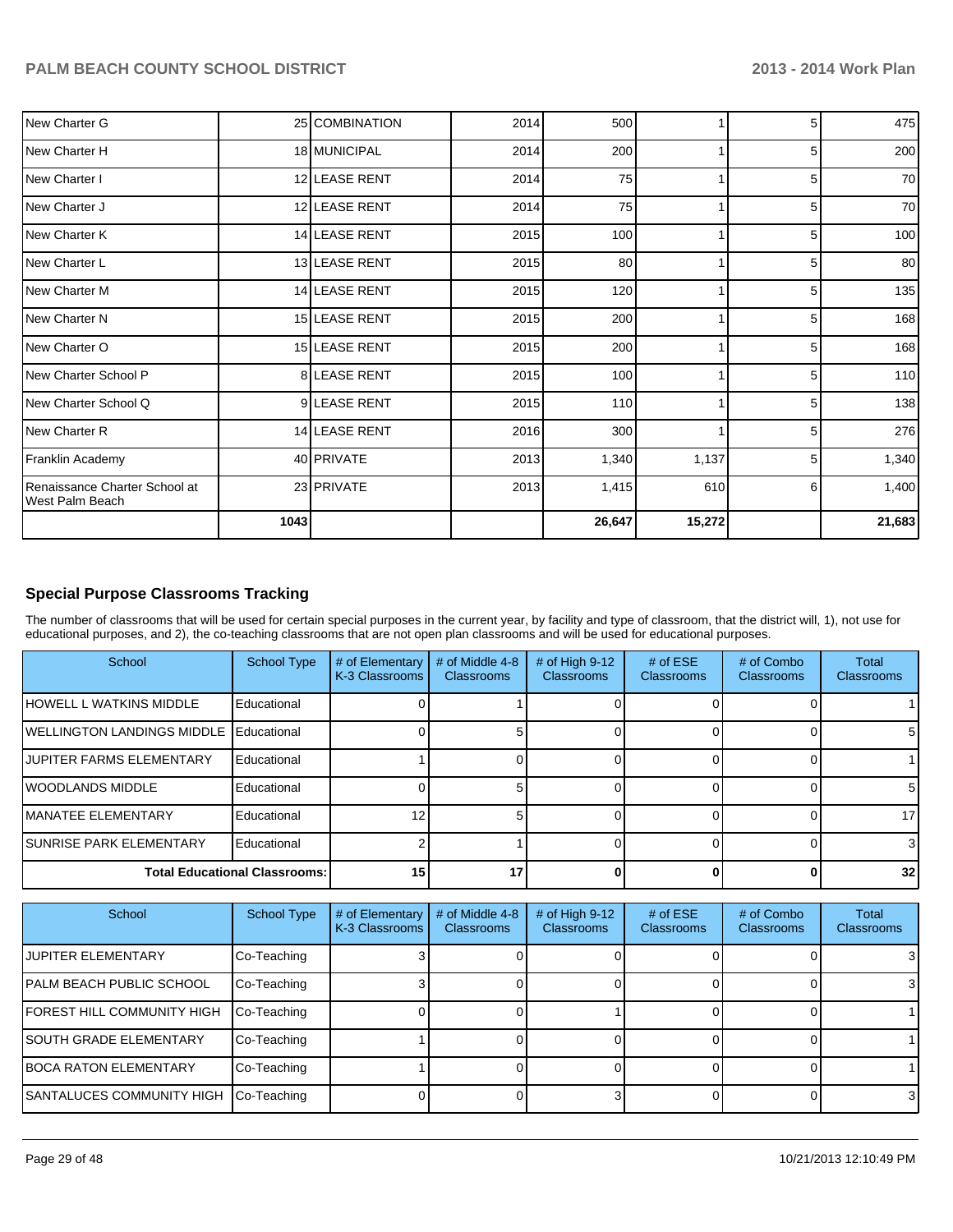| New Charter G                                    |      | 25 COMBINATION | 2014 | 500    |        | 5              | 475    |
|--------------------------------------------------|------|----------------|------|--------|--------|----------------|--------|
| New Charter H                                    |      | 18 MUNICIPAL   | 2014 | 200    |        | 5              | 200    |
| New Charter I                                    |      | 12 LEASE RENT  | 2014 | 75     |        | 5              | 70     |
| New Charter J                                    |      | 12 LEASE RENT  | 2014 | 75     |        | 5              | 70     |
| New Charter K                                    |      | 14 LEASE RENT  | 2015 | 100    |        | 5 <sup>1</sup> | 100    |
| New Charter L                                    |      | 13 LEASE RENT  | 2015 | 80     |        | 5 <sup>5</sup> | 80     |
| New Charter M                                    |      | 14 LEASE RENT  | 2015 | 120    |        | 5              | 135    |
| New Charter N                                    |      | 15 LEASE RENT  | 2015 | 200    |        | 5 <sup>5</sup> | 168    |
| New Charter O                                    |      | 15 LEASE RENT  | 2015 | 200    |        | 5              | 168    |
| New Charter School P                             |      | 8 LEASE RENT   | 2015 | 100    |        | 5 <sup>5</sup> | 110    |
| New Charter School Q                             |      | 9 LEASE RENT   | 2015 | 110    |        | 5              | 138    |
| New Charter R                                    |      | 14 LEASE RENT  | 2016 | 300    |        | 5 <sup>1</sup> | 276    |
| Franklin Academy                                 |      | 40 PRIVATE     | 2013 | 1,340  | 1,137  | 5 <sup>1</sup> | 1,340  |
| Renaissance Charter School at<br>West Palm Beach |      | 23 PRIVATE     | 2013 | 1,415  | 610    | 6              | 1,400  |
|                                                  | 1043 |                |      | 26,647 | 15,272 |                | 21,683 |

#### **Special Purpose Classrooms Tracking**

The number of classrooms that will be used for certain special purposes in the current year, by facility and type of classroom, that the district will, 1), not use for educational purposes, and 2), the co-teaching classrooms that are not open plan classrooms and will be used for educational purposes.

| School                               | <b>School Type</b> | # of Elementary<br>K-3 Classrooms | # of Middle 4-8<br><b>Classrooms</b> | # of High 9-12<br><b>Classrooms</b> | # of $ESE$<br>Classrooms | # of Combo<br><b>Classrooms</b> | Total<br><b>Classrooms</b> |
|--------------------------------------|--------------------|-----------------------------------|--------------------------------------|-------------------------------------|--------------------------|---------------------------------|----------------------------|
| <b>IHOWELL L WATKINS MIDDLE</b>      | Educational        |                                   |                                      |                                     |                          |                                 |                            |
| <b>IWELLINGTON LANDINGS MIDDLE</b>   | Educational        |                                   |                                      |                                     |                          |                                 | 51                         |
| <b>JUPITER FARMS ELEMENTARY</b>      | Educational        |                                   |                                      |                                     |                          |                                 |                            |
| <b>IWOODLANDS MIDDLE</b>             | Educational        |                                   |                                      |                                     |                          |                                 | 5Ι                         |
| <b>IMANATEE ELEMENTARY</b>           | Educational        | 12                                |                                      |                                     |                          |                                 | 17 <sup>1</sup>            |
| <b>ISUNRISE PARK ELEMENTARY</b>      | Educational        |                                   |                                      |                                     |                          |                                 |                            |
| <b>Total Educational Classrooms:</b> |                    | 15 <sup>1</sup>                   | 17                                   |                                     |                          |                                 | 32 <sub>l</sub>            |

| School                                | <b>School Type</b> | # of Elementary<br>K-3 Classrooms | $#$ of Middle 4-8<br><b>Classrooms</b> | # of High $9-12$<br><b>Classrooms</b> | $#$ of ESE<br><b>Classrooms</b> | # of Combo<br><b>Classrooms</b> | <b>Total</b><br><b>Classrooms</b> |
|---------------------------------------|--------------------|-----------------------------------|----------------------------------------|---------------------------------------|---------------------------------|---------------------------------|-----------------------------------|
| <b>JUPITER ELEMENTARY</b>             | Co-Teaching        |                                   |                                        |                                       |                                 |                                 | 3                                 |
| <b>IPALM BEACH PUBLIC SCHOOL</b>      | Co-Teaching        |                                   |                                        |                                       |                                 |                                 | 3                                 |
| <b>FOREST HILL COMMUNITY HIGH</b>     | Co-Teaching        |                                   |                                        |                                       |                                 |                                 |                                   |
| <b>ISOUTH GRADE ELEMENTARY</b>        | Co-Teaching        |                                   |                                        |                                       |                                 |                                 |                                   |
| <b>IBOCA RATON ELEMENTARY</b>         | Co-Teaching        |                                   |                                        |                                       |                                 |                                 |                                   |
| SANTALUCES COMMUNITY HIGH Co-Teaching |                    |                                   |                                        |                                       |                                 |                                 | 31                                |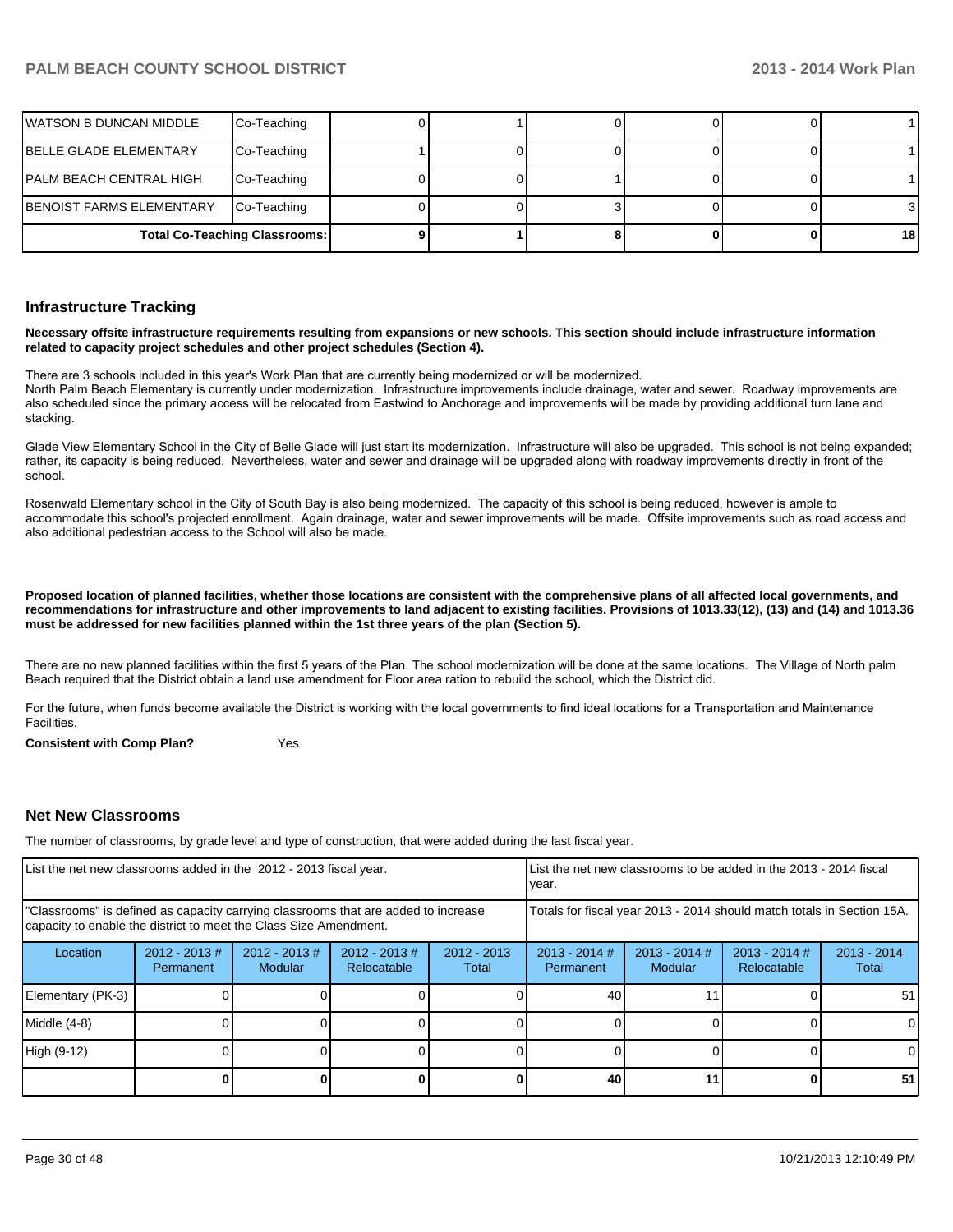| WATSON B DUNCAN MIDDLE   | Co-Teaching                          |  |  |                 |
|--------------------------|--------------------------------------|--|--|-----------------|
| BELLE GLADE ELEMENTARY   | Co-Teaching                          |  |  |                 |
| PALM BEACH CENTRAL HIGH  | Co-Teaching                          |  |  |                 |
| BENOIST FARMS ELEMENTARY | Co-Teaching                          |  |  | 3I              |
|                          | <b>Total Co-Teaching Classrooms:</b> |  |  | 18 <sup>l</sup> |

#### **Infrastructure Tracking**

**Necessary offsite infrastructure requirements resulting from expansions or new schools. This section should include infrastructure information related to capacity project schedules and other project schedules (Section 4).**

There are 3 schools included in this year's Work Plan that are currently being modernized or will be modernized.

North Palm Beach Elementary is currently under modernization. Infrastructure improvements include drainage, water and sewer. Roadway improvements are DEFITED THE DEFITED DETERT IN ACCORS.<br>Also scheduled since the primary access will be relocated from Eastwind to Anchorage and improvements will be made by providing additional turn lane and stacking.

Glade View Elementary School in the City of Belle Glade will just start its modernization. Infrastructure will also be upgraded. This school is not being expanded; rather, its capacity is being reduced. Nevertheless, water and sewer and drainage will be upgraded along with roadway improvements directly in front of the school

Rosenwald Elementary school in the City of South Bay is also being modernized. The capacity of this school is being reduced, however is ample to accommodate this school's projected enrollment. Again drainage, water and sewer improvements will be made. Offsite improvements such as road access and also additional pedestrian access to the School will also be made.

**Proposed location of planned facilities, whether those locations are consistent with the comprehensive plans of all affected local governments, and recommendations for infrastructure and other improvements to land adjacent to existing facilities. Provisions of 1013.33(12), (13) and (14) and 1013.36 must be addressed for new facilities planned within the 1st three years of the plan (Section 5).**

There are no new planned facilities within the first 5 years of the Plan. The school modernization will be done at the same locations. The Village of North palm Beach required that the District obtain a land use amendment for Floor area ration to rebuild the school, which the District did.

For the future, when funds become available the District is working with the local governments to find ideal locations for a Transportation and Maintenance **Facilities** 

**Consistent with Comp Plan?** Yes

#### **Net New Classrooms**

The number of classrooms, by grade level and type of construction, that were added during the last fiscal year.

| List the net new classrooms added in the 2012 - 2013 fiscal year.                                                                                       |                              |                                   |                                 | List the net new classrooms to be added in the 2013 - 2014 fiscal<br>year. |                              |                            |                                |                        |
|---------------------------------------------------------------------------------------------------------------------------------------------------------|------------------------------|-----------------------------------|---------------------------------|----------------------------------------------------------------------------|------------------------------|----------------------------|--------------------------------|------------------------|
| "Classrooms" is defined as capacity carrying classrooms that are added to increase<br>capacity to enable the district to meet the Class Size Amendment. |                              |                                   |                                 | Totals for fiscal year 2013 - 2014 should match totals in Section 15A.     |                              |                            |                                |                        |
| Location                                                                                                                                                | $2012 - 2013$ #<br>Permanent | $2012 - 2013$ #<br><b>Modular</b> | $2012 - 2013 \#$<br>Relocatable | $2012 - 2013$<br>Total                                                     | $2013 - 2014$ #<br>Permanent | $2013 - 2014$ #<br>Modular | $2013 - 2014$ #<br>Relocatable | $2013 - 2014$<br>Total |
| Elementary (PK-3)                                                                                                                                       |                              |                                   |                                 |                                                                            | 40                           |                            |                                | 51                     |
| Middle (4-8)                                                                                                                                            |                              |                                   |                                 |                                                                            |                              |                            |                                |                        |
| High (9-12)                                                                                                                                             |                              |                                   |                                 |                                                                            |                              |                            |                                | ΩI                     |
|                                                                                                                                                         |                              |                                   |                                 |                                                                            | 40                           | 11                         |                                | 51                     |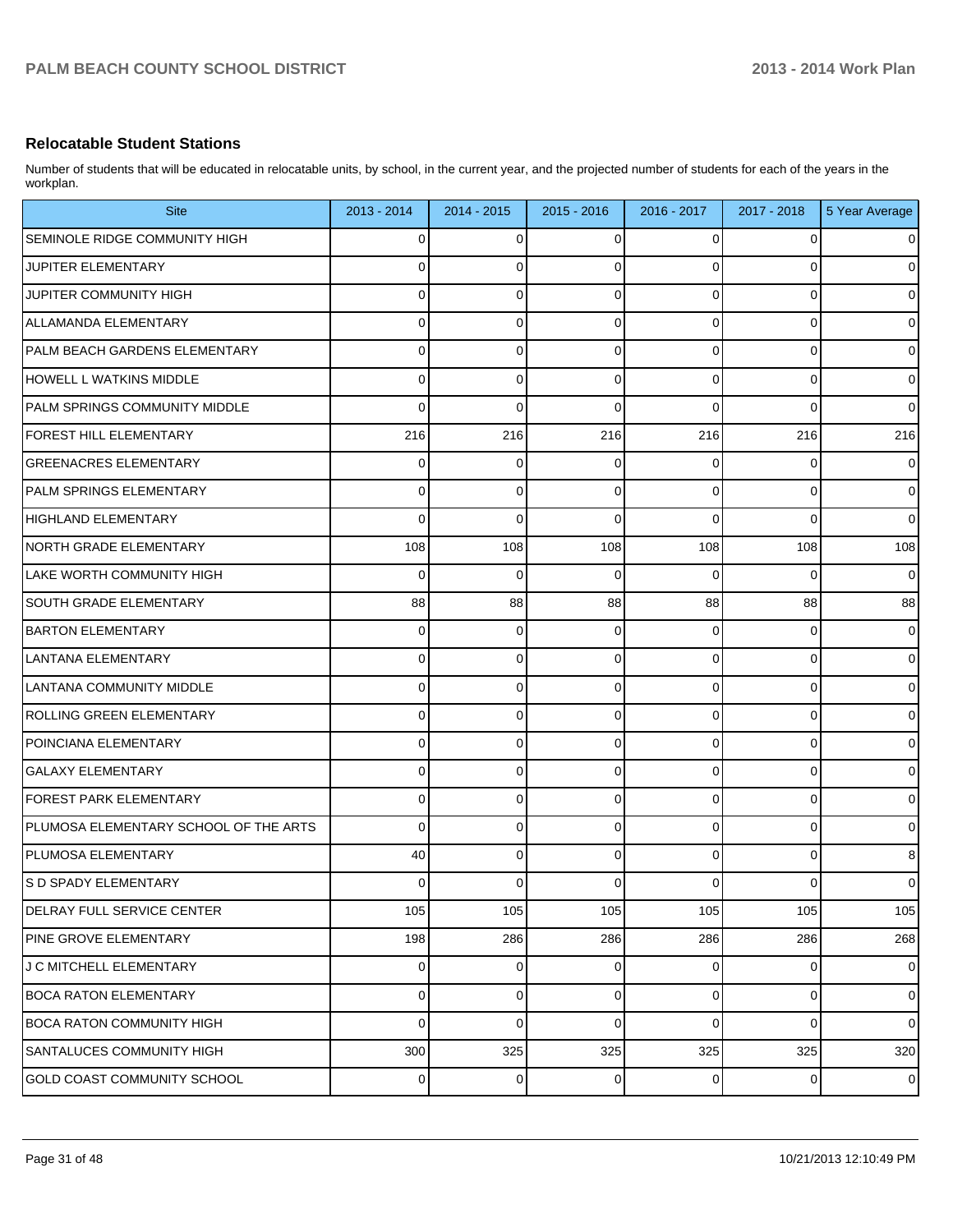#### **Relocatable Student Stations**

Number of students that will be educated in relocatable units, by school, in the current year, and the projected number of students for each of the years in the workplan.

| <b>Site</b>                           | 2013 - 2014 | $2014 - 2015$  | 2015 - 2016 | 2016 - 2017 | 2017 - 2018 | 5 Year Average |
|---------------------------------------|-------------|----------------|-------------|-------------|-------------|----------------|
| SEMINOLE RIDGE COMMUNITY HIGH         | $\Omega$    | $\overline{0}$ | $\Omega$    | 0           | $\Omega$    | $\mathbf 0$    |
| JUPITER ELEMENTARY                    | $\Omega$    | $\overline{0}$ | $\Omega$    | $\Omega$    | $\Omega$    | $\mathbf 0$    |
| JUPITER COMMUNITY HIGH                | $\Omega$    | $\mathbf 0$    | $\Omega$    | 0           | $\Omega$    | $\mathbf 0$    |
| ALLAMANDA ELEMENTARY                  | $\Omega$    | $\mathbf 0$    | $\Omega$    | 0           | $\Omega$    | $\mathbf 0$    |
| PALM BEACH GARDENS ELEMENTARY         | $\Omega$    | $\mathbf 0$    | $\Omega$    | 0           | $\Omega$    | $\mathbf 0$    |
| HOWELL L WATKINS MIDDLE               | $\Omega$    | $\mathbf 0$    | $\Omega$    | 0           | $\Omega$    | $\mathbf 0$    |
| PALM SPRINGS COMMUNITY MIDDLE         | $\Omega$    | $\Omega$       | $\Omega$    | $\Omega$    | $\Omega$    | $\mathbf 0$    |
| <b>FOREST HILL ELEMENTARY</b>         | 216         | 216            | 216         | 216         | 216         | 216            |
| <b>GREENACRES ELEMENTARY</b>          | $\Omega$    | $\mathbf 0$    | $\Omega$    | 0           | 0           | $\mathbf 0$    |
| PALM SPRINGS ELEMENTARY               | $\Omega$    | $\mathbf 0$    | $\Omega$    | 0           | $\Omega$    | $\mathbf 0$    |
| HIGHLAND ELEMENTARY                   | $\Omega$    | $\mathbf{0}$   | $\Omega$    | $\Omega$    | $\Omega$    | $\Omega$       |
| NORTH GRADE ELEMENTARY                | 108         | 108            | 108         | 108         | 108         | 108            |
| LAKE WORTH COMMUNITY HIGH             | $\Omega$    | $\mathbf 0$    | $\Omega$    | 0           | $\Omega$    | $\mathbf 0$    |
| SOUTH GRADE ELEMENTARY                | 88          | 88             | 88          | 88          | 88          | 88             |
| <b>BARTON ELEMENTARY</b>              | $\Omega$    | $\mathbf 0$    | $\mathbf 0$ | 0           | $\Omega$    | $\mathbf 0$    |
| LANTANA ELEMENTARY                    | $\Omega$    | $\overline{0}$ | $\Omega$    | 0           | $\Omega$    | $\mathbf 0$    |
| LANTANA COMMUNITY MIDDLE              | $\Omega$    | $\mathbf 0$    | $\Omega$    | 0           | $\Omega$    | $\mathbf 0$    |
| <b>ROLLING GREEN ELEMENTARY</b>       | $\Omega$    | $\overline{0}$ | $\mathbf 0$ | 0           | $\Omega$    | $\mathbf 0$    |
| POINCIANA ELEMENTARY                  | $\Omega$    | $\overline{0}$ | $\Omega$    | 0           | $\Omega$    | $\mathbf 0$    |
| <b>GALAXY ELEMENTARY</b>              | $\Omega$    | $\overline{0}$ | $\Omega$    | 0           | $\Omega$    | $\mathbf 0$    |
| <b>FOREST PARK ELEMENTARY</b>         | $\Omega$    | $\mathbf 0$    | $\Omega$    | 0           | $\Omega$    | $\mathbf 0$    |
| PLUMOSA ELEMENTARY SCHOOL OF THE ARTS | $\Omega$    | $\overline{0}$ | $\Omega$    | 0           | $\Omega$    | $\mathbf 0$    |
| <b>IPLUMOSA ELEMENTARY</b>            | 40          | $\mathbf 0$    | $\Omega$    | 0           | $\Omega$    | $\bf8$         |
| S D SPADY ELEMENTARY                  | $\Omega$    | $\overline{0}$ | $\mathbf 0$ | 0           | 0           | $\pmb{0}$      |
| <b>DELRAY FULL SERVICE CENTER</b>     | 105         | 105            | 105         | 105         | 105         | 105            |
| PINE GROVE ELEMENTARY                 | 198         | 286            | 286         | 286         | 286         | 268            |
| J C MITCHELL ELEMENTARY               | $\mathbf 0$ | $\mathbf 0$    | $\mathbf 0$ | 0           | 0           | $\pmb{0}$      |
| <b>BOCA RATON ELEMENTARY</b>          | $\mathbf 0$ | $\mathbf 0$    | $\mathbf 0$ | 0           | 0           | $\mathbf 0$    |
| <b>BOCA RATON COMMUNITY HIGH</b>      | $\Omega$    | $\pmb{0}$      | $\mathbf 0$ | 0           | $\mathbf 0$ | $\mathbf 0$    |
| SANTALUCES COMMUNITY HIGH             | 300         | 325            | 325         | 325         | 325         | 320            |
| GOLD COAST COMMUNITY SCHOOL           | 0           | $\overline{0}$ | 0           | 0           | 0           | $\pmb{0}$      |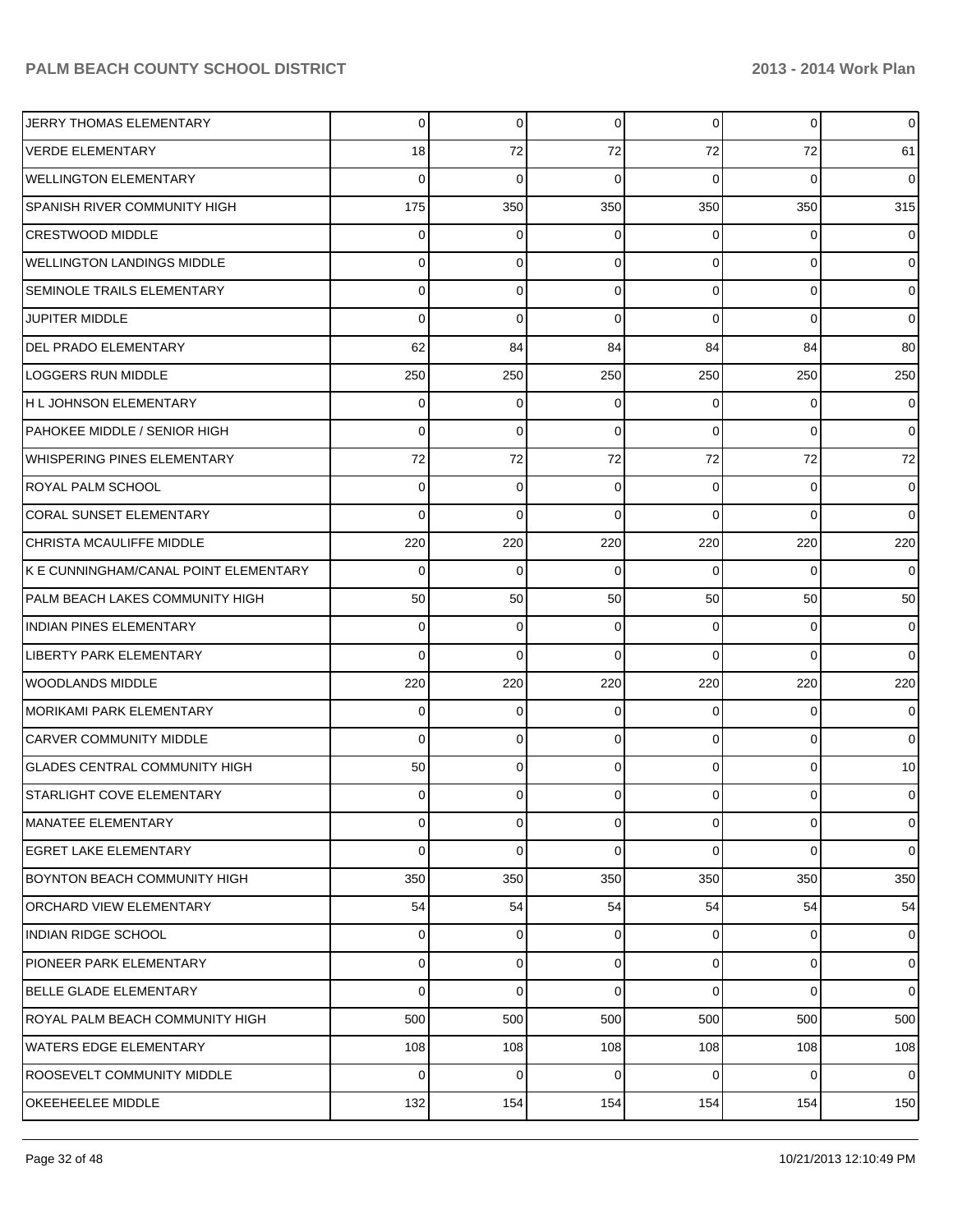| JERRY THOMAS ELEMENTARY               | 0        | $\overline{0}$ | $\Omega$    | 0           | $\overline{0}$ | $\overline{0}$  |
|---------------------------------------|----------|----------------|-------------|-------------|----------------|-----------------|
| <b>VERDE ELEMENTARY</b>               | 18       | 72             | 72          | 72          | 72             | 61              |
| <b>WELLINGTON ELEMENTARY</b>          | $\Omega$ | $\mathbf 0$    | $\Omega$    | $\Omega$    | $\mathbf 0$    | $\overline{0}$  |
| SPANISH RIVER COMMUNITY HIGH          | 175      | 350            | 350         | 350         | 350            | 315             |
| <b>CRESTWOOD MIDDLE</b>               | 0        | 0              | 0           | 0           | 0              | $\mathbf 0$     |
| <b>WELLINGTON LANDINGS MIDDLE</b>     | 0        | 0              | $\Omega$    | $\Omega$    | $\overline{0}$ | $\mathbf 0$     |
| SEMINOLE TRAILS ELEMENTARY            | 0        | 0              | $\Omega$    | $\Omega$    | $\overline{0}$ | $\overline{0}$  |
| <b>JUPITER MIDDLE</b>                 | $\Omega$ | $\mathbf 0$    | $\Omega$    | $\Omega$    | $\overline{0}$ | $\overline{0}$  |
| <b>DEL PRADO ELEMENTARY</b>           | 62       | 84             | 84          | 84          | 84             | 80              |
| <b>LOGGERS RUN MIDDLE</b>             | 250      | 250            | 250         | 250         | 250            | 250             |
| H L JOHNSON ELEMENTARY                | 0        | 0              | 0           | 0           | 0              | $\mathbf 0$     |
| PAHOKEE MIDDLE / SENIOR HIGH          | $\Omega$ | $\mathbf 0$    | $\Omega$    | $\Omega$    | $\overline{0}$ | $\overline{0}$  |
| <b>WHISPERING PINES ELEMENTARY</b>    | 72       | 72             | 72          | 72          | 72             | 72              |
| <b>ROYAL PALM SCHOOL</b>              | $\Omega$ | 0              | $\Omega$    | $\Omega$    | $\overline{0}$ | $\overline{0}$  |
| <b>CORAL SUNSET ELEMENTARY</b>        | $\Omega$ | $\mathbf 0$    | $\Omega$    | $\Omega$    | $\Omega$       | $\overline{0}$  |
| CHRISTA MCAULIFFE MIDDLE              | 220      | 220            | 220         | 220         | 220            | 220             |
| K E CUNNINGHAM/CANAL POINT ELEMENTARY | 0        | 0              | 0           | 0           | $\Omega$       | $\overline{0}$  |
| PALM BEACH LAKES COMMUNITY HIGH       | 50       | 50             | 50          | 50          | 50             | 50              |
| <b>INDIAN PINES ELEMENTARY</b>        | 0        | 0              | $\Omega$    | $\Omega$    | $\overline{0}$ | $\overline{0}$  |
| <b>LIBERTY PARK ELEMENTARY</b>        | $\Omega$ | 0              | $\Omega$    | $\Omega$    | $\overline{0}$ | $\overline{0}$  |
| <b>WOODLANDS MIDDLE</b>               | 220      | 220            | 220         | 220         | 220            | 220             |
| <b>MORIKAMI PARK ELEMENTARY</b>       | 0        | 0              | $\Omega$    | $\Omega$    | $\overline{0}$ | $\overline{0}$  |
| <b>CARVER COMMUNITY MIDDLE</b>        | $\Omega$ | 0              | $\Omega$    | $\Omega$    | $\overline{0}$ | $\overline{0}$  |
| <b>GLADES CENTRAL COMMUNITY HIGH</b>  | 50       | 0              | $\Omega$    | $\Omega$    | $\overline{0}$ | 10 <sup>1</sup> |
| <b>STARLIGHT COVE ELEMENTARY</b>      | 0        | 0              |             | 0           | 0              | $\overline{0}$  |
| MANATEE ELEMENTARY                    | 0        | $\mathbf 0$    | $\mathbf 0$ | 0           | $\overline{0}$ | $\mathbf 0$     |
| <b>EGRET LAKE ELEMENTARY</b>          | $\Omega$ | $\mathbf 0$    | $\Omega$    | 0           | $\overline{0}$ | $\overline{0}$  |
| BOYNTON BEACH COMMUNITY HIGH          | 350      | 350            | 350         | 350         | 350            | 350             |
| ORCHARD VIEW ELEMENTARY               | 54       | 54             | 54          | 54          | 54             | 54              |
| <b>INDIAN RIDGE SCHOOL</b>            | 0        | $\overline{0}$ | $\Omega$    | 0           | $\overline{0}$ | $\mathbf 0$     |
| <b>PIONEER PARK ELEMENTARY</b>        | 0        | $\mathbf 0$    | $\mathbf 0$ | $\mathbf 0$ | $\mathbf 0$    | $\overline{0}$  |
| <b>BELLE GLADE ELEMENTARY</b>         | $\Omega$ | $\mathbf 0$    | $\Omega$    | $\Omega$    | $\overline{0}$ | $\overline{0}$  |
| ROYAL PALM BEACH COMMUNITY HIGH       | 500      | 500            | 500         | 500         | 500            | 500             |
| <b>WATERS EDGE ELEMENTARY</b>         | 108      | 108            | 108         | 108         | 108            | 108             |
| <b>ROOSEVELT COMMUNITY MIDDLE</b>     | $\Omega$ | 0              | 0           | 0           | $\overline{0}$ | $\overline{0}$  |
| OKEEHEELEE MIDDLE                     | 132      | 154            | 154         | 154         | 154            | 150             |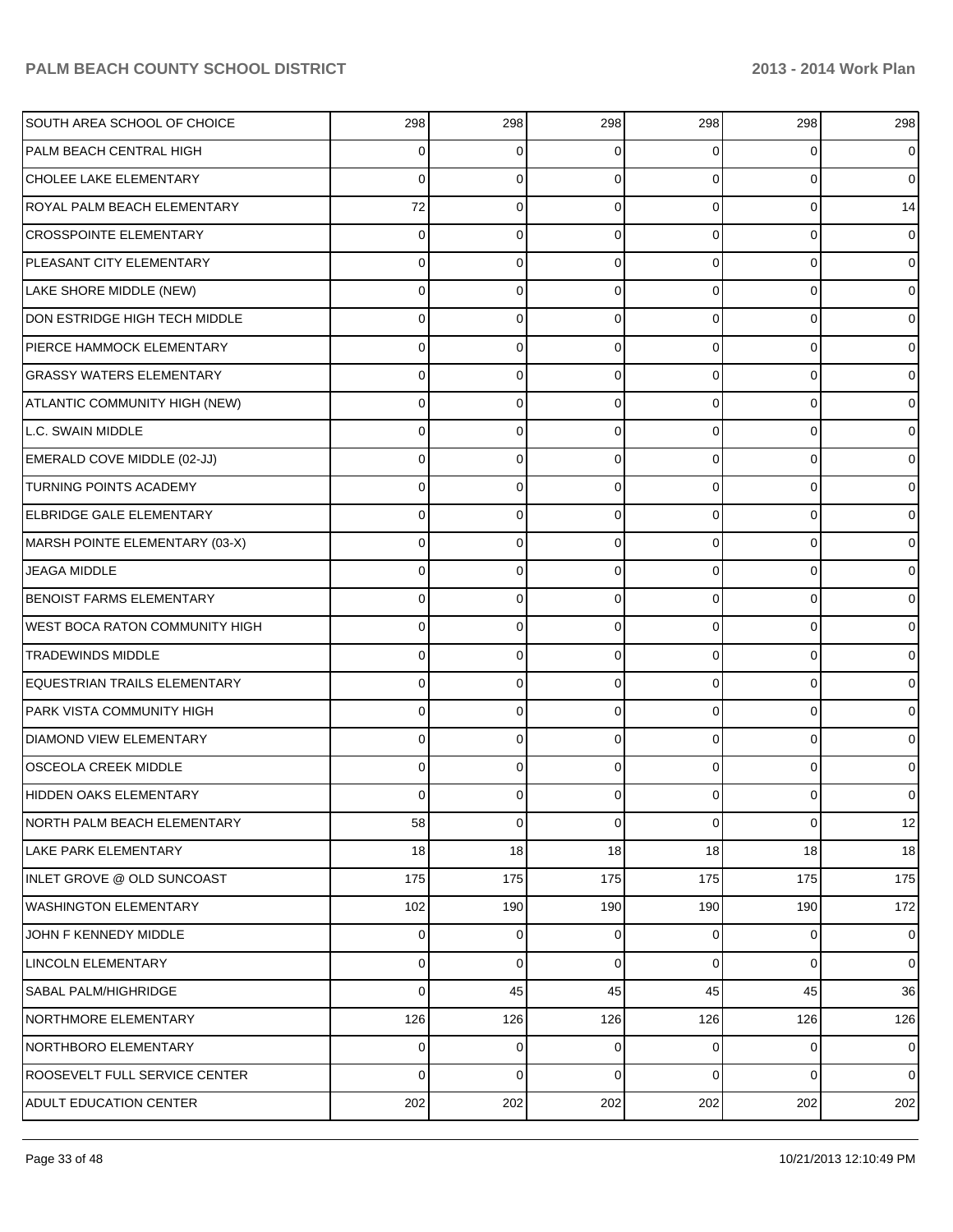| SOUTH AREA SCHOOL OF CHOICE           | 298         | 298         | 298         | 298            | 298 | 298            |
|---------------------------------------|-------------|-------------|-------------|----------------|-----|----------------|
| PALM BEACH CENTRAL HIGH               | 0           | 0           | 0           | $\Omega$       |     | $\overline{0}$ |
| CHOLEE LAKE ELEMENTARY                | 0           | 0           | 0           | $\Omega$       | 0   | $\overline{0}$ |
| <b>ROYAL PALM BEACH ELEMENTARY</b>    | 72          | 0           | 0           | $\Omega$       | 0   | 14             |
| CROSSPOINTE ELEMENTARY                | 0           | 0           | 0           | $\Omega$       | 0   | $\overline{0}$ |
| PLEASANT CITY ELEMENTARY              | 0           | 0           | 0           | $\Omega$       | 0   | $\overline{0}$ |
| LAKE SHORE MIDDLE (NEW)               | 0           | 0           | 0           | 0              | 0   | $\overline{0}$ |
| DON ESTRIDGE HIGH TECH MIDDLE         | 0           | 0           | 0           | $\Omega$       | 0   | $\overline{0}$ |
| PIERCE HAMMOCK ELEMENTARY             | 0           | 0           | 0           | $\Omega$       | 0   | $\overline{0}$ |
| <b>GRASSY WATERS ELEMENTARY</b>       | 0           | 0           | 0           | $\Omega$       | 0   | $\overline{0}$ |
| ATLANTIC COMMUNITY HIGH (NEW)         | 0           | 0           | 0           | $\Omega$       | 0   | $\overline{0}$ |
| L.C. SWAIN MIDDLE                     | 0           | 0           | 0           | $\Omega$       | 0   | $\overline{0}$ |
| EMERALD COVE MIDDLE (02-JJ)           | 0           | 0           | 0           | 0              | 0   | $\overline{0}$ |
| <b>TURNING POINTS ACADEMY</b>         | 0           | 0           | 0           | $\Omega$       | 0   | $\overline{0}$ |
| <b>ELBRIDGE GALE ELEMENTARY</b>       | 0           | 0           | 0           | 0              | 0   | $\overline{0}$ |
| MARSH POINTE ELEMENTARY (03-X)        | 0           | 0           | 0           | $\Omega$       | 0   | $\overline{0}$ |
| <b>JEAGA MIDDLE</b>                   | 0           | 0           | 0           | $\Omega$       | 0   | $\overline{0}$ |
| <b>BENOIST FARMS ELEMENTARY</b>       | 0           | 0           | 0           | $\Omega$       | 0   | $\overline{0}$ |
| <b>WEST BOCA RATON COMMUNITY HIGH</b> | 0           | 0           | 0           | 0              | 0   | $\overline{0}$ |
| <b>TRADEWINDS MIDDLE</b>              | 0           | 0           | 0           | $\Omega$       | 0   | $\overline{0}$ |
| <b>EQUESTRIAN TRAILS ELEMENTARY</b>   | 0           | 0           | 0           | 0              | 0   | $\overline{0}$ |
| PARK VISTA COMMUNITY HIGH             | 0           | 0           | 0           | $\Omega$       | 0   | $\overline{0}$ |
| <b>DIAMOND VIEW ELEMENTARY</b>        | 0           | 0           | 0           | $\Omega$       | 0   | $\overline{0}$ |
| <b>OSCEOLA CREEK MIDDLE</b>           | 0           | 0           | 0           | $\Omega$       | 0   | 0              |
| HIDDEN OAKS ELEMENTARY                | 0           | 0           | 0           | 0              |     | 0              |
| NORTH PALM BEACH ELEMENTARY           | 58          | $\mathbf 0$ | $\mathbf 0$ | $\overline{0}$ | 0   | 12             |
| LAKE PARK ELEMENTARY                  | 18          | 18          | 18          | 18             | 18  | 18             |
| INLET GROVE @ OLD SUNCOAST            | 175         | 175         | 175         | 175            | 175 | 175            |
| WASHINGTON ELEMENTARY                 | 102         | 190         | 190         | 190            | 190 | 172            |
| JOHN F KENNEDY MIDDLE                 | 0           | 0           | 0           | 0              | 0   | $\overline{0}$ |
| LINCOLN ELEMENTARY                    | 0           | $\mathbf 0$ | 0           | $\overline{0}$ | 0   | $\overline{0}$ |
| <b>SABAL PALM/HIGHRIDGE</b>           | $\mathbf 0$ | 45          | 45          | 45             | 45  | 36             |
| NORTHMORE ELEMENTARY                  | 126         | 126         | 126         | 126            | 126 | 126            |
| NORTHBORO ELEMENTARY                  | 0           | 0           | 0           | 0              | 0   | $\overline{0}$ |
| ROOSEVELT FULL SERVICE CENTER         | $\mathbf 0$ | $\mathbf 0$ | 0           | $\overline{0}$ | 0   | $\overline{0}$ |
| <b>ADULT EDUCATION CENTER</b>         | 202         | 202         | 202         | 202            | 202 | 202            |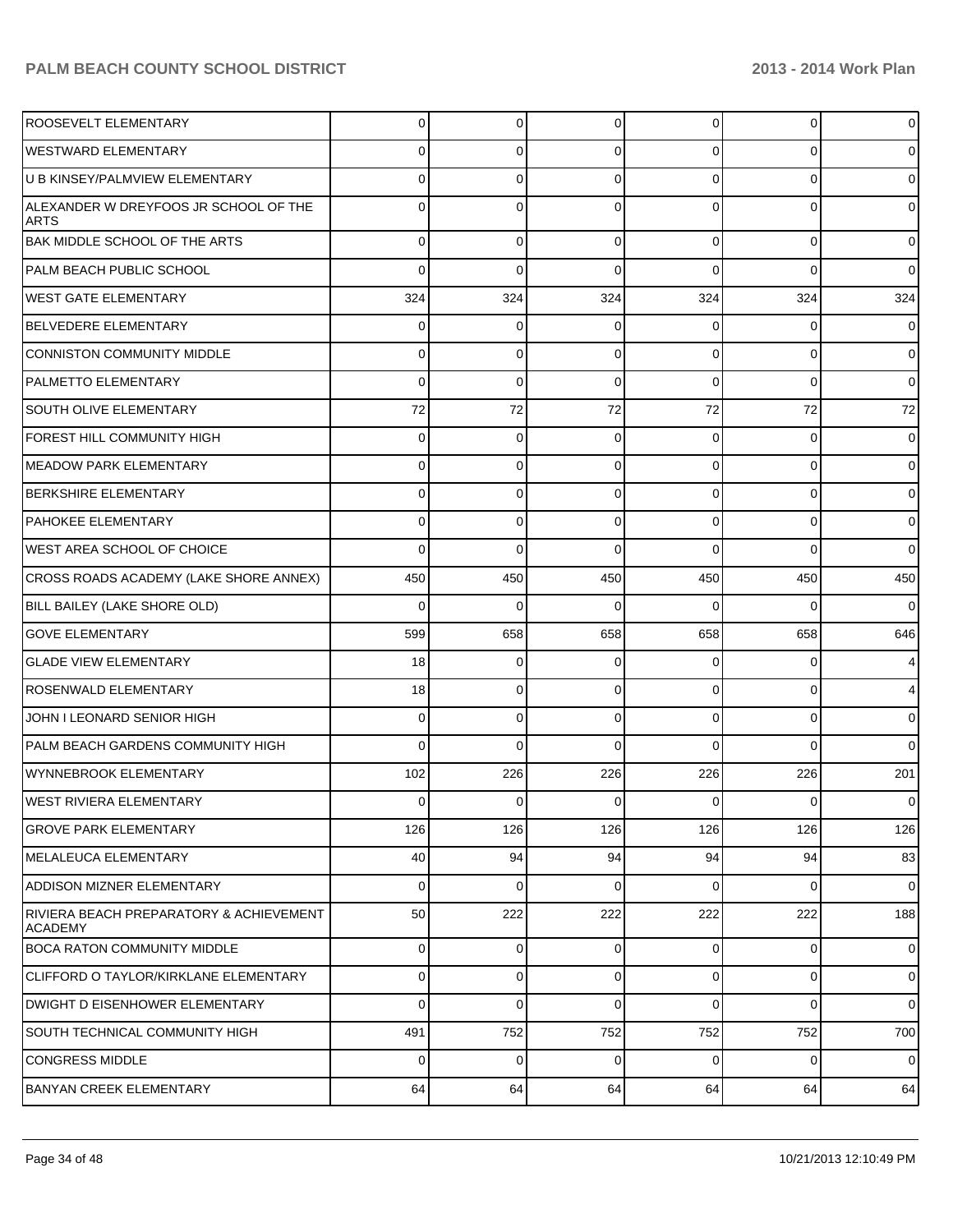| <b>ROOSEVELT ELEMENTARY</b>                               | 0           | 0           | $\overline{0}$ | 0           | $\overline{0}$ | $\mathbf 0$    |
|-----------------------------------------------------------|-------------|-------------|----------------|-------------|----------------|----------------|
| <b>WESTWARD ELEMENTARY</b>                                | $\Omega$    | 0           | $\Omega$       | 0           | $\overline{0}$ | $\overline{0}$ |
| U B KINSEY/PALMVIEW ELEMENTARY                            | $\Omega$    | 0           | $\Omega$       | 0           | $\Omega$       | $\overline{0}$ |
| ALEXANDER W DREYFOOS JR SCHOOL OF THE<br><b>ARTS</b>      | $\Omega$    | 0           | $\Omega$       | 0           | $\Omega$       | $\overline{0}$ |
| <b>BAK MIDDLE SCHOOL OF THE ARTS</b>                      | 0           | 0           | $\Omega$       | 0           | $\overline{0}$ | $\overline{0}$ |
| PALM BEACH PUBLIC SCHOOL                                  | $\Omega$    | 0           | $\Omega$       | 0           | $\Omega$       | $\overline{0}$ |
| WEST GATE ELEMENTARY                                      | 324         | 324         | 324            | 324         | 324            | 324            |
| <b>BELVEDERE ELEMENTARY</b>                               | 0           | 0           | $\Omega$       | 0           | $\overline{0}$ | $\overline{0}$ |
| CONNISTON COMMUNITY MIDDLE                                | 0           | 0           | $\Omega$       | 0           | $\overline{0}$ | $\overline{0}$ |
| <b>PALMETTO ELEMENTARY</b>                                | 0           | $\Omega$    | $\Omega$       | $\Omega$    | $\overline{0}$ | $\overline{0}$ |
| <b>SOUTH OLIVE ELEMENTARY</b>                             | 72          | 72          | 72             | 72          | 72             | 72             |
| <b>FOREST HILL COMMUNITY HIGH</b>                         | 0           | 0           | $\Omega$       | 0           | $\overline{0}$ | $\overline{0}$ |
| MEADOW PARK ELEMENTARY                                    | 0           | 0           | $\Omega$       | 0           | $\overline{0}$ | $\overline{0}$ |
| <b>BERKSHIRE ELEMENTARY</b>                               | 0           | 0           | $\Omega$       | 0           | $\overline{0}$ | $\overline{0}$ |
| <b>PAHOKEE ELEMENTARY</b>                                 | 0           | 0           | $\Omega$       | 0           | $\overline{0}$ | $\overline{0}$ |
| <b>WEST AREA SCHOOL OF CHOICE</b>                         | $\Omega$    | 0           | $\Omega$       | 0           | $\Omega$       | $\overline{0}$ |
| CROSS ROADS ACADEMY (LAKE SHORE ANNEX)                    | 450         | 450         | 450            | 450         | 450            | 450            |
| BILL BAILEY (LAKE SHORE OLD)                              | $\Omega$    | $\Omega$    | $\Omega$       | 0           | $\Omega$       | $\overline{0}$ |
| <b>GOVE ELEMENTARY</b>                                    | 599         | 658         | 658            | 658         | 658            | 646            |
| <b>GLADE VIEW ELEMENTARY</b>                              | 18          | 0           | $\Omega$       | 0           | $\overline{0}$ | $\overline{4}$ |
| <b>ROSENWALD ELEMENTARY</b>                               | 18          | 0           | $\Omega$       | 0           | $\overline{0}$ | $\overline{4}$ |
| JOHN I LEONARD SENIOR HIGH                                | 0           | 0           | $\Omega$       | 0           | $\overline{0}$ | $\overline{0}$ |
| PALM BEACH GARDENS COMMUNITY HIGH                         | 0           | $\Omega$    | $\Omega$       | 0           | $\Omega$       | 0              |
| WYNNEBROOK ELEMENTARY                                     | 102         | 226         | 226            | 226         | 226            | 201            |
| WEST RIVIERA ELEMENTARY                                   | 0           | 0           | 0              | 0           | $\overline{0}$ | $\overline{0}$ |
| <b>GROVE PARK ELEMENTARY</b>                              | 126         | 126         | 126            | 126         | 126            | 126            |
| MELALEUCA ELEMENTARY                                      | 40          | 94          | 94             | 94          | 94             | 83             |
| ADDISON MIZNER ELEMENTARY                                 | $\mathbf 0$ | $\mathbf 0$ | $\Omega$       | $\Omega$    | $\overline{0}$ | $\overline{0}$ |
| RIVIERA BEACH PREPARATORY & ACHIEVEMENT<br><b>ACADEMY</b> | 50          | 222         | 222            | 222         | 222            | 188            |
| <b>BOCA RATON COMMUNITY MIDDLE</b>                        | $\mathbf 0$ | 0           | $\Omega$       | $\mathbf 0$ | $\overline{0}$ | $\overline{0}$ |
| CLIFFORD O TAYLOR/KIRKLANE ELEMENTARY                     | 0           | 0           | $\Omega$       | 0           | $\overline{0}$ | $\overline{0}$ |
| DWIGHT D EISENHOWER ELEMENTARY                            | 0           | 0           | $\Omega$       | 0           | $\overline{0}$ | $\overline{0}$ |
| SOUTH TECHNICAL COMMUNITY HIGH                            | 491         | 752         | 752            | 752         | 752            | 700            |
| CONGRESS MIDDLE                                           | 0           | 0           | $\Omega$       | 0           | $\overline{0}$ | $\overline{0}$ |
| <b>BANYAN CREEK ELEMENTARY</b>                            | 64          | 64          | 64             | 64          | 64             | 64             |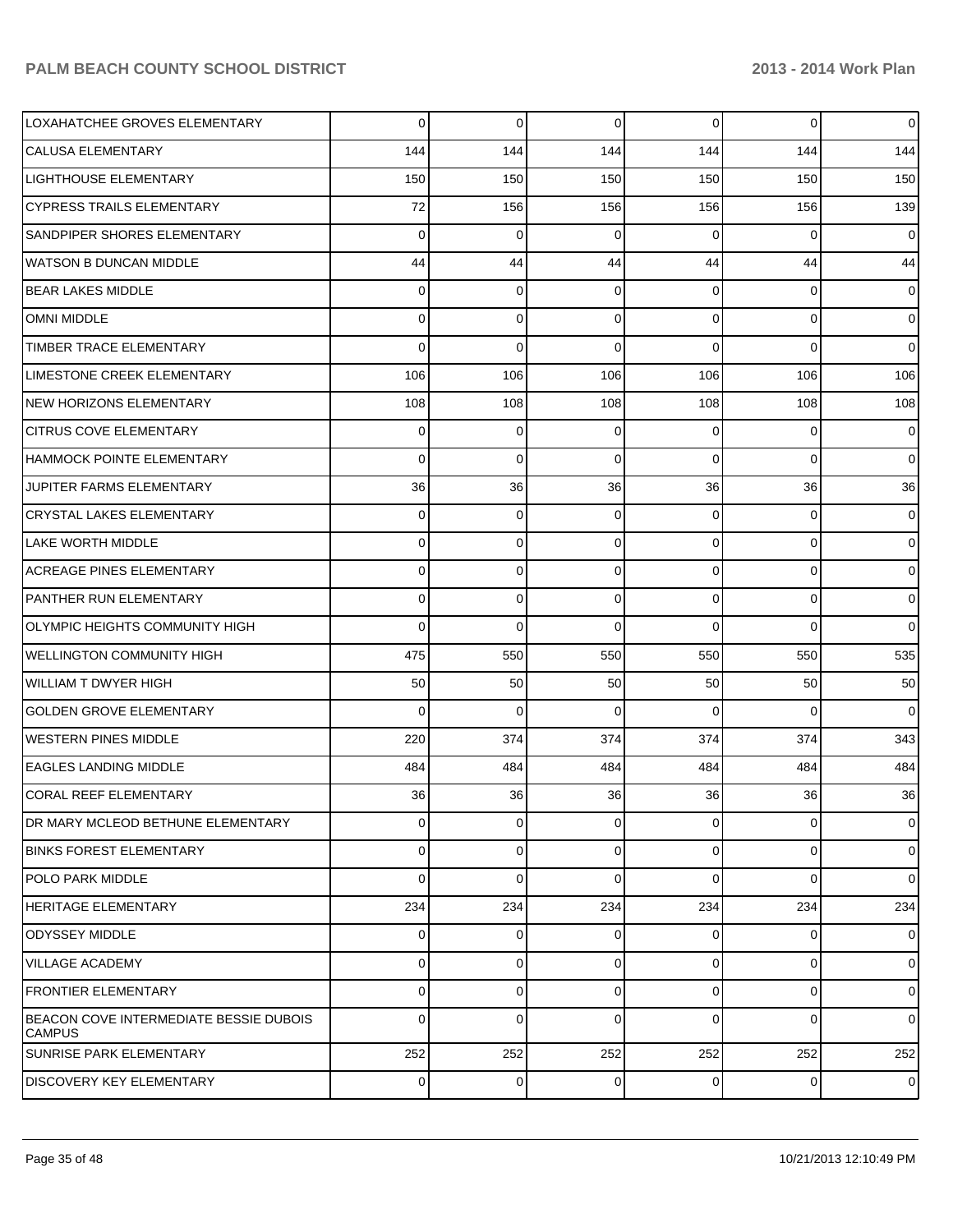| LOXAHATCHEE GROVES ELEMENTARY                           | 0        | $\overline{0}$ | $\mathbf 0$ | 0        | $\overline{0}$ | $\overline{0}$ |
|---------------------------------------------------------|----------|----------------|-------------|----------|----------------|----------------|
| CALUSA ELEMENTARY                                       | 144      | 144            | 144         | 144      | 144            | 144            |
| <b>LIGHTHOUSE ELEMENTARY</b>                            | 150      | 150            | 150         | 150      | 150            | 150            |
| <b>CYPRESS TRAILS ELEMENTARY</b>                        | 72       | 156            | 156         | 156      | 156            | 139            |
| SANDPIPER SHORES ELEMENTARY                             | $\Omega$ | 0              | $\Omega$    | $\Omega$ | 0              | $\overline{0}$ |
| <b>WATSON B DUNCAN MIDDLE</b>                           | 44       | 44             | 44          | 44       | 44             | 44             |
| <b>BEAR LAKES MIDDLE</b>                                | 0        | 0              | $\Omega$    | 0        | 0              | $\overline{0}$ |
| <b>OMNI MIDDLE</b>                                      | 0        | 0              | $\mathbf 0$ | 0        | $\overline{0}$ | $\overline{0}$ |
| TIMBER TRACE ELEMENTARY                                 | $\Omega$ | $\mathbf 0$    | $\Omega$    | $\Omega$ | $\overline{0}$ | $\overline{0}$ |
| LIMESTONE CREEK ELEMENTARY                              | 106      | 106            | 106         | 106      | 106            | 106            |
| <b>NEW HORIZONS ELEMENTARY</b>                          | 108      | 108            | 108         | 108      | 108            | 108            |
| <b>CITRUS COVE ELEMENTARY</b>                           | 0        | 0              | 0           | $\Omega$ | $\mathbf 0$    | $\mathbf 0$    |
| HAMMOCK POINTE ELEMENTARY                               | $\Omega$ | 0              | $\Omega$    | $\Omega$ | $\overline{0}$ | $\overline{0}$ |
| JUPITER FARMS ELEMENTARY                                | 36       | 36             | 36          | 36       | 36             | 36             |
| <b>CRYSTAL LAKES ELEMENTARY</b>                         | 0        | 0              | $\Omega$    | 0        | 0              | $\mathbf 0$    |
| <b>LAKE WORTH MIDDLE</b>                                | $\Omega$ | 0              | $\Omega$    | $\Omega$ | $\overline{0}$ | $\mathbf 0$    |
| <b>ACREAGE PINES ELEMENTARY</b>                         | 0        | 0              | $\Omega$    | 0        | $\overline{0}$ | $\mathbf 0$    |
| PANTHER RUN ELEMENTARY                                  | 0        | $\mathbf 0$    | $\Omega$    | 0        | $\overline{0}$ | $\overline{0}$ |
| <b>OLYMPIC HEIGHTS COMMUNITY HIGH</b>                   | $\Omega$ | 0              | $\Omega$    | $\Omega$ | $\overline{0}$ | $\overline{0}$ |
| <b>WELLINGTON COMMUNITY HIGH</b>                        | 475      | 550            | 550         | 550      | 550            | 535            |
| <b>WILLIAM T DWYER HIGH</b>                             | 50       | 50             | 50          | 50       | 50             | 50             |
| <b>GOLDEN GROVE ELEMENTARY</b>                          | $\Omega$ | 0              | $\Omega$    | $\Omega$ | 0              | $\overline{0}$ |
| <b>WESTERN PINES MIDDLE</b>                             | 220      | 374            | 374         | 374      | 374            | 343            |
| <b>EAGLES LANDING MIDDLE</b>                            | 484      | 484            | 484         | 484      | 484            | 484            |
| <b>CORAL REEF ELEMENTARY</b>                            | 36       | 36             | 36          | 36       | 36             | 36             |
| DR MARY MCLEOD BETHUNE ELEMENTARY                       | 0        | $\overline{0}$ | 0           | 0        | $\overline{0}$ | $\mathbf 0$    |
| <b>BINKS FOREST ELEMENTARY</b>                          | 0        | 0              | $\Omega$    | 0        | $\mathbf 0$    | $\mathbf 0$    |
| <b>POLO PARK MIDDLE</b>                                 | $\Omega$ | $\mathbf 0$    | $\Omega$    | $\Omega$ | $\mathbf 0$    | $\overline{0}$ |
| <b>HERITAGE ELEMENTARY</b>                              | 234      | 234            | 234         | 234      | 234            | 234            |
| <b>ODYSSEY MIDDLE</b>                                   | 0        | 0              | $\Omega$    | 0        | $\mathbf 0$    | $\mathbf 0$    |
| <b>VILLAGE ACADEMY</b>                                  | $\Omega$ | 0              | $\Omega$    | 0        | $\mathbf 0$    | $\overline{0}$ |
| <b>FRONTIER ELEMENTARY</b>                              | 0        | 0              | 0           | 0        | $\mathbf 0$    | $\mathbf 0$    |
| BEACON COVE INTERMEDIATE BESSIE DUBOIS<br><b>CAMPUS</b> | $\Omega$ | $\mathbf 0$    | $\Omega$    | 0        | $\mathbf 0$    | $\mathbf 0$    |
| <b>SUNRISE PARK ELEMENTARY</b>                          | 252      | 252            | 252         | 252      | 252            | 252            |
| <b>DISCOVERY KEY ELEMENTARY</b>                         | 0        | 0              | 0           | 0        | $\overline{0}$ | $\mathbf 0$    |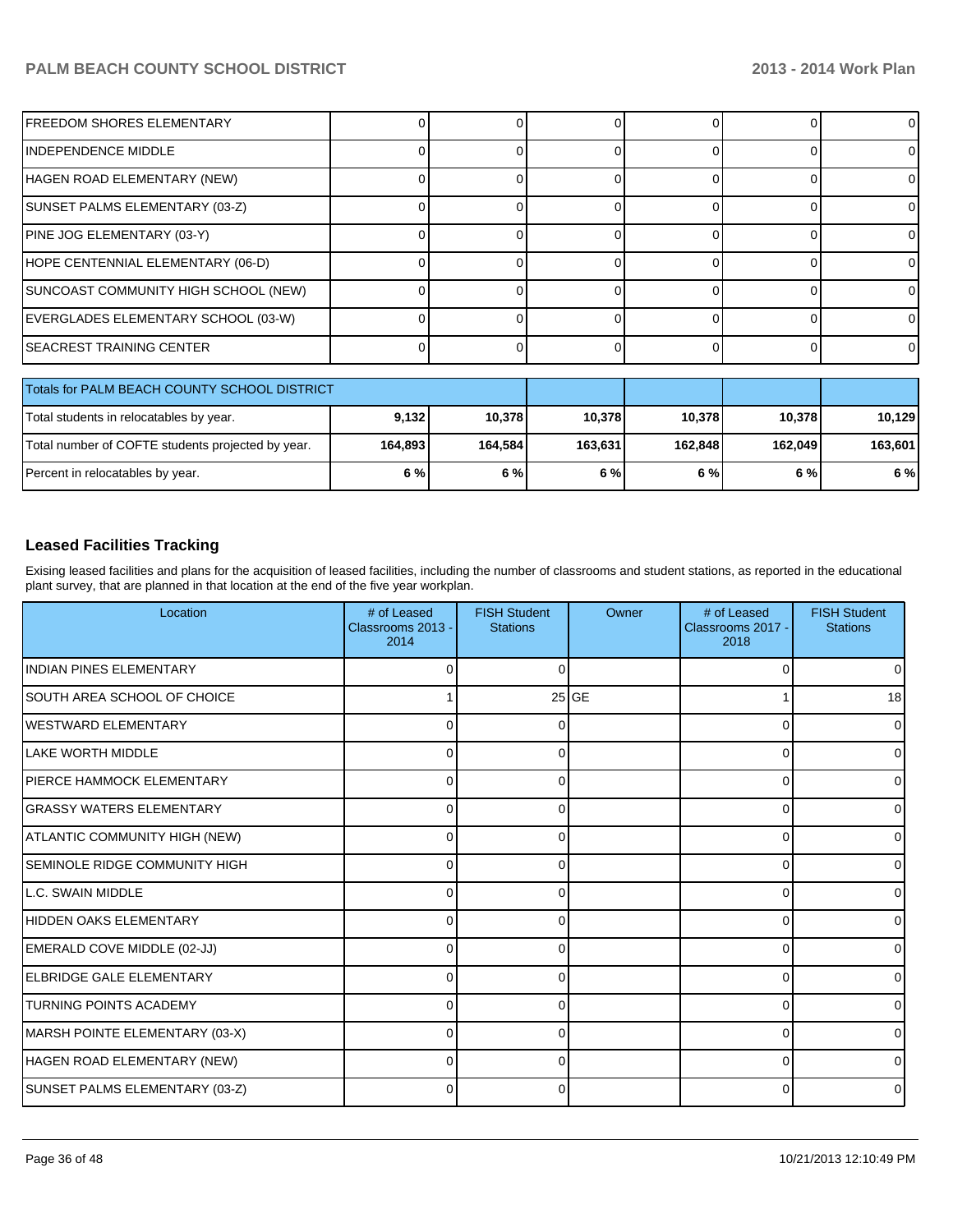| IFREEDOM SHORES ELEMENTARY                        | 0       |          | 0       |         | 0       | 0       |
|---------------------------------------------------|---------|----------|---------|---------|---------|---------|
| IINDEPENDENCE MIDDLE                              | 0       | $\Omega$ | 0       |         | 0       |         |
| HAGEN ROAD ELEMENTARY (NEW)                       | 0       | ი        | 0       |         |         |         |
| SUNSET PALMS ELEMENTARY (03-Z)                    |         |          | ი       |         |         |         |
| PINE JOG ELEMENTARY (03-Y)                        |         |          | 0       |         |         |         |
| HOPE CENTENNIAL ELEMENTARY (06-D)                 |         | O        | 0       | r       | 0       | U       |
| SUNCOAST COMMUNITY HIGH SCHOOL (NEW)              | 01      |          | 0       |         | 0       |         |
| EVERGLADES ELEMENTARY SCHOOL (03-W)               | 01      |          | 0       |         |         |         |
| <b>SEACREST TRAINING CENTER</b>                   | 0       | $\Omega$ | 0       |         | 0       |         |
|                                                   |         |          |         |         |         |         |
| Totals for PALM BEACH COUNTY SCHOOL DISTRICT      |         |          |         |         |         |         |
| Total students in relocatables by year.           | 9,132   | 10,378   | 10,378  | 10,378  | 10,378  | 10,129  |
| Total number of COFTE students projected by year. | 164,893 | 164,584  | 163,631 | 162,848 | 162,049 | 163,601 |
| Percent in relocatables by year.                  | 6 %     | 6 %      | 6 %     | 6 %     | 6 %     | 6 %     |

#### **Leased Facilities Tracking**

Exising leased facilities and plans for the acquisition of leased facilities, including the number of classrooms and student stations, as reported in the educational plant survey, that are planned in that location at the end of the five year workplan.

| Location                             | # of Leased<br>Classrooms 2013 -<br>2014 | <b>FISH Student</b><br><b>Stations</b> | Owner   | # of Leased<br>Classrooms 2017 -<br>2018 | <b>FISH Student</b><br><b>Stations</b> |
|--------------------------------------|------------------------------------------|----------------------------------------|---------|------------------------------------------|----------------------------------------|
| <b>INDIAN PINES ELEMENTARY</b>       | 0                                        | 0                                      |         | 0                                        | 0                                      |
| SOUTH AREA SCHOOL OF CHOICE          |                                          |                                        | $25$ GE |                                          | 18                                     |
| IWESTWARD ELEMENTARY                 | $\Omega$                                 | ∩                                      |         | $\Omega$                                 | 0                                      |
| <b>I</b> LAKE WORTH MIDDLE           | 0                                        | O                                      |         | $\Omega$                                 | <sup>0</sup>                           |
| IPIERCE HAMMOCK ELEMENTARY           | 0                                        | ∩                                      |         | 0                                        |                                        |
| <b>GRASSY WATERS ELEMENTARY</b>      | 0                                        | ∩                                      |         | $\Omega$                                 | 0                                      |
| ATLANTIC COMMUNITY HIGH (NEW)        | $\Omega$                                 |                                        |         | $\Omega$                                 | U                                      |
| <b>SEMINOLE RIDGE COMMUNITY HIGH</b> | $\Omega$                                 |                                        |         | $\Omega$                                 |                                        |
| LL.C. SWAIN MIDDLE                   | 0                                        |                                        |         | $\Omega$                                 |                                        |
| HIDDEN OAKS ELEMENTARY               | 0                                        |                                        |         | $\Omega$                                 | U                                      |
| EMERALD COVE MIDDLE (02-JJ)          | 0                                        |                                        |         | $\Omega$                                 |                                        |
| ELBRIDGE GALE ELEMENTARY             | $\Omega$                                 |                                        |         | $\Omega$                                 | <sup>0</sup>                           |
| TURNING POINTS ACADEMY               | 0                                        | 0                                      |         | 0                                        | o                                      |
| MARSH POINTE ELEMENTARY (03-X)       | 0                                        | 0                                      |         | $\Omega$                                 | 0                                      |
| HAGEN ROAD ELEMENTARY (NEW)          | 0                                        | 0                                      |         | $\Omega$                                 | <sup>0</sup>                           |
| SUNSET PALMS ELEMENTARY (03-Z)       | 0                                        | 0                                      |         | $\Omega$                                 | <sup>0</sup>                           |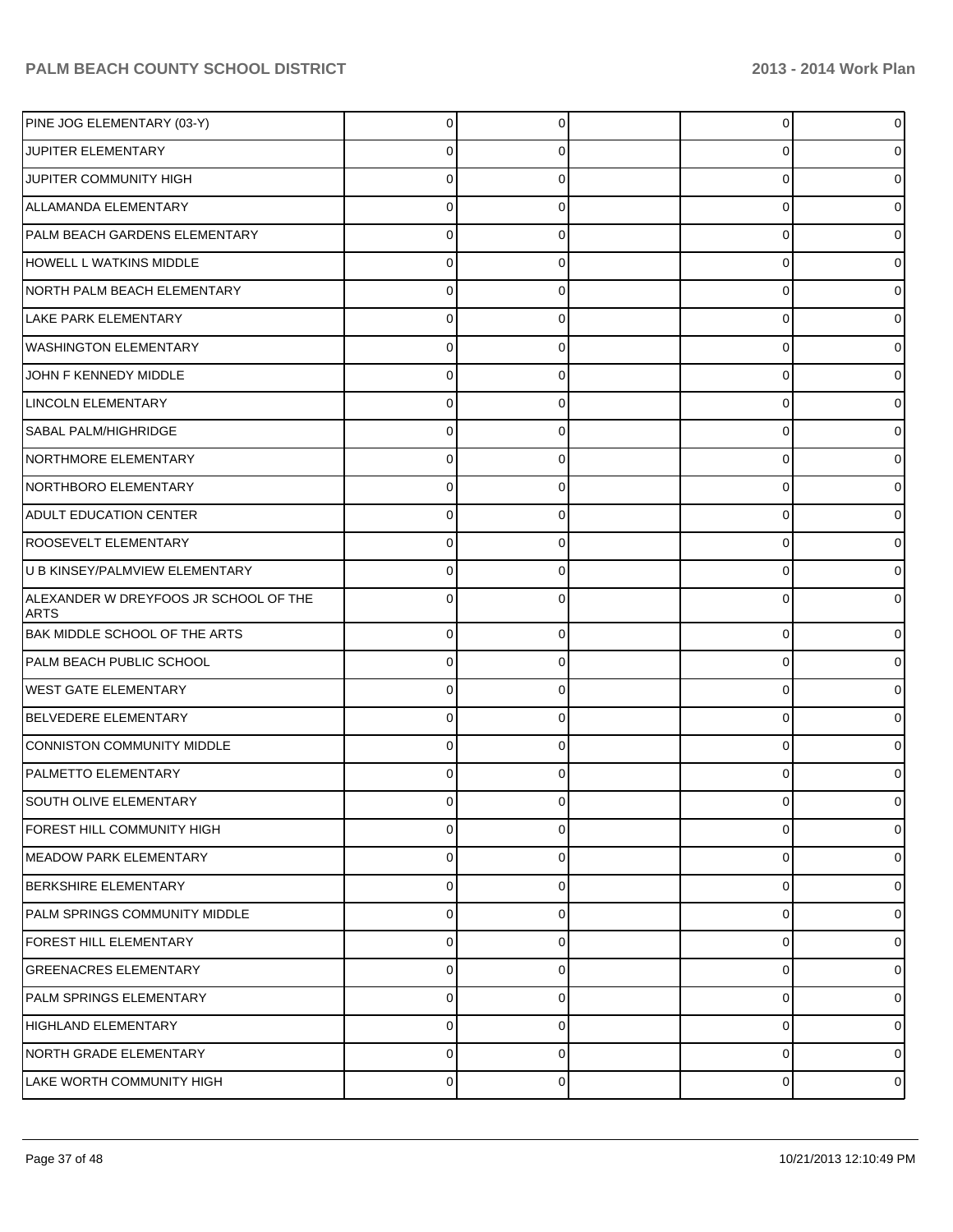| PINE JOG ELEMENTARY (03-Y)                           | 0              | 0        | 0        | 0              |
|------------------------------------------------------|----------------|----------|----------|----------------|
| JUPITER ELEMENTARY                                   | 0              | 0        | 0        |                |
| JUPITER COMMUNITY HIGH                               | 0              | 0        | 0        |                |
| ALLAMANDA ELEMENTARY                                 | 0              | 0        | 0        |                |
| PALM BEACH GARDENS ELEMENTARY                        | $\mathbf 0$    | 0        | 0        |                |
| <b>HOWELL L WATKINS MIDDLE</b>                       | 0              | 0        | 0        |                |
| NORTH PALM BEACH ELEMENTARY                          | 0              | 0        | 0        |                |
| <b>LAKE PARK ELEMENTARY</b>                          | 0              | 0        | 0        |                |
| <b>WASHINGTON ELEMENTARY</b>                         | $\mathbf 0$    | 0        | 0        |                |
| JOHN F KENNEDY MIDDLE                                | 0              | 0        | 0        |                |
| LINCOLN ELEMENTARY                                   | 0              | 0        | 0        |                |
| SABAL PALM/HIGHRIDGE                                 | 0              | 0        | 0        |                |
| NORTHMORE ELEMENTARY                                 | 0              | 0        | 0        |                |
| NORTHBORO ELEMENTARY                                 | 0              | 0        | 0        |                |
| ADULT EDUCATION CENTER                               | 0              | 0        | 0        |                |
| <b>ROOSEVELT ELEMENTARY</b>                          | 0              | 0        | 0        |                |
| U B KINSEY/PALMVIEW ELEMENTARY                       | $\mathbf 0$    | 0        | 0        |                |
| ALEXANDER W DREYFOOS JR SCHOOL OF THE<br><b>ARTS</b> | 0              | 0        | 0        |                |
| <b>BAK MIDDLE SCHOOL OF THE ARTS</b>                 | $\mathbf 0$    | 0        | 0        | 0              |
| PALM BEACH PUBLIC SCHOOL                             | $\pmb{0}$      | 0        | 0        | 0              |
| <b>WEST GATE ELEMENTARY</b>                          | $\pmb{0}$      | 0        | 0        | 0              |
| BELVEDERE ELEMENTARY                                 | $\pmb{0}$      | 0        | 0        | 0              |
| CONNISTON COMMUNITY MIDDLE                           | $\mathbf 0$    | 0        | 0        | 0              |
| <b>PALMETTO ELEMENTARY</b>                           | $\mathbf 0$    | 0        | 0        |                |
| SOUTH OLIVE ELEMENTARY                               | $\overline{0}$ | $\Omega$ | 0        | 0              |
| FOREST HILL COMMUNITY HIGH                           | $\mathbf 0$    | $\Omega$ | $\Omega$ | $\Omega$       |
| <b>MEADOW PARK ELEMENTARY</b>                        | $\mathbf 0$    | $\Omega$ | 0        | $\Omega$       |
| BERKSHIRE ELEMENTARY                                 | $\mathbf 0$    | 0        | 0        | 0              |
| <b>PALM SPRINGS COMMUNITY MIDDLE</b>                 | $\mathbf 0$    | $\Omega$ | 0        | $\Omega$       |
| <b>FOREST HILL ELEMENTARY</b>                        | $\mathbf 0$    | 0        | 0        | 0              |
| <b>GREENACRES ELEMENTARY</b>                         | $\mathbf 0$    | $\Omega$ | 0        | $\Omega$       |
| PALM SPRINGS ELEMENTARY                              | $\mathbf 0$    | 0        | 0        | 0              |
| <b>HIGHLAND ELEMENTARY</b>                           | $\mathbf 0$    | $\Omega$ | 0        | $\Omega$       |
| NORTH GRADE ELEMENTARY                               | $\mathbf 0$    | 0        | 0        | 0              |
| LAKE WORTH COMMUNITY HIGH                            | $\overline{0}$ | 0        | 0        | $\overline{0}$ |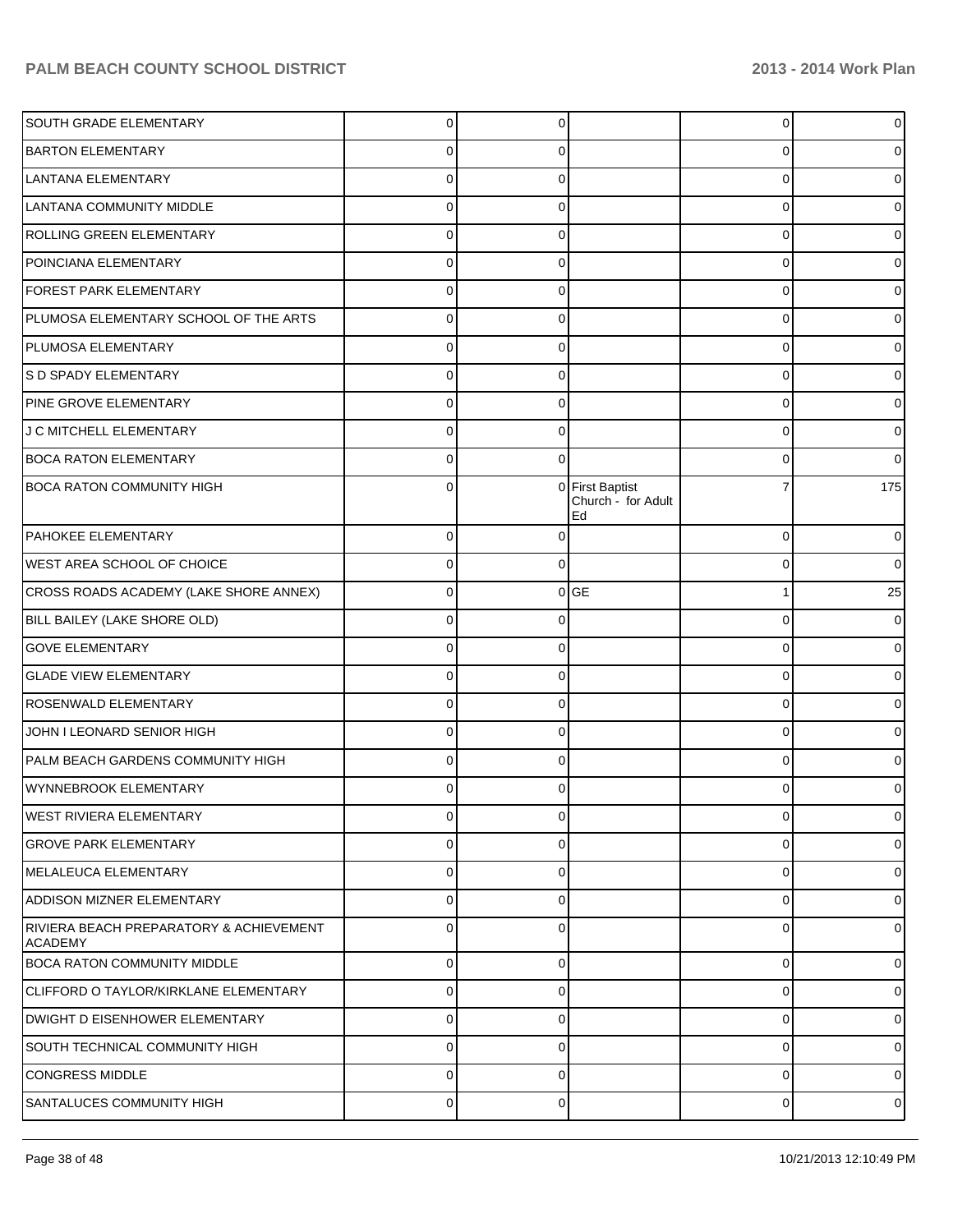| SOUTH GRADE ELEMENTARY                                    | $\Omega$       | 0        |                                                  | 0              |                |
|-----------------------------------------------------------|----------------|----------|--------------------------------------------------|----------------|----------------|
| <b>BARTON ELEMENTARY</b>                                  | C              | C        |                                                  | 0              |                |
| LANTANA ELEMENTARY                                        | C              |          |                                                  | 0              |                |
| LANTANA COMMUNITY MIDDLE                                  | C              | C        |                                                  | 0              |                |
| ROLLING GREEN ELEMENTARY                                  | C              |          |                                                  | 0              |                |
| POINCIANA ELEMENTARY                                      | C              | C        |                                                  | $\mathbf 0$    |                |
| FOREST PARK ELEMENTARY                                    |                |          |                                                  | 0              |                |
| PLUMOSA ELEMENTARY SCHOOL OF THE ARTS                     | C              | C        |                                                  | 0              |                |
| PLUMOSA ELEMENTARY                                        | C              |          |                                                  | 0              |                |
| S D SPADY ELEMENTARY                                      | C              | C        |                                                  | $\mathbf 0$    |                |
| PINE GROVE ELEMENTARY                                     |                |          |                                                  | 0              |                |
| J C MITCHELL ELEMENTARY                                   | C              | 0        |                                                  | 0              |                |
| <b>BOCA RATON ELEMENTARY</b>                              |                | 0        |                                                  | 0              |                |
| <b>BOCA RATON COMMUNITY HIGH</b>                          | C              | $\Omega$ | <b>First Baptist</b><br>Church - for Adult<br>Ed |                | 175            |
| <b>PAHOKEE ELEMENTARY</b>                                 | $\Omega$       | 0        |                                                  | $\mathbf 0$    |                |
| WEST AREA SCHOOL OF CHOICE                                | $\Omega$       | 0        |                                                  | 0              |                |
| CROSS ROADS ACADEMY (LAKE SHORE ANNEX)                    | $\Omega$       |          | $0$ GE                                           |                | 25             |
| BILL BAILEY (LAKE SHORE OLD)                              | $\Omega$       | 0        |                                                  | $\mathbf 0$    |                |
| <b>GOVE ELEMENTARY</b>                                    | $\Omega$       | 0        |                                                  | 0              |                |
| <b>GLADE VIEW ELEMENTARY</b>                              | 0              | 0        |                                                  | 0              |                |
| ROSENWALD ELEMENTARY                                      | $\Omega$       | 0        |                                                  | 0              |                |
| JOHN I LEONARD SENIOR HIGH                                | $\Omega$       | 0        |                                                  | $\mathbf 0$    |                |
| PALM BEACH GARDENS COMMUNITY HIGH                         | $\Omega$       | 0        |                                                  | 0              |                |
| WYNNEBROOK ELEMENTARY                                     | $\Omega$       | $\Omega$ |                                                  | $\Omega$       |                |
| WEST RIVIERA ELEMENTARY                                   | $\overline{0}$ | 0        |                                                  | $\overline{0}$ | $\overline{0}$ |
| <b>GROVE PARK ELEMENTARY</b>                              | $\Omega$       | $\Omega$ |                                                  | 0              |                |
| MELALEUCA ELEMENTARY                                      | $\Omega$       | $\Omega$ |                                                  | $\mathbf 0$    |                |
| <b>ADDISON MIZNER ELEMENTARY</b>                          | $\Omega$       | $\Omega$ |                                                  | 0              |                |
| RIVIERA BEACH PREPARATORY & ACHIEVEMENT<br><b>ACADEMY</b> | $\Omega$       | $\Omega$ |                                                  | $\Omega$       |                |
| <b>BOCA RATON COMMUNITY MIDDLE</b>                        | $\mathbf 0$    | 0        |                                                  | 0              |                |
| CLIFFORD O TAYLOR/KIRKLANE ELEMENTARY                     | $\Omega$       | C        |                                                  | 0              |                |
| DWIGHT D EISENHOWER ELEMENTARY                            | $\Omega$       | 0        |                                                  | 0              |                |
| SOUTH TECHNICAL COMMUNITY HIGH                            | $\Omega$       | C        |                                                  | 0              |                |
| <b>CONGRESS MIDDLE</b>                                    | $\Omega$       | 0        |                                                  | 0              |                |
| SANTALUCES COMMUNITY HIGH                                 | $\mathbf 0$    | 0        |                                                  | 0              | 0              |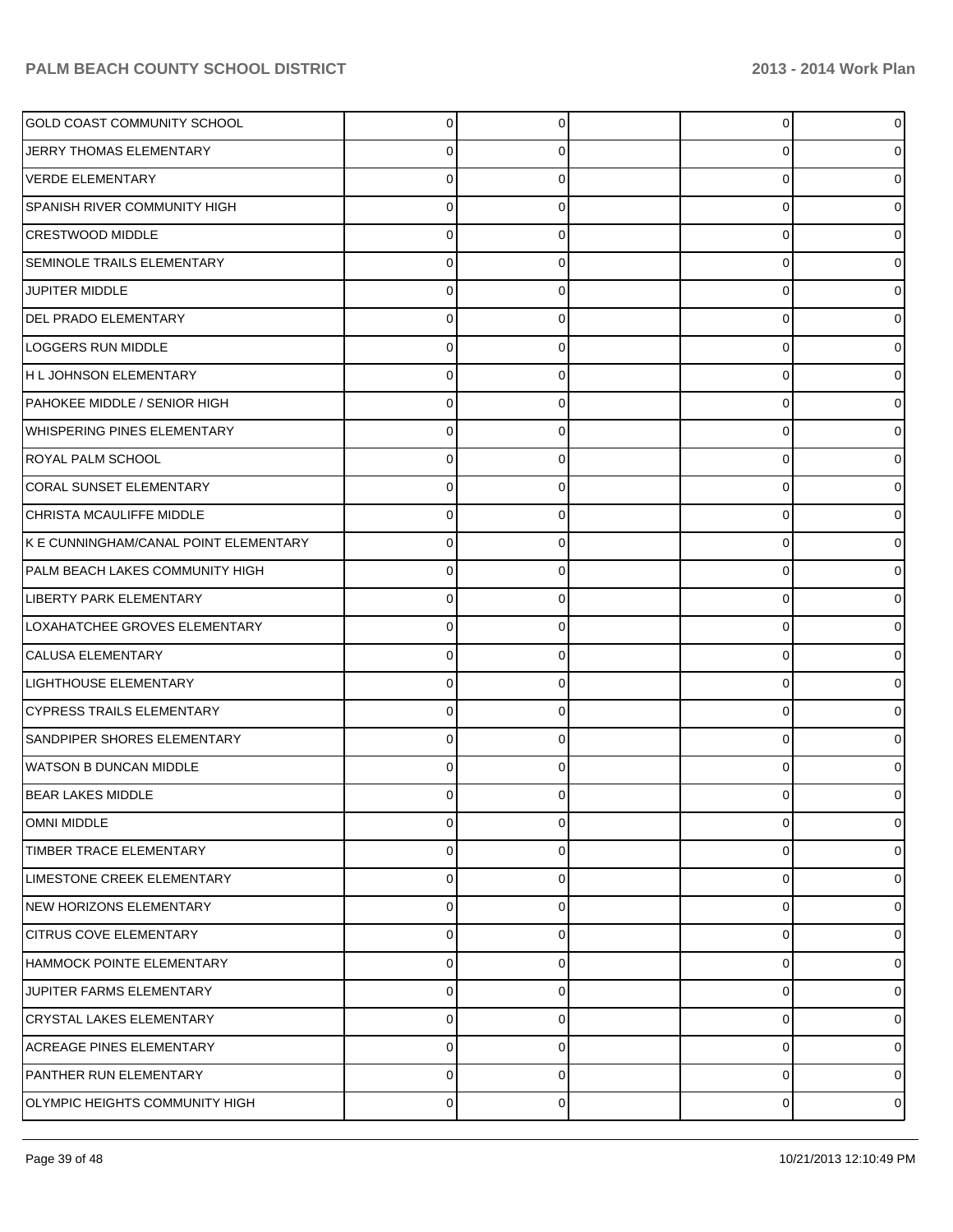| GOLD COAST COMMUNITY SCHOOL           | 0        | U | 0           |  |
|---------------------------------------|----------|---|-------------|--|
| JERRY THOMAS ELEMENTARY               |          |   | 0           |  |
| <b>VERDE ELEMENTARY</b>               |          |   | 0           |  |
| <b>SPANISH RIVER COMMUNITY HIGH</b>   | O        | O | 0           |  |
| <b>CRESTWOOD MIDDLE</b>               |          |   | 0           |  |
| <b>SEMINOLE TRAILS ELEMENTARY</b>     | O        | O | 0           |  |
| <b>JUPITER MIDDLE</b>                 |          |   | 0           |  |
| <b>DEL PRADO ELEMENTARY</b>           | O        | O | 0           |  |
| LOGGERS RUN MIDDLE                    |          |   | 0           |  |
| H L JOHNSON ELEMENTARY                | ი        | O | 0           |  |
| PAHOKEE MIDDLE / SENIOR HIGH          |          |   | 0           |  |
| <b>WHISPERING PINES ELEMENTARY</b>    | Ω        | O | 0           |  |
| <b>ROYAL PALM SCHOOL</b>              |          |   | 0           |  |
| <b>CORAL SUNSET ELEMENTARY</b>        | ი        | O | 0           |  |
| CHRISTA MCAULIFFE MIDDLE              |          |   | 0           |  |
| K E CUNNINGHAM/CANAL POINT ELEMENTARY | Ω        | O | 0           |  |
| PALM BEACH LAKES COMMUNITY HIGH       |          |   | 0           |  |
| LIBERTY PARK ELEMENTARY               | ი        | O | 0           |  |
| LOXAHATCHEE GROVES ELEMENTARY         |          |   | 0           |  |
| <b>CALUSA ELEMENTARY</b>              | Ω        | O | 0           |  |
| LIGHTHOUSE ELEMENTARY                 |          |   | 0           |  |
| <b>CYPRESS TRAILS ELEMENTARY</b>      | ი        | O | 0           |  |
| SANDPIPER SHORES ELEMENTARY           |          |   | 0           |  |
| WATSON B DUNCAN MIDDLE                |          |   | 0           |  |
| <b>BEAR LAKES MIDDLE</b>              |          |   | 0           |  |
| <b>OMNI MIDDLE</b>                    | $\Omega$ | O | 0           |  |
| TIMBER TRACE ELEMENTARY               | $\Omega$ | 0 | $\mathbf 0$ |  |
| LIMESTONE CREEK ELEMENTARY            | $\Omega$ | U | $\mathbf 0$ |  |
| NEW HORIZONS ELEMENTARY               | 0        | 0 | $\mathbf 0$ |  |
| <b>CITRUS COVE ELEMENTARY</b>         | $\Omega$ | U | 0           |  |
| HAMMOCK POINTE ELEMENTARY             | 0        | 0 | $\mathbf 0$ |  |
| JUPITER FARMS ELEMENTARY              | $\Omega$ | U | 0           |  |
| <b>CRYSTAL LAKES ELEMENTARY</b>       | 0        | 0 | $\mathbf 0$ |  |
| <b>ACREAGE PINES ELEMENTARY</b>       | $\Omega$ | U | 0           |  |
| PANTHER RUN ELEMENTARY                | 0        | 0 | $\mathbf 0$ |  |
| OLYMPIC HEIGHTS COMMUNITY HIGH        | 0        | 0 | 0           |  |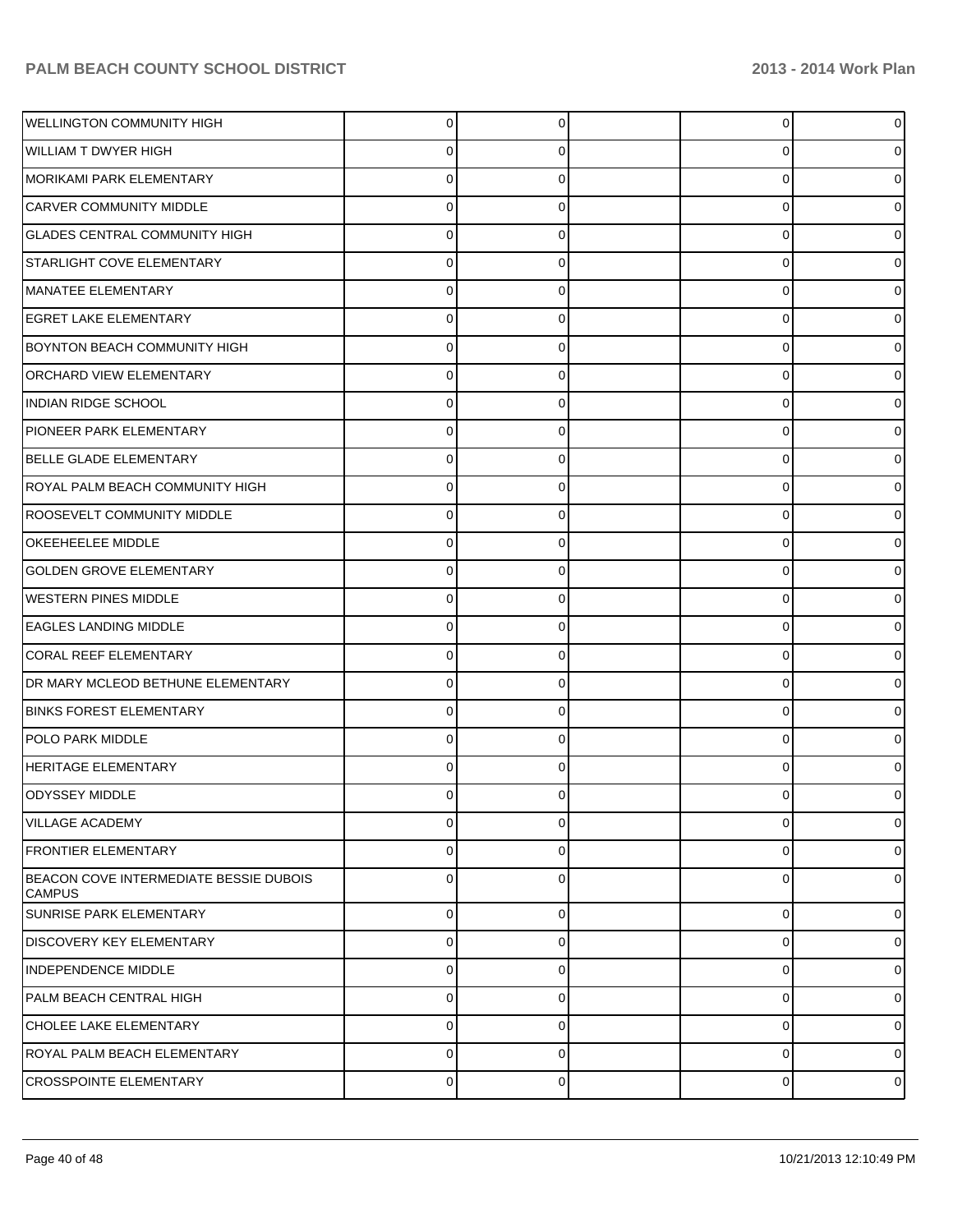| WELLINGTON COMMUNITY HIGH                               | 0              | 0 | 0           |  |
|---------------------------------------------------------|----------------|---|-------------|--|
| <b>WILLIAM T DWYER HIGH</b>                             | 0              | 0 | 0           |  |
| MORIKAMI PARK ELEMENTARY                                | 0              | 0 | 0           |  |
| CARVER COMMUNITY MIDDLE                                 | 0              | 0 | 0           |  |
| <b>GLADES CENTRAL COMMUNITY HIGH</b>                    | 0              | 0 | 0           |  |
| <b>STARLIGHT COVE ELEMENTARY</b>                        | 0              | 0 | 0           |  |
| MANATEE ELEMENTARY                                      | 0              | 0 | 0           |  |
| <b>EGRET LAKE ELEMENTARY</b>                            | 0              | 0 | 0           |  |
| <b>BOYNTON BEACH COMMUNITY HIGH</b>                     | 0              | 0 | 0           |  |
| <b>ORCHARD VIEW ELEMENTARY</b>                          | 0              | 0 | 0           |  |
| <b>INDIAN RIDGE SCHOOL</b>                              | 0              | 0 | 0           |  |
| PIONEER PARK ELEMENTARY                                 | 0              | 0 | 0           |  |
| BELLE GLADE ELEMENTARY                                  | 0              | 0 | 0           |  |
| ROYAL PALM BEACH COMMUNITY HIGH                         | 0              | 0 | 0           |  |
| ROOSEVELT COMMUNITY MIDDLE                              | 0              | 0 | 0           |  |
| <b>OKEEHEELEE MIDDLE</b>                                | 0              | 0 | 0           |  |
| <b>GOLDEN GROVE ELEMENTARY</b>                          | 0              | 0 | 0           |  |
| <b>WESTERN PINES MIDDLE</b>                             | 0              | 0 | 0           |  |
| <b>EAGLES LANDING MIDDLE</b>                            | 0              | 0 | 0           |  |
| <b>CORAL REEF ELEMENTARY</b>                            | 0              | 0 | 0           |  |
| DR MARY MCLEOD BETHUNE ELEMENTARY                       | 0              | 0 | 0           |  |
| <b>BINKS FOREST ELEMENTARY</b>                          | 0              | 0 | 0           |  |
| POLO PARK MIDDLE                                        | 0              | 0 | 0           |  |
| <b>HERITAGE ELEMENTARY</b>                              | 0              | 0 | 0           |  |
| <b>ODYSSEY MIDDLE</b>                                   | 0              | 0 | 0           |  |
| <b>VILLAGE ACADEMY</b>                                  | 0              | 0 | 0           |  |
| <b>FRONTIER ELEMENTARY</b>                              | 0              | 0 | 0           |  |
| BEACON COVE INTERMEDIATE BESSIE DUBOIS<br><b>CAMPUS</b> | 0              | 0 | 0           |  |
| SUNRISE PARK ELEMENTARY                                 | 0              | 0 | $\mathbf 0$ |  |
| <b>DISCOVERY KEY ELEMENTARY</b>                         | 0              | 0 | $\mathbf 0$ |  |
| INDEPENDENCE MIDDLE                                     | 0              | 0 | $\mathbf 0$ |  |
| PALM BEACH CENTRAL HIGH                                 | 0              | 0 | $\mathbf 0$ |  |
| CHOLEE LAKE ELEMENTARY                                  | 0              | 0 | $\mathbf 0$ |  |
| ROYAL PALM BEACH ELEMENTARY                             | 0              | 0 | $\mathbf 0$ |  |
| <b>CROSSPOINTE ELEMENTARY</b>                           | $\overline{0}$ | 0 | $\mathbf 0$ |  |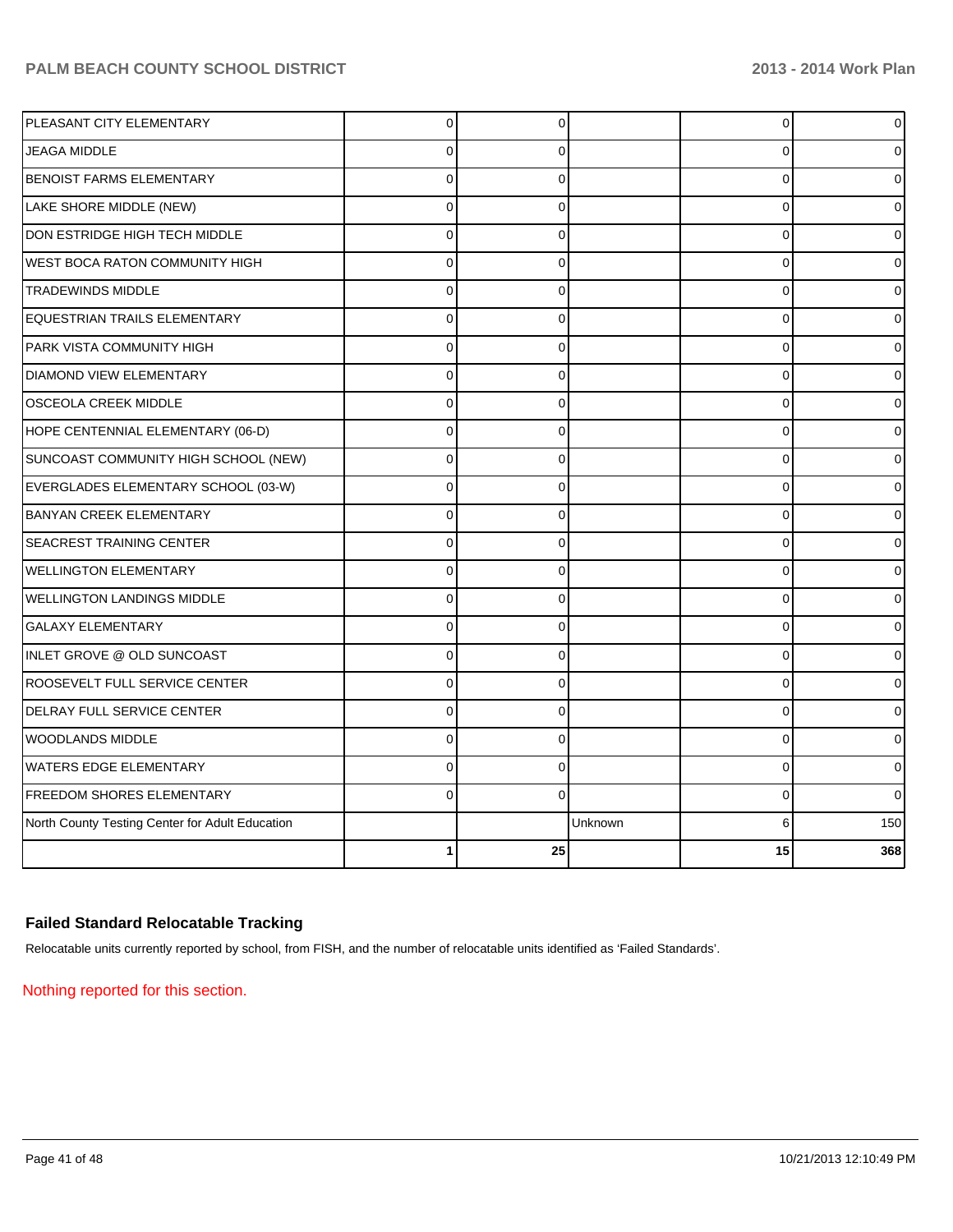| PLEASANT CITY ELEMENTARY                        | 0              | 0              |         | 0           | 0            |
|-------------------------------------------------|----------------|----------------|---------|-------------|--------------|
| <b>JEAGA MIDDLE</b>                             | $\Omega$       | 0              |         | 0           |              |
| <b>BENOIST FARMS ELEMENTARY</b>                 | $\Omega$       | 0              |         | 0           |              |
| LAKE SHORE MIDDLE (NEW)                         | $\Omega$       | 0              |         | $\mathbf 0$ |              |
| DON ESTRIDGE HIGH TECH MIDDLE                   | $\Omega$       | $\Omega$       |         | $\Omega$    |              |
| <b>WEST BOCA RATON COMMUNITY HIGH</b>           | $\Omega$       | $\Omega$       |         | 0           |              |
| <b>TRADEWINDS MIDDLE</b>                        | $\Omega$       | $\Omega$       |         | $\mathbf 0$ |              |
| EQUESTRIAN TRAILS ELEMENTARY                    | $\Omega$       | $\Omega$       |         | 0           |              |
| PARK VISTA COMMUNITY HIGH                       | $\Omega$       | $\Omega$       |         | $\mathbf 0$ |              |
| <b>DIAMOND VIEW ELEMENTARY</b>                  | $\mathbf 0$    | 0              |         | $\mathbf 0$ |              |
| <b>OSCEOLA CREEK MIDDLE</b>                     | $\overline{0}$ | $\Omega$       |         | $\mathbf 0$ |              |
| HOPE CENTENNIAL ELEMENTARY (06-D)               | $\Omega$       | 0              |         | 0           |              |
| SUNCOAST COMMUNITY HIGH SCHOOL (NEW)            | $\Omega$       | 0              |         | 0           | o            |
| EVERGLADES ELEMENTARY SCHOOL (03-W)             | 0              | $\mathbf 0$    |         | 0           |              |
| <b>BANYAN CREEK ELEMENTARY</b>                  | $\Omega$       | 0              |         | 0           |              |
| <b>SEACREST TRAINING CENTER</b>                 | $\Omega$       | 0              |         | 0           |              |
| <b>WELLINGTON ELEMENTARY</b>                    | $\Omega$       | 0              |         | $\mathbf 0$ |              |
| <b>WELLINGTON LANDINGS MIDDLE</b>               | $\Omega$       | $\mathbf{0}$   |         | $\Omega$    |              |
| <b>GALAXY ELEMENTARY</b>                        | $\Omega$       | $\Omega$       |         | 0           |              |
| INLET GROVE @ OLD SUNCOAST                      | $\Omega$       | $\overline{0}$ |         | $\mathbf 0$ |              |
| ROOSEVELT FULL SERVICE CENTER                   | $\Omega$       | $\Omega$       |         | 0           |              |
| DELRAY FULL SERVICE CENTER                      | $\Omega$       | $\Omega$       |         | $\mathbf 0$ | ი            |
| WOODLANDS MIDDLE                                | $\Omega$       | 0              |         | $\mathbf 0$ |              |
| <b>WATERS EDGE ELEMENTARY</b>                   | $\Omega$       | $\mathbf 0$    |         | $\mathbf 0$ |              |
| <b>FREEDOM SHORES ELEMENTARY</b>                | $\Omega$       | $\Omega$       |         | 0           | <sup>0</sup> |
| North County Testing Center for Adult Education |                |                | Unknown | 6           | 150          |
|                                                 |                | 25             |         | 15          | 368          |

## **Failed Standard Relocatable Tracking**

Relocatable units currently reported by school, from FISH, and the number of relocatable units identified as 'Failed Standards'.

Nothing reported for this section.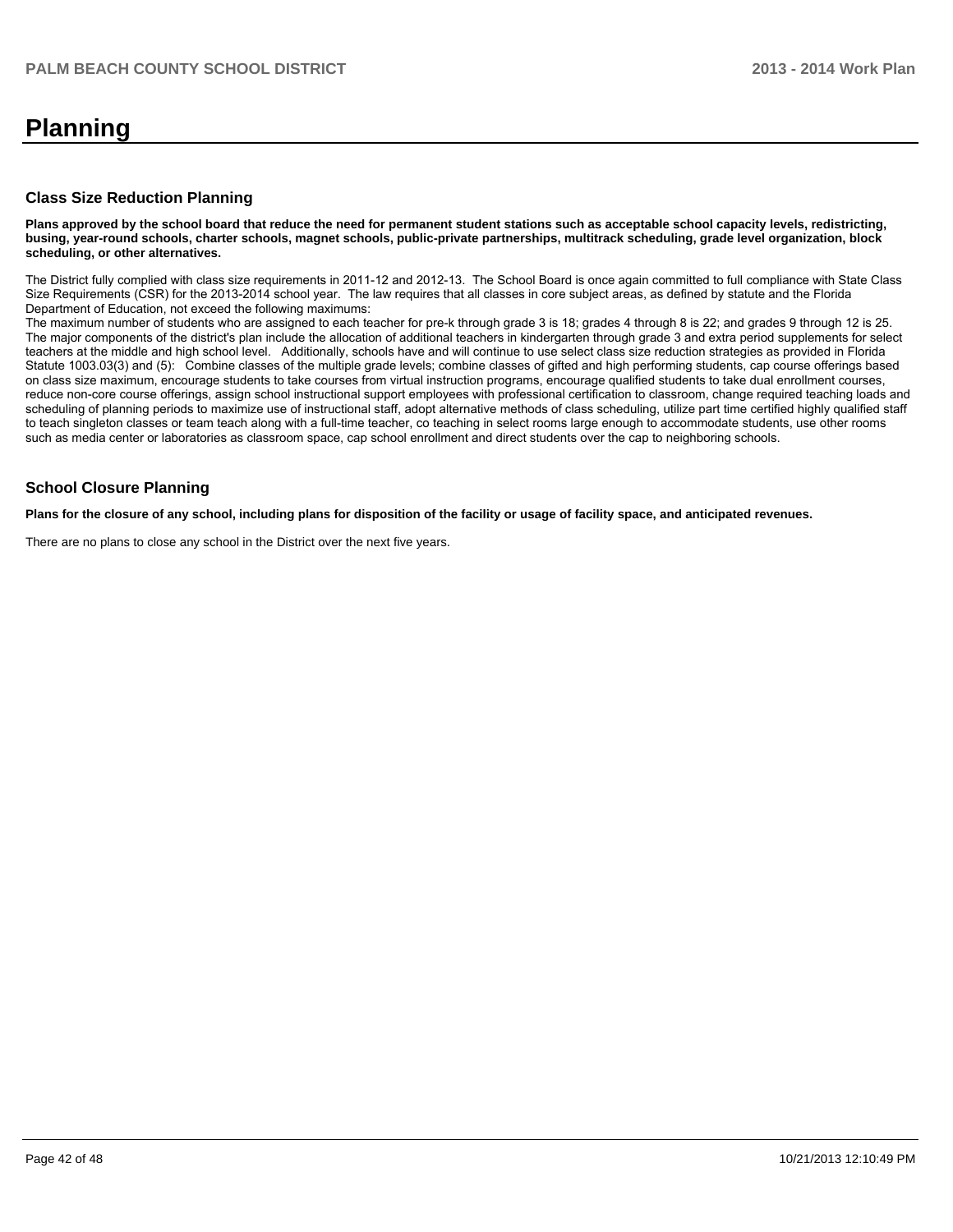# **Planning**

#### **Class Size Reduction Planning**

**Plans approved by the school board that reduce the need for permanent student stations such as acceptable school capacity levels, redistricting, busing, year-round schools, charter schools, magnet schools, public-private partnerships, multitrack scheduling, grade level organization, block scheduling, or other alternatives.**

The District fully complied with class size requirements in 2011-12 and 2012-13. The School Board is once again committed to full compliance with State Class Size Requirements (CSR) for the 2013-2014 school year. The law requires that all classes in core subject areas, as defined by statute and the Florida Department of Education, not exceed the following maximums:

The maximum number of students who are assigned to each teacher for pre-k through grade 3 is 18; grades 4 through 8 is 22; and grades 9 through 12 is 25. The major components of the district's plan include the allocation of additional teachers in kindergarten through grade 3 and extra period supplements for select teachers at the middle and high school level. Additionally, schools have and will continue to use select class size reduction strategies as provided in Florida Statute 1003.03(3) and (5): Combine classes of the multiple grade levels; combine classes of gifted and high performing students, cap course offerings based on class size maximum, encourage students to take courses from virtual instruction programs, encourage qualified students to take dual enrollment courses, reduce non-core course offerings, assign school instructional support employees with professional certification to classroom, change required teaching loads and scheduling of planning periods to maximize use of instructional staff, adopt alternative methods of class scheduling, utilize part time certified highly qualified staff to teach singleton classes or team teach along with a full-time teacher, co teaching in select rooms large enough to accommodate students, use other rooms such as media center or laboratories as classroom space, cap school enrollment and direct students over the cap to neighboring schools.

#### **School Closure Planning**

**Plans for the closure of any school, including plans for disposition of the facility or usage of facility space, and anticipated revenues.**

There are no plans to close any school in the District over the next five years.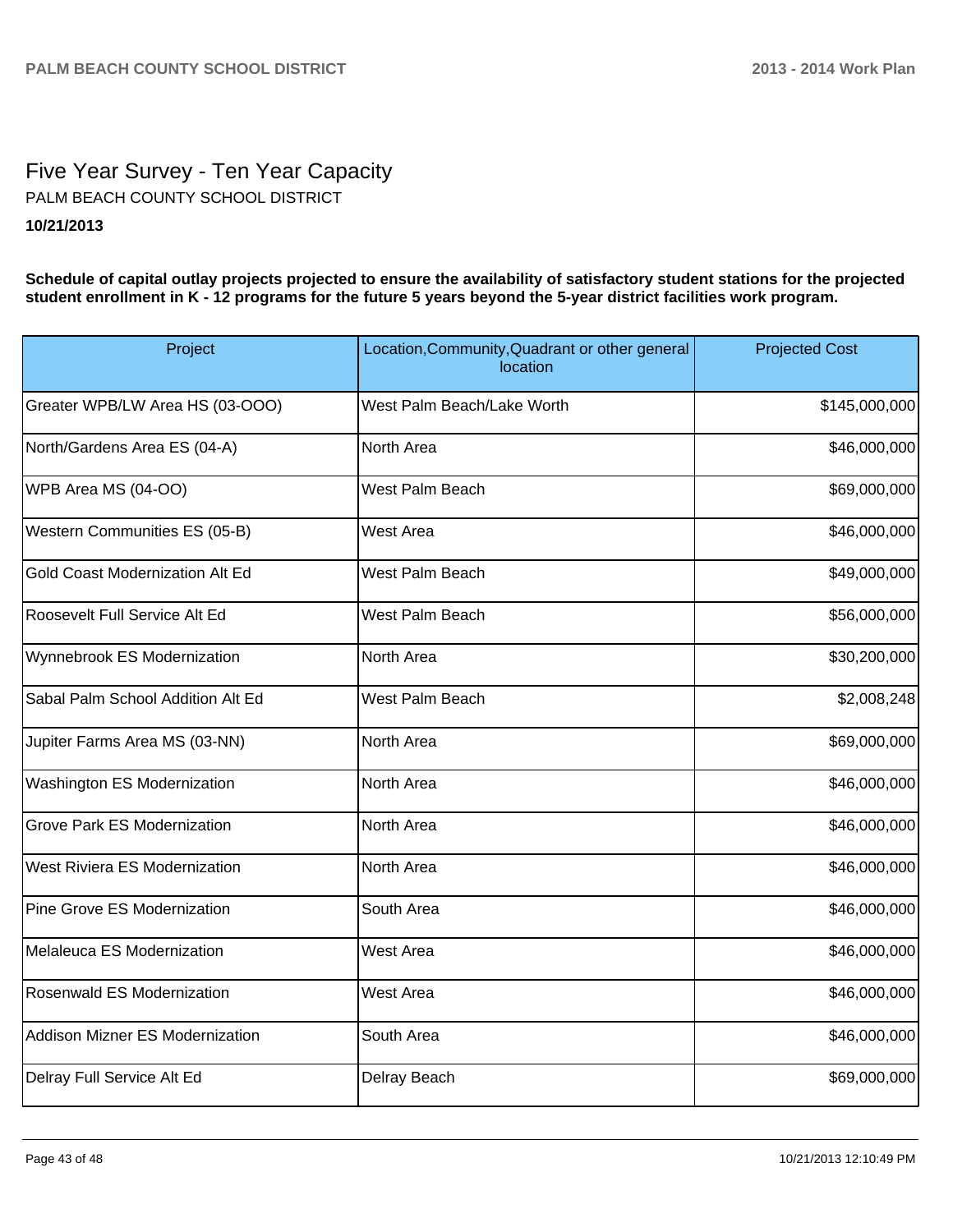# Five Year Survey - Ten Year Capacity **10/21/2013** PALM BEACH COUNTY SCHOOL DISTRICT

**Schedule of capital outlay projects projected to ensure the availability of satisfactory student stations for the projected student enrollment in K - 12 programs for the future 5 years beyond the 5-year district facilities work program.**

| Project                            | Location, Community, Quadrant or other general<br>location | <b>Projected Cost</b> |
|------------------------------------|------------------------------------------------------------|-----------------------|
| Greater WPB/LW Area HS (03-OOO)    | West Palm Beach/Lake Worth                                 | \$145,000,000         |
| North/Gardens Area ES (04-A)       | North Area                                                 | \$46,000,000          |
| WPB Area MS (04-OO)                | West Palm Beach                                            | \$69,000,000          |
| Western Communities ES (05-B)      | <b>West Area</b>                                           | \$46,000,000          |
| Gold Coast Modernization Alt Ed    | West Palm Beach                                            | \$49,000,000          |
| Roosevelt Full Service Alt Ed      | West Palm Beach                                            | \$56,000,000          |
| Wynnebrook ES Modernization        | North Area                                                 | \$30,200,000          |
| Sabal Palm School Addition Alt Ed  | West Palm Beach                                            | \$2,008,248           |
| Jupiter Farms Area MS (03-NN)      | North Area                                                 | \$69,000,000          |
| Washington ES Modernization        | North Area                                                 | \$46,000,000          |
| <b>Grove Park ES Modernization</b> | North Area                                                 | \$46,000,000          |
| West Riviera ES Modernization      | North Area                                                 | \$46,000,000          |
| <b>Pine Grove ES Modernization</b> | South Area                                                 | \$46,000,000          |
| Melaleuca ES Modernization         | <b>West Area</b>                                           | \$46,000,000          |
| Rosenwald ES Modernization         | <b>West Area</b>                                           | \$46,000,000          |
| Addison Mizner ES Modernization    | South Area                                                 | \$46,000,000          |
| Delray Full Service Alt Ed         | Delray Beach                                               | \$69,000,000          |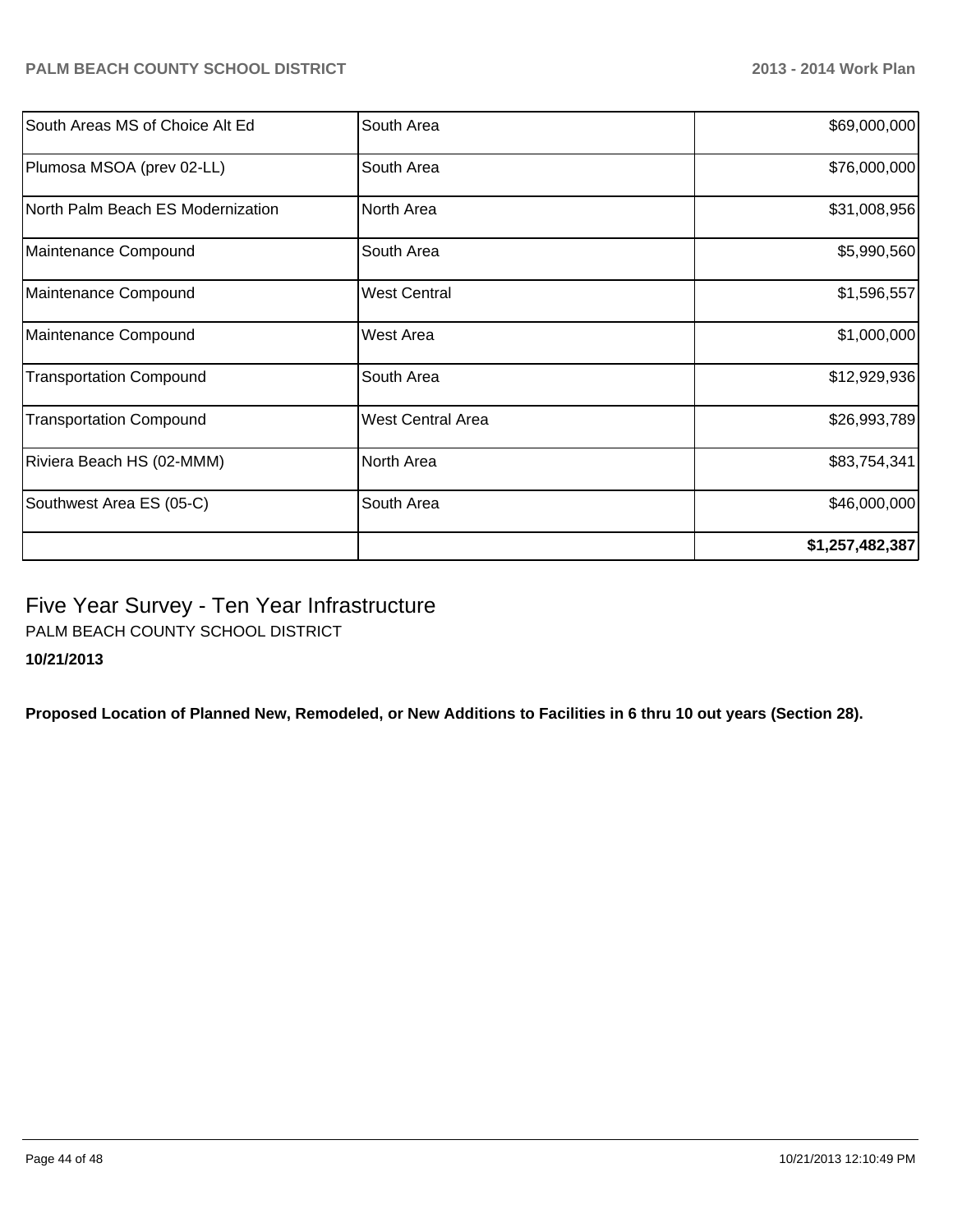| South Areas MS of Choice Alt Ed   | South Area               | \$69,000,000    |
|-----------------------------------|--------------------------|-----------------|
| Plumosa MSOA (prev 02-LL)         | South Area               | \$76,000,000    |
| North Palm Beach ES Modernization | North Area               | \$31,008,956    |
| Maintenance Compound              | South Area               | \$5,990,560     |
| Maintenance Compound              | <b>West Central</b>      | \$1,596,557     |
| Maintenance Compound              | West Area                | \$1,000,000     |
| <b>Transportation Compound</b>    | South Area               | \$12,929,936    |
| <b>Transportation Compound</b>    | <b>West Central Area</b> | \$26,993,789    |
| Riviera Beach HS (02-MMM)         | North Area               | \$83,754,341    |
| Southwest Area ES (05-C)          | South Area               | \$46,000,000    |
|                                   |                          | \$1,257,482,387 |

# Five Year Survey - Ten Year Infrastructure

PALM BEACH COUNTY SCHOOL DISTRICT

**10/21/2013**

**Proposed Location of Planned New, Remodeled, or New Additions to Facilities in 6 thru 10 out years (Section 28).**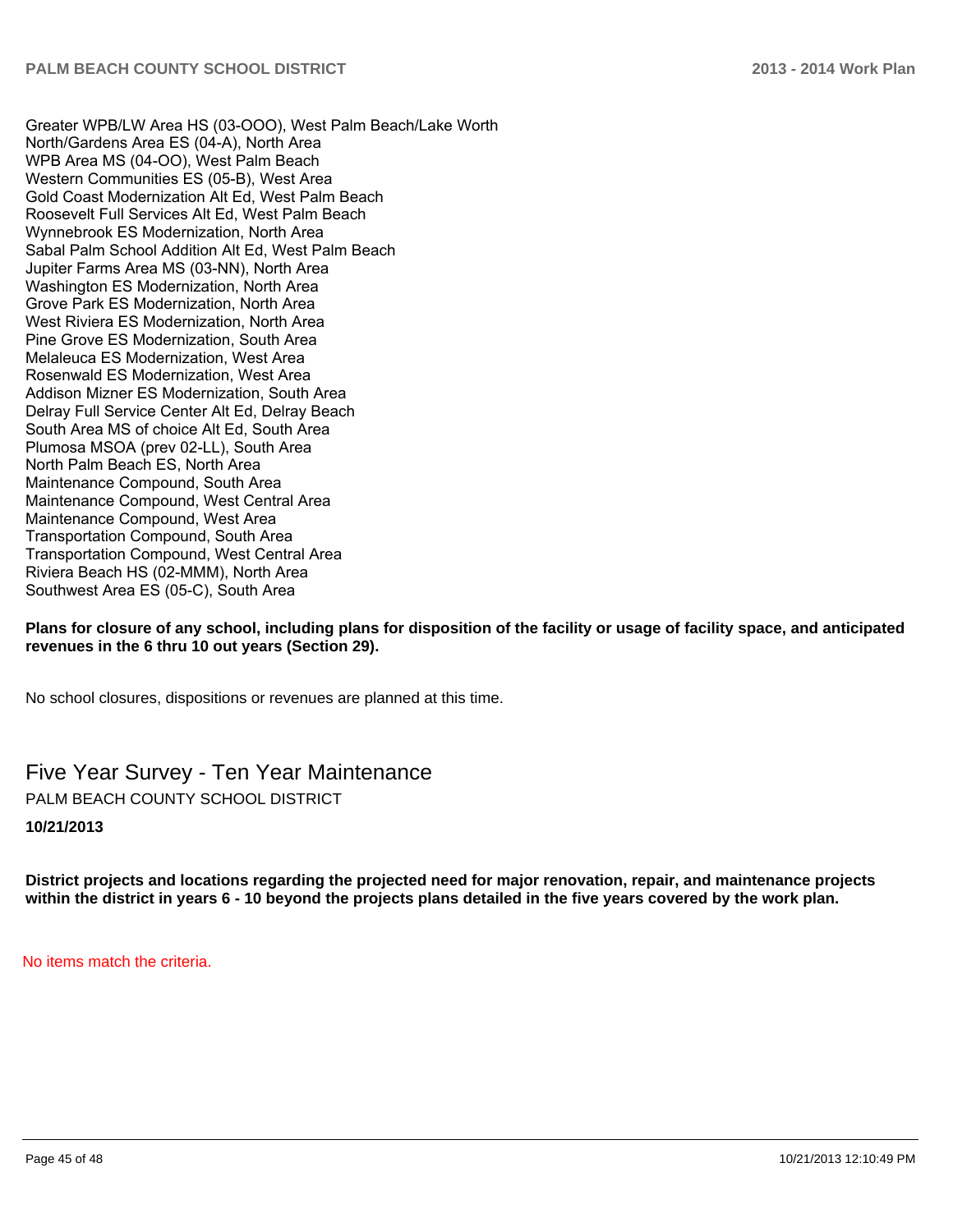Greater WPB/LW Area HS (03-OOO), West Palm Beach/Lake Worth North/Gardens Area ES (04-A), North Area WPB Area MS (04-OO), West Palm Beach Western Communities ES (05-B), West Area Gold Coast Modernization Alt Ed. West Palm Beach Roosevelt Full Services Alt Ed, West Palm Beach Wynnebrook ES Modernization, North Area Sabal Palm School Addition Alt Ed, West Palm Beach Jupiter Farms Area MS (03-NN), North Area Washington ES Modernization. North Area Grove Park ES Modernization, North Area West Riviera ES Modernization, North Area Pine Grove ES Modernization, South Area Melaleuca ES Modernization. West Area Rosenwald ES Modernization, West Area Addison Mizner ES Modernization, South Area Delray Full Service Center Alt Ed, Delray Beach South Area MS of choice Alt Ed, South Area Plumosa MSOA (prev 02-LL). South Area North Palm Beach ES. North Area Maintenance Compound, South Area Maintenance Compound. West Central Area Maintenance Compound. West Area Transportation Compound, South Area Transportation Compound. West Central Area Riviera Beach HS (02-MMM), North Area Southwest Area ES (05-C), South Area

#### **Plans for closure of any school, including plans for disposition of the facility or usage of facility space, and anticipated revenues in the 6 thru 10 out years (Section 29).**

No school closures, dispositions or revenues are planned at this time.

Five Year Survey - Ten Year Maintenance PALM BEACH COUNTY SCHOOL DISTRICT

**10/21/2013**

**District projects and locations regarding the projected need for major renovation, repair, and maintenance projects within the district in years 6 - 10 beyond the projects plans detailed in the five years covered by the work plan.**

No items match the criteria.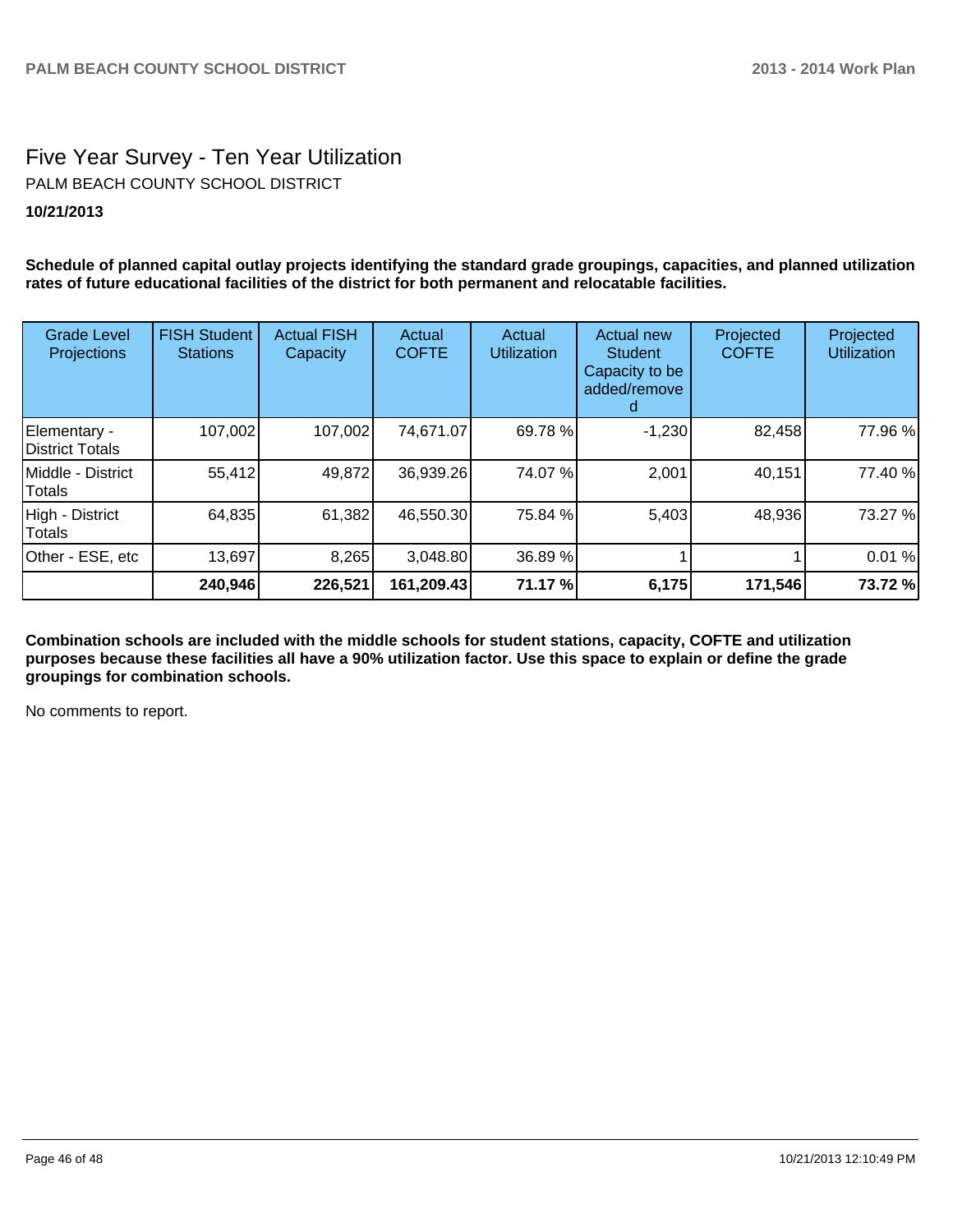# Five Year Survey - Ten Year Utilization PALM BEACH COUNTY SCHOOL DISTRICT

#### **10/21/2013**

**Schedule of planned capital outlay projects identifying the standard grade groupings, capacities, and planned utilization rates of future educational facilities of the district for both permanent and relocatable facilities.**

| <b>Grade Level</b><br>Projections       | <b>FISH Student</b><br><b>Stations</b> | <b>Actual FISH</b><br>Capacity | Actual<br><b>COFTE</b> | Actual<br><b>Utilization</b> | Actual new<br><b>Student</b><br>Capacity to be<br>added/remove | Projected<br><b>COFTE</b> | Projected<br><b>Utilization</b> |
|-----------------------------------------|----------------------------------------|--------------------------------|------------------------|------------------------------|----------------------------------------------------------------|---------------------------|---------------------------------|
| Elementary -<br><b>IDistrict Totals</b> | 107,002                                | 107,002                        | 74,671.07              | 69.78 %                      | $-1,230$                                                       | 82,458                    | 77.96 %                         |
| Middle - District<br>Totals             | 55,412                                 | 49,872                         | 36,939.26              | 74.07%                       | 2,001                                                          | 40,151                    | 77.40 %                         |
| High - District<br>Totals               | 64,835                                 | 61,382                         | 46,550.30              | 75.84 %                      | 5,403                                                          | 48,936                    | 73.27 %                         |
| Other - ESE, etc                        | 13,697                                 | 8,265                          | 3,048.80               | 36.89 %                      |                                                                |                           | 0.01%                           |
|                                         | 240,946                                | 226,521                        | 161,209.43             | 71.17 %                      | 6,175                                                          | 171,546                   | 73.72 %                         |

**Combination schools are included with the middle schools for student stations, capacity, COFTE and utilization purposes because these facilities all have a 90% utilization factor. Use this space to explain or define the grade groupings for combination schools.**

No comments to report.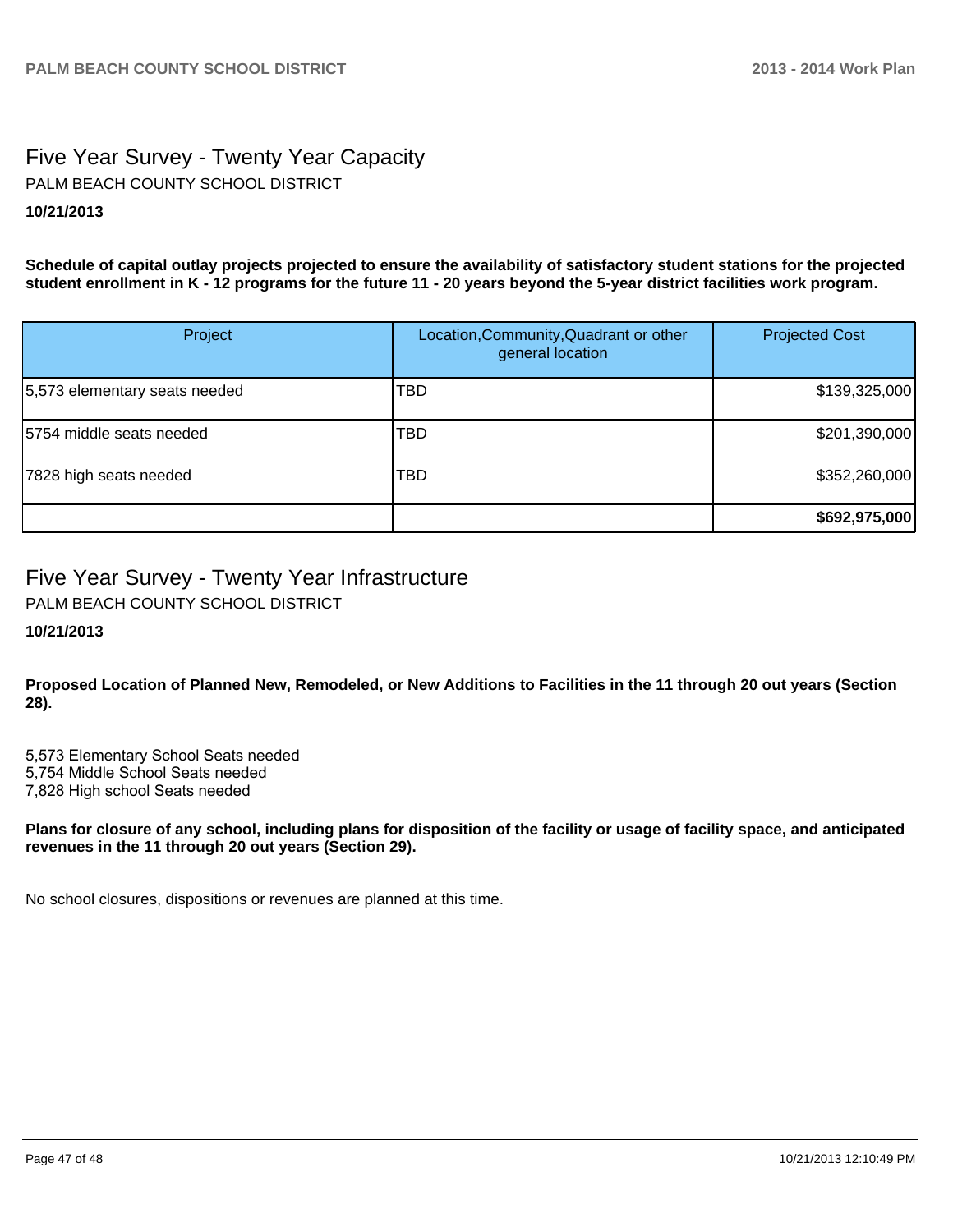# Five Year Survey - Twenty Year Capacity **10/21/2013** PALM BEACH COUNTY SCHOOL DISTRICT

**Schedule of capital outlay projects projected to ensure the availability of satisfactory student stations for the projected student enrollment in K - 12 programs for the future 11 - 20 years beyond the 5-year district facilities work program.**

| Project                       | Location, Community, Quadrant or other<br>general location | <b>Projected Cost</b> |
|-------------------------------|------------------------------------------------------------|-----------------------|
| 5,573 elementary seats needed | TBD                                                        | \$139,325,000         |
| 5754 middle seats needed      | TBD                                                        | \$201,390,000         |
| 7828 high seats needed        | TBD                                                        | \$352,260,000         |
|                               |                                                            | \$692,975,000         |

# Five Year Survey - Twenty Year Infrastructure

PALM BEACH COUNTY SCHOOL DISTRICT

## **10/21/2013**

**Proposed Location of Planned New, Remodeled, or New Additions to Facilities in the 11 through 20 out years (Section 28).**

5.573 Elementary School Seats needed 5.754 Middle School Seats needed 7,828 High school Seats needed

**Plans for closure of any school, including plans for disposition of the facility or usage of facility space, and anticipated revenues in the 11 through 20 out years (Section 29).**

No school closures, dispositions or revenues are planned at this time.